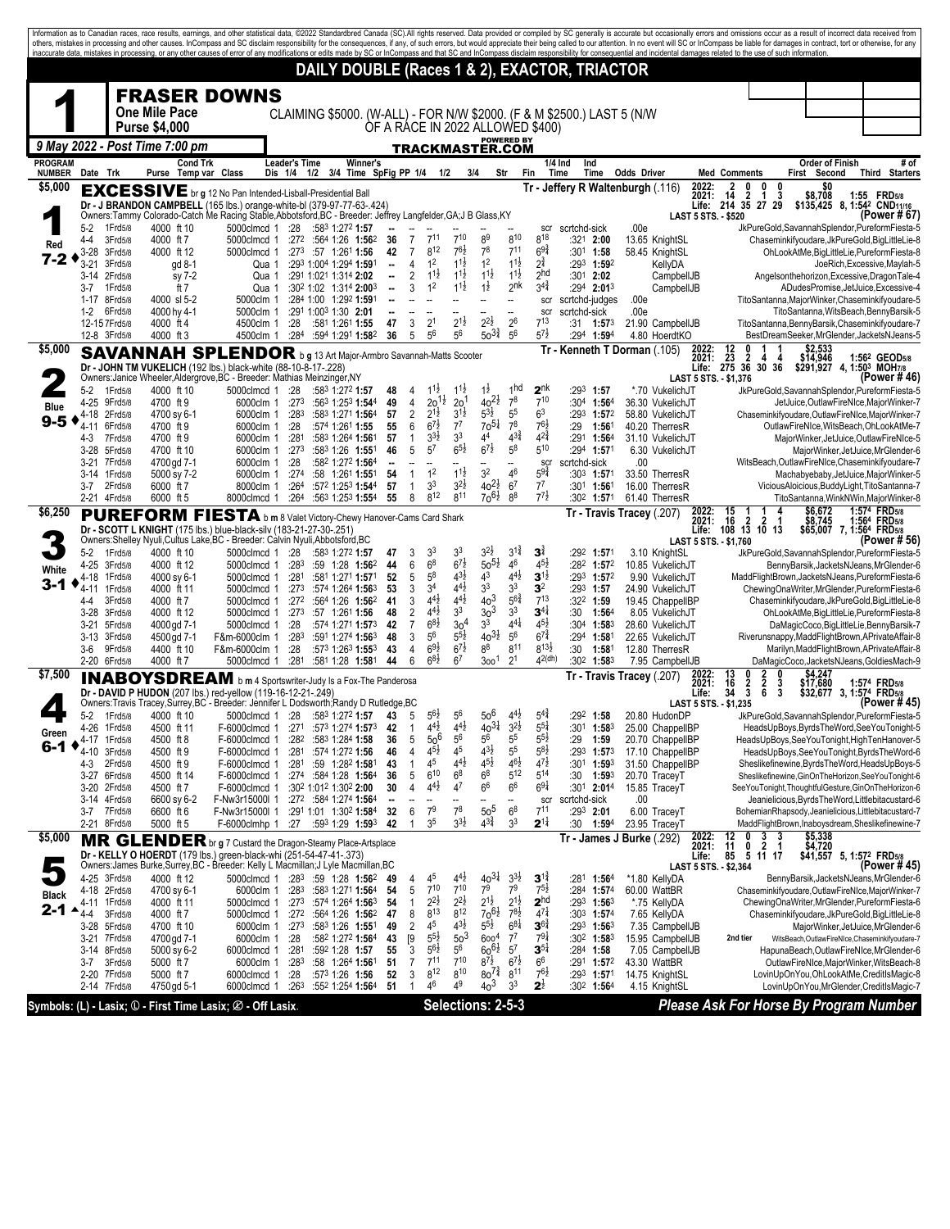|                |                    |                              |                                                                                                                                                      |                                  |                                       |                                                              |                          |                                  |                                       |                                          |                                       |                                        |                                           |                  |                                                  | Information as to Canadian races, race results, earnings, and other statistical data, @2022 Standardbred Canada (SC).All rights reserved. Data provided or compiled by SC generally is accurate but occasionally errors and om<br>others, mistakes in processing and other causes. InCompass and SC disclaim responsibility for the consequences, if any, of such errors, but would appreciate their being called to our attention. In no event will SC or InCom<br>inaccurate data, mistakes in processing, or any other causes of error of any modifications or edits made by SC or InCompass and that SC and InCompass disclaim responsibility for consequential and incidental damages related |                                |                                                                        |                                 |                                                                                                            |      |
|----------------|--------------------|------------------------------|------------------------------------------------------------------------------------------------------------------------------------------------------|----------------------------------|---------------------------------------|--------------------------------------------------------------|--------------------------|----------------------------------|---------------------------------------|------------------------------------------|---------------------------------------|----------------------------------------|-------------------------------------------|------------------|--------------------------------------------------|----------------------------------------------------------------------------------------------------------------------------------------------------------------------------------------------------------------------------------------------------------------------------------------------------------------------------------------------------------------------------------------------------------------------------------------------------------------------------------------------------------------------------------------------------------------------------------------------------------------------------------------------------------------------------------------------------|--------------------------------|------------------------------------------------------------------------|---------------------------------|------------------------------------------------------------------------------------------------------------|------|
|                |                    |                              |                                                                                                                                                      |                                  |                                       | DAILY DOUBLE (Races 1 & 2), EXACTOR, TRIACTOR                |                          |                                  |                                       |                                          |                                       |                                        |                                           |                  |                                                  |                                                                                                                                                                                                                                                                                                                                                                                                                                                                                                                                                                                                                                                                                                    |                                |                                                                        |                                 |                                                                                                            |      |
|                |                    |                              | <b>FRASER DOWNS</b>                                                                                                                                  |                                  |                                       |                                                              |                          |                                  |                                       |                                          |                                       |                                        |                                           |                  |                                                  |                                                                                                                                                                                                                                                                                                                                                                                                                                                                                                                                                                                                                                                                                                    |                                |                                                                        |                                 |                                                                                                            |      |
|                |                    |                              | <b>One Mile Pace</b>                                                                                                                                 |                                  |                                       |                                                              |                          |                                  |                                       |                                          |                                       |                                        |                                           |                  |                                                  | CLAIMING \$5000. (W-ALL) - FOR N/W \$2000. (F & M \$2500.) LAST 5 (N/W                                                                                                                                                                                                                                                                                                                                                                                                                                                                                                                                                                                                                             |                                |                                                                        |                                 |                                                                                                            |      |
|                |                    |                              | <b>Purse \$4,000</b>                                                                                                                                 |                                  |                                       |                                                              |                          |                                  |                                       |                                          |                                       | <b>POWERED BY</b>                      | OF A RACE IN 2022 ALLOWED \$400)          |                  |                                                  |                                                                                                                                                                                                                                                                                                                                                                                                                                                                                                                                                                                                                                                                                                    |                                |                                                                        |                                 |                                                                                                            |      |
| <b>PROGRAM</b> |                    |                              | 9 May 2022 - Post Time 7:00 pm<br><b>Cond Trk</b>                                                                                                    |                                  | <b>Leader's Time</b>                  | <b>Winner's</b>                                              |                          |                                  |                                       |                                          | <b>TRACKMASTER.COM</b>                |                                        |                                           | $1/4$ Ind        | Ind                                              |                                                                                                                                                                                                                                                                                                                                                                                                                                                                                                                                                                                                                                                                                                    |                                |                                                                        | <b>Order of Finish</b>          |                                                                                                            | # of |
| <b>NUMBER</b>  | Date Trk           |                              | Purse                                                                                                                                                | Temp var Class                   | Dis 1/4 1/2 3/4 Time SpFig PP 1/4 1/2 |                                                              |                          |                                  |                                       |                                          | 3/4                                   | Str                                    | Fin                                       | Time             | Time                                             | Odds Driver                                                                                                                                                                                                                                                                                                                                                                                                                                                                                                                                                                                                                                                                                        | 2022:                          | <b>Med Comments</b><br>0<br>0<br>0                                     | First Second                    | Third Starters                                                                                             |      |
| \$5,000        |                    |                              | <b>EXCESSIVE</b> br g 12 No Pan Intended-Lisball-Presidential Ball<br>Dr - J BRANDON CAMPBELL (165 lbs.) orange-white-bl (379-97-77-63-.424)         |                                  |                                       |                                                              |                          |                                  |                                       |                                          |                                       |                                        |                                           |                  |                                                  | Tr - Jeffery R Waltenburgh (.116)                                                                                                                                                                                                                                                                                                                                                                                                                                                                                                                                                                                                                                                                  | 2021:                          | $1^{2}_{4}$<br>$\overline{\mathbf{2}}$<br>3<br>1<br>Life: 214 35 27 29 | \$0<br>\$8,708                  | 1:55 FRD5/8<br>\$135,425 8, 1:54 <sup>2</sup> CND <sub>11/16</sub>                                         |      |
|                | $5-2$              | 1 Frd 5/8                    | Owners:Tammy Colorado-Catch Me Racing Stable, Abbotsford, BC - Breeder: Jeffrey Langfelder, GA; J B Glass, KY<br>4000 ft 10                          | 5000clmcd 1                      | :28                                   | :583 1:272 1:57                                              |                          |                                  |                                       |                                          |                                       |                                        | scr                                       | scrtchd-sick     |                                                  | .00e                                                                                                                                                                                                                                                                                                                                                                                                                                                                                                                                                                                                                                                                                               | <b>LAST 5 STS. - \$520</b>     |                                                                        |                                 | (Power # 67)<br>JkPureGold,SavannahSplendor,PureformFiesta-5                                               |      |
| Red            | 4-4                | 3Frd5/8<br>3Frd5/8           | 4000 ft 7                                                                                                                                            | 5000clmcd 1                      | :272                                  | :564 1:26 1:562                                              | 36                       | 7<br>$\overline{7}$              | 711<br>812                            | 710<br>$76\frac{1}{2}$                   | 89<br>78                              | 810<br>$7^{11}$                        | 818<br>$69\frac{3}{4}$                    |                  | $:321$ 2:00                                      | 13.65 KnightSL                                                                                                                                                                                                                                                                                                                                                                                                                                                                                                                                                                                                                                                                                     |                                |                                                                        |                                 | Chaseminkifyoudare, JkPureGold, BigLittleLie-8                                                             |      |
| 7-2            | $3-28$<br>$3 - 21$ | 3Frd5/8                      | 4000 ft 12<br>gd 8-1                                                                                                                                 | 5000clmcd 1                      | Qua 1                                 | $:27^3$ :57 1:26 <sup>1</sup> 1:56<br>:293 1:004 1:294 1:591 | 42<br>$\bullet$          | $\overline{4}$                   | 1 <sup>2</sup>                        | $11\frac{1}{2}$                          | 1 <sup>2</sup>                        | $11\frac{1}{2}$                        | $2^{\frac{3}{4}}$                         |                  | :30 <sup>1</sup> 1:58<br>:293 1:592              | 58.45 KnightSL<br>KellyDA                                                                                                                                                                                                                                                                                                                                                                                                                                                                                                                                                                                                                                                                          |                                |                                                                        |                                 | OhLookAtMe, BigLittleLie, PureformFiesta-8<br>JoeRich, Excessive, Maylah-5                                 |      |
|                | 3-7                | 3-14 2Frd5/8<br>1 Frd 5/8    | sy 7-2<br>ft 7                                                                                                                                       |                                  | Qua 1<br>Qua 1                        | :291 1:021 1:314 2:02<br>:302 1:02 1:314 2:003               | $\overline{\phantom{a}}$ | $\overline{2}$<br>3              | $1^{1\frac{1}{2}}$<br>1 <sup>2</sup>  | $1^{1\frac{1}{2}}$<br>$11\frac{1}{2}$    | $1^{1}\frac{1}{2}$<br>$1\overline{2}$ | $1^{1\frac{1}{2}}$<br>2 <sup>nk</sup>  | 2 <sup>hd</sup><br>$3^{4^{3}_{4}}$        |                  | :30 <sup>1</sup> 2:02<br>:294 2:013              | CampbellJB<br>CampbellJB                                                                                                                                                                                                                                                                                                                                                                                                                                                                                                                                                                                                                                                                           |                                |                                                                        |                                 | Angelsonthehorizon, Excessive, DragonTale-4<br>ADudesPromise, JetJuice, Excessive-4                        |      |
|                | $1-2$              | 1-17 8Frd5/8<br>6Frd5/8      | 4000 sl 5-2<br>4000 hy 4-1                                                                                                                           | 5000clm 1<br>5000clm 1           |                                       | :284 1:00 1:292 1:591<br>:291 1:003 1:30 2:01                |                          |                                  |                                       |                                          |                                       | --                                     | scr<br>scr                                | scrtchd-sick     | scrtchd-judges                                   | .00e<br>.00e                                                                                                                                                                                                                                                                                                                                                                                                                                                                                                                                                                                                                                                                                       |                                |                                                                        |                                 | TitoSantanna, MajorWinker, Chaseminkifyoudare-5<br>TitoSantanna, WitsBeach, BennyBarsik-5                  |      |
|                |                    | 12-157Frd5/8<br>12-8 3Frd5/8 | 4000 ft 4<br>4000 ft 3                                                                                                                               | 4500clm 1<br>4500clm 1           | :28                                   | :581 1:261 1:55<br>:284 :594 1:291 1:582                     | 47<br>36                 | 3<br>5                           | 2 <sup>1</sup><br>56                  | $2^{1\frac{1}{2}}$<br>56                 | $2^{2}\frac{1}{2}$<br>$50^{31}$       | 26<br>56                               | $7^{13}$<br>$5^{7\frac{1}{2}}$            |                  | $:31$ 1:57 <sup>3</sup><br>:294 1:594            | 21.90 CampbellJB<br>4.80 HoerdtKO                                                                                                                                                                                                                                                                                                                                                                                                                                                                                                                                                                                                                                                                  |                                |                                                                        |                                 | TitoSantanna, BennyBarsik, Chaseminkifyoudare-7<br>BestDreamSeeker, MrGlender, JacketsNJeans-5             |      |
| \$5,000        |                    |                              | <b>SAVANNAH SPLENDOR</b> b g 13 Art Major-Armbro Savannah-Matts Scooter                                                                              |                                  |                                       |                                                              |                          |                                  |                                       |                                          |                                       |                                        |                                           |                  |                                                  | Tr - Kenneth T Dorman (.105)                                                                                                                                                                                                                                                                                                                                                                                                                                                                                                                                                                                                                                                                       |                                |                                                                        | \$2,533<br>\$14,946             |                                                                                                            |      |
|                |                    |                              | Dr - JOHN TM VUKELICH (192 lbs.) black-white (88-10-8-17-.228)<br>Owners: Janice Wheeler, Aldergrove, BC - Breeder: Mathias Meinzinger, NY           |                                  |                                       |                                                              |                          |                                  |                                       |                                          |                                       |                                        |                                           |                  |                                                  |                                                                                                                                                                                                                                                                                                                                                                                                                                                                                                                                                                                                                                                                                                    | LAST 5 STS. - \$1,376          | 2022: 12 0 1 1<br>2021: 23 2 4 4<br>Life: 275 36 30 36                 |                                 | 1:56 <sup>2</sup> GEOD <sub>5/8</sub><br>\$291,927 4, 1:503 MOH7/8<br>(Power # 46)                         |      |
|                | $5-2$              | 1 Frd 5/8                    | 4000 ft 10                                                                                                                                           | 5000clmcd 1 :28                  |                                       | :583 1:272 1:57                                              | 48                       | 4                                | $1^{11}$                              | $1^{1}\frac{1}{2}$                       | $1\overline{2}$                       | 1 <sub>hd</sub>                        | 2 <sup>nk</sup>                           | :293             | 1:57                                             | *.70 VukelichJT                                                                                                                                                                                                                                                                                                                                                                                                                                                                                                                                                                                                                                                                                    |                                |                                                                        |                                 | JkPureGold,SavannahSplendor,PureformFiesta-5                                                               |      |
| Blue           |                    | 4-25 9Frd5/8<br>4-18 2Frd5/8 | 4700 ft 9<br>4700 sy 6-1                                                                                                                             | 6000clm 1<br>6000clm 1           | :273<br>:28 <sup>3</sup>              | :563 1:253 1:544<br>:583 1:271 1:564                         | 49<br>57                 | $\overline{4}$<br>$\sqrt{2}$     | $20^{11}$<br>$2^{1\frac{1}{2}}$       | 2 <sup>0</sup><br>$3^{1\frac{1}{2}}$     | $40^{21}$<br>$5^{3\frac{1}{2}}$       | 7 <sup>8</sup><br>5 <sup>5</sup>       | 710<br>6 <sup>3</sup>                     |                  | :304 1:564<br>$:293$ 1:572                       | 36.30 VukelichJT<br>58.80 VukelichJT                                                                                                                                                                                                                                                                                                                                                                                                                                                                                                                                                                                                                                                               |                                |                                                                        |                                 | JetJuice, OutlawFireNIce, MajorWinker-7<br>Chaseminkifyoudare, OutlawFireNIce, MajorWinker-7               |      |
| 9-5            | 4-3                | 4-11 6Frd5/8<br>7Frd5/8      | 4700 ft 9<br>4700 ft 9                                                                                                                               | 6000clm 1<br>6000clm 1           | :28<br>:281                           | :574 1:261 1:55<br>:583 1:264 1:561                          | 55<br>57                 | 6<br>$\mathbf{1}$                | $6^{7\frac{1}{2}}$<br>3 <sup>3</sup>  | $7^7$<br>3 <sup>3</sup>                  | $70^{51}$<br>44                       | $7^8$<br>$4^{3}\frac{3}{4}$            | $76\frac{1}{2}$<br>$4^{2^{3}_{4}}$        | :29              | $1:56^{\circ}$<br>:291 1:564                     | 40.20 TherresR<br>31.10 VukelichJT                                                                                                                                                                                                                                                                                                                                                                                                                                                                                                                                                                                                                                                                 |                                |                                                                        |                                 | OutlawFireNIce, WitsBeach, OhLookAtMe-7<br>MajorWinker, JetJuice, OutlawFireNIce-5                         |      |
|                | 3-28               | 5Frd5/8                      | 4700 ft 10                                                                                                                                           | 6000clm 1                        | :273                                  | :583 1:26 1:551                                              | 46                       | 5                                | 5 <sup>7</sup>                        | $6^{5}\frac{1}{2}$                       | $6^{7}\frac{1}{2}$                    | $5^8$                                  | 510                                       |                  | $:294$ 1:571                                     | 6.30 VukelichJT                                                                                                                                                                                                                                                                                                                                                                                                                                                                                                                                                                                                                                                                                    |                                |                                                                        |                                 | MajorWinker, JetJuice, MrGlender-6                                                                         |      |
|                | 3-14               | 3-21 7Frd5/8<br>1Frd5/8      | 4700 gd 7-1<br>5000 sy 7-2                                                                                                                           | 6000clm 1<br>6000clm 1           | :28<br>:274                           | :582 1:272 1:564<br>:58 1:261 1:551                          | 54                       | $\mathbf{1}$                     | 1 <sup>2</sup>                        | $11\frac{1}{2}$                          | ۰.<br>3 <sup>2</sup>                  | Ξ.<br>46                               | scr<br>$5^{9\frac{3}{4}}$                 | scrtchd-sick     | $:30^3$ 1:571                                    | .00<br>33.50 TherresR                                                                                                                                                                                                                                                                                                                                                                                                                                                                                                                                                                                                                                                                              |                                |                                                                        |                                 | WitsBeach, OutlawFireNIce, Chaseminkifyoudare-7<br>Machabyebaby, JetJuice, MajorWinker-5                   |      |
|                | $3 - 7$            | 2Frd5/8<br>2-21 4Frd5/8      | 6000 ft 7<br>6000 ft 5                                                                                                                               | 8000clm 1<br>8000clmcd 1         | :264<br>:264                          | :572 1:253 1:544<br>:563 1:253 1:554                         | 57<br>55                 | $\mathbf{1}$<br>8                | 3 <sup>3</sup><br>$8^{12}$            | $3^{2}\frac{1}{2}$<br>811                | $40^{21}$<br>$70^{61}$                | 6 <sup>7</sup><br>88                   | $7^7$<br>$7^{7\frac{1}{2}}$               |                  | :301 1:561<br>:30 <sup>2</sup> 1:57 <sup>1</sup> | 16.00 TherresR<br>61.40 TherresR                                                                                                                                                                                                                                                                                                                                                                                                                                                                                                                                                                                                                                                                   |                                |                                                                        |                                 | ViciousAloicious,BuddyLight,TitoSantanna-7<br>TitoSantanna,WinkNWin,MajorWinker-8                          |      |
| \$6,250        |                    |                              | PUREFORM FIESTA b m 8 Valet Victory-Chewy Hanover-Cams Card Shark                                                                                    |                                  |                                       |                                                              |                          |                                  |                                       |                                          |                                       |                                        |                                           |                  |                                                  | Tr - Travis Tracey (.207)                                                                                                                                                                                                                                                                                                                                                                                                                                                                                                                                                                                                                                                                          | 2022:<br>2021:                 | 15<br>16<br>$\overline{\mathbf{2}}$<br>$\overline{2}$<br>-1            | \$6,672                         | 1:574 FRD5/8<br>1:564 FRD5/8                                                                               |      |
|                |                    |                              | Dr - SCOTT L KNIGHT (175 lbs.) blue-black-silv (183-21-27-30-.251)<br>Owners: Shelley Nyuli, Cultus Lake, BC - Breeder: Calvin Nyuli, Abbotsford, BC |                                  |                                       |                                                              |                          |                                  |                                       |                                          |                                       |                                        |                                           |                  |                                                  |                                                                                                                                                                                                                                                                                                                                                                                                                                                                                                                                                                                                                                                                                                    | Life:<br>LAST 5 STS. - \$1,760 | $108$ $1\overline{3}$ $1\overline{0}$ $1\overline{3}$                  |                                 | \$8,745 1:564 FRD5/8<br>\$65,007 7, 1:564 FRD5/8<br>(Power # 56)                                           |      |
|                | $5-2$              | 1Frd5/8<br>4-25 3Frd5/8      | 4000 ft 10<br>4000 ft 12                                                                                                                             | 5000clmcd 1<br>5000clmcd 1       | :28<br>:283                           | :583 1:272 1:57<br>$:59$ 1:28 1:56 <sup>2</sup>              | 47<br>44                 | 3<br>6                           | 3 <sup>3</sup><br>6 <sup>8</sup>      | 3 <sup>3</sup><br>$6^{7\frac{1}{2}}$     | $3^{2}\frac{1}{2}$<br>$50^{51}$       | $3^{1\frac{3}{4}}$<br>$4^6\,$          | 3i<br>$4^{5}2$                            |                  | :292 1:571<br>:282 1:572                         | 3.10 KnightSL<br>10.85 VukelichJT                                                                                                                                                                                                                                                                                                                                                                                                                                                                                                                                                                                                                                                                  |                                |                                                                        |                                 | JkPureGold,SavannahSplendor,PureformFiesta-5<br>BennyBarsik, JacketsNJeans, MrGlender-6                    |      |
| White<br>3-1   | 4-18               | 1Frd5/8                      | 4000 sy 6-1                                                                                                                                          | 5000clmcd 1                      | :281                                  | :581 1:271 1:571                                             | 52                       | 5                                | $5^8$<br>3 <sup>4</sup>               | $4^{3}\frac{1}{2}$<br>44}                | $4^3$<br>3 <sup>3</sup>               | $4^{4}$ <sub>2</sub><br>3 <sup>3</sup> | $3^{1/2}$<br>3 <sup>2</sup>               |                  | $:293$ 1:572                                     | 9.90 VukelichJT                                                                                                                                                                                                                                                                                                                                                                                                                                                                                                                                                                                                                                                                                    |                                |                                                                        |                                 | MaddFlightBrown,JacketsNJeans,PureformFiesta-6                                                             |      |
|                | 4-11<br>4-4        | 1 Frd 5/8<br>3Frd5/8         | 4000 ft 11<br>4000 ft 7                                                                                                                              | 5000clmcd 1<br>5000clmcd 1       | :273<br>:27 <sup>2</sup>              | :574 1:264 1:563<br>:564 1:26 1:562                          | 53<br>41                 | 3<br>3                           | $4^{4}$                               | $4^{4}\frac{1}{2}$                       | 40 <sup>3</sup>                       | $5^{6}\frac{3}{4}$                     | $7^{13}$                                  |                  | $:29^3$ 1:57<br>:32 <sup>2</sup> 1:59            | 24.90 VukelichJT<br>19.45 ChappelIBP                                                                                                                                                                                                                                                                                                                                                                                                                                                                                                                                                                                                                                                               |                                |                                                                        |                                 | ChewingOnaWriter, MrGlender, PureformFiesta-6<br>Chaseminkifyoudare, JkPureGold, BigLittleLie-8            |      |
|                | 3-28               | 3Frd5/8<br>3-21 5Frd5/8      | 4000 ft 12<br>4000 gd 7-1                                                                                                                            | 5000clmcd 1<br>5000clmcd 1       | :273<br>:28                           | :57 1:261 1:56<br>:574 1:271 1:573                           | 48<br>42                 | $\overline{2}$<br>$\overline{7}$ | $4^{4}$<br>$6^{8}\frac{1}{2}$         | 3 <sup>3</sup><br>30 <sup>4</sup>        | 3 <sup>3</sup><br>3 <sup>3</sup>      | 3 <sup>3</sup><br>$4^{4}$              | $3^{41}$<br>$4^{5}\frac{1}{2}$            | :30              | 1:564<br>:304 $1:58^3$                           | 8.05 VukelichJT<br>28.60 VukelichJT                                                                                                                                                                                                                                                                                                                                                                                                                                                                                                                                                                                                                                                                |                                |                                                                        |                                 | OhLookAtMe, BigLittleLie, PureformFiesta-8<br>DaMagicCoco, BigLittleLie, Benny Barsik-7                    |      |
|                | 3-6                | 3-13 3Frd5/8<br>9Frd5/8      | 4500 gd 7-1<br>4400 ft 10                                                                                                                            | F&m-6000clm 1<br>F&m-6000clm 1   | :283<br>:28                           | :591 1:274 1:563<br>:573 1:263 1:553                         | 48<br>43                 | 3<br>$\overline{4}$              | 5 <sup>6</sup><br>$69\frac{1}{2}$     | $5^{5}\frac{1}{2}$<br>$6^{7\frac{1}{2}}$ | $40^{31}_{2}$<br>88                   | 5 <sup>6</sup><br>811                  | $6^{7\frac{3}{4}}$<br>$8^{13}\frac{1}{2}$ | :294<br>:30      | 1:581<br>1:581                                   | 22.65 VukelichJT<br>12.80 TherresR                                                                                                                                                                                                                                                                                                                                                                                                                                                                                                                                                                                                                                                                 |                                |                                                                        |                                 | Riverunsnappy, MaddFlightBrown, APrivateAffair-8<br>Marilyn, MaddFlightBrown, APrivateAffair-8             |      |
|                |                    | 2-20 6Frd5/8                 | 4000 ft 7                                                                                                                                            | 5000clmcd 1                      | :281                                  | :581 1:28 1:581                                              | 44                       | 6                                | $6^{8}\frac{1}{2}$                    | 6 <sup>7</sup>                           | 300 <sup>1</sup>                      | 2 <sup>1</sup>                         | 4 <sup>2</sup> (dh)                       | :30 <sup>2</sup> | 1:583                                            | 7.95 CampbellJB                                                                                                                                                                                                                                                                                                                                                                                                                                                                                                                                                                                                                                                                                    |                                |                                                                        |                                 | DaMagicCoco, JacketsNJeans, GoldiesMach-9                                                                  |      |
| \$7,500        |                    |                              | <b>INABOYSDREAM</b> b m 4 Sportswriter-Judy Is a Fox-The Panderosa<br>Dr - DAVID P HUDON (207 lbs.) red-yellow (119-16-12-21-.249)                   |                                  |                                       |                                                              |                          |                                  |                                       |                                          |                                       |                                        |                                           |                  |                                                  | Tr - Travis Tracey (.207)                                                                                                                                                                                                                                                                                                                                                                                                                                                                                                                                                                                                                                                                          | 2022:<br>2021:<br>Life:        | 13<br>0<br>0<br>$\bar{2}$<br>2<br>16<br>3<br>3<br>34<br>6<br>3         | \$4,247<br>\$17,680<br>\$32,677 | 1:574 FRD <sub>5/8</sub><br>3. 1:574 FRD5/8                                                                |      |
|                | $5-2$              | 1 Frd 5/8                    | Owners: Travis Tracey, Surrey, BC - Breeder: Jennifer L Dodsworth; Randy D Rutledge, BC<br>4000 ft 10                                                |                                  | 5000clmcd 1 :28 :583 1:272 1:57       |                                                              | 43                       | 5                                | $5^{6}$                               |                                          |                                       |                                        |                                           | 292              | 1:58                                             | 20.80 HudonDP                                                                                                                                                                                                                                                                                                                                                                                                                                                                                                                                                                                                                                                                                      | LAST 5 STS. - \$1,235          |                                                                        |                                 | (Power #45)<br>JkPureGold,SavannahSplendor,PureformFiesta-5                                                |      |
| Green          |                    | 4-26 1Frd5/8                 | 4500 ft 11                                                                                                                                           | F-6000clmcd 1                    | :271                                  | :573 1:274 1:573                                             | 42                       | 1                                | $4^{4}$ <sub>2</sub>                  | $4^{4}$ <sub>2</sub>                     | $40^{31}$                             | $3^{2}$                                | $5^{51}$                                  | :301             | 1:583                                            | 25.00 ChappelIBP                                                                                                                                                                                                                                                                                                                                                                                                                                                                                                                                                                                                                                                                                   |                                |                                                                        |                                 | HeadsUpBoys, ByrdsTheWord, SeeYouTonight-5                                                                 |      |
| 6-1            | 4-10               | 4-17 1Frd5/8<br>3Frd5/8      | 4500 ft 8<br>4500 ft 9                                                                                                                               | F-6000clmcd 1<br>F-6000clmcd 1   | :282<br>:281                          | :583 1:284 1:58<br>:574 1:272 1:56                           | 36<br>46                 | 5<br>$\overline{4}$              | 50 <sup>6</sup><br>$4^{5}\frac{1}{2}$ | 56<br>45                                 | 56<br>$4^{3}\frac{1}{2}$              | 5 <sup>5</sup><br>5 <sup>5</sup>       | $5^{5}$<br>$5^{8}$                        | :29              | 1:59<br>:293 1:573                               | 20.70 ChappelIBP<br>17.10 ChappelIBP                                                                                                                                                                                                                                                                                                                                                                                                                                                                                                                                                                                                                                                               |                                |                                                                        |                                 | HeadsUpBoys, See YouTonight, High Ten Hanover-5<br>HeadsUpBoys, See You Tonight, Byrds The Word-6          |      |
|                | 4-3                | 2Frd5/8<br>3-27 6Frd5/8      | 4500 ft 9<br>4500 ft 14                                                                                                                              | F-6000clmcd 1<br>F-6000clmcd 1   | :281                                  | :59 1:28 <sup>2</sup> 1:581<br>$:274$ $:584$ 1:28 1:564      | 43<br>36                 | $\mathbf{1}$<br>5                | 4 <sup>5</sup><br>610                 | $4^{4}$ <sub>2</sub><br>6 <sup>8</sup>   | $4^{51}$<br>6 <sup>8</sup>            | $4^{6}\frac{1}{2}$<br>5 <sup>12</sup>  | $4^{7}\frac{1}{2}$<br>$5^{14}$            | :30              | :30 <sup>1</sup> 1:59 <sup>3</sup><br>1:593      | 31.50 ChappelIBP<br>20.70 TraceyT                                                                                                                                                                                                                                                                                                                                                                                                                                                                                                                                                                                                                                                                  |                                |                                                                        |                                 | Sheslikefinewine, Byrds The Word, Heads UpBoys-5<br>Sheslikefinewine, GinOnTheHorizon, SeeYouTonight-6     |      |
|                |                    | 3-20 2Frd5/8                 | 4500 ft 7                                                                                                                                            | F-6000clmcd 1                    |                                       | :302 1:012 1:302 2:00                                        | 30                       | 4                                | $4^{41}$                              | 4 <sup>7</sup>                           | 66                                    | 6 <sup>6</sup>                         | $69\frac{1}{4}$                           |                  | :301 2:014                                       | 15.85 TraceyT                                                                                                                                                                                                                                                                                                                                                                                                                                                                                                                                                                                                                                                                                      |                                |                                                                        |                                 | SeeYouTonight, ThoughtfulGesture, GinOnTheHorizon-6                                                        |      |
|                | $3 - 7$            | 3-14 4Frd5/8<br>7Frd5/8      | 6600 sy 6-2<br>6600 ft 6                                                                                                                             | F-Nw3r15000l 1<br>F-Nw3r15000l 1 |                                       | $:27^2$ :584 1:274 1:564<br>:291 1:01 1:302 1:584            | 32                       | --<br>6                          | --<br>7 <sup>9</sup>                  | 7 <sup>8</sup>                           | --<br>50 <sup>5</sup>                 | --<br>6 <sup>8</sup>                   | scr<br>$7^{11}$                           | scrtchd-sick     | $:293$ 2:01                                      | .00<br>6.00 TraceyT                                                                                                                                                                                                                                                                                                                                                                                                                                                                                                                                                                                                                                                                                |                                |                                                                        |                                 | Jeanielicious, Byrds The Word, Littlebitacustard-6<br>BohemianRhapsody, Jeanielicious, Littlebitacustard-7 |      |
| \$5,000        |                    | 2-21 8Frd5/8                 | 5000 ft 5<br>MR GLENDER br g 7 Custard the Dragon-Steamy Place-Artsplace                                                                             | F-6000clmhp 1                    | :27                                   | :593 1:29 1:593                                              | 42                       | $\mathbf{1}$                     | 3 <sup>5</sup>                        | $3^{3}\frac{1}{2}$                       | $4^{3}\frac{3}{4}$                    | 3 <sup>3</sup>                         | $2^{1\frac{1}{4}}$                        | :30              | 1:594                                            | 23.95 TraceyT<br>Tr - James J Burke (.292)                                                                                                                                                                                                                                                                                                                                                                                                                                                                                                                                                                                                                                                         | 2022:                          | 3<br>12<br>0<br>3                                                      | \$5,338                         | MaddFlightBrown,Inaboysdream,Sheslikefinewine-7                                                            |      |
|                |                    |                              | Dr - KELLY O HOERDT (179 lbs.) green-black-whi (251-54-47-41-.373)<br>Owners:James Burke,Surrey,BC - Breeder: Kelly L Macmillan;J Lyle Macmillan,BC  |                                  |                                       |                                                              |                          |                                  |                                       |                                          |                                       |                                        |                                           |                  |                                                  |                                                                                                                                                                                                                                                                                                                                                                                                                                                                                                                                                                                                                                                                                                    | 2021:<br>Life:                 | 2<br>11<br>0<br>-1<br>5 11 17<br>85                                    |                                 | \$4,720<br>\$41,557    5, 1:572    FRD5 <sub>19</sub>                                                      |      |
|                |                    | 4-25 3Frd5/8                 | 4000 ft 12                                                                                                                                           | 5000clmcd 1                      | :283                                  | :59 1:28 1:562                                               | 49                       | 4                                | 45                                    | $4^{4}\frac{1}{2}$                       | $40^{31}$                             | $3^{3}\frac{1}{2}$                     | $3^{14}$                                  | :281             | 1:564                                            | *1.80 KellyDA                                                                                                                                                                                                                                                                                                                                                                                                                                                                                                                                                                                                                                                                                      | LAST 5 STS. - \$2,364          |                                                                        |                                 | (Power # 45)<br>BennyBarsik, JacketsNJeans, MrGlender-6                                                    |      |
| <b>Black</b>   | 4-11               | 4-18 2Frd5/8<br>1Frd5/8      | 4700 sy 6-1<br>4000 ft 11                                                                                                                            | 6000clm 1<br>5000clmcd 1         | :283<br>:273                          | :583 1:271 <b>1:56</b> 4<br>:574 1:264 1:563                 | 54<br>54                 | 5<br>$\mathbf{1}$                | $7^{10}$<br>$2^{2}\frac{1}{2}$        | $7^{10}$<br>$2^{2}\frac{1}{2}$           | 7 <sup>9</sup><br>$2^{1\frac{1}{2}}$  | 7 <sup>9</sup><br>$2^{1\frac{1}{2}}$   | $7^{5}\frac{1}{2}$<br>2 <sup>hd</sup>     | :293             | :284 1:574<br>$1:56^{3}$                         | 60.00 WattBR<br>*.75 KellyDA                                                                                                                                                                                                                                                                                                                                                                                                                                                                                                                                                                                                                                                                       |                                |                                                                        |                                 | Chaseminkifyoudare, OutlawFireNIce, MajorWinker-7<br>ChewingOnaWriter, MrGlender, PureformFiesta-6         |      |
| 2-1            | 4-4                | 3Frd5/8                      | 4000 ft 7                                                                                                                                            | 5000clmcd 1                      | :272                                  | :564 1:26 1:562                                              | 47                       | 8                                | $8^{13}$<br>4 <sup>5</sup>            | 812<br>$4^{3}\frac{1}{2}$                | $70^{61}$<br>$5^{5}\frac{1}{2}$       | $7^{81}$<br>$6^{8\frac{1}{4}}$         | $4^{71}$<br>$3^{64}$                      |                  | :30 <sup>3</sup> 1:57 <sup>4</sup>               | 7.65 KellyDA                                                                                                                                                                                                                                                                                                                                                                                                                                                                                                                                                                                                                                                                                       |                                |                                                                        |                                 | Chaseminkifyoudare, JkPureGold, BigLittleLie-8                                                             |      |
|                |                    | 3-28 5Frd5/8<br>3-21 7Frd5/8 | 4700 ft 10<br>4700gd 7-1                                                                                                                             | 6000clm 1<br>6000clm 1           | :273<br>:28                           | :583 1:26 1:551<br>:582 1:272 1:564                          | 49<br>43                 | $\overline{2}$<br>[9             | $5^{5}$                               | 50 <sup>3</sup>                          | 600 <sup>4</sup>                      | $7^7$                                  | $79\frac{1}{4}$                           |                  | $:29^3$ 1:56 <sup>3</sup><br>$:302$ 1:583        | 7.35 CampbellJB<br>15.95 CampbellJB                                                                                                                                                                                                                                                                                                                                                                                                                                                                                                                                                                                                                                                                |                                | 2nd tier                                                               |                                 | MajorWinker, JetJuice, MrGlender-6<br>WitsBeach, OutlawFireNIce, Chaseminkifyoudare-7                      |      |
|                | 3-7                | 3-14 8Frd5/8<br>3Frd5/8      | 5000 sy 6-2<br>5000 ft 7                                                                                                                             | 6000clmcd 1<br>6000clm 1         | :281<br>:28 <sup>3</sup>              | :592 1:28 1:57<br>:58 1:264 1:561                            | 55<br>51                 | 3<br>$\overline{7}$              | $5^{6}\frac{1}{2}$<br>$7^{11}$        | 5 <sup>6</sup><br>$7^{10}$               | $60^{61}$<br>$8^{7}$                  | $5^7$<br>$6^{7}$                       | $3^{51}$<br>$6^6$                         | :291             | $:284$ 1:58<br>1:57 <sup>2</sup>                 | 7.05 CampbellJB<br>43.30 WattBR                                                                                                                                                                                                                                                                                                                                                                                                                                                                                                                                                                                                                                                                    |                                |                                                                        |                                 | HapunaBeach, OutlawFireNIce, MrGlender-6<br>OutlawFireNIce,MajorWinker,WitsBeach-8                         |      |
|                |                    | 2-20 7Frd5/8<br>2-14 7Frd5/8 | 5000 ft 7<br>4750gd 5-1                                                                                                                              | 6000clmcd 1<br>6000clmcd 1       | :28<br>:26 <sup>3</sup>               | :573 1:26 1:56<br>:552 1:254 1:564                           | 52<br>51                 | 3<br>$\mathbf{1}$                | 812<br>46                             | 810<br>49                                | $80^{7\frac{3}{4}}$<br>$40^{3}$       | 811<br>3 <sup>3</sup>                  | $7^{6}$ <sub>2</sub><br>$2^{\frac{1}{2}}$ |                  | :293 1:571<br>:30 <sup>2</sup> 1:56 <sup>4</sup> | 14.75 KnightSL<br>4.15 KnightSL                                                                                                                                                                                                                                                                                                                                                                                                                                                                                                                                                                                                                                                                    |                                |                                                                        |                                 | LovinUpOnYou,OhLookAtMe,CreditIsMagic-8<br>LovinUpOnYou, MrGlender, CreditIsMagic-7                        |      |
|                |                    |                              | Symbols: (L) - Lasix; ① - First Time Lasix; ② - Off Lasix.                                                                                           |                                  |                                       |                                                              |                          |                                  |                                       |                                          | Selections: 2-5-3                     |                                        |                                           |                  |                                                  |                                                                                                                                                                                                                                                                                                                                                                                                                                                                                                                                                                                                                                                                                                    |                                | <b>Please Ask For Horse By Program Number</b>                          |                                 |                                                                                                            |      |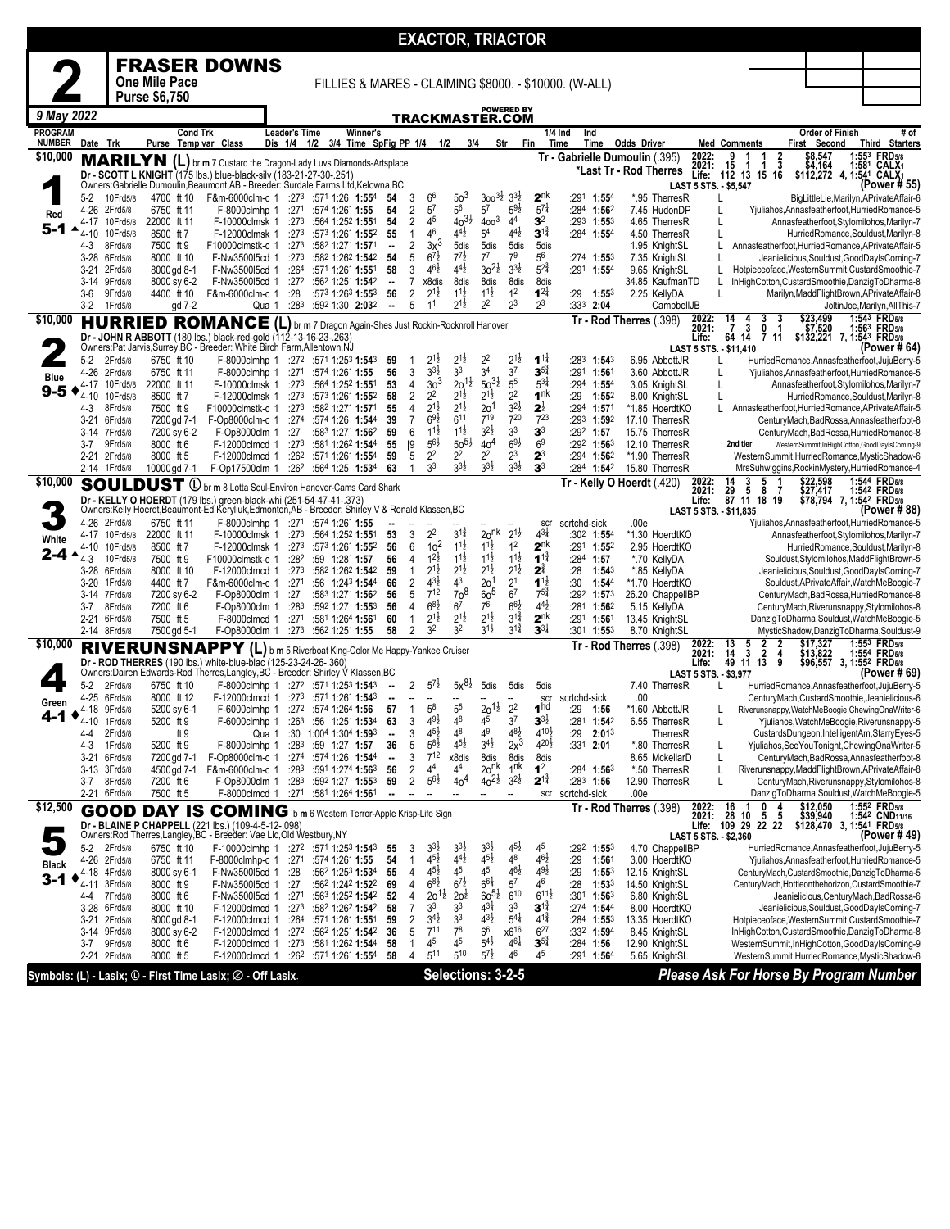|                                 |                  |                              |                            |                                                                                                                                                                                                                         |                                 |     |                                                               |                                |                                |                                       |                                          | <b>EXACTOR, TRIACTOR</b>                 |                                      |                                            |                                                       |                                                          |                                                                                                 |                                                                                                    |                                                                  |
|---------------------------------|------------------|------------------------------|----------------------------|-------------------------------------------------------------------------------------------------------------------------------------------------------------------------------------------------------------------------|---------------------------------|-----|---------------------------------------------------------------|--------------------------------|--------------------------------|---------------------------------------|------------------------------------------|------------------------------------------|--------------------------------------|--------------------------------------------|-------------------------------------------------------|----------------------------------------------------------|-------------------------------------------------------------------------------------------------|----------------------------------------------------------------------------------------------------|------------------------------------------------------------------|
|                                 |                  |                              |                            | <b>FRASER DOWNS</b>                                                                                                                                                                                                     |                                 |     |                                                               |                                |                                |                                       |                                          |                                          |                                      |                                            |                                                       |                                                          |                                                                                                 |                                                                                                    |                                                                  |
|                                 |                  |                              | <b>One Mile Pace</b>       |                                                                                                                                                                                                                         |                                 |     |                                                               |                                |                                |                                       |                                          |                                          |                                      |                                            | FILLIES & MARES - CLAIMING \$8000. - \$10000. (W-ALL) |                                                          |                                                                                                 |                                                                                                    |                                                                  |
|                                 |                  |                              | <b>Purse \$6,750</b>       |                                                                                                                                                                                                                         |                                 |     |                                                               |                                |                                |                                       |                                          |                                          | <b>POWERED BY</b>                    |                                            |                                                       |                                                          |                                                                                                 |                                                                                                    |                                                                  |
| 9 May 2022                      |                  |                              |                            |                                                                                                                                                                                                                         |                                 |     |                                                               |                                |                                |                                       |                                          | TRACKMASTER.COM                          |                                      |                                            |                                                       |                                                          |                                                                                                 |                                                                                                    |                                                                  |
| <b>PROGRAM</b><br><b>NUMBER</b> | Date Trk         |                              | <b>Cond Trk</b><br>Purse   | Temp var Class                                                                                                                                                                                                          | <b>Leader's Time</b><br>Dis 1/4 | 1/2 | Winner's<br>3/4 Time SpFig PP 1/4                             |                                |                                | 1/2                                   | 3/4                                      | Str                                      | Fin                                  |                                            | 1/4 Ind<br>Ind<br>Time<br>Time                        | <b>Odds Driver</b>                                       | <b>Med Comments</b>                                                                             | Order of Finish<br>First Second                                                                    | # of<br><b>Third Starters</b>                                    |
| \$10,000                        |                  | <b>MARILYN</b>               |                            | (L) br m 7 Custard the Dragon-Lady Luvs Diamonds-Artsplace                                                                                                                                                              |                                 |     |                                                               |                                |                                |                                       |                                          |                                          |                                      |                                            |                                                       | Tr - Gabrielle Dumoulin ( 395)<br>*Last Tr - Rod Therres | 2022:<br>$\frac{2}{3}$<br>9<br>15<br>2021:<br>1<br>1                                            | \$8,547<br>\$4,164                                                                                 | <b>FRD5/8</b><br>1:55 <sup>3</sup><br>1:581<br>CALX <sub>1</sub> |
|                                 |                  |                              |                            | Dr - SCOTT L KNIGHT (175 lbs.) blue-black-silv (183-21-27-30-.251)<br>Owners: Gabrielle Dumoulin, Beaumont, AB - Breeder: Surdale Farms Ltd, Kelowna, BC                                                                |                                 |     |                                                               |                                |                                |                                       |                                          |                                          |                                      |                                            |                                                       |                                                          | Life:<br>112 13 15 16<br>LAST 5 STS. - \$5,547                                                  | \$112,272 4, 1:541                                                                                 | CALX <sub>1</sub><br>(Power # 55)                                |
|                                 | 5-2<br>4-26      | 10Frd5/8<br>2Frd5/8          | 4700 ft 10<br>6750 ft 11   | F&m-6000clm-c 1 :273 :571 1:26 1:554<br>F-8000clmhp 1                                                                                                                                                                   | :271                            |     | :574 1:261 1:55                                               | 54<br>54                       | 3<br>2                         | 6 <sup>6</sup><br>$5^7$               | 50 <sup>3</sup><br>56                    | $300^{31/2}$<br>$5^7$                    | $3^{3}\frac{1}{2}$<br>$5^{9}$        | 2 <sup>nk</sup><br>$5^{7}$                 | :291<br>$1:55^{4}$<br>$:284$ 1:56 <sup>2</sup>        | *.95 TherresR<br>7.45 HudonDP                            |                                                                                                 | Yjuliahos, Annasfeatherfoot, Hurried Romance-5                                                     | BigLittleLie, Marilyn, APrivateAffair-6                          |
| Red<br>5-1                      | 4-17             | 10Frd5/8                     | 22000 ft 11                | F-10000clmsk 1                                                                                                                                                                                                          | :273                            |     | :564 1:252 1:551                                              | 54                             | 2                              | 45                                    | $40^{31}$                                | $4003$                                   | 4 <sup>4</sup>                       | 3 <sup>2</sup>                             | :293<br>1:553                                         | 4.65 TherresR                                            | L                                                                                               | Annasfeatherfoot, Stylomilohos, Marilyn-7                                                          |                                                                  |
|                                 | $4 - 10$<br>4-3  | 10Frd5/8<br>8Frd5/8          | 8500 ft 7<br>7500 ft 9     | F-12000clmsk 1<br>F10000clmstk-c 1                                                                                                                                                                                      | :273<br>:273                    |     | :573 1:261 1:552<br>:582 1:271 1:571                          | 55<br>۰.                       | $\mathbf{1}$<br>2              | 46<br>$3x^3$                          | $4^{4}\frac{1}{2}$<br>5dis               | 5 <sup>4</sup><br>5dis                   | $4^{4}$ <sub>2</sub><br>5dis         | $3^{1\frac{3}{4}}$<br>5dis                 | $:284$ 1:554                                          | 4.50 TherresR<br>1.95 KnightSL                           |                                                                                                 | Annasfeatherfoot, HurriedRomance, APrivateAffair-5                                                 | HurriedRomance,Souldust,Marilyn-8                                |
|                                 |                  | 3-28 6Frd5/8                 | 8000 ft 10                 | F-Nw350015cd 1                                                                                                                                                                                                          | :273                            |     | :582 1:262 1:542                                              | 54                             | 5                              | $6^{7\frac{1}{2}}$                    | $7^{7}\frac{1}{2}$                       | $7^7$                                    | 79                                   | 5 <sup>6</sup>                             | :27 <sup>4</sup> 1:55 <sup>3</sup>                    | 7.35 KnightSL                                            |                                                                                                 | Jeanielicious, Souldust, GoodDayIsComing-7                                                         |                                                                  |
|                                 | 3-21<br>3-14     | 2Frd5/8<br>9Frd5/8           | 8000 gd 8-1<br>8000 sy 6-2 | F-Nw3500l5cd 1<br>F-Nw350015cd 1                                                                                                                                                                                        | :264<br>:272                    |     | :571 1:261 1:551<br>:562 1:251 1:542                          | 58<br>$\overline{\phantom{a}}$ | 3<br>7                         | $46\frac{1}{2}$<br>x8dis              | $4^{4}\frac{1}{2}$<br>8dis               | $30^{21}$<br>8dis                        | $3^{3}\frac{1}{2}$<br>8dis           | $5^{2^{3}_{4}}$<br>8dis                    | :291 1:554                                            | 9.65 KnightSL<br>34.85 KaufmanTD                         |                                                                                                 | Hotpieceoface, WesternSummit, CustardSmoothie-7<br>InHighCotton, CustardSmoothie, DanzigToDharma-8 |                                                                  |
|                                 | $3-6$            | 9Frd5/8                      | 4400 ft 10                 | F&m-6000clm-c 1                                                                                                                                                                                                         | :28                             |     | :573 1:263 1:553                                              | 56                             | $\overline{\mathbf{c}}$        | $2^{1\frac{1}{2}}$                    | $1^{1\frac{1}{2}}$                       | $1^{1}\frac{1}{2}$                       | 1 <sup>2</sup>                       | $1^{21}$                                   | :29<br>$1:55^{3}$                                     | 2.25 KellyDA                                             |                                                                                                 | Marilyn, Madd Flight Brown, APrivate Affair-8                                                      |                                                                  |
| \$10,000                        | 3-2              | 1Frd5/8<br><b>HURRIED</b>    | gd 7-2                     | Qua 1                                                                                                                                                                                                                   | :283                            |     | :592 1:30 2:032                                               | ⊷                              | 5                              | 1 <sup>1</sup>                        | $2^{1\frac{1}{2}}$                       | $2^2$                                    | $2^3$                                | $2^3$                                      | :333<br>2:04                                          | CampbellJB<br>Tr - Rod Therres (.398)                    | 2022:<br>14<br>3<br>4                                                                           | \$23,499                                                                                           | JoltinJoe, Marilyn, AllThis-7<br>1:543 FRD <sub>5/8</sub>        |
|                                 |                  |                              |                            | ROMANCE (L) br m 7 Dragon Again-Shes Just Rockin-Rocknroll Hanover<br>Dr - JOHN R ABBOTT (180 lbs.) black-red-gold (112-13-16-23-.263)<br>Owners:Pat Jarvis,Surrey,BC - Breeder: White Birch Farm,Allentown,NJ          |                                 |     |                                                               |                                |                                |                                       |                                          |                                          |                                      |                                            |                                                       |                                                          | 2021:<br>$\overline{7}$<br>3<br>0<br>-1<br>64<br>14<br>Life:<br>711                             | \$7,520<br>\$132,221 7, 1:543 FRD5/8                                                               | $1:56^3$ FRD <sub>5/8</sub>                                      |
|                                 | 5-2              | 2Frd5/8                      | 6750 ft 10                 | F-8000clmhp 1 :272 :571 1:253 1:543                                                                                                                                                                                     |                                 |     |                                                               | 59                             | -1                             | $2^{1}$                               | $2^{1\frac{1}{2}}$                       | 2 <sup>2</sup>                           | $2^{1\frac{1}{2}}$                   | $1^{11}$                                   | :283 1:543                                            | 6.95 AbbottJR                                            | LAST 5 STS. - \$11,410                                                                          | HurriedRomance,Annasfeatherfoot,JujuBerry-5                                                        | (Power # 64                                                      |
| Blue                            | 4-26             | 2Frd5/8                      | 6750 ft 11                 | F-8000clmhp 1                                                                                                                                                                                                           | :271                            |     | :574 1:261 1:55                                               | 56                             | 3                              | $3^{3}\frac{1}{2}$                    | 3 <sup>3</sup>                           | 3 <sup>4</sup>                           | 3 <sup>7</sup>                       | $3^{54}$                                   | :291 1:561                                            | 3.60 AbbottJR                                            |                                                                                                 | Yjuliahos, Annasfeatherfoot, Hurried Romance-5                                                     |                                                                  |
| $9 - 5$<br>◀                    | 4-17<br>$4 - 10$ | 10Frd5/8<br>10Frd5/8         | 22000 ft 11<br>8500 ft 7   | F-10000clmsk 1<br>F-12000clmsk 1                                                                                                                                                                                        | :273<br>:273                    |     | :564 1:252 1:551<br>:573 1:261 1:552                          | 53<br>58                       | 4<br>2                         | 3 <sup>3</sup><br>2 <sup>2</sup>      | $20^{11}$<br>$2^{1\frac{1}{2}}$          | $50^{31}$<br>21초                         | 55<br>2 <sup>2</sup>                 | $5^{31}$<br>1 <sup>nk</sup>                | :294 1:554<br>:29<br>1:55 <sup>2</sup>                | 3.05 KnightSL<br>8.00 KnightSL                           |                                                                                                 | Annasfeatherfoot, Stylomilohos, Marilyn-7                                                          | HurriedRomance,Souldust,Marilyn-8                                |
|                                 | 4-3              | 8Frd5/8                      | 7500 ft 9                  | F10000clmstk-c 1                                                                                                                                                                                                        | :273                            |     | :582 1:271 1:571                                              | 55                             | $\overline{4}$                 | $2^{1\frac{1}{2}}$                    | $2^{1\frac{1}{2}}$                       | 201                                      | $3^{2}\frac{1}{2}$                   | $2^{\frac{1}{2}}$                          | :294<br>1:57 <sup>1</sup>                             | *1.85 HoerdtKO                                           |                                                                                                 | Annasfeatherfoot, HurriedRomance, APrivateAffair-5                                                 |                                                                  |
|                                 | 3-21             | 6Frd5/8                      | 7200 gd 7-1                | F-Op8000clm-c 1                                                                                                                                                                                                         | :274                            |     | :574 1:26 1:544                                               | 39                             | $\overline{7}$                 | $69\frac{1}{2}$<br>$11\frac{1}{2}$    | 611<br>$1^{1\frac{1}{2}}$                | 719<br>$3^{2}\frac{1}{2}$                | 720<br>3 <sup>3</sup>                | $7^{23}$<br>3 <sup>3</sup>                 | :293 1:592                                            | 17.10 TherresR                                           |                                                                                                 | CenturyMach, BadRossa, Annasfeatherfoot-8                                                          |                                                                  |
|                                 | $3-14$<br>3-7    | 7Frd5/8<br>9Frd5/8           | 7200 sy 6-2<br>8000 ft 6   | F-Op8000clm 1<br>F-12000clmcd 1                                                                                                                                                                                         | :27<br>:273                     |     | :583 1:271 1:562<br>:581 1:262 1:544                          | 59<br>55                       | 6<br>[9]                       | $56\frac{1}{2}$                       | $50^{51}$                                | 40 <sup>4</sup>                          | $69\frac{1}{2}$                      | 6 <sup>9</sup>                             | $:29^2$ 1:57<br>:292 1:563                            | 15.75 TherresR<br>12.10 TherresR                         | 2nd tier                                                                                        | CenturyMach,BadRossa,HurriedRomance-8<br>WesternSummit,InHighCotton,GoodDayIsComing-9              |                                                                  |
|                                 | 2-21             | 2Frd5/8                      | 8000 ft 5                  | F-12000clmcd 1                                                                                                                                                                                                          | :262                            |     | :571 1:261 1:554                                              | 59                             | 5                              | 2 <sup>2</sup>                        | $2^2$                                    | $2^2$                                    | $2^3$                                | $2^3$                                      | $:294$ 1:56 <sup>2</sup>                              | *1.90 TherresR                                           |                                                                                                 | WesternSummit,HurriedRomance,MysticShadow-6                                                        |                                                                  |
| \$10,000                        |                  | 2-14 1Frd5/8                 | 10000 gd 7-1               | F-Op17500clm 1                                                                                                                                                                                                          | :262                            |     | :564 1:25 1:534                                               | 63                             | $\overline{1}$                 | 3 <sup>3</sup>                        | $3^{3}\frac{1}{2}$                       | $3^{3}\frac{1}{2}$                       | $3^{31}$                             | 3 <sup>3</sup>                             | :284 1:542                                            | 15.80 TherresR<br>Tr - Kelly O Hoerdt (.420)             | 14<br>5<br>3                                                                                    | MrsSuhwiggins, RockinMystery, Hurried Romance-4<br>\$22,598                                        | 1:544 FRD <sub>5/8</sub>                                         |
|                                 |                  |                              | <b>SOULDUST 0</b>          | br m 8 Lotta Soul-Environ Hanover-Cams Card Shark<br>Dr - KELLY O HOERDT (179 lbs.) green-black-whi (251-54-47-41-.373)                                                                                                 |                                 |     |                                                               |                                |                                |                                       |                                          |                                          |                                      |                                            |                                                       |                                                          | 2022:<br>2021:<br>$\frac{29}{87}$ $\frac{5}{11}$ $\frac{8}{18}$ $\frac{7}{19}$<br>Life:         | \$27,417<br>\$78,794 7, 1:542 FRD5/8                                                               | :542 FRD <sub>5/8</sub>                                          |
|                                 |                  | 4-26 2Frd5/8                 | 6750 ft 11                 | Owners:Kelly Hoerdt, Beaumont-Ed Keryliuk, Edmonton, AB - Breeder: Shirley V & Ronald Klassen, BC<br>F-8000clmhp 1                                                                                                      | :271                            |     | :574 1:261 <b>1:55</b>                                        |                                |                                |                                       |                                          |                                          |                                      | scr                                        | scrtchd-sick                                          | .00e                                                     | LAST 5 STS. - \$11,835                                                                          | Yjuliahos, Annasfeatherfoot, Hurried Romance-5                                                     | (Power # 88)                                                     |
| White                           |                  | 4-17 10Frd5/8                | 22000 ft 11                | F-10000clmsk 1                                                                                                                                                                                                          | :273                            |     | :564 1:252 1:551                                              | 53                             | 3                              | 2 <sup>2</sup>                        | $3^{12}$                                 | 2o <sub>nk</sub>                         | $2^{1\frac{1}{2}}$                   | $4^{3}\frac{1}{4}$                         | :302 1:554                                            | *1.30 HoerdtKO                                           |                                                                                                 | Annasfeatherfoot, Stylomilohos, Marilyn-7                                                          |                                                                  |
| 2-4                             | 4-10             | 10Frd5/8                     | 8500 ft 7                  | F-12000clmsk 1                                                                                                                                                                                                          | :273<br>:282                    |     | :573 1:261 1:552                                              | 56<br>56                       | 6                              | 10 <sup>2</sup><br>$1^{2}\frac{1}{2}$ | $1^{1\frac{1}{2}}$<br>$1^{1\frac{1}{2}}$ | $1^{1\frac{1}{2}}$<br>$1^{1\frac{1}{2}}$ | 1 <sup>2</sup><br>$1^{1\frac{1}{2}}$ | 2 <sup>nk</sup><br>$1^{1\frac{3}{4}}$      | $:291$ 1:552<br>:284 1:57                             | 2.95 HoerdtKO                                            |                                                                                                 |                                                                                                    | HurriedRomance,Souldust,Marilyn-8                                |
|                                 | 4-3              | 10Frd5/8<br>3-28 6Frd5/8     | 7500 ft 9<br>8000 ft 10    | F10000clmstk-c 1<br>F-12000clmcd 1                                                                                                                                                                                      | :273                            |     | :59 1:281 1:57<br>:582 1:262 1:542                            | 59                             | 4<br>$\mathbf{1}$              | $2^{1\frac{1}{2}}$                    | $2^{1\frac{1}{2}}$                       | $2^{1\frac{1}{2}}$                       | $2^{1\frac{1}{2}}$                   | $2^{\frac{3}{4}}$                          | :28<br>$1:54^3$                                       | *.70 KellyDA<br>*.85 KellyDA                             |                                                                                                 | Souldust, Stylomilohos, MaddFlightBrown-5<br>Jeanielicious, Souldust, GoodDayIsComing-7            |                                                                  |
|                                 | $3-20$           | 1 Frd 5/8                    | 4400 ft 7                  | F&m-6000clm-c 1                                                                                                                                                                                                         | :271                            |     | :56 1:243 1:544                                               | 66                             | $\overline{2}$                 | $4^{3}\frac{1}{2}$<br>712             | 4 <sup>3</sup><br>70 <sup>8</sup>        | 201                                      | 2 <sup>1</sup>                       | $1^{1}$<br>$75\frac{3}{4}$                 | :30<br>$1:54^{4}$                                     | *1.70 HoerdtKO                                           |                                                                                                 | Souldust, APrivate Affair, Watch MeBoogie-7                                                        |                                                                  |
|                                 | 3-14<br>3-7      | 7Frd5/8<br>8Frd5/8           | 7200 sy 6-2<br>7200 ft 6   | F-Op8000clm 1<br>F-Op8000clm 1                                                                                                                                                                                          | :27<br>:283                     |     | :583 1:271 1:562<br>:592 1:27 1:553                           | 56<br>56                       | 5<br>4                         | $6^{8\frac{1}{2}}$                    | 6 <sup>7</sup>                           | $60^5$<br>76                             | 67<br>$6^{6}\frac{1}{2}$             | $4^{4}$                                    | :292 1:573<br>:281<br>1:562                           | 26.20 ChappelIBP<br>5.15 KellyDA                         |                                                                                                 | CenturyMach,BadRossa,HurriedRomance-8<br>CenturyMach, Riverunsnappy, Stylomilohos-8                |                                                                  |
|                                 |                  | 2-21 6Frd5/8                 | 7500 ft 5                  | F-8000clmcd 1                                                                                                                                                                                                           | :271                            |     | :581 1:264 1:561                                              | 60                             | 1                              | $2^{1\frac{1}{2}}$                    | $2^{1\frac{1}{2}}$                       | $2^{1\frac{1}{2}}$                       | $3^{11}$                             | 2 <sup>nk</sup>                            | :291 1:561                                            | 13.45 KnightSL                                           |                                                                                                 | DanzigToDharma,Souldust,WatchMeBoogie-5                                                            |                                                                  |
| \$10,000                        |                  | 2-14 8Frd5/8                 | 7500 gd 5-1                | F-Op8000clm 1                                                                                                                                                                                                           | :273                            |     | :562 1:251 1:55                                               | 58                             | $\overline{2}$                 | 3 <sup>2</sup>                        | 3 <sup>2</sup>                           | $3^{1\frac{1}{2}}$                       | $3^{1\frac{3}{4}}$                   | $3^{3\frac{1}{4}}$                         | :301<br>$1:55^{3}$                                    | 8.70 KnightSL<br>Tr - Rod Therres (.398)                 | 13<br>2<br>2<br>2022:                                                                           | MysticShadow,DanzigToDharma,Souldust-9<br>\$17,327                                                 | 1:553 FRD5/8                                                     |
|                                 |                  |                              |                            | RIVERUNSNAPPY (L) b m 5 Riverboat King-Color Me Happy-Yankee Cruiser<br>Dr - ROD THERRES (190 lbs.) white-blue-blac (125-23-24-26-.360)<br>Owners:Dairen Edwards-Rod Therres,Langley,BC - Breeder: Shirley V Klassen,BC |                                 |     |                                                               |                                |                                |                                       |                                          |                                          |                                      |                                            |                                                       |                                                          | $\frac{5}{3}$<br>2021:<br>2<br>14<br>4<br>11<br>Life:<br>49<br>13<br>9<br>LAST 5 STS. - \$3,977 | \$13,822<br>\$96,557 3, 1:552 FRD5/8                                                               | 1:554 FRD <sub>5/8</sub><br>(Power # 69                          |
|                                 | 5-2              | 2Frd5/8                      | 6750 ft 10                 | F-8000clmhp 1 :272 :571 1:253 1:543                                                                                                                                                                                     |                                 |     |                                                               | ⊷                              | 2                              | $5^{7}$                               | $5x^{8\frac{1}{2}}$                      | 5dis                                     | 5dis                                 | 5dis                                       |                                                       | 7.40 TherresR                                            |                                                                                                 | HurriedRomance,Annasfeatherfoot,JujuBerry-5                                                        |                                                                  |
| Green                           | 4-25             | 6Frd5/8<br>4-18 9Frd5/8      | 8000 ft 12<br>5200 sy 6-1  | F-12000clmcd 1<br>F-6000clmhp 1                                                                                                                                                                                         |                                 |     | $:273$ $:571$ 1:261 <b>1:54</b> 3<br>$:272$ $:574$ 1:264 1:56 | --<br>57                       | $\overline{1}$                 | 58                                    | 55                                       | $20^{11}$                                | 2 <sup>2</sup>                       | scr<br>1 <sup>hd</sup>                     | scrtchd-sick<br>:29<br>1:56                           | .00<br>*1.60 AbbottJR                                    |                                                                                                 | CenturyMach, CustardSmoothie, Jeanielicious-6<br>Riverunsnappy, WatchMeBoogie, ChewingOnaWriter-6  |                                                                  |
|                                 | 4-10             | 1Frd5/8                      | 5200 ft 9                  | F-6000clmhp 1                                                                                                                                                                                                           | :26 <sup>3</sup>                |     | :56 1:251 1:534                                               | 63                             | 3                              | $4^{9}\frac{1}{2}$                    | $4^8$                                    | 45                                       | 3 <sup>7</sup>                       | $3^{3}$                                    | :281<br>1:54 <sup>2</sup>                             | 6.55 TherresR                                            | L                                                                                               | Yjuliahos, WatchMeBoogie, Riverunsnappy-5                                                          |                                                                  |
|                                 | 4-4<br>4-3       | 2Frd5/8<br>1Frd5/8           | ft 9<br>5200 ft 9          | Qua 1<br>F-8000clmhp 1                                                                                                                                                                                                  | :283                            |     | :30 1:004 1:304 1:593<br>:59 1:27 1:57                        | $\overline{\phantom{a}}$<br>36 | 3<br>5                         | $4^{51}$<br>$5^{8\frac{1}{2}}$        | 48<br>$4^{5}\frac{1}{2}$                 | 49<br>$3^{4}$ <sub>2</sub>               | $4^{8\frac{1}{2}}$<br>$2x^3$         | $4^{10\frac{1}{2}}$<br>$4^{20\frac{1}{2}}$ | :29<br>2:01 <sup>3</sup><br>:331 2:01                 | TherresR<br>*.80 TherresR                                | L                                                                                               | CustardsDungeon,IntelligentAm,StarryEyes-5<br>Yjuliahos, See You Tonight, Chewing Ona Writer-5     |                                                                  |
|                                 |                  | 3-21 6Frd5/8                 | 7200 gd 7-1                | F-Op8000clm-c 1                                                                                                                                                                                                         |                                 |     | :274 :574 1:26 1:544                                          | $\overline{\phantom{a}}$       | 3                              | $7^{12}$                              | x8dis                                    | 8dis                                     | 8dis                                 | 8dis                                       |                                                       | 8.65 MckellarD                                           | Г                                                                                               | CenturyMach, BadRossa, Annasfeatherfoot-8                                                          |                                                                  |
|                                 |                  | 3-13 3Frd5/8                 | 4500 gd 7-1                | F&m-6000clm-c 1                                                                                                                                                                                                         |                                 |     | :283 :591 1:274 1:563                                         | 56                             | 2                              | 44<br>$5^{6}\frac{1}{2}$              | 44                                       | 2o <sup>nk</sup><br>$40^{21}$            | 1 <sup>nk</sup><br>$3^{21}$          | 1 <sup>2</sup><br>$2^{1\frac{3}{4}}$       | :284 1:563                                            | *.50 TherresR                                            | L                                                                                               | Riverunsnappy, MaddFlightBrown, APrivateAffair-8                                                   |                                                                  |
|                                 | 3-7              | 8Frd5/8<br>2-21 6Frd5/8      | 7200 ft 6<br>7500 ft 5     | F-Op8000clm 1<br>F-8000clmcd 1 :271 :581 1:264 1:561                                                                                                                                                                    |                                 |     | $:28^3$ :59 <sup>2</sup> 1:27 <b>1:55</b> <sup>3</sup>        | 59                             | 2                              |                                       | 40 <sup>4</sup>                          |                                          |                                      |                                            | $:28^3$ 1:56<br>scr scrtchd-sick                      | 12.90 TherresR<br>.00e                                   | L                                                                                               | CenturyMach, Riverunsnappy, Stylomilohos-8<br>DanzigToDharma,Souldust,WatchMeBoogie-5              |                                                                  |
| \$12,500                        |                  |                              |                            | <b>GOOD DAY IS COMING</b> b m 6 Western Terror-Apple Krisp-Life Sign                                                                                                                                                    |                                 |     |                                                               |                                |                                |                                       |                                          |                                          |                                      |                                            |                                                       | Tr - Rod Therres (.398)                                  | 2022:<br>2021:<br>$\frac{16}{28}$<br>0<br>10<br>5<br>5                                          | \$12,050<br>\$39,940                                                                               | 1:552 FRD5/8<br>1:542 CND11/16                                   |
|                                 |                  |                              |                            | Dr - BLAINE P CHAPPELL (221 lbs.) (109-4-5-12-.098)<br>Owners:Rod Therres,Langley, BC - Breeder: Vae Llc, Old Westbury, NY                                                                                              |                                 |     |                                                               |                                |                                |                                       |                                          |                                          |                                      |                                            |                                                       |                                                          | 22 22<br>Life:<br>109 29<br>LAST 5 STS. - \$2,360                                               | \$128,470 3, 1:54 <sup>1</sup> FRD <sub>5/8</sub>                                                  | (Power # 49)                                                     |
|                                 | 5-2              | 2Frd5/8                      | 6750 ft 10                 | F-10000clmhp 1                                                                                                                                                                                                          |                                 |     | :272 :571 1:253 1:543                                         | 55                             | 3                              | $3^{3}\frac{1}{2}$                    | $3^{3}\frac{1}{2}$                       | $3^{3}\frac{1}{2}$                       | $4^{5}\frac{1}{2}$                   | 45                                         | :292<br>$1:55^{3}$                                    | 4.70 ChappelIBP                                          |                                                                                                 | HurriedRomance,Annasfeatherfoot,JujuBerry-5                                                        |                                                                  |
| <b>Black</b>                    |                  | 4-26 2Frd5/8<br>4-18 4Frd5/8 | 6750 ft 11<br>8000 sy 6-1  | F-8000clmhp-c 1 :271 :574 1:261 1:55<br>F-Nw350015cd 1                                                                                                                                                                  | :28                             |     | :562 1:253 1:534                                              | 54<br>55                       | $\mathbf{1}$<br>$\overline{4}$ | $4^{51}$<br>$4^{5}\frac{1}{2}$        | $4^{4}\frac{1}{2}$<br>45                 | $4^{5}\frac{1}{2}$<br>45                 | 48<br>$4^{6}\frac{1}{2}$             | $46\frac{1}{2}$<br>$4^{9}\frac{1}{2}$      | :29<br>1:561<br>:29<br>$1:55^{3}$                     | 3.00 HoerdtKO<br>12.15 KnightSL                          |                                                                                                 | Yjuliahos, Annasfeatherfoot, Hurried Romance-5<br>CenturyMach,CustardSmoothie,DanzigToDharma-5     |                                                                  |
| $3 - 1$                         | 4-11             | 3Frd5/8                      | 8000 ft 9                  | F-Nw350015cd 1                                                                                                                                                                                                          | :27                             |     | :562 1:242 1:522                                              | 69                             | 4                              | $6^{8}\frac{1}{2}$                    | $6^{7}$                                  | $66\frac{1}{4}$                          | $5^7\,$                              | 46                                         | :28<br>1:533                                          | 14.50 KnightSL                                           |                                                                                                 | CenturyMach, Hottieonthehorizon, CustardSmoothie-7                                                 |                                                                  |
|                                 | 4-4              | 7Frd5/8<br>3-28 6Frd5/8      | 8000 ft 6<br>8000 ft 10    | F-Nw350015cd 1<br>F-12000clmcd 1                                                                                                                                                                                        | :271<br>:273                    |     | :563 1:252 1:542<br>:582 1:262 <b>1:54</b> 2                  | 52<br>58                       | $\overline{4}$<br>7            | $20^{11}$<br>3 <sup>3</sup>           | 20 <sup>1</sup><br>33                    | $60^{51}$<br>43}                         | $6^{10}$<br>3 <sup>3</sup>           | $6^{11}$<br>$3^{1\frac{3}{4}}$             | :301<br>$1:56^{3}$<br>:274 1:544                      | 6.80 KnightSL<br>8.00 HoerdtKO                           |                                                                                                 | Jeanielicious, CenturyMach, BadRossa-6<br>Jeanielicious, Souldust, GoodDayIsComing-7               |                                                                  |
|                                 | 3-21             | 2Frd5/8                      | 8000 gd 8-1                | F-12000clmcd 1                                                                                                                                                                                                          | :26 <sup>4</sup>                |     | :571 1:261 1:551                                              | 59                             | 2                              | $3^{4}$ <sub>2</sub>                  | 3 <sup>3</sup>                           | $4^{3}\frac{1}{2}$                       | $5^{4}$                              | $4^{1\frac{3}{4}}$                         | $:284$ 1:553                                          | 13.35 HoerdtKO                                           |                                                                                                 | Hotpieceoface, WesternSummit, CustardSmoothie-7                                                    |                                                                  |
|                                 |                  | 3-14 9Frd5/8                 | 8000 sy 6-2                | F-12000clmcd 1                                                                                                                                                                                                          | :272                            |     | :562 1:251 <b>1:54</b> 2                                      | 36                             | 5                              | $7^{11}$<br>4 <sup>5</sup>            | 78                                       | 6 <sup>6</sup><br>$5^{4\frac{1}{2}}$     | x616<br>$4^{6}\frac{1}{4}$           | $6^{27}$<br>$3^{5^3}$                      | :332 1:594                                            | 8.45 KnightSL                                            |                                                                                                 | InHighCotton, CustardSmoothie, DanzigToDharma-8                                                    |                                                                  |
|                                 |                  | 3-7 9Frd5/8<br>2-21 2Frd5/8  | 8000 ft 6<br>8000 ft 5     | F-12000clmcd 1 :273<br>F-12000clmcd 1                                                                                                                                                                                   |                                 |     | :581 1:262 1:544<br>:262 :571 1:261 1:554                     | 58<br>58                       | $\mathbf{1}$<br>$\overline{4}$ | 511                                   | 4 <sup>5</sup><br>510                    | $5^{7\frac{1}{2}}$                       | 46                                   | 45                                         | $:284$ 1:56<br>:291 1:564                             | 12.90 KnightSL<br>5.65 KnightSL                          |                                                                                                 | WesternSummit,InHighCotton,GoodDayIsComing-9<br>WesternSummit,HurriedRomance,MysticShadow-6        |                                                                  |
|                                 |                  |                              |                            | Symbols: (L) - Lasix; 1 - First Time Lasix; 2 - Off Lasix.                                                                                                                                                              |                                 |     |                                                               |                                |                                |                                       |                                          | Selections: 3-2-5                        |                                      |                                            |                                                       |                                                          | <b>Please Ask For Horse By Program Number</b>                                                   |                                                                                                    |                                                                  |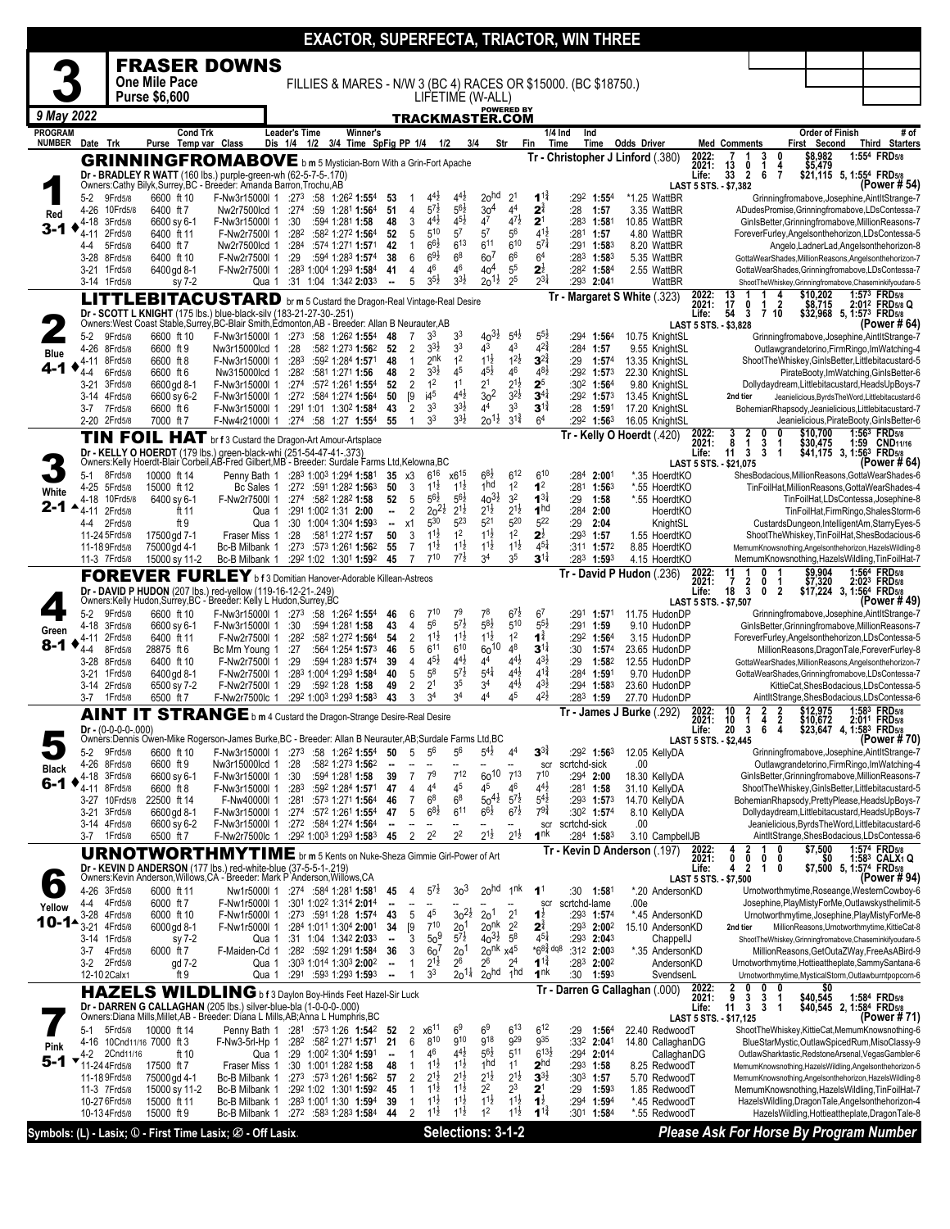|                                 |                                  |                      |                                         |                                                                                                                                                                       |                      |                      |                                                                                    |                                                      |                                |                                            |                                          |                                                                          |     |                                         | EXACTOR, SUPERFECTA, TRIACTOR, WIN THREE                       |                                              |                         |                                                                                 |                                        |                                                                                                                                 |
|---------------------------------|----------------------------------|----------------------|-----------------------------------------|-----------------------------------------------------------------------------------------------------------------------------------------------------------------------|----------------------|----------------------|------------------------------------------------------------------------------------|------------------------------------------------------|--------------------------------|--------------------------------------------|------------------------------------------|--------------------------------------------------------------------------|-----|-----------------------------------------|----------------------------------------------------------------|----------------------------------------------|-------------------------|---------------------------------------------------------------------------------|----------------------------------------|---------------------------------------------------------------------------------------------------------------------------------|
|                                 |                                  |                      |                                         | <b>FRASER DOWNS</b>                                                                                                                                                   |                      |                      |                                                                                    |                                                      |                                |                                            |                                          |                                                                          |     |                                         |                                                                |                                              |                         |                                                                                 |                                        |                                                                                                                                 |
|                                 |                                  |                      | <b>One Mile Pace</b>                    |                                                                                                                                                                       |                      |                      |                                                                                    |                                                      |                                |                                            |                                          |                                                                          |     |                                         |                                                                |                                              |                         |                                                                                 |                                        |                                                                                                                                 |
|                                 |                                  |                      | <b>Purse \$6,600</b>                    |                                                                                                                                                                       |                      |                      |                                                                                    |                                                      |                                | LIFETIME (W-ALL)                           |                                          |                                                                          |     |                                         | FILLIES & MARES - N/W 3 (BC 4) RACES OR \$15000. (BC \$18750.) |                                              |                         |                                                                                 |                                        |                                                                                                                                 |
|                                 |                                  |                      |                                         |                                                                                                                                                                       |                      |                      |                                                                                    |                                                      |                                |                                            |                                          | <b>POWERED BY</b>                                                        |     |                                         |                                                                |                                              |                         |                                                                                 |                                        |                                                                                                                                 |
| 9 May 2022                      |                                  |                      |                                         |                                                                                                                                                                       |                      |                      |                                                                                    |                                                      |                                |                                            |                                          | TRACKMASTER.COM                                                          |     |                                         |                                                                |                                              |                         |                                                                                 |                                        |                                                                                                                                 |
| <b>PROGRAM</b><br><b>NUMBER</b> | Date Trk                         |                      | <b>Cond Trk</b><br>Purse Temp var Class |                                                                                                                                                                       | <b>Leader's Time</b> |                      | <b>Winner's</b><br>Dis 1/4 1/2 3/4 Time SpFig PP 1/4                               |                                                      |                                | 1/2                                        | 3/4                                      | Str                                                                      | Fin | 1/4 Ind<br>Time                         | Ind<br>Time                                                    | <b>Odds Driver</b>                           |                         | <b>Med Comments</b>                                                             | <b>Order of Finish</b><br>First Second | # of<br>Third Starters                                                                                                          |
|                                 |                                  |                      |                                         | <b>GRINNINGFROMABOVE</b> b m 5 Mystician-Born With a Grin-Fort Apache                                                                                                 |                      |                      |                                                                                    |                                                      |                                |                                            |                                          |                                                                          |     |                                         |                                                                | Tr - Christopher J Linford (.380)            | 2022:                   | $\frac{3}{1}$<br>0                                                              | \$8,982                                | 1:554 FRD5/8                                                                                                                    |
|                                 |                                  |                      |                                         | Dr - BRADLEY R WATT (160 lbs.) purple-green-wh (62-5-7-5-.170)                                                                                                        |                      |                      |                                                                                    |                                                      |                                |                                            |                                          |                                                                          |     |                                         |                                                                |                                              | 2021:<br>Life:          | $\frac{13}{33}$<br>0<br>4<br>$\overline{\mathbf{2}}$<br>6<br>$\overline{7}$     | \$5,479                                | \$21,115 5, 1:55 <sup>4</sup> FRD <sub>5/8</sub>                                                                                |
|                                 |                                  |                      |                                         | Owners:Cathy Bilyk,Surrey,BC - Breeder: Amanda Barron,Trochu,AB                                                                                                       |                      |                      |                                                                                    |                                                      |                                |                                            |                                          |                                                                          |     |                                         |                                                                |                                              |                         | LAST 5 STS. - \$7,382                                                           |                                        | (Power # 54)                                                                                                                    |
|                                 | 5-2<br>4-26                      | 9Frd5/8<br>10Frd5/8  | 6600 ft 10<br>6400 ft 7                 | F-Nw3r15000l 1<br>Nw2r7500lcd 1                                                                                                                                       | :27 $3$<br>$:27^4$   |                      | $:58$ 1:26 <sup>2</sup> 1:55 <sup>4</sup><br>:59 $1:28^1$ 1:564                    | 53<br>51                                             | $\overline{4}$                 | $4^{4}$ <sub>2</sub><br>$5^{7\frac{1}{2}}$ | $4^{4}\frac{1}{2}$<br>$5^{6}$            | 20 <sup>hd</sup><br>2 <sup>1</sup><br>30 <sup>4</sup><br>4 <sup>4</sup>  |     | $1^{1\frac{3}{4}}$<br>$2^{\frac{3}{4}}$ | :292 1:554<br>:28<br>1:57                                      | *1.25 WattBR<br>3.35 WattBR                  |                         |                                                                                 |                                        | Grinningfromabove, Josephine, AintItStrange-7<br>ADudesPromise, Grinningfromabove, LDsContessa-7                                |
| Red                             | 4-18                             | 3Frd5/8              | 6600 sy 6-1                             | F-Nw3r15000l 1                                                                                                                                                        | :30                  |                      | :594 1:281 1:58                                                                    | 48                                                   | 3                              | $4^{4}$ <sub>2</sub>                       | $4^{5}\frac{1}{2}$<br>47                 | $4^{7}\frac{1}{2}$                                                       |     | 2 <sup>1</sup>                          | :283<br>1:581                                                  | 10.85 WattBR                                 |                         |                                                                                 |                                        | GinIsBetter, Grinningfromabove, MillionReasons-7                                                                                |
| 3-1                             | 4-11                             | 2Frd5/8              | 6400 ft 11                              | F-Nw2r7500l 1                                                                                                                                                         | :28 <sup>2</sup>     |                      | :582 1:272 1:564                                                                   | 52                                                   | 5                              | $5^{10}$                                   | 5 <sup>7</sup>                           | 5 <sup>6</sup><br>$5^7$                                                  |     | $4^{1\frac{1}{2}}$                      | :281<br>1:57                                                   | 4.80 WattBR                                  |                         |                                                                                 |                                        | ForeverFurley, Angelsonthehorizon, LDsContessa-5                                                                                |
|                                 | 4-4<br>3-28                      | 5Frd5/8<br>8Frd5/8   | 6400 ft 7<br>6400 ft 10                 | Nw2r7500lcd 1<br>F-Nw2r7500l 1                                                                                                                                        | :284<br>:29          |                      | :574 1:271 1:571<br>:594 1:283 1:574                                               | 42<br>38                                             | 1<br>6                         | $6^{6}\frac{1}{2}$<br>$69\frac{1}{2}$      | 613<br>6 <sup>8</sup>                    | 610<br>611<br>6 <sup>6</sup><br>60 <sup>7</sup>                          |     | $5^{7}$<br>6 <sup>4</sup>               | :291 1:583<br>$:28^3$ 1:58 <sup>3</sup>                        | 8.20 WattBR<br>5.35 WattBR                   |                         |                                                                                 |                                        | Angelo, LadnerLad, Angelsonthehorizon-8<br>GottaWearShades,MillionReasons,Angelsonthehorizon-7                                  |
|                                 | 3-21 1 Frd 5/8                   |                      | 6400 gd 8-1                             | F-Nw2r7500l 1                                                                                                                                                         |                      |                      | :283 1:004 1:293 1:584                                                             | 41                                                   | $\overline{4}$                 | 46                                         | 46                                       | 40 <sup>4</sup><br>55                                                    |     | $2^{\frac{1}{2}}$                       | :282 1:584                                                     | 2.55 WattBR                                  |                         |                                                                                 |                                        | GottaWearShades, Grinningfromabove, LDsContessa-7                                                                               |
|                                 | 3-14 1Frd5/8                     |                      | sy 7-2                                  | Qua 1                                                                                                                                                                 |                      |                      | :31 1:04 1:342 2:033                                                               | $\sim$                                               | 5                              | $3^{51}$                                   | $3^{3}\frac{1}{2}$                       | $20^{11}$<br>2 <sup>5</sup>                                              |     | $2^{3}\frac{1}{4}$                      | :293 2:041                                                     | WattBR                                       |                         |                                                                                 |                                        | ShootTheWhiskey,Grinningfromabove,Chaseminkifyoudare-5                                                                          |
|                                 |                                  |                      |                                         | EBITACUSTARD                                                                                                                                                          |                      |                      | br m 5 Custard the Dragon-Real Vintage-Real Desire                                 |                                                      |                                |                                            |                                          |                                                                          |     |                                         |                                                                | Tr - Margaret S White (.323)                 | 2022:<br>2021:          | 17<br>0<br>2<br>1                                                               |                                        | \$10,202 1:57 <sup>3</sup> FRD5/8<br>\$8,715 2:01 <sup>2</sup> FRD5/8<br>\$32,968 5, 1:57 <sup>3</sup> FRD5/8<br>2:012 FRD5/8 Q |
|                                 |                                  |                      |                                         | Dr - SCOTT L KNIGHT (175 lbs.) blue-black-silv (183-21-27-30-.251)<br>Owners:West Coast Stable, Surrey, BC-Blair Smith, Edmonton, AB - Breeder: Allan B Neurauter, AB |                      |                      |                                                                                    |                                                      |                                |                                            |                                          |                                                                          |     |                                         |                                                                |                                              | Life:                   | 54<br>3<br>7 <sub>10</sub><br>LAST 5 STS. - \$3,828                             |                                        | (Power # 64)                                                                                                                    |
|                                 | 5-2                              | 9Frd5/8              | 6600 ft 10                              | F-Nw3r15000l 1                                                                                                                                                        | :273                 |                      | :58 $1:26^2$ 1:554                                                                 | 48                                                   | 7                              | 3 <sup>3</sup>                             | 3 <sup>3</sup>                           | $40^{31}$<br>$5^{41}$                                                    |     | $5^{5}$                                 | :294<br>1:56 <sup>4</sup>                                      | 10.75 KnightSL                               |                         |                                                                                 |                                        | Grinningfromabove, Josephine, AintltStrange-7                                                                                   |
| <b>Blue</b>                     | 4-26                             | 8Frd5/8              | 6600 ft 9                               | Nw3r15000lcd 1                                                                                                                                                        | :28                  |                      | :582 1:273 1:562                                                                   | 52                                                   | $\overline{2}$                 | $3^{3}\frac{1}{2}$                         | 3 <sup>3</sup>                           | 43<br>43                                                                 |     | $4^{2^{3}_{4}}$                         | :284 1:57                                                      | 9.55 KnightSL                                |                         |                                                                                 |                                        | Outlawgrandetorino, Firm Ringo, Im Watching-4                                                                                   |
|                                 | 4-11 8Frd5/8                     | 6Frd5/8              | 6600 ft 8<br>6600 ft 6                  | F-Nw3r15000l 1<br>Nw315000lcd 1                                                                                                                                       | :283<br>:282         | :581 1:271 1:56      | :592 1:284 1:571                                                                   | 48<br>48                                             | $\mathbf{1}$<br>$\overline{2}$ | 2 <sup>nk</sup><br>$3^{31}$                | 1 <sup>2</sup><br>45                     | $1^{1\frac{1}{2}}$<br>$1^{21}$<br>$4^{5}\frac{1}{2}$<br>46               |     | $3^{2^3}$<br>$48\frac{1}{2}$            | :29<br>1:57 <sup>4</sup><br>:292 1:573                         | 13.35 KnightSL<br>22.30 KnightSL             |                         |                                                                                 |                                        | ShootTheWhiskey, GinIsBetter, Littlebitacustard-5                                                                               |
|                                 | 4-4<br>$3 - 21$                  | 3Frd5/8              | 6600 gd 8-1                             | F-Nw3r15000l 1                                                                                                                                                        | :274                 |                      | :572 1:261 1:554                                                                   | 52                                                   | $\overline{2}$                 | 1 <sup>2</sup>                             | 1 <sup>1</sup>                           | 2 <sup>1</sup><br>$2^{1\frac{1}{2}}$                                     |     | 2 <sup>5</sup>                          | :30 <sup>2</sup> 1:56 <sup>4</sup>                             | 9.80 KnightSL                                |                         |                                                                                 |                                        | PirateBooty,ImWatching,GinIsBetter-6<br>Dollydaydream, Littlebitacustard, HeadsUpBoys-7                                         |
|                                 | 3-14                             | 4Frd5/8              | 6600 sy 6-2                             | F-Nw3r15000l 1                                                                                                                                                        |                      |                      | :272 :584 1:274 1:564                                                              | 50                                                   | [9                             | i4 <sup>5</sup>                            | $4^{4}\frac{1}{2}$                       | $\frac{2}{3}$ <sub>0</sub> <sup>2</sup><br>$3^{21}$                      |     | $3^{4}$                                 | :292 1:573                                                     | 13.45 KnightSL                               |                         | 2nd tier                                                                        |                                        | Jeanielicious, Byrds The Word, Littlebitacustard-6                                                                              |
|                                 | $3 - 7$                          | 7Frd5/8              | 6600 ft 6                               | F-Nw3r15000l 1                                                                                                                                                        |                      |                      | :291 1:01 1:302 1:584                                                              | 43<br>55                                             | $\overline{2}$<br>$\mathbf{1}$ | 3 <sup>3</sup><br>3 <sup>3</sup>           | $3^{3}\frac{1}{2}$<br>$3^{3}\frac{1}{2}$ | 3 <sup>3</sup><br>44<br>$3^{1\frac{3}{4}}$<br>$20^{11}$                  |     | $3^{11}$<br>6 <sup>4</sup>              | :28<br>1:591<br>:292 1:563                                     | 17.20 KnightSL                               |                         |                                                                                 |                                        | BohemianRhapsody,Jeanielicious,Littlebitacustard-7                                                                              |
|                                 | 2-20 2Frd5/8                     |                      | 7000 ft 7                               | F-Nw4r21000l 1                                                                                                                                                        |                      |                      | :274 :58 1:27 1:554                                                                |                                                      |                                |                                            |                                          |                                                                          |     |                                         |                                                                | 16.05 KnightSL<br>Tr - Kelly O Hoerdt (.420) |                         | 0                                                                               | \$10,700                               | Jeanielicious, PirateBooty, GinIsBetter-6<br>1:563 FRD5/8                                                                       |
|                                 |                                  |                      |                                         | TIN FOIL HAT br f 3 Custard the Dragon-Art Amour-Artsplace<br>Dr - KELLY O HOERDT (179 lbs.) green-black-whi (251-54-47-41-.373)                                      |                      |                      |                                                                                    |                                                      |                                |                                            |                                          |                                                                          |     |                                         |                                                                |                                              | 2022:<br>2021:<br>Life: | $\frac{3}{8}$<br>$\frac{2}{1}$<br>3<br>$\overline{\mathbf{3}}$<br>11<br>3<br>-1 | \$30,475                               | 1:59 CND <sub>11/16</sub><br>\$41,175 3, 1:56 <sup>3</sup> FRD <sub>5/8</sub>                                                   |
|                                 |                                  |                      |                                         | Owners:Kelly Hoerdt-Blair Corbeil, AB-Fred Gilbert, MB - Breeder: Surdale Farms Ltd, Kelowna, BC                                                                      |                      |                      |                                                                                    |                                                      |                                |                                            |                                          |                                                                          |     |                                         |                                                                |                                              |                         | LAST 5 STS. - \$21,075                                                          |                                        | (Power # 64                                                                                                                     |
|                                 | $5-1$                            | 8Frd5/8              | 10000 ft 14                             | Penny Bath 1                                                                                                                                                          |                      |                      | :283 1:003 1:294 1:581                                                             | 35                                                   | x3                             | $6^{16}$                                   | $x6^{15}$                                | $6^{8}\frac{1}{2}$<br>$6^{12}$<br>1 <sub>hd</sub>                        |     | $6^{10}$                                | :284<br>2:001                                                  | *.35 HoerdtKO                                |                         |                                                                                 |                                        | ShesBodacious, MillionReasons, GottaWearShades-6                                                                                |
| White                           | 4-25 5Frd5/8<br>4-18             | 10Frd5/8             | 15000 ft 12<br>6400 sy 6-1              | Bc Sales 1<br>F-Nw2r7500l 1                                                                                                                                           | :274                 | :582 1:282 1:58      | :272 :591 1:282 1:563                                                              | 50<br>52                                             | 3<br>5                         | $1^{1\frac{1}{2}}$<br>$5^{61}$             | $1^{1\frac{1}{2}}$<br>$5^{6}$            | 1 <sup>2</sup><br>$40^{31}$<br>3 <sup>2</sup>                            |     | 1 <sup>2</sup><br>$1^{3}$               | :281<br>1:563<br>:29<br>1:58                                   | *.55 HoerdtKO<br>*.55 HoerdtKO               |                         |                                                                                 |                                        | TinFoilHat, MillionReasons, GottaWearShades-4<br>TinFoilHat,LDsContessa,Josephine-8                                             |
| 2-1                             | 4-11 2Frd5/8                     |                      | ft 11                                   | Qua 1                                                                                                                                                                 |                      | :291 1:002 1:31 2:00 |                                                                                    | −                                                    | $\overline{2}$                 | $20^{21}$                                  | $2^{1\frac{1}{2}}$                       | $2^{1\frac{1}{2}}$<br>$2^{1\frac{1}{2}}$                                 |     | 1 <sup>hd</sup>                         | :284<br>2:00                                                   | HoerdtKO                                     |                         |                                                                                 |                                        | TinFoilHat,FirmRingo,ShalesStorm-6                                                                                              |
|                                 | 4-4                              | 2Frd5/8              | ft 9                                    | Qua 1                                                                                                                                                                 |                      |                      | :30 1:004 1:304 1:593                                                              | $\blacksquare$                                       | x1                             | 530<br>$1^{1\frac{1}{2}}$                  | 523<br>1 <sup>2</sup>                    | $5^{21}$<br>520<br>$1^{1\frac{1}{2}}$<br>1 <sup>2</sup>                  |     | 522                                     | :29<br>2:04                                                    | KnightSL                                     |                         |                                                                                 |                                        | CustardsDungeon,IntelligentAm,StarryEyes-5                                                                                      |
|                                 | 11-24 5Frd5/8<br>11-18 9 Frd 5/8 |                      | 17500 gd 7-1<br>75000 gd 4-1            | Fraser Miss 1<br>Bc-B Milbank 1                                                                                                                                       | :28<br>:273          | :581 1:272 1:57      | :573 1:261 1:562                                                                   | 50<br>55                                             | 3<br>$\overline{7}$            | $1^{11}$                                   | $11\frac{1}{2}$                          | $11\frac{1}{2}$<br>$11\frac{1}{2}$                                       |     | $2^{\frac{1}{2}}$<br>$4^{51}$           | :293<br>1:57<br>:311 1:572                                     | 1.55 HoerdtKO<br>8.85 HoerdtKO               |                         |                                                                                 |                                        | ShootTheWhiskey, TinFoilHat, ShesBodacious-6<br>MemumKnowsnothing, Angelsonthehorizon, HazelsWildling-8                         |
|                                 | 11-3 7Frd5/8                     |                      | 15000 sy 11-2                           | Bc-B Milbank 1                                                                                                                                                        |                      |                      | :292 1:02 1:301 1:592                                                              | 45                                                   | $\overline{7}$                 | 710                                        | $7^{7}$                                  | 3 <sup>5</sup><br>3 <sup>4</sup>                                         |     | $3^{11}$                                | 1:593<br>:283                                                  | 4.15 HoerdtKO                                |                         |                                                                                 |                                        | MemumKnowsnothing, HazelsWildling, TinFoilHat-7                                                                                 |
|                                 |                                  |                      |                                         | <b>FOREVER FURLEY</b> bf3 Domitian Hanover-Adorable Killean-Astreos                                                                                                   |                      |                      |                                                                                    |                                                      |                                |                                            |                                          |                                                                          |     |                                         |                                                                | Tr - David P Hudon (.236)                    | 2022:<br>2021:          | 0<br>0<br>7                                                                     | $$9,904$<br>$$7,320$                   | 1:564 FRD5/8<br>2:023 FRD5/8                                                                                                    |
|                                 |                                  |                      |                                         | Dr - DAVID P HUDON (207 lbs.) red-yellow (119-16-12-21-.249)                                                                                                          |                      |                      |                                                                                    |                                                      |                                |                                            |                                          |                                                                          |     |                                         |                                                                |                                              | Life:                   | $\frac{2}{3}$<br>18<br>0<br>$\overline{2}$                                      |                                        | \$17,224 3, 1:564 FRD5/8                                                                                                        |
|                                 | 5-2                              | 9Frd5/8              | 6600 ft 10                              | Owners:Kelly Hudon,Surrey,BC - Breeder: Kelly L Hudon,Surrey,BC<br>F-Nw3r15000l 1                                                                                     |                      |                      | :273 :58 1:262 1:554                                                               | 46                                                   | 6                              | $7^{10}$                                   | 7 <sup>9</sup>                           | 78<br>$6^{7\frac{1}{2}}$                                                 |     | 6 <sup>7</sup>                          | :291<br>1:571                                                  | 11.75 HudonDF                                |                         | LAST 5 STS. - \$7,507                                                           |                                        | (Power #49)<br>Grinningfromabove, Josephine, AintltStrange-7                                                                    |
| Green                           | 4-18                             | 3Frd5/8              | 6600 sy 6-1                             | F-Nw3r15000l 1                                                                                                                                                        | :30                  |                      | :594 1:281 1:58                                                                    | 43                                                   | 4                              | 56                                         | $5^{7}$ <sub>2</sub>                     | $5^{8\frac{1}{2}}$<br>510                                                |     | $5^{5}2$                                | :291<br>1:59                                                   | 9.10 HudonDP                                 |                         |                                                                                 |                                        | GinIsBetter, Grinningfromabove, MillionReasons-7                                                                                |
| 8-1                             | 4-11                             | 2Frd5/8              | 6400 ft 11                              | F-Nw2r7500l 1                                                                                                                                                         | :282                 |                      | :582 1:272 1:564                                                                   | 54                                                   | 2                              | $1^{1\frac{1}{2}}$                         | $1^{1\frac{1}{2}}$                       | $1^{1\frac{1}{2}}$<br>1 <sup>2</sup>                                     |     | $1^{\frac{3}{4}}$                       | :292 1:564                                                     | 3.15 HudonDP                                 |                         |                                                                                 |                                        | ForeverFurley, Angelsonthehorizon, LDsContessa-5                                                                                |
|                                 | 4-4<br>3-28 8Frd5/8              | 8Frd5/8              | 28875 ft 6<br>6400 ft 10                | Bc Mrn Young 1<br>F-Nw2r7500l 1                                                                                                                                       | :27<br>:29           |                      | :564 1:254 1:573<br>:594 1:283 1:574                                               | 46<br>39                                             | 5<br>4                         | $6^{11}$<br>$4^{5}\frac{1}{2}$             | 610<br>44}                               | $60^{10}$<br>4 <sup>8</sup><br>$4^{4}$<br>44                             |     | $3^{11}$<br>$4^{3}$                     | :30<br>1:57 <sup>4</sup><br>:29<br>1:582                       | 23.65 HudonDP<br>12.55 HudonDP               |                         |                                                                                 |                                        | MillionReasons, DragonTale, ForeverFurley-8<br>GottaWearShades,MillionReasons,Angelsonthehorizon-7                              |
|                                 | $3 - 21$                         | 1 Frd 5/8            | 6400 gd 8-1                             | F-Nw2r7500l 1                                                                                                                                                         |                      |                      | :283 1:004 1:293 1:584                                                             | 40                                                   | 5                              | $5^8$                                      | $5^{7\frac{1}{2}}$                       | $4^{4}$ <sub>2</sub><br>$5^{4\frac{1}{4}}$                               |     | $4^{1\frac{3}{4}}$                      | :284<br>1:591                                                  | 9.70 HudonDP                                 |                         |                                                                                 |                                        | GottaWearShades, Grinningfromabove, LDsContessa-7                                                                               |
|                                 | 3-14 2Frd5/8                     |                      | 6500 sy 7-2                             | F-Nw2r7500l 1                                                                                                                                                         | :29                  | :592 1:28 1:58       |                                                                                    | 49                                                   | 2                              | 2 <sup>1</sup>                             | 3 <sup>5</sup><br>3 <sup>4</sup>         | $4^{4}$<br>3 <sup>4</sup><br>4 <sup>4</sup><br>45                        |     | $4^{3}\frac{1}{2}$<br>$4^{21}$          | :294 1:583                                                     | 23.60 HudonDP                                |                         |                                                                                 |                                        | KittieCat,ShesBodacious,LDsContessa-5                                                                                           |
|                                 | 3-7                              | 1 Frd 5/8            | 6500 ft 7                               | F-Nw2r7500lc 1                                                                                                                                                        |                      |                      | :292 1:003 1:293 1:583                                                             | 43                                                   | 3                              | 3 <sup>4</sup>                             |                                          |                                                                          |     |                                         | :283<br>1:59                                                   | 27.70 HudonDP<br>Tr - James J Burke (.292)   |                         | 10<br>2<br>2                                                                    |                                        | AintltStrange, ShesBodacious, LDsContessa-6<br>1:583 FRD5/8                                                                     |
|                                 |                                  | $Dr - (0-0-0-0-000)$ |                                         | AINT IT STRANGE b m 4 Custard the Dragon-Strange Desire-Real Desire                                                                                                   |                      |                      |                                                                                    |                                                      |                                |                                            |                                          |                                                                          |     |                                         |                                                                |                                              | 2022:<br>2021:          | $\frac{2}{2}$<br>ī<br>10<br>4<br>20<br>3<br>6                                   | \$12,975<br>\$10,672<br>\$23,647       | 2:011 FRD5/8                                                                                                                    |
|                                 |                                  |                      |                                         | Owners:Dennis Owen-Mike Rogerson-James Burke, BC - Breeder: Allan B Neurauter, AB; Surdale Farms Ltd, BC                                                              |                      |                      |                                                                                    |                                                      |                                |                                            |                                          |                                                                          |     |                                         |                                                                |                                              | Lite:                   | LAST 5 STS. - \$2,445                                                           |                                        | <b>38° FRD58</b><br>(Power # 70)                                                                                                |
|                                 | 5-2 9Frd5/8                      |                      | 6600 ft 10                              | F-Nw3r15000l 1                                                                                                                                                        | :27 $3$              |                      | :58 1:26 <sup>2</sup> 1:55 <sup>4</sup>                                            | 50                                                   | 5                              | $5^6$                                      | $5^6$                                    | $5^{4}$<br>4 <sup>4</sup>                                                |     | $3^{3\frac{1}{4}}$                      | $:29^2$ 1:56 <sup>3</sup>                                      | 12.05 KellyDA                                |                         |                                                                                 |                                        | Grinningfromabove, Josephine, AintltStrange-7                                                                                   |
| Black                           | 4-26 8Frd5/8<br>4-18 3Frd5/8     |                      | 6600 ft 9<br>6600 sy 6-1                | Nw3r15000lcd 1<br>F-Nw3r15000l 1                                                                                                                                      | :28<br>:30           |                      | :582 1:273 1:562<br>:594 1:281 1:58                                                | ۰.<br>39                                             | $\overline{7}$                 | 7 <sup>9</sup>                             | $7^{12}$                                 | $60^{10}$<br>$7^{13}$                                                    |     | scr<br>$7^{10}$                         | scrtchd-sick<br>$:294$ 2:00                                    | .00<br>18.30 KellyDA                         |                         |                                                                                 |                                        | Outlawgrandetorino, Firm Ringo, Im Watching-4<br>GinIsBetter, Grinningfromabove, MillionReasons-7                               |
| 6-1                             | 4-11 8Frd5/8                     |                      | 6600 ft 8                               | F-Nw3r15000l 1                                                                                                                                                        | :283                 |                      | :592 1:284 1:571                                                                   | 47                                                   | 4                              | 44                                         | 4 <sup>5</sup>                           | 46<br>45                                                                 |     | $4^{4}$ <sub>2</sub>                    | $:281$ 1:58                                                    | 31.10 KellyDA                                |                         |                                                                                 |                                        | ShootTheWhiskey,GinIsBetter,Littlebitacustard-5                                                                                 |
|                                 |                                  | 3-27 10Frd5/8        | 22500 ft 14                             | F-Nw40000l 1                                                                                                                                                          |                      |                      | :281 :573 1:271 1:564                                                              | 46                                                   | $\overline{7}$                 | 6 <sup>8</sup>                             | 6 <sup>8</sup>                           | $50^{41}$<br>$5^{7\frac{1}{2}}$<br>$66\frac{1}{2}$<br>$6^{7\frac{1}{2}}$ |     | $5^{4}$<br>$79\frac{3}{4}$              | $:293$ 1:573                                                   | 14.70 KellyDA                                |                         |                                                                                 |                                        | BohemianRhapsody,PrettyPlease,HeadsUpBoys-7                                                                                     |
|                                 | 3-21 3Frd5/8<br>3-14 4Frd5/8     |                      | 6600 gd 8-1<br>6600 sy 6-2              | F-Nw3r15000l 1<br>F-Nw3r15000l 1                                                                                                                                      |                      |                      | :274 :572 1:261 1:554<br>$:272$ $:584$ 1:274 1:564                                 | 47                                                   | 5                              | $6^{8}\frac{1}{2}$                         | $6^{11}$                                 |                                                                          |     | scr                                     | :30 <sup>2</sup> 1:57 <sup>4</sup><br>scrtchd-sick             | 8.10 KellyDA<br>.00                          |                         |                                                                                 |                                        | Dollydaydream, Littlebitacustard, HeadsUpBoys-7<br>Jeanielicious, Byrds The Word, Littlebitacustard-6                           |
|                                 | 3-7 1 Frd 5/8                    |                      | 6500 ft 7                               | F-Nw2r7500lc 1                                                                                                                                                        |                      |                      | :29 <sup>2</sup> 1:00 <sup>3</sup> 1:29 <sup>3</sup> 1:58 <sup>3</sup> 45          |                                                      | $\overline{2}$                 | 2 <sup>2</sup>                             | 2 <sup>2</sup>                           | $2^{1\frac{1}{2}}$<br>$2^{1\frac{1}{2}}$                                 |     | 1 <sup>nk</sup>                         | $:284$ 1:583                                                   | 3.10 CampbellJB                              |                         |                                                                                 |                                        | AintltStrange, ShesBodacious, LDsContessa-6                                                                                     |
|                                 |                                  |                      |                                         | <b>URNOTWORTHMYTIME</b> br m 5 Kents on Nuke-Sheza Gimmie Girl-Power of Art                                                                                           |                      |                      |                                                                                    |                                                      |                                |                                            |                                          |                                                                          |     |                                         |                                                                | Tr Kevin D Anderson (.197)                   | 2022:<br>2021:          | 4<br>0<br>0<br>0<br>0                                                           | \$7,500<br>\$0                         | 1:574 FRD5/8<br>1:583 CALX1 Q                                                                                                   |
|                                 |                                  |                      |                                         | Dr - KEVIN D ANDERSON (177 lbs.) red-white-blue (37-5-5-1-.219)<br>Owners:Kevin Anderson, Willows, CA - Breeder: Mark P Anderson, Willows, CA                         |                      |                      |                                                                                    |                                                      |                                |                                            |                                          |                                                                          |     |                                         |                                                                |                                              | Life:                   | $\overline{2}$<br>4<br>1<br>0                                                   |                                        | \$7,500 5, 1:574 FRD5/8<br>(Power # 94)                                                                                         |
| $\bullet$                       | 4-26 3Frd5/8                     |                      | 6000 ft 11                              | Nw1r5000l 1                                                                                                                                                           |                      |                      | $:27^4$ $:58^4$ 1:28 <sup>1</sup> 1:58 <sup>1</sup>                                | 45                                                   | 4                              | $5^{7}$                                    | 3 <sup>3</sup>                           | 20 <sup>hd</sup><br>1 <sup>nk</sup>                                      |     | 1 <sup>1</sup>                          | $:30$ 1:581                                                    | *.20 AndersonKD                              |                         | <b>LAST 5 STS. - \$7.500</b>                                                    |                                        | Urnotworthmytime, Roseange, WesternCowboy-6                                                                                     |
| Yellow                          | 4-4                              | 4Frd5/8              | 6000 ft 7                               | F-Nw1r5000l 1                                                                                                                                                         |                      |                      | :301 1:022 1:314 2:014                                                             |                                                      |                                | Ξ.                                         |                                          |                                                                          |     | scr                                     | scrtchd-lame                                                   | .00e                                         |                         |                                                                                 |                                        | Josephine, PlayMistyForMe, Outlawskysthelimit-5                                                                                 |
| 10-1▲                           | $3 - 28$<br>$3 - 21$             | 4Frd5/8              | 6000 ft 10                              | F-Nw1r5000l 1                                                                                                                                                         |                      |                      | $:273$ $:591$ 1:28 1:574                                                           | 43                                                   | 5                              | 45<br>$7^{10}$                             | $30^{21}$                                | 2 <sup>0</sup><br>2 <sup>1</sup><br>$20^{nk}$ $2^2$                      |     | $1\frac{1}{2}$                          | :293 1:574                                                     | *.45 AndersonKD                              |                         |                                                                                 |                                        | Urnotworthmytime, Josephine, PlayMistyForMe-8                                                                                   |
|                                 | 3-14 1Frd5/8                     | 4Frd5/8              | 6000 gd 8-1<br>sy 7-2                   | F-Nw1r5000l 1<br>Qua 1                                                                                                                                                |                      |                      | :284 1:011 1:304 2:001<br>:31 1:04 1:34 <sup>2</sup> 2:03 <sup>3</sup>             | 34<br>$\sim$                                         | [9<br>3                        | 50 <sup>9</sup>                            | 20 <sup>1</sup><br>$5^{7}$ <sub>2</sub>  | $40^{31}$<br>58                                                          |     | $2^{\frac{3}{4}}$<br>$4^{5}$            | $:29^3$ 2:00 <sup>2</sup><br>:293 2:043                        | 15.10 AndersonKD<br>ChappellJ                |                         | 2nd tier                                                                        |                                        | MillionReasons, Urnotworthmytime, KittieCat-8<br>ShootTheWhiskey,Grinningfromabove,Chaseminkifyoudare-5                         |
|                                 | 3-7                              | 4Frd5/8              | 6000 ft 7                               | F-Maiden-Cd 1                                                                                                                                                         |                      |                      | :282 :592 1:291 1:584                                                              | 36                                                   | 3                              | 60'                                        | 2 <sup>0</sup>                           | $20nk$ $x45$                                                             |     | $*68\frac{3}{4}$ dq8                    | :312 2:003                                                     | *.35 AndersonKD                              |                         |                                                                                 |                                        | MillionReasons, GetOutaZWay, FreeAsABird-9                                                                                      |
|                                 | 3-2 2Frd5/8                      |                      | gd 7-2<br>ft 9                          | Qua 1                                                                                                                                                                 |                      |                      | :303 1:014 1:303 2:002<br>:291 :593 1:293 1:593                                    | $\overline{\phantom{a}}$<br>$\overline{\phantom{a}}$ | $\mathbf{1}$                   | $2^{1\frac{1}{2}}$<br>3 <sup>3</sup>       | 2 <sup>6</sup><br>$20^{11}$              | 26<br>2 <sup>4</sup><br>2o <sup>hd</sup><br>1hd                          |     | $1^{12}$<br>1 <sup>nk</sup>             | $:283$ 2:00 <sup>2</sup><br>:30<br>1:593                       | AndersonKD                                   |                         |                                                                                 |                                        | Urnotworthmytime, Hottieattheplate, Sammy Santana-6                                                                             |
|                                 | 12-10 2 Calx1                    |                      |                                         | Qua 1<br>HAZELS WILDLING b f 3 Daylon Boy-Hinds Feet Hazel-Sir Luck                                                                                                   |                      |                      |                                                                                    |                                                      |                                |                                            |                                          |                                                                          |     |                                         |                                                                | SvendsenL<br>Tr - Darren G Callaghan (.000)  |                         | 2<br>0<br>0                                                                     | \$0                                    | Urnotworthmytime, MysticalStorm, Outlawburntpopcorn-6                                                                           |
|                                 |                                  |                      |                                         | Dr - DARREN G CALLAGHAN (205 lbs.) silver-blue-bla (1-0-0-0-.000)                                                                                                     |                      |                      |                                                                                    |                                                      |                                |                                            |                                          |                                                                          |     |                                         |                                                                |                                              | 2022:<br>2021:<br>Life: | 9<br>3<br>3<br>3<br>11<br>3<br>- 1                                              |                                        | \$40,545 1:584 FRD5/8<br>\$40,545 2, 1:584 FRD5/8                                                                               |
|                                 |                                  |                      |                                         | Owners:Diana Mills, Millet, AB - Breeder: Diana L Mills, AB; Anna L Humphris, BC                                                                                      |                      |                      |                                                                                    |                                                      |                                |                                            |                                          |                                                                          |     |                                         |                                                                |                                              |                         | LAST 5 STS. - \$17,125                                                          |                                        | (Power # 71)                                                                                                                    |
|                                 | 5-1                              | 5Frd5/8              | 10000 ft 14                             | Penny Bath 1                                                                                                                                                          |                      |                      | $:28^1$ $:57^3$ 1:26 1:54 <sup>2</sup>                                             | 52                                                   | 2<br>6                         | x6 <sup>11</sup><br>810                    | 6 <sup>9</sup><br>910                    | 6 <sup>9</sup><br>$6^{13}$<br><b>929</b><br><b>g18</b>                   |     | $6^{12}$<br><b>935</b>                  | :29<br>1:564<br>:332 2:041                                     | 22.40 RedwoodT                               |                         |                                                                                 |                                        | ShootTheWhiskey,KittieCat,MemumKnowsnothing-6                                                                                   |
| Pink                            |                                  | 4-2 2Cnd11/16        | 4-16 10Cnd11/16 7000 ft 3<br>ft 10      | F-Nw3-5rl-Hp 1<br>Qua 1                                                                                                                                               |                      |                      | :282 :582 1:271 1:571<br>:29 1:00 <sup>2</sup> 1:30 <sup>4</sup> 1:59 <sup>1</sup> | 21<br>$\blacksquare$                                 | 1                              | 46                                         | $4^{4}\frac{1}{2}$                       | $5^{11}$<br>$5^{6}\frac{1}{2}$                                           |     | $6^{13}\frac{1}{2}$                     | $:294$ 2:014                                                   | 14.80 CallaghanDG<br>CallaghanDG             |                         |                                                                                 |                                        | BlueStarMystic,OutlawSpicedRum,MisoClassy-9<br>OutlawSharktastic,RedstoneArsenal,VegasGambler-6                                 |
| 5-1                             | 11-24 4Frd5/8                    |                      | 17500 ft 7                              | Fraser Miss 1                                                                                                                                                         |                      | :30 1:001 1:282 1:58 |                                                                                    | 48                                                   | 1                              | $1^{11}$                                   | $1^{1\frac{1}{2}}$                       | 1 <sub>hd</sub><br>1 <sup>1</sup>                                        |     | 2 <sup>hd</sup>                         | $:293$ 1:58                                                    | 8.25 RedwoodT                                |                         |                                                                                 |                                        | MemumKnowsnothing, HazelsWildling, Angelsonthehorizon-5                                                                         |
|                                 | 11-18 9 Frd 5/8                  |                      | 75000 gd 4-1<br>15000 sy 11-2           | Bc-B Milbank 1<br>Bc-B Milbank 1                                                                                                                                      |                      |                      | $:273$ $:573$ 1:261 1:562<br>:292 1:02 1:301 1:592                                 | 57<br>45                                             | 2<br>1                         | $2^{1\frac{1}{2}}$<br>$11\frac{1}{2}$      | $2^{1\frac{1}{2}}$<br>$1^{1\frac{1}{2}}$ | $2^{1\frac{1}{2}}$<br>$2^{1\frac{1}{2}}$<br>22<br>$2^3$                  |     | $3^{3}$<br>2 <sup>1</sup>               | $:30^3$ 1:57<br>:29<br>1:593                                   | 5.70 RedwoodT<br>1.85 RedwoodT               |                         |                                                                                 |                                        | MemumKnowsnothing, Angelsonthehorizon, HazelsWildling-8<br>MemumKnowsnothing, HazelsWildling, TinFoilHat-7                      |
|                                 |                                  |                      |                                         |                                                                                                                                                                       |                      |                      |                                                                                    |                                                      |                                |                                            |                                          |                                                                          |     |                                         |                                                                |                                              |                         |                                                                                 |                                        |                                                                                                                                 |
|                                 | 11-3 7Frd5/8<br>10-27 6 Frd 5/8  |                      | 15000 ft 11                             | Bc-B Milbank 1                                                                                                                                                        |                      |                      | :283 1:001 1:30 1:594                                                              | 39                                                   | $\mathbf{1}$                   | $1^{11}$                                   | $1^{1\frac{1}{2}}$                       | $1^{1}\frac{1}{2}$<br>$1^{1\frac{1}{2}}$                                 |     | $1^{\frac{1}{2}}$                       | $:294$ 1:594                                                   | *.45 RedwoodT                                |                         |                                                                                 |                                        | HazelsWildling,DragonTale,Angelsonthehorizon-4                                                                                  |
|                                 | 10-13 4 Frd 5/8                  |                      | 15000 ft 9                              | Bc-B Milbank 1                                                                                                                                                        |                      |                      | :272 :583 1:283 1:584 44                                                           |                                                      | 2                              | $1^{11}$                                   | $1^{1\frac{1}{2}}$                       | 1 <sup>2</sup><br>$11\frac{1}{2}$<br>Selections: 3-1-2                   |     | $1^{12}$                                | $:301$ 1:584                                                   | *.55 RedwoodT                                |                         |                                                                                 |                                        | HazelsWildling, Hottieattheplate, DragonTale-8                                                                                  |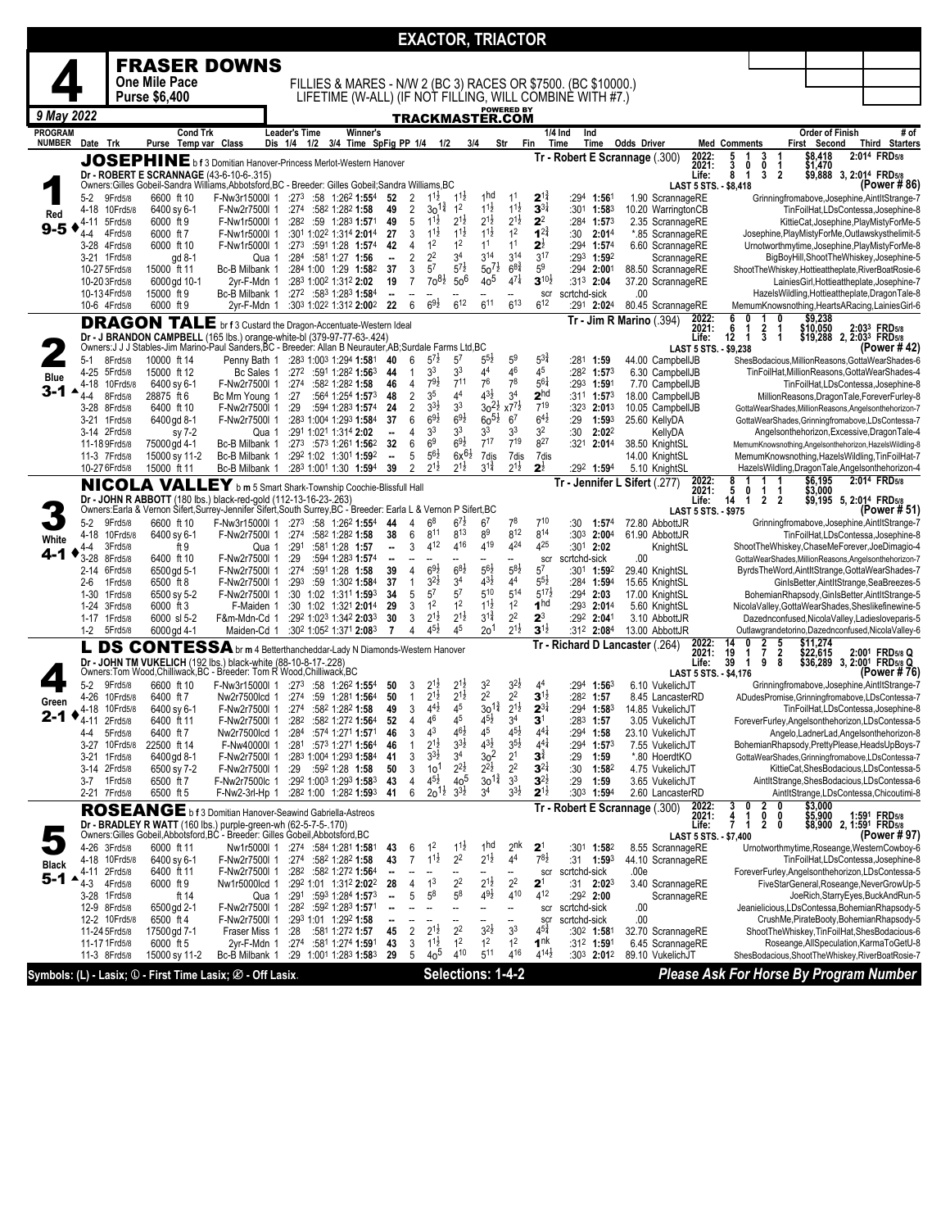|                                 |                 |                                |                                                                                                                                                                                 |                                                                               |                              |                       |                                                                  |                                |                     |                                          |                                           | EXACTOR, TRIACTOR                        |                                          |                                          |                                                               |                                        |                              |                                      |                                           |                                 |                                                                                                          |
|---------------------------------|-----------------|--------------------------------|---------------------------------------------------------------------------------------------------------------------------------------------------------------------------------|-------------------------------------------------------------------------------|------------------------------|-----------------------|------------------------------------------------------------------|--------------------------------|---------------------|------------------------------------------|-------------------------------------------|------------------------------------------|------------------------------------------|------------------------------------------|---------------------------------------------------------------|----------------------------------------|------------------------------|--------------------------------------|-------------------------------------------|---------------------------------|----------------------------------------------------------------------------------------------------------|
|                                 |                 |                                |                                                                                                                                                                                 |                                                                               |                              |                       |                                                                  |                                |                     |                                          |                                           |                                          |                                          |                                          |                                                               |                                        |                              |                                      |                                           |                                 |                                                                                                          |
|                                 |                 |                                | <b>FRASER DOWNS</b>                                                                                                                                                             |                                                                               |                              |                       |                                                                  |                                |                     |                                          |                                           |                                          |                                          |                                          |                                                               |                                        |                              |                                      |                                           |                                 |                                                                                                          |
|                                 |                 |                                | One Mile Pace                                                                                                                                                                   |                                                                               |                              |                       |                                                                  |                                |                     |                                          |                                           |                                          |                                          |                                          | FILLIES & MARES - N/W 2 (BC 3) RACES OR \$7500. (BC \$10000.) |                                        |                              |                                      |                                           |                                 |                                                                                                          |
|                                 |                 |                                | <b>Purse \$6,400</b>                                                                                                                                                            |                                                                               |                              |                       |                                                                  |                                |                     |                                          |                                           |                                          | <b>POWERED BY</b>                        |                                          | LIFETIME (W-ALL) (IF NOT FILLING, WILL COMBINE WITH #7.)      |                                        |                              |                                      |                                           |                                 |                                                                                                          |
| 9 May 2022                      |                 |                                |                                                                                                                                                                                 |                                                                               |                              |                       |                                                                  |                                |                     |                                          |                                           | TRACKMASTER.COM                          |                                          |                                          |                                                               |                                        |                              |                                      |                                           |                                 |                                                                                                          |
| <b>PROGRAM</b><br><b>NUMBER</b> |                 | Date Trk                       | <b>Cond Trk</b><br>Purse Temp var Class                                                                                                                                         |                                                                               | Leader's Time<br>Dis 1/4 1/2 |                       | Winner's<br>3/4 Time SpFig PP 1/4 1/2                            |                                |                     |                                          |                                           | 3/4                                      | Str<br>Fin                               |                                          | 1/4 Ind<br>Ind<br>Time<br>Time                                | <b>Odds Driver</b>                     |                              | <b>Med Comments</b>                  |                                           | Order of Finish<br>First Second | # of<br>Third Starters                                                                                   |
|                                 |                 |                                |                                                                                                                                                                                 |                                                                               |                              |                       |                                                                  |                                |                     |                                          |                                           |                                          |                                          |                                          | Tr - Robert E Scrannage (.300)                                |                                        | 2022:                        |                                      | 3<br>-1                                   | \$8,418                         | 2:014 FRD5/8                                                                                             |
|                                 |                 |                                | JOSEPHINE b f 3 Domitian Hanover-Princess Merlot-Western Hanover<br>Dr - ROBERT E SCRANNAGE (43-6-10-6-.315)                                                                    |                                                                               |                              |                       |                                                                  |                                |                     |                                          |                                           |                                          |                                          |                                          |                                                               |                                        | 2021:                        | 5<br>3<br>8<br>0                     | 0<br>1<br>$\overline{2}$<br>3             | \$1,470                         |                                                                                                          |
|                                 |                 |                                | Owners:Gilles Gobeil-Sandra Williams,Abbotsford,BC - Breeder: Gilles Gobeil;Sandra Williams,BC                                                                                  |                                                                               |                              |                       |                                                                  |                                |                     |                                          |                                           |                                          |                                          |                                          |                                                               |                                        | Life:                        | $\mathbf 1$<br>LAST 5 STS. - \$8,418 |                                           |                                 | \$9,888 3, 2:01 <sup>4</sup> FRD5/8<br>(Power #86)                                                       |
|                                 | 5-2             | 9Frd5/8                        | 6600 ft 10                                                                                                                                                                      | F-Nw3r15000l 1 :273 :58 1:262 1:554                                           |                              |                       |                                                                  | -52                            | $\overline{2}$      | $1^{1\frac{1}{2}}$                       | $1^{11}$                                  | <sub>1</sub> hd                          | 11                                       | $2^{1\frac{3}{4}}$                       | :294 1:561                                                    | 1.90 ScrannageRE                       |                              |                                      |                                           |                                 | Grinningfromabove, Josephine, AintltStrange-7                                                            |
| Red                             | 4-18            | 10Frd5/8                       | 6400 sv 6-1                                                                                                                                                                     | F-Nw2r7500l 1                                                                 |                              | :274 :582 1:282 1:58  |                                                                  | 49                             | 2                   | $30^{12}$<br>$1^{1\frac{1}{2}}$          | 1 <sup>2</sup>                            | $1^{1\frac{1}{2}}$<br>$2^{1\frac{1}{2}}$ | $1^{1\frac{1}{2}}$<br>$2^{1\frac{1}{2}}$ | $3^{3\frac{1}{4}}$<br>2 <sup>2</sup>     | :301 1:583                                                    | 10.20 WarringtonCB                     |                              |                                      |                                           |                                 | TinFoilHat,LDsContessa,Josephine-8                                                                       |
| $9 - 5$                         | 4-11<br>$4 - 4$ | 5Frd5/8<br>4Frd5/8             | 6000 ft 9<br>6000 ft 7                                                                                                                                                          | F-Nw1r5000l 1<br>F-Nw1r5000l 1                                                |                              |                       | :282 :59 1:283 1:571<br>:301 1:022 1:314 2:014                   | 49<br>27                       | 5<br>3              | $11\frac{1}{2}$                          | $2^{1\frac{1}{2}}$<br>$1^{11}$            | $11\frac{1}{2}$                          | 1 <sup>2</sup>                           | $1^{2^{3}_{4}}$                          | :284 1:573<br>:30<br>2:01 <sup>4</sup>                        | 2.35 ScrannageRE<br>*.85 ScrannageRE   |                              |                                      |                                           |                                 | KittieCat, Josephine, PlayMistyForMe-5<br>Josephine, PlayMistyForMe, Outlawskysthelimit-5                |
|                                 |                 | 3-28 4Frd5/8                   | 6000 ft 10                                                                                                                                                                      | F-Nw1r5000l 1                                                                 |                              |                       | $:273$ $:591$ 1:28 1:574                                         | 42                             | 4                   | 1 <sup>2</sup>                           | 1 <sup>2</sup>                            | 11                                       | 1 <sup>1</sup>                           | $2^{\frac{1}{2}}$                        | :294 1:574                                                    | 6.60 ScrannageRE                       |                              |                                      |                                           |                                 | Urnotworthmytime, Josephine, PlayMistyForMe-8                                                            |
|                                 |                 | 3-21 1Frd5/8                   | gd 8-1                                                                                                                                                                          |                                                                               | Qua 1                        | :284 :581 1:27 1:56   |                                                                  | $\overline{\phantom{a}}$       | $\overline{2}$      | 2 <sup>2</sup>                           | 3 <sup>4</sup>                            | $3^{14}$                                 | $3^{14}$                                 | $3^{17}$                                 | $:293$ 1:592                                                  | ScrannageRE                            |                              |                                      |                                           |                                 | BigBoyHill,ShootTheWhiskey,Josephine-5                                                                   |
|                                 |                 | 10-27 5Frd5/8<br>10-20 3Frd5/8 | 15000 ft 11<br>6000 gd 10-1                                                                                                                                                     | Bc-B Milbank 1<br>2yr-F-Mdn 1                                                 |                              | :283 1:002 1:312 2:02 | :284 1:00 1:29 1:582                                             | 37<br>19                       | 3<br>$\overline{7}$ | 5 <sup>7</sup><br>$70^{81}$              | $5^{7\frac{1}{2}}$<br>50 <sup>6</sup>     | $50^{7\frac{1}{2}}$<br>40 <sup>5</sup>   | $6^{8\frac{3}{4}}$<br>$4^{7\frac{1}{4}}$ | 5 <sup>9</sup><br>$3^{10\frac{1}{2}}$    | $:294$ 2:001<br>:313 2:04                                     | 88.50 ScrannageRE<br>37.20 ScrannageRE |                              |                                      |                                           |                                 | ShootTheWhiskey,Hottieattheplate,RiverBoatRosie-6<br>LainiesGirl, Hottieattheplate, Josephine-7          |
|                                 |                 | 10-13 4 Frd5/8                 | 15000 ft 9                                                                                                                                                                      | Bc-B Milbank 1                                                                |                              |                       | :272 :583 1:283 1:584                                            | ۰.                             |                     |                                          |                                           |                                          |                                          | scr                                      | scrtchd-sick                                                  | .00                                    |                              |                                      |                                           |                                 | HazelsWildling, Hottieattheplate, DragonTale-8                                                           |
|                                 |                 | 10-6 4Frd5/8                   | 6000 ft 9                                                                                                                                                                       | 2yr-F-Mdn 1                                                                   |                              |                       | :303 1:022 1:312 2:002                                           | - 22                           | 6                   | $69\frac{1}{2}$                          | $6^{12}$                                  | $6^{11}$                                 | $6^{13}$                                 | $6^{12}$                                 | :291 2:024                                                    | 80.45 ScrannageRE                      |                              |                                      |                                           |                                 | MemumKnowsnothing, HeartsARacing, Lainies Girl-6                                                         |
|                                 |                 |                                | <b>DRAGON TALE</b> br f 3 Custard the Dragon-Accentuate-Western Ideal                                                                                                           |                                                                               |                              |                       |                                                                  |                                |                     |                                          |                                           |                                          |                                          |                                          |                                                               | Tr - Jim R Marino (.394)               | 2022:<br>2021:               | 6<br>n<br>6<br>-1                    | O<br>2<br>1                               | $$9,238$<br>\$10,050            | 2:033 FRD5/8                                                                                             |
|                                 |                 |                                | Dr - J BRANDON CAMPBELL (165 lbs.) orange-white-bl (379-97-77-63-.424)                                                                                                          |                                                                               |                              |                       |                                                                  |                                |                     |                                          |                                           |                                          |                                          |                                          |                                                               |                                        | Life:                        | 12<br>1                              | 3<br>$\overline{1}$                       |                                 | \$19,288 2, 2:03 <sup>3</sup> FRD5/8                                                                     |
|                                 |                 |                                | Owners: J J J Stables-Jim Marino-Paul Sanders, BC - Breeder: Allan B Neurauter, AB; Surdale Farms Ltd, BC                                                                       |                                                                               |                              |                       |                                                                  |                                |                     | $5^{7}$ <sub>2</sub>                     |                                           | $5^{5}\frac{1}{2}$                       | 5 <sup>9</sup>                           | $5^{3}\frac{3}{4}$                       |                                                               |                                        |                              | LAST 5 STS. - \$9.238                |                                           |                                 | (Power #42)                                                                                              |
|                                 | $5-1$<br>4-25   | 8Frd5/8<br>5Frd5/8             | 10000 ft 14<br>15000 ft 12                                                                                                                                                      | Penny Bath 1 :283 1:003 1:294 1:581<br>Bc Sales 1                             |                              |                       | $:27^2$ :591 1:28 <sup>2</sup> 1:56 <sup>3</sup>                 | 40<br>44                       | 6<br>$\mathbf{1}$   | 3 <sup>3</sup>                           | 5 <sup>7</sup><br>3 <sup>3</sup>          | 4 <sup>4</sup>                           | 46                                       | 45                                       | :281 1:59<br>$:28^2$ 1:573                                    | 44.00 CampbellJB<br>6.30 CampbellJB    |                              |                                      |                                           |                                 | ShesBodacious, MillionReasons, GottaWearShades-6<br>TinFoilHat, MillionReasons, GottaWearShades-4        |
| Blue                            | 4-18            | 10Frd5/8                       | 6400 sy 6-1                                                                                                                                                                     | F-Nw2r7500l 1                                                                 |                              | :274 :582 1:282 1:58  |                                                                  | 46                             | $\overline{4}$      | $79\frac{1}{2}$                          | 711                                       | 76                                       | 7 <sup>8</sup>                           | $5^{61}$                                 | :293 1:591                                                    | 7.70 CampbellJB                        |                              |                                      |                                           |                                 | TinFoilHat,LDsContessa,Josephine-8                                                                       |
| 3-1                             | 4-4             | 8Frd5/8                        | 28875 ft 6                                                                                                                                                                      | Bc Mrn Young 1                                                                | :27                          |                       | :564 1:254 1:573                                                 | 48                             | $\overline{2}$      | 3 <sup>5</sup>                           | 4 <sup>4</sup>                            | $4^{3}\frac{1}{2}$                       | 3 <sup>4</sup>                           | 2 <sup>hd</sup>                          | $:31^1$ 1:57 <sup>3</sup>                                     | 18.00 CampbellJB                       |                              |                                      |                                           |                                 | MillionReasons, DragonTale, ForeverFurley-8                                                              |
|                                 | 3-28            | 8Frd5/8<br>3-21 1 Frd 5/8      | 6400 ft 10<br>6400 gd 8-1                                                                                                                                                       | F-Nw2r7500l 1<br>F-Nw2r7500l 1                                                | :29                          |                       | :594 1:283 1:574<br>:283 1:004 1:293 1:584                       | 24<br>37                       | $\overline{2}$<br>6 | $3^{3}\frac{1}{2}$<br>$69\frac{1}{2}$    | 3 <sup>3</sup><br>$6^{9}\frac{1}{2}$      | $30^{21}$ x7 <sup>71</sup><br>$60^{51}$  | 6 <sup>7</sup>                           | 719<br>$6^{4\frac{1}{2}}$                | $:323$ 2:013<br>:29<br>1:593                                  | 10.05 CampbellJB<br>25.60 KellyDA      |                              |                                      |                                           |                                 | GottaWearShades,MillionReasons,Angelsonthehorizon-7<br>GottaWearShades, Grinningfromabove, LDsContessa-7 |
|                                 |                 | 3-14 2Frd5/8                   | sy 7-2                                                                                                                                                                          |                                                                               | Qua 1                        | :291 1:021 1:314 2:02 |                                                                  | --                             | 4                   | 3 <sup>3</sup>                           | 3 <sup>3</sup>                            | 3 <sup>3</sup>                           | 3 <sup>3</sup>                           | 3 <sup>2</sup>                           | :30<br>2:02 <sup>2</sup>                                      | KellyDA                                |                              |                                      |                                           |                                 | Angelsonthehorizon, Excessive, DragonTale-4                                                              |
|                                 |                 | 11-18 9Frd5/8                  | 75000 gd 4-1                                                                                                                                                                    | Bc-B Milbank 1                                                                |                              |                       | $:273$ :573 1:261 1:562                                          | 32                             | 6                   | 6 <sup>9</sup>                           | $6^{9}\frac{1}{2}$                        | $7^{17}$                                 | $7^{19}$                                 | 827                                      | $:321$ 2:014                                                  | 38.50 KnightSL                         |                              |                                      |                                           |                                 | MemumKnowsnothing, Angelsonthehorizon, HazelsWildling-8                                                  |
|                                 |                 | 11-3 7Frd5/8<br>10-27 6Frd5/8  | 15000 sy 11-2<br>15000 ft 11                                                                                                                                                    | Bc-B Milbank 1<br>Bc-B Milbank 1                                              |                              |                       | :292 1:02 1:301 1:592<br>:283 1:001 1:30 1:594                   | $\overline{\phantom{a}}$<br>39 | 5<br>2              | $5^{6}\frac{1}{2}$<br>$2^{1\frac{1}{2}}$ | $6x^{6}\frac{1}{2}$<br>$2^{1\frac{1}{2}}$ | 7dis<br>$3^{1\frac{3}{4}}$               | 7dis<br>$2^{1\frac{1}{2}}$               | 7dis<br>$2^{\frac{1}{2}}$                | 292 1:594                                                     | 14.00 KnightSL<br>5.10 KnightSL        |                              |                                      |                                           |                                 | MemumKnowsnothing, HazelsWildling, TinFoilHat-7                                                          |
|                                 |                 |                                |                                                                                                                                                                                 |                                                                               |                              |                       |                                                                  |                                |                     |                                          |                                           |                                          |                                          |                                          |                                                               | Tr - Jennifer L Sifert (.277)          | 2022:                        | 8                                    | 1<br>1                                    | \$6,195                         | HazelsWildling, DragonTale, Angelsonthehorizon-4<br>2:014 FRD5/8                                         |
|                                 |                 |                                | NICOLA VALLEY b m 5 Smart Shark-Township Coochie-Blissfull Hall                                                                                                                 |                                                                               |                              |                       |                                                                  |                                |                     |                                          |                                           |                                          |                                          |                                          |                                                               |                                        | 2021:                        | $\frac{5}{14}$<br>0                  | $\mathbf{1}$<br>1                         | \$3,000                         |                                                                                                          |
|                                 |                 |                                | Dr - JOHN R ABBOTT (180 lbs.) black-red-gold (112-13-16-23-.263)<br>Owners:Earla & Vernon Sifert,Surrey-Jennifer Sifert,South Surrey,BC - Breeder: Earla L & Vernon P Sifert,BC |                                                                               |                              |                       |                                                                  |                                |                     |                                          |                                           |                                          |                                          |                                          |                                                               |                                        | Life:<br>LAST 5 STS. - \$975 | -1                                   | $\overline{2}$<br>$\overline{\mathbf{2}}$ |                                 | \$9,195 5, 2:014 FRD5/8<br>(Power # 51)                                                                  |
|                                 | 5-2             | 9Frd5/8                        | 6600 ft 10                                                                                                                                                                      | F-Nw3r15000l 1 :273 :58 1:262 1:554                                           |                              |                       |                                                                  | 44                             | 4                   | 6 <sup>8</sup>                           | $6^{7\frac{1}{2}}$                        | 6 <sup>7</sup>                           | 78                                       | $7^{10}$                                 | :30<br>1:57 <sup>4</sup>                                      | 72.80 AbbottJR                         |                              |                                      |                                           |                                 | Grinningfromabove, Josephine, AintltStrange-7                                                            |
| White                           |                 | 4-18 10Frd5/8                  | 6400 sy 6-1                                                                                                                                                                     | F-Nw2r7500l 1                                                                 | :274                         |                       | :582 1:282 1:58                                                  | 38                             | 6                   | 811<br>412                               | $8^{13}$<br>416                           | 8 <sup>9</sup><br>419                    | 812<br>424                               | 814<br>425                               | $:30^3$ 2:00 <sup>4</sup>                                     | 61.90 AbbottJR                         |                              |                                      |                                           |                                 | TinFoilHat,LDsContessa,Josephine-8                                                                       |
| 4-1                             | 4-4<br>$3 - 28$ | 3Frd5/8<br>8Frd5/8             | ft 9<br>6400 ft 10                                                                                                                                                              | F-Nw2r7500l 1                                                                 | :291<br>Qua 1<br>:29         |                       | :581 1:28 1:57<br>:594 1:283 1:574                               | ٠.<br>٠.                       | 3                   | $\overline{\phantom{a}}$                 |                                           |                                          | --                                       | scr                                      | :301 2:02<br>scrtchd-sick                                     | KnightSL<br>.00                        |                              |                                      |                                           |                                 | ShootTheWhiskey,ChaseMeForever,JoeDimagio-4<br>GottaWearShades, MillionReasons, Angelsonthehorizon-7     |
|                                 |                 | 2-14 6Frd5/8                   | 6500 gd 5-1                                                                                                                                                                     | F-Nw2r7500l 1                                                                 | :274                         |                       | :591 1:28 1:58                                                   | 39                             | 4                   | $69\frac{1}{2}$                          | $68\frac{1}{2}$                           | $56\frac{1}{2}$                          | $5^{8}2$                                 | 5 <sup>7</sup>                           | :301 1:592                                                    | 29.40 KnightSL                         |                              |                                      |                                           |                                 | ByrdsTheWord,AintltStrange,GottaWearShades-7                                                             |
|                                 | $2 - 6$         | 1Frd5/8                        | 6500 ft 8                                                                                                                                                                       | F-Nw2r7500l 1                                                                 | :293                         |                       | :59 1:30 <sup>2</sup> 1:584                                      | 37                             | $\mathbf{1}$        | $3^{2}\frac{1}{2}$                       | 3 <sup>4</sup>                            | $4^{3}\frac{1}{2}$                       | 4 <sup>4</sup>                           | $5^{5}\frac{1}{2}$                       | :284 1:594                                                    | 15.65 KnightSL                         |                              |                                      |                                           |                                 | GinIsBetter, AintItStrange, SeaBreezes-5                                                                 |
|                                 | 1-30            | 1Frd5/8<br>1-24 3Frd5/8        | 6500 sy 5-2<br>6000 ft 3                                                                                                                                                        | F-Nw2r7500l 1<br>F-Maiden 1                                                   |                              |                       | :30 1:02 1:311 1:593<br>:30 1:02 1:321 2:014                     | -34<br>29                      | 5<br>3              | 5 <sup>7</sup><br>1 <sup>2</sup>         | 5 <sup>7</sup><br>1 <sup>2</sup>          | 510<br>$1^{1\frac{1}{2}}$                | 514<br>1 <sup>2</sup>                    | $5^{17}$<br>1 <sup>hd</sup>              | $:294$ 2:03<br>:293 2:014                                     | 17.00 KnightSL<br>5.60 KnightSL        |                              |                                      |                                           |                                 | BohemianRhapsody, GinIsBetter, AintItStrange-5<br>NicolaValley, GottaWearShades, Sheslikefinewine-5      |
|                                 |                 | 1-17 1Frd5/8                   | 6000 sl 5-2                                                                                                                                                                     | F&m-Mdn-Cd 1                                                                  |                              |                       | :292 1:023 1:342 2:033                                           | 30                             | 3                   | $2^{1\frac{1}{2}}$                       | $2^{1\frac{1}{2}}$                        | $3^{1\frac{3}{4}}$                       | 2 <sup>2</sup>                           | $2^3$                                    | :292 2:041                                                    | 3.10 AbbottJR                          |                              |                                      |                                           |                                 | Dazednconfused, Nicola Valley, Ladiesloveparis-5                                                         |
|                                 | 1-2             | 5Frd5/8                        | 6000 gd 4-1                                                                                                                                                                     | Maiden-Cd 1                                                                   |                              |                       | :302 1:052 1:371 2:083                                           | 7                              | 4                   | $4^{5}\frac{1}{2}$                       | 45                                        | 20 <sup>1</sup>                          | $2^{1\frac{1}{2}}$                       | $3^{1\frac{1}{2}}$                       | :31 <sup>2</sup> 2:084                                        | 13.00 AbbottJR                         |                              |                                      |                                           |                                 | Outlawgrandetorino, Dazednconfused, Nicola Valley-6                                                      |
|                                 |                 |                                | <b>DS CONTESSA</b> br m 4 Betterthancheddar-Lady N Diamonds-Western Hanover                                                                                                     |                                                                               |                              |                       |                                                                  |                                |                     |                                          |                                           |                                          |                                          |                                          |                                                               | Tr - Richard D Lancaster (.264)        | 2022:<br>2021:               | 0<br>14<br>1                         | 2<br>$\frac{5}{8}$                        |                                 | \$11,274<br>\$22,615 2:00 <sup>1</sup> FRD5/8 Q<br>\$36,289 3, 2:0 <u>01</u> FRD5/8 Q                    |
|                                 |                 |                                | Dr - JOHN TM VUKELICH (192 lbs.) black-white (88-10-8-17-.228)<br>Owners:Tom Wood,Chilliwack,BC - Breeder: Tom R Wood,Chilliwack,BC                                             |                                                                               |                              |                       |                                                                  |                                |                     |                                          |                                           |                                          |                                          |                                          |                                                               |                                        | Life:                        | $\frac{19}{39}$<br>$\mathbf{1}$      | $\frac{7}{9}$                             |                                 |                                                                                                          |
|                                 | $5-2$           | 9Frd5/8                        | 6600 ft 10                                                                                                                                                                      | F-Nw3r15000l 1 :273 :58 1:262 1:554                                           |                              |                       |                                                                  | 50                             | 3                   | $2^{1}$                                  | $2^{1}$                                   | 3 <sup>2</sup>                           | $3^{2}\frac{1}{2}$                       | 4 <sup>4</sup>                           | :294 1:563                                                    | 6.10 VukelichJT                        |                              | LAST 5 STS. - \$4,176                |                                           |                                 | (Power # 76)<br>Grinningfromabove, Josephine, AintltStrange-7                                            |
|                                 | 4-26            | 10Frd5/8                       | 6400 ft 7                                                                                                                                                                       | Nw2r7500lcd 1                                                                 | :274                         |                       | :59 1:281 1:564                                                  | 50                             | $\mathbf{1}$        | $2^{1\frac{1}{2}}$                       | $2^{1\frac{1}{2}}$                        | $2^2\,$                                  | $2^2$                                    | $3^{1\frac{1}{2}}$                       | $:28^2$ 1:57                                                  | 8.45 LancasterRD                       |                              |                                      |                                           |                                 | ADudesPromise, Grinningfromabove, LDsContessa-7                                                          |
| Green<br>2-1                    |                 | 4-18 10Frd5/8                  | 6400 sy 6-1                                                                                                                                                                     | F-Nw2r7500l 1                                                                 | :274                         |                       | :582 1:282 1:58                                                  | 49                             | 3                   | $4^{4}$ <sub>2</sub>                     | 45                                        | $30^{1\frac{3}{4}}$                      | $2^{1\frac{1}{2}}$                       | $2^{3\frac{1}{4}}$                       | :294 1:583                                                    | 14.85 VukelichJT                       |                              |                                      |                                           |                                 | TinFoilHat,LDsContessa,Josephine-8                                                                       |
|                                 |                 | 4-11 2Frd5/8                   | 6400 ft 11<br>6400 ft 7                                                                                                                                                         | F-Nw2r7500l 1 :282 :582 1:272 1:564                                           |                              |                       |                                                                  | 52                             | 4                   | 46<br>4 <sup>3</sup>                     | 45<br>$4^{6}\frac{1}{2}$                  | $4^{5}\frac{1}{2}$<br>45                 | 3 <sup>4</sup><br>$4^{51}$               | $\mathbf{3}^1$<br>$4^{41}$               | $:28^3$ 1:57<br>:294                                          | 3.05 VukelichJT                        |                              |                                      |                                           |                                 | ForeverFurley, Angelsonthehorizon, LDsContessa-5                                                         |
|                                 | 4-4<br>3-27     | 5Frd5/8<br>10Frd5/8            | 22500 ft 14                                                                                                                                                                     | Nw2r7500lcd 1<br>F-Nw40000l 1                                                 |                              |                       | $:284$ $:574$ 1:271 <b>1:57</b> 1<br>:281:5731:2711:564          | 46                             | 3<br>1              | $2^{1\frac{1}{2}}$                       | $3^{3}\frac{1}{2}$                        | $4^{3}\frac{1}{2}$                       | $3^{51}$                                 | $4^{4}$                                  | 1:58<br>$:294$ 1:573                                          | 23.10 VukelichJ1<br>7.55 VukelichJT    |                              |                                      |                                           |                                 | Angelo,LadnerLad,Angelsonthehorizon-8<br>BohemianRhapsody,PrettyPlease,HeadsUpBoys-7                     |
|                                 | 3-21            | 1Frd5/8                        | 6400 gd 8-1                                                                                                                                                                     | F-Nw2r7500l 1                                                                 |                              |                       | :283 1:004 1:293 1:584                                           | 41                             | 3                   | $3^{3}\frac{1}{2}$                       | 3 <sup>4</sup>                            | 30 <sup>2</sup>                          | 2 <sup>1</sup>                           | $\mathbf{3}^{\sharp}$                    | :29<br>1:59                                                   | *.80 HoerdtKO                          |                              |                                      |                                           |                                 | GottaWearShades, Grinningfromabove, LDsContessa-7                                                        |
|                                 | 3-14            | 2Frd5/8                        | 6500 sy 7-2                                                                                                                                                                     | F-Nw2r7500l 1                                                                 |                              | :29 :592 1:28 1:58    |                                                                  | 50                             | 3                   | 10 <sup>1</sup>                          | $2^{2}\frac{1}{2}$                        | $2^{2}\frac{1}{2}$                       | 2 <sup>2</sup>                           | $3^{2\frac{1}{4}}$                       | :30<br>1:582                                                  | 4.75 VukelichJT                        |                              |                                      |                                           |                                 | KittieCat, ShesBodacious, LDsContessa-5                                                                  |
|                                 | 3-7             | 1 Frd 5/8<br>2-21 7Frd5/8      | 6500 ft 7<br>6500 ft 5                                                                                                                                                          | F-Nw2r7500lc 1 :292 1:003 1:293 1:583<br>F-Nw2-3rl-Hp 1 :282 1:00 1:282 1:593 |                              |                       |                                                                  | - 43<br>41                     | 4<br>6              | $4^{51}$<br>$20^{11}$                    | 40 <sup>5</sup><br>$3^{31}$               | $30^{1\frac{3}{4}}$<br>3 <sup>4</sup>    | 3 <sup>3</sup><br>$3^{3}\frac{1}{2}$     | $3^{2\frac{1}{2}}$<br>$2^{1\frac{1}{2}}$ | :29<br>1:59<br>$:30^3$ 1:594                                  | 3.65 VukelichJT<br>2.60 LancasterRD    |                              |                                      |                                           |                                 | AintItStrange, ShesBodacious, LDsContessa-6<br>AintltStrange,LDsContessa,Chicoutimi-8                    |
|                                 |                 |                                |                                                                                                                                                                                 |                                                                               |                              |                       |                                                                  |                                |                     |                                          |                                           |                                          |                                          |                                          |                                                               | Tr - Robert E Scrannage (.300)         |                              | 3<br>0                               | 2<br>0                                    | \$3,000                         |                                                                                                          |
|                                 |                 |                                | ROSEANGE b f 3 Domitian Hanover-Seawind Gabriella-Astreos                                                                                                                       |                                                                               |                              |                       |                                                                  |                                |                     |                                          |                                           |                                          |                                          |                                          |                                                               |                                        | 2022:<br>2021:<br>Life:      | 4<br>7<br>1                          | 0<br>0<br>$\overline{2}$<br>0             |                                 | \$5,900 1:591 FRD5/8<br>\$8,900 2, 1:591 FRD5/8                                                          |
|                                 |                 |                                | Dr - BRADLEY R WATT (160 lbs.) purple-green-wh (62-5-7-5-.170)<br>Owners:Gilles Gobeil,Abbotsford,BC - Breeder: Gilles Gobeil,Abbotsford,BC                                     |                                                                               |                              |                       |                                                                  |                                |                     |                                          |                                           |                                          |                                          |                                          |                                                               |                                        |                              | LAST 5 STS. - \$7,400                |                                           |                                 | (Power #97)                                                                                              |
|                                 |                 | 4-26 3Frd5/8                   | 6000 ft 11                                                                                                                                                                      | Nw1r5000l 1 :274 :584 1:281 1:581                                             |                              |                       |                                                                  | 43                             | 6                   | 1 <sup>2</sup>                           | $1^{1\frac{1}{2}}$                        | 1 <sub>nd</sub>                          | 2 <sup>nk</sup>                          | 2 <sup>1</sup>                           | :301 1:582                                                    | 8.55 ScrannageRE                       |                              |                                      |                                           |                                 | Urnotworthmytime, Roseange, WesternCowboy-6                                                              |
| <b>Black</b>                    |                 | 4-18 10Frd5/8<br>4-11 2Frd5/8  | 6400 sy 6-1<br>6400 ft 11                                                                                                                                                       | F-Nw2r7500l 1<br>F-Nw2r7500l 1                                                |                              | :274 :582 1:282 1:58  | $:28^2$ $:58^2$ 1:27 <sup>2</sup> 1:56 <sup>4</sup>              | 43<br>н.                       | $\overline{7}$      | $1^{1\frac{1}{2}}$                       | 2 <sup>2</sup>                            | $2^{1\frac{1}{2}}$                       | 4 <sup>4</sup><br>--                     | $7^{8}\frac{1}{2}$<br>scr                | $:31$ 1:593<br>scrtchd-sick                                   | 44.10 ScrannageRE<br>.00e              |                              |                                      |                                           |                                 | TinFoilHat,LDsContessa,Josephine-8<br>ForeverFurley, Angelsonthehorizon, LDsContessa-5                   |
| $5 - 1$                         | 4-3             | 4Frd5/8                        | 6000 ft 9                                                                                                                                                                       | Nw1r5000lcd 1                                                                 |                              |                       | :292 1:01 1:312 2:022                                            | -28                            |                     | 1 <sup>3</sup>                           | $2^2$                                     | $2^{1\frac{1}{2}}$                       | 2 <sup>2</sup>                           | 2 <sup>1</sup>                           | $:31$ 2:02 <sup>3</sup>                                       | 3.40 ScrannageRE                       |                              |                                      |                                           |                                 | FiveStarGeneral, Roseange, NeverGrowUp-5                                                                 |
|                                 |                 | 3-28 1 Frd 5/8                 | ft 14                                                                                                                                                                           |                                                                               | Qua 1                        |                       | :291 :593 1:284 1:573                                            |                                | 5                   | $5^8$                                    | 5 <sup>8</sup>                            | $4^{9}\frac{1}{2}$                       | 410                                      | 412                                      | :292 2:00                                                     | ScrannageRE                            |                              |                                      |                                           |                                 | JoeRich, Starry Eyes, Buck And Run-5                                                                     |
|                                 |                 | 12-9 8Frd5/8                   | 6500 gd 2-1                                                                                                                                                                     | F-Nw2r7500l 1                                                                 |                              |                       | :282 :592 1:283 1:571                                            |                                |                     |                                          |                                           |                                          |                                          | scr                                      | scrtchd-sick                                                  | .00                                    |                              |                                      |                                           |                                 | Jeanielicious, LDsContessa, Bohemian Rhapsody-5                                                          |
|                                 |                 | 12-2 10Frd5/8<br>11-24 5Frd5/8 | 6500 ft 4<br>17500 gd 7-1                                                                                                                                                       | F-Nw2r7500l 1<br>Fraser Miss 1                                                | :28                          | :293 1:01 1:292 1:58  | :581 1:272 1:57                                                  | 45                             | $\overline{2}$      | $2^{1\frac{1}{2}}$                       | 2 <sup>2</sup>                            | $3^{2}\frac{1}{2}$                       | 3 <sup>3</sup>                           | scr<br>$4^{5\frac{3}{4}}$                | scrtchd-sick<br>:302 1:581                                    | .00<br>32.70 ScrannageRE               |                              |                                      |                                           |                                 | CrushMe, PirateBooty, BohemianRhapsody-5<br>ShootTheWhiskey, TinFoilHat, ShesBodacious-6                 |
|                                 |                 | 11-17 1 Frd 5/8                | 6000 ft 5                                                                                                                                                                       | 2yr-F-Mdn 1                                                                   |                              |                       | :27 <sup>4</sup> :58 <sup>1</sup> 1:274 <b>1:59</b> <sup>1</sup> | 43                             | 3                   | $1^{1\frac{1}{2}}$                       | 1 <sup>2</sup>                            | 1 <sup>2</sup>                           | 1 <sup>2</sup>                           | 1 <sup>nk</sup>                          | :312 1:591                                                    | 6.45 ScrannageRE                       |                              |                                      |                                           |                                 | Roseange, All Speculation, KarmaToGetU-8                                                                 |
|                                 |                 | 11-3 8Frd5/8                   | 15000 sy 11-2                                                                                                                                                                   | Bc-B Milbank 1                                                                |                              |                       | :29 1:001 1:283 1:583                                            | 29                             | 5                   | 40 <sup>5</sup>                          | 410                                       | $5^{11}$                                 | 416                                      | $4^{14}$                                 | :303 2:012                                                    | 89.10 VukelichJT                       |                              |                                      |                                           |                                 | ShesBodacious, ShootTheWhiskey, RiverBoatRosie-7                                                         |
|                                 |                 |                                | Symbols: (L) - Lasix; ① - First Time Lasix; ② - Off Lasix.                                                                                                                      |                                                                               |                              |                       |                                                                  |                                |                     |                                          |                                           | Selections: 1-4-2                        |                                          |                                          |                                                               |                                        |                              |                                      |                                           |                                 | <b>Please Ask For Horse By Program Number</b>                                                            |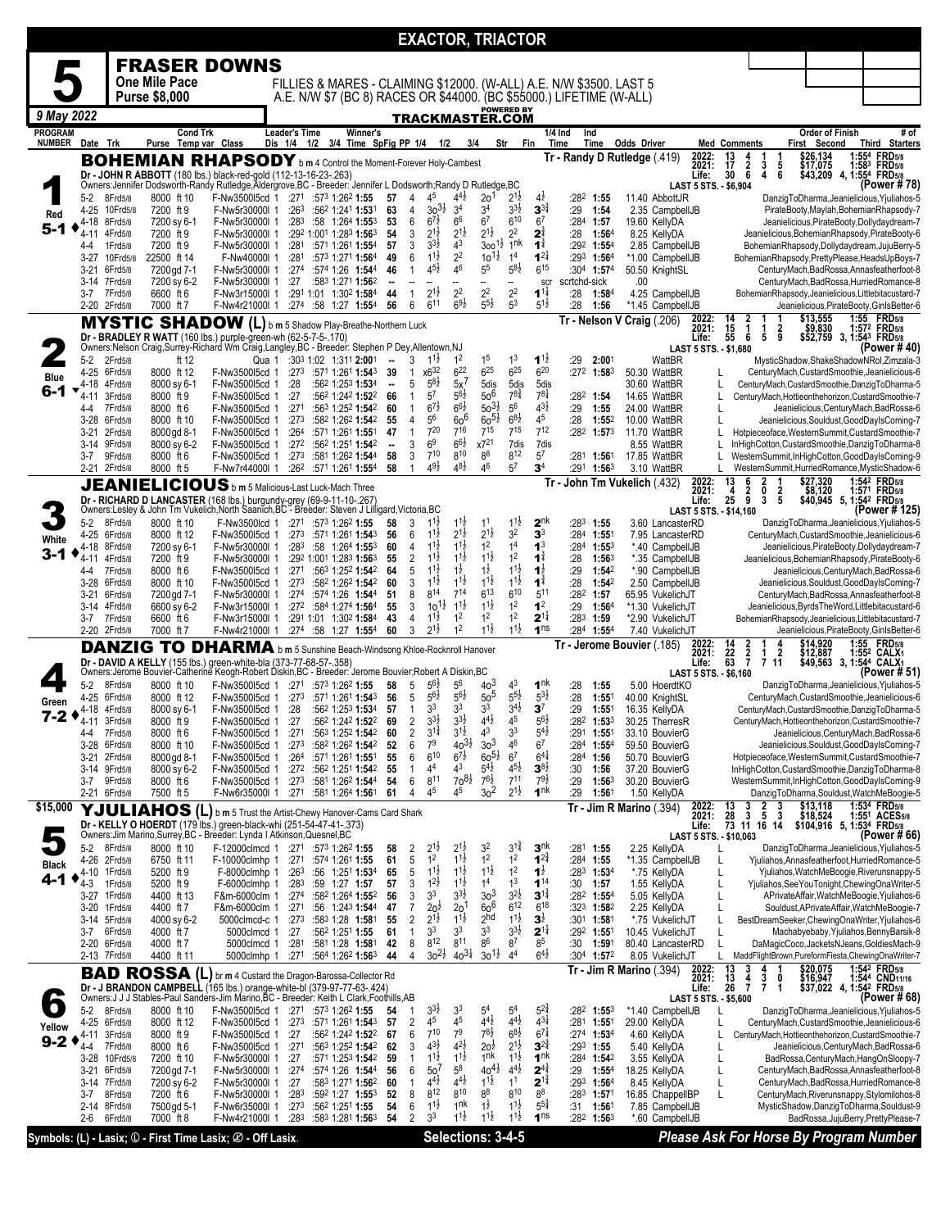|                |                     |                         |                            |                                                                                                                                                                                |                                       |                                                                                                                                             |                                                                          |                               | <b>EXACTOR, TRIACTOR</b>                       |                                            |                                       |                                          |                                        |                               |                            |                                                 |                |                                                                                               |                           |                        |                                                                                                          |
|----------------|---------------------|-------------------------|----------------------------|--------------------------------------------------------------------------------------------------------------------------------------------------------------------------------|---------------------------------------|---------------------------------------------------------------------------------------------------------------------------------------------|--------------------------------------------------------------------------|-------------------------------|------------------------------------------------|--------------------------------------------|---------------------------------------|------------------------------------------|----------------------------------------|-------------------------------|----------------------------|-------------------------------------------------|----------------|-----------------------------------------------------------------------------------------------|---------------------------|------------------------|----------------------------------------------------------------------------------------------------------|
|                |                     |                         |                            | <b>FRASER DOWNS</b>                                                                                                                                                            |                                       |                                                                                                                                             |                                                                          |                               |                                                |                                            |                                       |                                          |                                        |                               |                            |                                                 |                |                                                                                               |                           |                        |                                                                                                          |
|                |                     |                         | One Mile Pace              |                                                                                                                                                                                |                                       |                                                                                                                                             |                                                                          |                               |                                                |                                            |                                       |                                          |                                        |                               |                            |                                                 |                |                                                                                               |                           |                        |                                                                                                          |
|                |                     |                         | <b>Purse \$8,000</b>       |                                                                                                                                                                                |                                       | FILLIES & MARES - CLAIMING \$12000. (W-ALL) A.E. N/W \$3500. LAST 5<br>A.E. N/W \$7 (BC 8) RACES OR \$44000. (BC \$55000.) LIFETIME (W-ALL) |                                                                          |                               |                                                |                                            |                                       |                                          |                                        |                               |                            |                                                 |                |                                                                                               |                           |                        |                                                                                                          |
| 9 May 2022     |                     |                         |                            |                                                                                                                                                                                |                                       |                                                                                                                                             |                                                                          |                               |                                                |                                            |                                       | <b>POWERED BY</b>                        |                                        |                               |                            |                                                 |                |                                                                                               |                           |                        |                                                                                                          |
| <b>PROGRAM</b> |                     |                         |                            | <b>Cond Trk</b>                                                                                                                                                                | Leader's Time                         |                                                                                                                                             | Winner's                                                                 |                               | TRACKMASTER.COM                                |                                            |                                       |                                          |                                        | 1/4 Ind<br>Ind                |                            |                                                 |                |                                                                                               |                           | <b>Order of Finish</b> | # of                                                                                                     |
| <b>NUMBER</b>  | Date Trk            |                         |                            | Purse Temp var Class                                                                                                                                                           | Dis 1/4 1/2 3/4 Time SpFig PP 1/4 1/2 |                                                                                                                                             |                                                                          |                               |                                                | 3/4                                        |                                       | Str                                      | Fin                                    | Time                          | Time                       | Odds Driver                                     |                | <b>Med Comments</b>                                                                           | First Second              |                        | Third Starters                                                                                           |
|                |                     |                         |                            | <b>BOHEMIAN RHAPSODY</b> b m 4 Control the Moment-Forever Holy-Cambest                                                                                                         |                                       |                                                                                                                                             |                                                                          |                               |                                                |                                            |                                       |                                          |                                        |                               |                            | Tr - Randy D Rutledge (.419)                    | 2022:<br>2021: | 13<br>$\frac{4}{2}$ 6<br>17<br>3                                                              | \$26,134<br>\$17,075<br>5 |                        | 1:554 FRD5/8<br>1:583 FRD5/8                                                                             |
|                |                     |                         |                            | Dr - JOHN R ABBOTT (180 lbs.) black-red-gold (112-13-16-23-.263)<br>Owners:Jennifer Dodsworth-Randy Rutledge,Aldergrove,BC - Breeder: Jennifer L Dodsworth;Randy D Rutledge,BC |                                       |                                                                                                                                             |                                                                          |                               |                                                |                                            |                                       |                                          |                                        |                               |                            |                                                 | Life:          | 30<br>4                                                                                       | 6                         |                        | \$43,209 4, 1:554 FRD5/8<br>(Power # 78                                                                  |
|                | 5-2                 | 8Frd5/8                 | 8000 ft 10                 | F-Nw350015cd 1                                                                                                                                                                 | :271                                  | :573 1:262 1:55                                                                                                                             |                                                                          | 57<br>4                       | 4 <sup>5</sup>                                 | $4^{4}$ <sub>2</sub>                       | 2 <sub>0</sub>                        | 21ż                                      | $4\overline{2}$                        | $:28^2$ 1:55                  |                            | 11.40 AbbottJR                                  |                | LAST 5 STS. - \$6.904                                                                         |                           |                        | DanzigToDharma, Jeanielicious, Yjuliahos-5                                                               |
| Red            | $4 - 25$            | 10Frd5/8                | 7200 ft 9                  | F-Nw5r30000I 1                                                                                                                                                                 | :26 <sup>3</sup>                      |                                                                                                                                             | :562 1:241 1:531                                                         | 63<br>4                       | $30^{31}$                                      | 3 <sup>4</sup>                             | 3 <sup>4</sup>                        | $3^{3}\frac{1}{2}$                       | $3^{3\frac{3}{4}}$                     | :29                           | 1:54                       | 2.35 CampbellJB                                 |                |                                                                                               |                           |                        | PirateBooty,Maylah,BohemianRhapsody-7                                                                    |
| 5-1            | 4-18<br>$4 - 11$    | 8Frd5/8<br>4Frd5/8      | 7200 sy 6-1<br>7200 ft 9   | F-Nw5r30000I 1<br>F-Nw5r30000I 1                                                                                                                                               | :283                                  | :292 1:001 1:283 1:563                                                                                                                      | :58 1:264 1:553                                                          | 6<br>53<br>54                 | $6^{7}$<br>3<br>$2^{1\frac{1}{2}}$             | 6 <sup>6</sup><br>$2^{1\frac{1}{2}}$       | 6 <sup>7</sup><br>$2^{1\frac{1}{2}}$  | 610<br>$2^2$                             | 6 <sup>7</sup><br>$2^{\frac{3}{4}}$    | :284<br>:28                   | 1:57<br>1:56 <sup>4</sup>  | 19.60 KellyDA<br>8.25 KellyDA                   |                |                                                                                               |                           |                        | Jeanielicious, PirateBooty, Dollydaydream-7<br>Jeanielicious, BohemianRhapsody, PirateBooty-6            |
|                | 4-4                 | 1Frd5/8                 | 7200 ft 9                  | F-Nw5r30000I 1                                                                                                                                                                 | :281                                  |                                                                                                                                             | :571 1:261 1:554                                                         | 57                            | 3<br>$3^{3}\frac{1}{2}$                        | 4 <sup>3</sup>                             | 1ł<br>300                             | 1 <sup>nk</sup>                          | $\mathbf{1}^{\frac{3}{4}}$             | :292 1:554                    |                            | 2.85 CampbellJB                                 |                |                                                                                               |                           |                        | BohemianRhapsody,Dollydaydream,JujuBerry-5                                                               |
|                | $3-27$              | 10Frd5/8                | 22500 ft 14                | F-Nw40000I 1                                                                                                                                                                   | :281                                  |                                                                                                                                             | :573 1:271 1:564                                                         | 6<br>49                       | $1^{1\frac{1}{2}}$<br>$4^{5}\frac{1}{2}$       | 2 <sup>2</sup><br>46                       | $10^{11}$<br>5 <sup>5</sup>           | 1 <sup>4</sup><br>$5^{8}2$               | $1^{2}$<br>615                         | $:29^3$ 1:564                 |                            | *1.00 CampbellJB                                |                |                                                                                               |                           |                        | BohemianRhapsody, PrettyPlease, HeadsUpBoys-7                                                            |
|                | 3-21                | 6Frd5/8<br>3-14 7Frd5/8 | 7200 gd 7-1<br>7200 sy 6-2 | F-Nw5r30000l 1<br>F-Nw5r30000I 1                                                                                                                                               | :27                                   | :274 :574 1:26 1:544                                                                                                                        | :583 1:271 1:562                                                         | 46<br>$\mathbf{1}$<br>4       |                                                |                                            | --                                    | Ξ.                                       | scr                                    | :304 1:574<br>scrtchd-sick    |                            | 50.50 KnightSL<br>.00                           |                |                                                                                               |                           |                        | CenturyMach, BadRossa, Annasfeatherfoot-8<br>CenturyMach,BadRossa,HurriedRomance-8                       |
|                | 3-7                 | 7Frd5/8                 | 6600 ft 6                  | F-Nw3r15000l 1                                                                                                                                                                 |                                       | :291 1:01 1:302 1:584                                                                                                                       |                                                                          | 44<br>1                       | $2^{1\frac{1}{2}}$                             | 2 <sup>2</sup>                             | 2 <sup>2</sup>                        | 2 <sup>2</sup>                           | $1^{1\frac{1}{4}}$                     | :28                           | 1:584                      | 4.25 CampbellJB                                 |                |                                                                                               |                           |                        | BohemianRhapsody,Jeanielicious,Littlebitacustard-7                                                       |
|                |                     | 2-20 2Frd5/8            | 7000 ft 7                  | F-Nw4r21000l 1                                                                                                                                                                 |                                       | :274 :58 1:27 1:554                                                                                                                         |                                                                          | 6<br>56                       | 611                                            | $6^{9}\frac{1}{2}$                         | $5^{5\frac{1}{2}}$                    | 5 <sup>3</sup>                           | $5^{1\frac{1}{2}}$                     | :28                           | 1:56                       | *1.45 CampbellJB                                |                |                                                                                               | \$13,555                  |                        | Jeanielicious, PirateBooty, GinIsBetter-6<br>1:55 FRD5/8                                                 |
|                |                     | <b>MYSTIC</b>           |                            | <b>SHADOW</b> (L) b m 5 Shadow Play-Breathe-Northern Luck                                                                                                                      |                                       |                                                                                                                                             |                                                                          |                               |                                                |                                            |                                       |                                          |                                        |                               |                            | Tr - Nelson V Craig (.206)                      | 2022:<br>2021: | $\frac{14}{15}$<br>$\frac{2}{1}$<br>1                                                         | 2<br>\$9,830              |                        | 1:572 FRD5/8                                                                                             |
|                |                     |                         |                            | Dr - BRADLEY R WATT (160 lbs.) purple-green-wh (62-5-7-5-.170)<br>Owners:Nelson Craig,Surrey-Richard Wm Craig,Langley,BC - Breeder: Stephen P Dey,Allentown,NJ                 |                                       |                                                                                                                                             |                                                                          |                               |                                                |                                            |                                       |                                          |                                        |                               |                            |                                                 | Life:          | 55<br>6<br>5<br><b>LAST 5 STS. - \$1,680</b>                                                  | 9                         |                        | \$52,759 3, 1:543 FRD5/8<br>(Power #40)                                                                  |
|                | 5-2                 | 2Frd5/8                 | ft 12                      |                                                                                                                                                                                | Qua 1 :303 1:02 1:311 2:001           |                                                                                                                                             |                                                                          | 3<br>$\overline{\phantom{a}}$ | $11\frac{1}{2}$                                | 1 <sup>2</sup>                             | 1 <sup>5</sup>                        | 1 <sup>3</sup>                           | $1^{1\frac{1}{2}}$                     | :29                           | 2:001                      | WattBR                                          |                |                                                                                               |                           |                        | MysticShadow,ShakeShadowNRol,Zimzala-3                                                                   |
| <b>Blue</b>    | 4-25<br>4-18        | 6Frd5/8<br>4Frd5/8      | 8000 ft 12<br>8000 sv 6-1  | F-Nw350015cd 1<br>F-Nw3500l5cd 1                                                                                                                                               | :273<br>:28                           |                                                                                                                                             | :571 1:261 1:543<br>:562 1:253 1:534                                     | 39<br>$\mathbf{1}$            | x6 <sup>32</sup><br>$5^{8}$<br>5               | $6^{22}$<br>$5x$ <sup><math>7</math></sup> | $6^{25}$<br>5dis                      | $6^{25}$<br>5dis                         | $6^{20}$<br>5dis                       | $:27^2$ 1:58 <sup>3</sup>     |                            | 50.30 WattBR<br>30.60 WattBR                    |                | L                                                                                             |                           |                        | CenturyMach, CustardSmoothie, Jeanielicious-6<br>CenturyMach,CustardSmoothie,DanzigToDharma-5            |
| 6-1            | 4-11                | 3Frd5/8                 | 8000 ft 9                  | F-Nw350015cd 1                                                                                                                                                                 | :27                                   |                                                                                                                                             | :562 1:242 1:522                                                         | 66<br>1                       | $5^7$                                          | $5^{6}\frac{1}{2}$                         | $50^6$                                | $7^{8^{3}_{4}}$                          | $7^{81}$                               | :282 1:54                     |                            | 14.65 WattBR                                    |                |                                                                                               |                           |                        | CenturyMach, Hottieonthehorizon, CustardSmoothie-7                                                       |
|                | 4-4                 | 7Frd5/8                 | 8000 ft 6<br>8000 ft 10    | F-Nw350015cd 1                                                                                                                                                                 | :271                                  |                                                                                                                                             | :563 1:252 1:542                                                         | 60<br>1                       | $6^{7}_{2}$<br>56                              | $6^{6}\frac{1}{2}$<br>$60^6$               | $50^{31}$<br>$60^{51}$                | 5 <sup>6</sup><br>$6^{8}\frac{1}{2}$     | $4^{3}\frac{1}{2}$<br>45               | :29<br>:28                    | 1:55                       | 24.00 WattBR                                    |                | L<br>L                                                                                        |                           |                        | Jeanielicious, CenturyMach, BadRossa-6                                                                   |
|                | 3-28<br>3-21        | 6Frd5/8<br>2Frd5/8      | 8000 gd 8-1                | F-Nw350015cd 1<br>F-Nw3500l5cd 1                                                                                                                                               | :273<br>:26 <sup>4</sup>              |                                                                                                                                             | :582 1:262 1:542<br>:571 1:261 1:551                                     | 4<br>55<br>47<br>1            | $7^{20}$                                       | 716                                        | $7^{15}$                              | $7^{15}$                                 | $7^{12}$                               | $:28^2$ 1:573                 | 1:552                      | 10.00 WattBR<br>11.70 WattBR                    |                |                                                                                               |                           |                        | Jeanielicious, Souldust, GoodDayIsComing-7<br>Hotpieceoface, WesternSummit, CustardSmoothie-7            |
|                | 3-14 9Frd5/8        |                         | 8000 sy 6-2                | F-Nw350015cd 1                                                                                                                                                                 | :272                                  |                                                                                                                                             | :562 1:251 1:542                                                         | 3<br>$\blacksquare$           | 6 <sup>9</sup>                                 | $66\frac{1}{2}$                            | x721                                  | 7dis                                     | 7dis                                   |                               |                            | 8.55 WattBR                                     |                |                                                                                               |                           |                        | InHighCotton, CustardSmoothie, DanzigToDharma-8                                                          |
|                | 3-7<br>2-21 2Frd5/8 | 9Frd5/8                 | 8000 ft 6<br>8000 ft 5     | F-Nw3500l5cd 1<br>F-Nw7r44000l 1                                                                                                                                               | :273<br>:262                          |                                                                                                                                             | :581 1:262 1:544<br>:571 1:261 1:554                                     | 3<br>58<br>58<br>1            | $7^{10}$<br>$49\frac{1}{2}$                    | 810<br>$4^{8}\frac{1}{2}$                  | $8^8$<br>46                           | 812<br>$5^7$                             | 5 <sup>7</sup><br>3 <sup>4</sup>       | $:28^1$ 1:561<br>:291         | 1:563                      | 17.85 WattBR<br>3.10 WattBR                     |                | L                                                                                             |                           |                        | WesternSummit,InHighCotton,GoodDayIsComing-9<br>WesternSummit,HurriedRomance,MysticShadow-6              |
|                |                     |                         |                            | <b>JEANIELICIOUS</b> b m 5 Malicious-Last Luck-Mach Three                                                                                                                      |                                       |                                                                                                                                             |                                                                          |                               |                                                |                                            |                                       |                                          |                                        |                               |                            | Tr John Tm Vukelich (.432)                      | 2022:<br>2021: | 13<br>2<br>6                                                                                  | \$27,320                  |                        | 1:54 <sup>2</sup> FRD <sub>5/8</sub>                                                                     |
|                |                     |                         |                            |                                                                                                                                                                                |                                       |                                                                                                                                             |                                                                          |                               |                                                |                                            |                                       |                                          |                                        |                               |                            |                                                 | Life:          | $\frac{2}{9}$<br>0<br>$\frac{4}{25}$<br>3                                                     | $\frac{2}{5}$             |                        | \$8,120 1:571 FRD5/8<br>\$40,945 5, 1:542 FRD5/8                                                         |
|                |                     |                         |                            | Dr - RICHARD D LANCASTER (168 lbs.) burgundy-grey (69-9-11-10-.267)<br>Owners:Lesley & John Tm Vukelich,North Saanich,BC - Breeder: Steven J Lilligard,Victoria,BC             |                                       |                                                                                                                                             |                                                                          |                               |                                                |                                            | 1 <sup>1</sup>                        | $1^{1\frac{1}{2}}$                       | $2^{nk}$                               |                               |                            |                                                 |                | <b>LAST 5 STS. - \$14,160</b>                                                                 |                           |                        | (Power # 125)                                                                                            |
|                | 5-2<br>4-25         | 8Frd5/8<br>6Frd5/8      | 8000 ft 10<br>8000 ft 12   | F-Nw3500lcd 1<br>F-Nw3500l5cd 1                                                                                                                                                | :271<br>:273                          | :573 1:262 1:55<br>:571 1:261 1:543                                                                                                         |                                                                          | 58<br>3<br>6<br>56            | $1^{1\frac{1}{2}}$<br>$1^{1\frac{1}{2}}$       | $1^{1\frac{1}{2}}$<br>$2^{1\frac{1}{2}}$   | $2^{1\frac{1}{2}}$                    | 3 <sup>2</sup>                           | 3 <sup>3</sup>                         | $:28^3$ 1:55<br>:284 1:551    |                            | 3.60 LancasterRD<br>7.95 LancasterRD            |                |                                                                                               |                           |                        | DanzigToDharma, Jeanielicious, Yjuliahos-5<br>CenturyMach, CustardSmoothie, Jeanielicious-6              |
| White<br>3-1   | 4-18                | 8Frd5/8                 | 7200 sy 6-1                | F-Nw5r30000I 1                                                                                                                                                                 | :283                                  |                                                                                                                                             | :58 $1:264$ 1:553                                                        | 60<br>$\overline{4}$          | $1^{1\frac{1}{2}}$                             | $1^{1\frac{1}{2}}$                         | 1 <sup>2</sup>                        | 1 <sup>4</sup>                           | 1 <sup>3</sup>                         | :284                          | $1:55^{3}$                 | *.40 CampbellJB                                 |                |                                                                                               |                           |                        | Jeanielicious, PirateBooty, Dollydaydream-7                                                              |
|                | 4-11<br>$4 - 4$     | 4Frd5/8<br>7Frd5/8      | 7200 ft 9<br>8000 ft 6     | F-Nw5r30000I 1<br>F-Nw350015cd 1                                                                                                                                               | :271                                  | :292 1:001 1:283 1:563                                                                                                                      | :563 1:252 1:542                                                         | 55<br>64                      | $11\frac{1}{2}$<br>2<br>$1^{11}$<br>5          | $11\frac{1}{2}$<br>$1\overline{2}$         | $11\frac{1}{2}$<br>$1\frac{1}{2}$     | 1 <sup>2</sup><br>$1^{1\frac{1}{2}}$     | $1^{\frac{3}{4}}$<br>$1^{\frac{1}{2}}$ | :28<br>:29                    | 1:563<br>1:54 <sup>2</sup> | *.35 CampbellJB<br>*.90 CampbellJB              |                |                                                                                               |                           |                        | Jeanielicious, BohemianRhapsody, PirateBooty-6<br>Jeanielicious, CenturyMach, BadRossa-6                 |
|                | $3 - 28$            | 6Frd5/8                 | 8000 ft 10                 | F-Nw350015cd 1                                                                                                                                                                 | :273                                  |                                                                                                                                             | :582 1:262 1:542                                                         | 60                            | $1^{1\frac{1}{2}}$<br>3                        | $1^{1\frac{1}{2}}$                         | $11\frac{1}{2}$                       | $1^{11}$                                 | $\mathbf{1}^{\frac{3}{4}}$             | : 28                          | 1:542                      | 2.50 CampbellJB                                 |                |                                                                                               |                           |                        | Jeanielicious, Souldust, GoodDayIsComing-7                                                               |
|                | 3-21                | 6Frd5/8                 | 7200 gd 7-1                | F-Nw5r30000I 1                                                                                                                                                                 | :274                                  | :574 1:26 1:544                                                                                                                             |                                                                          | 8<br>51                       | 814<br>$10^{11}$                               | $7^{14}$<br>$1^{1\frac{1}{2}}$             | $6^{13}$<br>$11\frac{1}{2}$           | 6 <sup>10</sup><br>1 <sup>2</sup>        | 5 <sup>11</sup><br>1 <sup>2</sup>      | :28 <sup>2</sup> 1:57         |                            | 65.95 VukelichJT                                |                |                                                                                               |                           |                        | CenturyMach, BadRossa, Annasfeatherfoot-8                                                                |
|                | 3-7                 | 3-14 4Frd5/8<br>7Frd5/8 | 6600 sy 6-2<br>6600 ft 6   | F-Nw3r15000l 1<br>F-Nw3r15000l 1                                                                                                                                               |                                       | :272 :584 1:274 1:564<br>:291 1:01 1:302 1:584                                                                                              |                                                                          | 55<br>43<br>4                 | 3<br>$1^{11}$                                  | 1 <sup>2</sup>                             | 1 <sup>2</sup>                        | 1 <sup>2</sup>                           | $2^{1\frac{1}{4}}$                     | :29<br>:283                   | 1:564<br>1:59              | *1.30 VukelichJT<br>*2.90 VukelichJT            |                |                                                                                               |                           |                        | Jeanielicious, Byrds The Word, Littlebitacustard-6<br>BohemianRhapsody,Jeanielicious,Littlebitacustard-7 |
|                | 2-20 2Frd5/8        |                         | 7000 ft 7                  | F-Nw4r21000l 1                                                                                                                                                                 |                                       | :274 :58 1:27 1:554                                                                                                                         |                                                                          | 3<br>60                       | $2^{1\frac{1}{2}}$                             | 1 <sup>2</sup>                             | $11\frac{1}{2}$                       | $1^{1\frac{1}{2}}$                       | 1 <sub>ns</sub>                        | :284 1:554                    |                            | 7.40 VukelichJT                                 |                |                                                                                               |                           |                        | Jeanielicious, PirateBooty, GinIsBetter-6                                                                |
|                |                     |                         |                            | <b>DANZIG TO DHARMA</b> b m 5 Sunshine Beach-Windsong Khloe-Rocknroll Hanover                                                                                                  |                                       |                                                                                                                                             |                                                                          |                               |                                                |                                            |                                       |                                          |                                        |                               |                            | Tr - Jerome Bouvier (.185)                      | 2022:<br>2021: | $\frac{14}{63}$<br>$\frac{2}{7}$                                                              |                           |                        | \$14,920 1:55 FRD5/8<br>\$12,887 1:552 CALX1<br>\$49,563 3, 1:544 CALX1                                  |
|                |                     |                         |                            | Dr - DAVID A KELLY (155 lbs.) green-white-bla (373-77-68-57-.358)<br>Owners: Jerome Bouvier-Catherine Keogh-Robert Diskin, BC - Breeder: Jerome Bouvier; Robert A Diskin, BC   |                                       |                                                                                                                                             |                                                                          |                               |                                                |                                            |                                       |                                          |                                        |                               |                            |                                                 | Life:          | $\begin{smallmatrix} 1 & 2 \\ 7 & 11 \end{smallmatrix}$<br><b>LAST 5 STS. - \$6,160</b>       |                           |                        | (Power # 51)                                                                                             |
|                | 5-2                 | 8Frd5/8                 | 8000 ft 10                 | F-Nw350015cd 1                                                                                                                                                                 | :271                                  | :573 1:262 1:55                                                                                                                             |                                                                          | 5<br>58                       | $5^{6}$                                        | 56                                         | 40 <sup>3</sup>                       | 4 <sup>3</sup>                           | 1 <sup>nk</sup>                        | :28                           | 1:55                       | 5.00 HoerdtKO                                   |                |                                                                                               |                           |                        | DanzigToDharma, Jeanielicious, Yjuliahos-5                                                               |
| Green          | 4-25                | 6Frd5/8                 | 8000 ft 12                 | F-Nw350015cd 1                                                                                                                                                                 | :273                                  |                                                                                                                                             | :571 1:261 1:543                                                         | 56                            | 5<br>$5^{6}$<br>3 <sup>3</sup>                 | $5^{6}$<br>3 <sup>3</sup>                  | 50 <sup>5</sup><br>3 <sup>3</sup>     | $5^{51}$<br>$3^{4}$ <sub>2</sub>         | $5^{3}\frac{1}{2}$                     | :28                           | 1:551                      | 40.00 KnightSL                                  |                |                                                                                               |                           |                        | CenturyMach, CustardSmoothie, Jeanielicious-6                                                            |
| 7-2            | 4-18<br>4-11        | 4Frd5/8<br>3Frd5/8      | 8000 sy 6-1<br>8000 ft 9   | F-Nw3500l5cd 1<br>F-Nw3500l5cd 1                                                                                                                                               | :28<br>:27                            |                                                                                                                                             | :562 1:253 1:534<br>:562 1:242 1:522                                     | 57<br>$\mathbf{1}$<br>69      | $3^{3}\frac{1}{2}$<br>$\overline{2}$           | $3^{3}\frac{1}{2}$                         | $4^{4}\frac{1}{2}$                    | 45                                       | 3 <sup>7</sup><br>$56\frac{1}{2}$      | :29<br>:282                   | 1:55 <sup>1</sup><br>1:533 | 16.35 KellyDA<br>30.25 TherresR                 |                |                                                                                               |                           |                        | CenturyMach, CustardSmoothie, DanzigToDharma-5<br>CenturyMach, Hottieonthehorizon, CustardSmoothie-7     |
|                | 4-4                 | 7Frd5/8                 | 8000 ft 6                  | F-Nw3500l5cd 1                                                                                                                                                                 | :271                                  |                                                                                                                                             | :563 1:252 1:542                                                         | 60                            | 2<br>$3^{11}$                                  | 312                                        | 43                                    | 33                                       | $5^{4}$                                | :291                          | 1:551                      | 33.10 BouvierG                                  |                |                                                                                               |                           |                        | Jeanielicious, CenturyMach, BadRossa-6                                                                   |
|                | 3-28<br>3-21        | 6Frd5/8<br>2Frd5/8      | 8000 ft 10<br>8000 gd 8-1  | F-Nw3500l5cd 1<br>F-Nw350015cd 1                                                                                                                                               | :273<br>:264                          |                                                                                                                                             | :582 1:262 1:542<br>:571 1:261 1:551                                     | 52<br>55<br>6                 | 7 <sup>9</sup><br>6<br>$6^{10}$                | $40^{31}$<br>$6^{7\frac{1}{2}}$            | 3 <sup>3</sup><br>$60^{51}$           | 46<br>6 <sup>7</sup>                     | 6 <sup>7</sup><br>$6^{4}$              | :284 1:554<br>:284            | 1:56                       | 59.50 BouvierG<br>50.70 BouvierG                |                |                                                                                               |                           |                        | Jeanielicious, Souldust, GoodDayIsComing-7<br>Hotpieceoface, WesternSummit, CustardSmoothie-7            |
|                | 3-14 9Frd5/8        |                         | 8000 sy 6-2                | F-Nw350015cd 1                                                                                                                                                                 | :272                                  |                                                                                                                                             | :562 1:251 1:542                                                         | 55<br>1                       | 44                                             | 43                                         | $5^{4}$                               | $4^{51}$                                 | $3^{8\frac{1}{2}}$                     | :30                           | 1:56                       | 37.20 BouvierG                                  |                |                                                                                               |                           |                        | InHighCotton, CustardSmoothie, DanzigToDharma-8                                                          |
|                | 3-7<br>2-21 6Frd5/8 | 9Frd5/8                 | 8000 ft 6                  | F-Nw350015cd 1                                                                                                                                                                 | :273                                  |                                                                                                                                             | :581 1:262 1:544                                                         | 6<br>54                       | 811<br>45                                      | $70^{81}$<br>45                            | $76\frac{1}{2}$<br>3 <sup>2</sup>     | $7^{11}$<br>$2^{1\frac{1}{2}}$           | $79\frac{1}{2}$<br>1 <sup>nk</sup>     | :29                           | 1:563                      | 30.20 BouvierG                                  |                |                                                                                               |                           |                        | WesternSummit,InHighCotton,GoodDayIsComing-9                                                             |
| \$15,000       |                     |                         | 7500 ft 5                  | F-Nw6r35000l 1                                                                                                                                                                 | :271                                  |                                                                                                                                             | :581 1:264 1:561                                                         | 61<br>$\overline{4}$          |                                                |                                            |                                       |                                          |                                        | :29                           | 1:561                      | 1.50 KellyDA<br><b>Tr - Jim R Marino</b> (.394) | 2022:          | $\mathbf{2}$<br>13                                                                            | 3<br>\$13,118             |                        | DanzigToDharma,Souldust,WatchMeBoogie-5<br>1:534 FRD5/8                                                  |
|                |                     |                         |                            | YJULIAHOS (L) b m 5 Trust the Artist-Chewy Hanover-Cams Card Shark                                                                                                             |                                       |                                                                                                                                             |                                                                          |                               |                                                |                                            |                                       |                                          |                                        |                               |                            |                                                 | 2021:<br>Life: | $\frac{3}{3}$<br>$\frac{28}{73}$<br>$\begin{array}{cc} 3 & 5 & 3 \\ 11 & 16 & 14 \end{array}$ | \$18,524                  |                        | 1:55 <sup>1</sup> ACES <sub>5/8</sub><br>\$104,916 5, 1:534 FRD5/8                                       |
|                |                     |                         |                            | Dr - KELLY O HOERDT (179 lbs.) green-black-whi (251-54-47-41-.373)<br>Owners:Jim Marino,Surrey,BC - Breeder: Lynda I Atkinson,Quesnel,BC                                       |                                       |                                                                                                                                             |                                                                          |                               |                                                |                                            |                                       |                                          |                                        |                               |                            |                                                 |                | LAST 5 STS. - \$10,063                                                                        |                           |                        | (Power # 66)                                                                                             |
|                | 5-2<br>4-26         | 8Frd5/8<br>2Frd5/8      | 8000 ft 10<br>6750 ft 11   | F-10000clmhp 1                                                                                                                                                                 | F-12000clmcd 1 :271<br>:271           | :573 1:262 1:55<br>:574 1:261 1:55                                                                                                          |                                                                          | 58<br>61                      | 2<br>$2^{1\frac{1}{2}}$<br>1 <sup>2</sup><br>5 | $2^{1\frac{1}{2}}$<br>$1^{1\frac{1}{2}}$   | 32<br>1 <sup>2</sup>                  | $3^{11}$<br>1 <sup>2</sup>               | 3 <sup>nk</sup><br>$1^{2^3}$           | :281<br>$:284$ 1:55           | 1:55                       | 2.25 KellyDA<br>*1.35 CampbellJB                |                | L                                                                                             |                           |                        | DanzigToDharma, Jeanielicious, Yjuliahos-5<br>Yjuliahos, Annasfeatherfoot, Hurried Romance-5             |
| Black          | 4-10                | 1 Frd 5/8               | 5200 ft 9                  | F-8000clmhp 1                                                                                                                                                                  | :263                                  |                                                                                                                                             | :56 1:251 1:534                                                          | 65                            | 5<br>$1^{1\frac{1}{2}}$                        | $1^{1\frac{1}{2}}$                         | $1^{11}$                              | 1 <sup>2</sup>                           | $1\frac{1}{2}$                         | :283 1:534                    |                            | *.75 KellyDA                                    |                | L                                                                                             |                           |                        | Yjuliahos, WatchMeBoogie, Riverunsnappy-5                                                                |
| 4-1            | 4-3                 | 1Frd5/8                 | 5200 ft 9                  | F-6000clmhp 1                                                                                                                                                                  | :283                                  | :59 1:27 1:57                                                                                                                               |                                                                          | 57<br>3<br>3                  | $1^{2}\frac{1}{2}$<br>3 <sup>3</sup>           | $1^{1\frac{1}{2}}$<br>$3^{31}$             | 1 <sup>4</sup><br>3 <sup>3</sup>      | 1 <sup>3</sup><br>$3^{21}$               | $1^{14}$<br>$3^{11}$                   | :30                           | 1:57                       | 1.55 KellyDA                                    |                |                                                                                               |                           |                        | Yjuliahos, See You Tonight, Chewing Ona Writer-5                                                         |
|                | 3-27<br>$3-20$      | 1 Frd 5/8<br>1 Frd 5/8  | 4400 ft 13<br>4400 ft 7    | F&m-6000clm 1<br>F&m-6000clm 1                                                                                                                                                 | :274<br>:271                          |                                                                                                                                             | :582 1:264 1:552<br>:56 1:243 1:544                                      | 56<br>47<br>7                 | $2o^{\frac{1}{2}}$                             | 2 <sup>0</sup>                             | $60^{6}$                              | $6^{12}$                                 | 618                                    | :282 1:554<br>$:323$ 1:582    |                            | 5.05 KellyDA<br>2.25 KellyDA                    |                | L                                                                                             |                           |                        | APrivateAffair, WatchMeBoogie, Yjuliahos-6<br>Souldust, APrivate Affair, Watch MeBoogie-7                |
|                |                     | 3-14 5Frd5/8            | 4000 sy 6-2                | 5000clmcd-c 1                                                                                                                                                                  | :273                                  |                                                                                                                                             | :583 1:28 1:581                                                          | 55                            | $2^{1\frac{1}{2}}$<br>$\overline{2}$           | $1^{1\frac{1}{2}}$                         | 2 <sub>hd</sub>                       | $1^{1\frac{1}{2}}$                       | $3\overline{2}$                        | $:30^1$ 1:581                 |                            | *.75 VukelichJT                                 |                |                                                                                               |                           |                        | BestDreamSeeker, ChewingOnaWriter, Yjuliahos-6                                                           |
|                | 3-7<br>2-20 6Frd5/8 | 6Frd <sub>5/8</sub>     | 4000 ft 7<br>4000 ft 7     | 5000clmcd 1<br>5000clmcd 1                                                                                                                                                     | :27<br>:281                           | :562 1:251 1:55                                                                                                                             | :581 1:28 1:581                                                          | 61<br>$\mathbf{1}$<br>8<br>42 | 33<br>$8^{12}$                                 | 33<br>811                                  | 3 <sup>3</sup><br>86                  | $3^{3}\frac{1}{2}$<br>8 <sup>7</sup>     | $2^{1\frac{1}{4}}$<br>8 <sup>5</sup>   | :292 1:551<br>:30             | 1:591                      | 10.45 VukelichJT<br>80.40 LancasterRD           |                | L<br>L                                                                                        |                           |                        | Machabyebaby, Yjuliahos, Benny Barsik-8<br>DaMagicCoco, JacketsNJeans, GoldiesMach-9                     |
|                | 2-13 7Frd5/8        |                         | 4400 ft 11                 | 5000clmhp 1                                                                                                                                                                    | :271                                  |                                                                                                                                             | :564 1:262 1:563                                                         | 44<br>$\overline{4}$          | $30^{21}$                                      | $40^{31}$                                  | $30^{11}$                             | 44                                       | $6^{4}$                                | :304 1:572                    |                            | 8.05 VukelichJT                                 |                | L                                                                                             |                           |                        | MaddFlightBrown,PureformFiesta,ChewingOnaWriter-7                                                        |
|                |                     |                         |                            | <b>BAD ROSSA (L)</b> br m 4 Custard the Dragon-Barossa-Collector Rd                                                                                                            |                                       |                                                                                                                                             |                                                                          |                               |                                                |                                            |                                       |                                          |                                        |                               |                            | $Tr - Jim R$ Marino (.394)                      | 2022:<br>2021: | 13<br>4                                                                                       | \$20,075<br>\$16,947<br>0 |                        | 1:54 <sup>2</sup> FRD <sub>5/8</sub><br>:544 CND <sub>11/16</sub>                                        |
|                |                     |                         |                            | Dr - J BRANDON CAMPBELL (165 lbs.) orange-white-bl (379-97-77-63-.424)                                                                                                         |                                       |                                                                                                                                             |                                                                          |                               |                                                |                                            |                                       |                                          |                                        |                               |                            |                                                 | Life:          | $\frac{13}{26}$<br>$\frac{3}{7}$<br>$\frac{4}{7}$                                             | $\overline{1}$            |                        | \$37,022 4, 1:542 FRD5/8                                                                                 |
|                | 5-2                 | 8Frd5/8                 | 8000 ft 10                 | Owners: J J J Stables-Paul Sanders-Jim Marino, BC - Breeder: Keith L Clark, Foothills, AB<br>F-Nw350015cd 1                                                                    | :271                                  | :573 1:262 1:55                                                                                                                             |                                                                          | $\mathbf{1}$<br>54            | $3^{3}\frac{1}{2}$                             | 3 <sup>3</sup>                             | 5 <sup>4</sup>                        | 5 <sup>4</sup>                           | $5^{24}$                               | $:28^2$ 1:553                 |                            | *1.40 CampbellJB                                |                | LAST 5 STS. - \$5,600<br>L                                                                    |                           |                        | (Power # 68)<br>DanzigToDharma, Jeanielicious, Yjuliahos-5                                               |
| Yellow         | 4-25 6Frd5/8        |                         | 8000 ft 12                 | F-Nw350015cd 1                                                                                                                                                                 | :273                                  |                                                                                                                                             | :571 1:261 <b>1:54</b> 3                                                 | 57                            | 45<br>$\overline{2}$                           | 45                                         | $4^{4}\frac{1}{2}$                    | $4^{4}$                                  | $4^{3}\frac{1}{4}$                     | :281                          | 1:551                      | 29.00 KellyDA                                   |                | L                                                                                             |                           |                        | CenturyMach, CustardSmoothie, Jeanielicious-6                                                            |
| $9 - 2$        | 4-11<br>4-4         | 3Frd5/8<br>7Frd5/8      | 8000 ft 9<br>8000 ft 6     | F-Nw350015cd 1<br>F-Nw350015cd 1                                                                                                                                               | :27<br>:271                           |                                                                                                                                             | :56 <sup>2</sup> 1:24 <sup>2</sup> 1:52 <sup>2</sup><br>:563 1:252 1:542 | 6<br>67<br>3<br>62            | $7^{10}$<br>$4^{3}\frac{1}{2}$                 | 7 <sup>9</sup><br>$4^{2}\frac{1}{2}$       | $78\frac{1}{2}$<br>$2o^{\frac{1}{2}}$ | $6^{8}\frac{1}{2}$<br>$2^{1\frac{1}{2}}$ | $6^{7\frac{1}{4}}$<br>$3^{24}$         | $:274$ 1:534<br>$:293$ 1:55   |                            | 4.60 KellyDA<br>5.40 KellyDA                    |                | L<br>L                                                                                        |                           |                        | CenturyMach, Hottieonthehorizon, CustardSmoothie-7<br>Jeanielicious, CenturyMach, BadRossa-6             |
|                | 3-28                | 10Frd5/8                | 7200 ft 10                 | F-Nw5r30000l 1                                                                                                                                                                 | :27                                   |                                                                                                                                             | :571 1:253 1:542                                                         | 59<br>$\mathbf{1}$            | $1^{1\frac{1}{2}}$                             | $1^{1\frac{1}{2}}$                         | 1 <sup>nk</sup>                       | $1^{1\frac{1}{2}}$                       | 1 <sup>nk</sup>                        | $:284$ 1:54 <sup>2</sup>      |                            | 3.55 KellyDA                                    |                | L                                                                                             |                           |                        | BadRossa, Century Mach, HangOnSloopy-7                                                                   |
|                | 3-21                | 6Frd5/8                 | 7200 gd 7-1                | F-Nw5r30000I 1                                                                                                                                                                 | :274                                  |                                                                                                                                             | :574 1:26 1:544                                                          | 56<br>6                       | 50 <sup>7</sup>                                | 5 <sup>8</sup>                             | $40^{41}$                             | $4^{4}$ <sub>2</sub>                     | $2^{4^3}$                              | :29                           | 1:554                      | 18.25 KellyDA                                   |                | L                                                                                             |                           |                        | CenturyMach, BadRossa, Annasfeatherfoot-8                                                                |
|                | 3-14 7Frd5/8<br>3-7 | 8Frd5/8                 | 7200 sy 6-2<br>7200 ft 6   | F-Nw5r30000l 1<br>F-Nw5r30000I 1                                                                                                                                               | :27<br>:283                           |                                                                                                                                             | :583 1:271 1:562<br>:592 1:27 1:553                                      | 60<br>$\mathbf{1}$<br>52<br>8 | $4^{4}$ <sub>2</sub><br>$8^{12}$               | $4^{4}\frac{1}{2}$<br>810                  | $1^{1}\frac{1}{2}$<br>$8^8$           | 1 <sup>1</sup><br>810                    | $2^{1\frac{3}{4}}$<br>8 <sup>8</sup>   | $:29^3$ 1:564<br>$:283$ 1:571 |                            | 8.45 KellyDA<br>16.85 ChappelIBP                |                | L<br>L                                                                                        |                           |                        | CenturyMach,BadRossa,HurriedRomance-8<br>CenturyMach, Riverunsnappy, Stylomilohos-8                      |
|                | 2-14 8Frd5/8        |                         | 7500 gd 5-1                | F-Nw6r35000l 1                                                                                                                                                                 | :273                                  | :562 1:251 1:55                                                                                                                             |                                                                          | 6<br>54                       | $1^{1\frac{1}{2}}$                             | 1 <sup>nk</sup>                            | $1\frac{1}{2}$                        | $1^{1\frac{1}{2}}$                       | $5^{5\frac{3}{4}}$                     | :31                           | 1:561                      | 7.85 CampbellJB                                 |                |                                                                                               |                           |                        | MysticShadow,DanzigToDharma,Souldust-9                                                                   |
|                | 2-6                 | 6Frd5/8                 | 7000 ft 8                  | F-Nw4r21000l 1                                                                                                                                                                 | :283                                  |                                                                                                                                             | :583 1:281 1:563                                                         | 54                            | 3 <sup>3</sup><br>$\overline{2}$               | $1^{1\frac{1}{2}}$                         | $1^{1}\frac{1}{2}$                    | $1^{1\frac{1}{2}}$                       | 1 <sup>ns</sup>                        | $:28^2$ 1:56 <sup>3</sup>     |                            | *.60 CampbellJB                                 |                |                                                                                               |                           |                        | BadRossa, JujuBerry, PrettyPlease-7                                                                      |
|                |                     |                         |                            | Symbols: (L) - Lasix; ① - First Time Lasix; ② - Off Lasix.                                                                                                                     |                                       |                                                                                                                                             |                                                                          |                               |                                                | Selections: 3-4-5                          |                                       |                                          |                                        |                               |                            |                                                 |                | <b>Please Ask For Horse By Program Number</b>                                                 |                           |                        |                                                                                                          |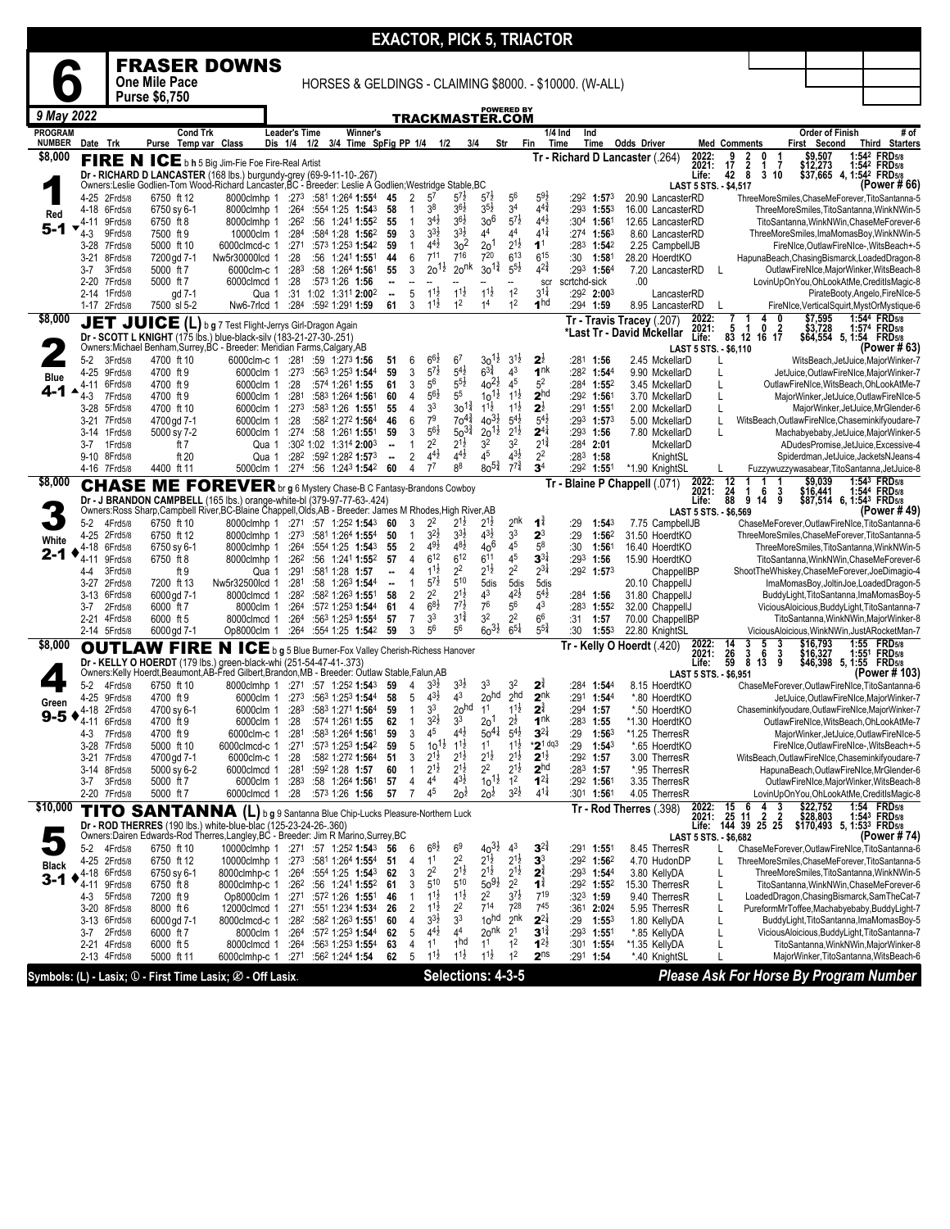|                                 |                  |                         |                            |                                                                                                                                                                               |                                 |     |                                                             |                                |                              |                                            |                                          |                                          |                                          | <b>EXACTOR, PICK 5, TRIACTOR</b>      |                 |                                           |                                     |                                       |                     |                                                     |                                                                            |                   |                                                                                              |
|---------------------------------|------------------|-------------------------|----------------------------|-------------------------------------------------------------------------------------------------------------------------------------------------------------------------------|---------------------------------|-----|-------------------------------------------------------------|--------------------------------|------------------------------|--------------------------------------------|------------------------------------------|------------------------------------------|------------------------------------------|---------------------------------------|-----------------|-------------------------------------------|-------------------------------------|---------------------------------------|---------------------|-----------------------------------------------------|----------------------------------------------------------------------------|-------------------|----------------------------------------------------------------------------------------------|
|                                 |                  |                         |                            | <b>FRASER DOWNS</b>                                                                                                                                                           |                                 |     |                                                             |                                |                              |                                            |                                          |                                          |                                          |                                       |                 |                                           |                                     |                                       |                     |                                                     |                                                                            |                   |                                                                                              |
|                                 |                  |                         | One Mile Pace              |                                                                                                                                                                               |                                 |     | HORSES & GELDINGS - CLAIMING \$8000. - \$10000. (W-ALL)     |                                |                              |                                            |                                          |                                          |                                          |                                       |                 |                                           |                                     |                                       |                     |                                                     |                                                                            |                   |                                                                                              |
|                                 |                  |                         | <b>Purse \$6,750</b>       |                                                                                                                                                                               |                                 |     |                                                             |                                |                              |                                            |                                          |                                          |                                          |                                       |                 |                                           |                                     |                                       |                     |                                                     |                                                                            |                   |                                                                                              |
| 9 May 2022                      |                  |                         |                            |                                                                                                                                                                               |                                 |     |                                                             |                                |                              |                                            |                                          | TRACKMASTER.COM                          | <b>POWERED BY</b>                        |                                       |                 |                                           |                                     |                                       |                     |                                                     |                                                                            |                   |                                                                                              |
| <b>PROGRAM</b><br><b>NUMBER</b> | Date Trk         |                         | Cond Trk<br>Purse          | Temp var Class                                                                                                                                                                | <b>Leader's Time</b><br>Dis 1/4 | 1/2 | Winner's<br>3/4 Time SpFig PP 1/4                           |                                |                              | 1/2                                        | 3/4                                      |                                          | Str<br>Fin                               |                                       | 1/4 Ind<br>Time | Ind<br>Time                               | <b>Odds Driver</b>                  |                                       | <b>Med Comments</b> |                                                     | <b>Order of Finish</b><br>First<br>Second                                  |                   | # of<br><b>Third Starters</b>                                                                |
| \$8,000                         |                  |                         |                            | FIRE N ICE b h 5 Big Jim-Fie Foe Fire-Real Artist                                                                                                                             |                                 |     |                                                             |                                |                              |                                            |                                          |                                          |                                          |                                       |                 |                                           | Tr - Richard D Lancaster (.264)     | 2022:                                 |                     |                                                     | \$9,507                                                                    |                   | 1:542 FRD5/8                                                                                 |
|                                 |                  |                         |                            | Dr - RICHARD D LANCASTER (168 lbs.) burgundy-grey (69-9-11-10-.267)                                                                                                           |                                 |     |                                                             |                                |                              |                                            |                                          |                                          |                                          |                                       |                 |                                           |                                     | 2021:<br>Life:                        | 17<br>42            | $\frac{2}{8}$<br>7<br>1<br>3 <sub>10</sub>          | \$12,273                                                                   |                   | 1:542 FRD5/8<br>$$37,665$ 4, 1:54 <sup>2</sup> FRD <sub>5/8</sub>                            |
|                                 | 4-25             | 2Frd5/8                 | 6750 ft 12                 | Owners:Leslie Godlien-Tom Wood-Richard Lancaster, BC - Breeder: Leslie A Godlien; Westridge Stable, BC<br>8000clmhp 1                                                         | :273                            |     | :581 1:264 1:554                                            | 45                             | $\overline{2}$               | $5^7$                                      | $5^{7}$                                  | $5^{7}$                                  | $5^6$                                    | $5^{9}2$                              |                 | $:29^2$ 1:57 <sup>3</sup>                 | 20.90 LancasterRD                   | LAST 5 STS. - \$4,517                 |                     |                                                     |                                                                            |                   | (Power #66)<br>ThreeMoreSmiles.ChaseMeForever.TitoSantanna-5                                 |
| Red                             | 4-18             | 6Frd5/8                 | 6750 sy 6-1                | 8000clmhp 1                                                                                                                                                                   | :264                            |     | :554 1:25 1:543                                             | 58                             | 1                            | 38                                         | 36}                                      | $3^{51}$                                 | 3 <sup>4</sup>                           | $4^{4^{3}_{4}}$                       |                 | $:293$ 1:553                              | 16.00 LancasterRD                   |                                       |                     |                                                     |                                                                            |                   | ThreeMoreSmiles, TitoSantanna, WinkNWin-5                                                    |
| 5-1                             | 4-11             | 9Frd5/8                 | 6750 ft 8                  | 8000clmhp 1                                                                                                                                                                   | :262                            |     | :56 1:241 1:552                                             | 55                             | $\mathbf{1}$                 | $3^{4}$ <sub>2</sub><br>$3^{3}\frac{1}{2}$ | $3^{6}\frac{1}{2}$<br>$3^{31}$           | 30 <sup>6</sup><br>44                    | $5^{7\frac{1}{2}}$<br>4 <sup>4</sup>     | $4^{4}$<br>$4^{11}$                   |                 | :304 1:561                                | 12.65 LancasterRD                   |                                       |                     |                                                     |                                                                            |                   | TitoSantanna.WinkNWin.ChaseMeForever-6                                                       |
|                                 | 4-3<br>3-28      | 9Frd5/8<br>7Frd5/8      | 7500 ft 9<br>5000 ft 10    | 10000clm 1<br>6000clmcd-c 1                                                                                                                                                   | :284<br>:271                    |     | :584 1:28 1:562<br>:573 1:253 1:542                         | 59<br>59                       | 3<br>1                       | $4^{4}$                                    | 3 <sup>2</sup>                           | 2 <sup>0</sup>                           | $2^{1\frac{1}{2}}$                       | 1 <sup>1</sup>                        |                 | $:27^4$ 1:56 <sup>3</sup><br>$:283$ 1:542 | 8.60 LancasterRD<br>2.25 CampbellJB |                                       |                     |                                                     |                                                                            |                   | ThreeMoreSmiles, ImaMomasBoy, WinkNWin-5<br>FireNIce, OutlawFireNIce-, WitsBeach+-5          |
|                                 | $3 - 21$         | 8Frd5/8                 | 7200 ad 7-1                | Nw5r30000lcd 1                                                                                                                                                                | :28                             |     | :56 1:241 <b>1:55</b> 1                                     | 44                             | 6                            | $7^{11}$                                   | $7^{16}$                                 | 7 <sup>20</sup>                          | 6 <sup>13</sup>                          | $6^{15}$                              | :30             | 1:581                                     | 28.20 HoerdtKO                      |                                       |                     |                                                     |                                                                            |                   | HapunaBeach, ChasingBismarck, LoadedDragon-8                                                 |
|                                 | 3-7              | 3Frd5/8                 | 5000 ft 7                  | 6000clm-c 1                                                                                                                                                                   | :283                            |     | :58 1:264 1:561                                             | 55                             | 3                            | $20^{1\frac{1}{2}}$                        | 2o <sub>nk</sub>                         | $30^{1\frac{3}{4}}$                      | $5^{51}$                                 | $4^{2^{3}_{4}}$                       |                 | :293 1:564                                | 7.20 LancasterRD                    |                                       | L                   |                                                     |                                                                            |                   | OutlawFireNIce,MajorWinker,WitsBeach-8                                                       |
|                                 | $2 - 20$<br>2-14 | 7Frd5/8<br>1Frd5/8      | 5000 ft 7<br>gd 7-1        | 6000clmcd 1<br>Qua 1                                                                                                                                                          | :28                             |     | :573 1:26 1:56<br>:31 1:02 1:311 2:002                      | ۰.<br>$\overline{\phantom{a}}$ | 5                            | $11\frac{1}{2}$                            | $11\frac{1}{2}$                          | $1^{1\frac{1}{2}}$                       | 1 <sup>2</sup>                           | scr<br>$3^{11}$                       | scrtchd-sick    | :292 2:003                                | .00                                 | LancasterRD                           |                     |                                                     |                                                                            |                   | LovinUpOnYou,OhLookAtMe,CreditIsMagic-8<br>PirateBooty,Angelo,FireNIce-5                     |
|                                 |                  | 1-17 2Frd5/8            | 7500 sl 5-2                | Nw6-7rlcd 1                                                                                                                                                                   | :284                            |     | :592 1:291 1:59                                             | 61                             | 3                            | $1^{11}$                                   | 1 <sup>2</sup>                           | 1 <sup>4</sup>                           | 1 <sup>2</sup>                           | 1 <sup>hd</sup>                       |                 | :294 1:59                                 | 8.95 LancasterRD                    |                                       |                     |                                                     |                                                                            |                   | FireNIce, VerticalSquirt, MystOrMystique-6                                                   |
| \$8,000                         | JET              |                         |                            | JUICE (L) b g 7 Test Flight-Jerrys Girl-Dragon Again                                                                                                                          |                                 |     |                                                             |                                |                              |                                            |                                          |                                          |                                          |                                       |                 |                                           | Tr - Travis Tracey (.207)           | 2022:<br>2021:                        | 5                   | $\ddot{\mathbf{1}}$<br>0<br>$\overline{\mathbf{2}}$ | \$7,595<br>\$3,728                                                         |                   | 1:544 FRD5/8<br>1:574 FRD5/8                                                                 |
|                                 |                  |                         |                            | Dr - SCOTT L KNIGHT (175 lbs.) blue-black-silv (183-21-27-30-.251)<br>Owners:Michael Benham,Surrey,BC - Breeder: Meridian Farms,Calgary,AB                                    |                                 |     |                                                             |                                |                              |                                            |                                          |                                          |                                          |                                       |                 |                                           | *Last Tr - David Mckellar           | Life:<br>LAST 5 STS. - \$6.110        | 83                  | 12<br>16 17                                         |                                                                            |                   | \$64,554 5, 1:54 FRD5/8<br>(Power # 63)                                                      |
|                                 | $5-2$            | 3Frd5/8                 | 4700 ft 10                 | 6000clm-c 1                                                                                                                                                                   | :281                            |     | :59 1:273 1:56                                              | 51                             | 6                            | $66\frac{1}{2}$                            | 6 <sup>7</sup>                           | $30^{11}$                                | $3^{1\frac{1}{2}}$                       | $2\frac{1}{2}$                        |                 | :281 1:56                                 | 2.45 MckellarD                      |                                       |                     |                                                     |                                                                            |                   | WitsBeach, JetJuice, MajorWinker-7                                                           |
| <b>Blue</b>                     | $4 - 25$         | 9Frd5/8                 | 4700 ft 9                  | 6000clm 1                                                                                                                                                                     | :273                            |     | :563 1:253 1:544                                            | 59                             | 3                            | $5^{7}$                                    | $5^{4}$                                  | $6^{3\frac{3}{4}}$                       | 4 <sup>3</sup>                           | 1 <sup>nk</sup>                       |                 | :282 1:544                                | 9.90 MckellarD                      |                                       |                     |                                                     |                                                                            |                   | JetJuice, OutlawFireNIce, MajorWinker-7                                                      |
| 4-1                             | 4-11<br>4-3      | 6Frd5/8<br>7Frd5/8      | 4700 ft 9<br>4700 ft 9     | 6000clm 1<br>6000clm 1                                                                                                                                                        | :28<br>:281                     |     | :574 1:261 1:55<br>:583 1:264 1:561                         | 61<br>60                       | 3<br>4                       | 56<br>$5^{6}2$                             | $5^{51}$<br>5 <sup>5</sup>               | $40^{21}$<br>$10^{11/2}$                 | 45<br>$1^{1\frac{1}{2}}$                 | 5 <sup>2</sup><br>2 <sup>hd</sup>     |                 | :284 1:552<br>$:29^2$ 1:561               | 3.45 MckellarD<br>3.70 MckellarD    |                                       | L<br>L              |                                                     |                                                                            |                   | OutlawFireNIce, WitsBeach, OhLookAtMe-7<br>MajorWinker, JetJuice, OutlawFireNIce-5           |
|                                 | $3-28$           | 5Frd5/8                 | 4700 ft 10                 | 6000clm 1                                                                                                                                                                     | :273                            |     | :583 1:26 1:551                                             | 55                             | 4                            | 3 <sup>3</sup>                             | $30^{1\frac{3}{4}}$                      | $1^{1\frac{1}{2}}$                       | $1^{1\frac{1}{2}}$                       | $\mathbf{2}^{\frac{1}{2}}$            |                 | :29 <sup>1</sup> 1:551                    | 2.00 MckellarD                      |                                       | L                   |                                                     |                                                                            |                   | MajorWinker, JetJuice, MrGlender-6                                                           |
|                                 | 3-21             | 7Frd5/8                 | 4700 gd 7-1                | 6000clm 1                                                                                                                                                                     | :28                             |     | :582 1:272 1:564                                            | 46                             | 6                            | 7 <sup>9</sup>                             | $70^{4}$                                 | $40^{31}$                                | $5^{4}$                                  | $5^{4}$                               |                 | :293 1:573                                | 5.00 MckellarD                      |                                       | L                   |                                                     |                                                                            |                   | WitsBeach, OutlawFireNIce, Chaseminkifyoudare-7                                              |
|                                 | 3-14<br>3-7      | 1Frd5/8<br>1Frd5/8      | 5000 sy 7-2<br>ft 7        | 6000clm 1                                                                                                                                                                     |                                 |     | :274 :58 1:261 1:551<br>:302 1:02 1:314 2:003               | 59                             | 3                            | $5^{61}$<br>2 <sup>2</sup>                 | $50^{34}$<br>$2^{1\frac{1}{2}}$          | $20^{11}$<br>3 <sup>2</sup>              | $2^{1\frac{1}{2}}$<br>3 <sup>2</sup>     | $2^{4}$<br>$2^{1\frac{3}{4}}$         |                 | $:293$ 1:56<br>$:284$ 2:01                | 7.80 MckellarD<br>MckellarD         |                                       | L                   |                                                     |                                                                            |                   | Machabyebaby, JetJuice, MajorWinker-5<br>ADudesPromise, JetJuice, Excessive-4                |
|                                 |                  | 9-10 8Frd5/8            | ft 20                      | Qua 1<br>Qua 1                                                                                                                                                                | :282                            |     | :592 1:282 1:573                                            | --<br>                         | 2                            | $4^{4}$                                    | $4^{4}$                                  | 45                                       | $4^{3}\frac{1}{2}$                       | 2 <sup>2</sup>                        |                 | $:283$ 1:58                               | KnightSL                            |                                       |                     |                                                     |                                                                            |                   | Spiderdman, JetJuice, JacketsNJeans-4                                                        |
|                                 |                  | 4-16 7Frd5/8            | 4400 ft 11                 | 5000clm 1                                                                                                                                                                     | :274                            |     | :56 1:243 1:542                                             | 60                             | 4                            | $7^7$                                      | 8 <sup>8</sup>                           | $80^{5\frac{3}{4}}$                      | $7^{7^{3}}$                              | 3 <sup>4</sup>                        |                 | :292 1:551                                | *1.90 KnightSL                      |                                       |                     |                                                     |                                                                            |                   | Fuzzywuzzywasabear, TitoSantanna, JetJuice-8                                                 |
| \$8,000                         |                  |                         |                            | <b>CHASE ME FOREVER</b> br g 6 Mystery Chase-B C Fantasy-Brandons Cowboy                                                                                                      |                                 |     |                                                             |                                |                              |                                            |                                          |                                          |                                          |                                       |                 |                                           | Tr - Blaine P Chappell (.071)       | 2022:<br>2021:                        | 12                  | 1<br>6<br>3                                         | \$9,039                                                                    |                   | 1:543 FRD <sub>5/8</sub>                                                                     |
|                                 |                  |                         |                            | Dr - J BRANDON CAMPBELL (165 lbs.) orange-white-bl (379-97-77-63-.424)<br>Owners:Ross Sharp,Campbell River,BC-Blaine Chappell,Olds,AB - Breeder: James M Rhodes,High River,AB |                                 |     |                                                             |                                |                              |                                            |                                          |                                          |                                          |                                       |                 |                                           |                                     | Life:<br>LAST 5 STS. - \$6,569        | $\frac{24}{88}$     | 9<br>9<br>14                                        |                                                                            |                   | \$16,441 1:544 FRD5/8<br>\$87,514 6, 1:543 FRD5/8<br>(Power # 49)                            |
|                                 | $5-2$            | 4Frd5/8                 | 6750 ft 10                 | 8000clmhp 1                                                                                                                                                                   |                                 |     | :271 :57 1:252 1:543                                        | 60                             | 3                            | 2 <sup>2</sup>                             | $2^{1\frac{1}{2}}$                       | $2^{1\frac{1}{2}}$                       | 2 <sup>nk</sup>                          | 1ì                                    | :29             | 1:54 <sup>3</sup>                         | 7.75 CampbellJB                     |                                       |                     |                                                     |                                                                            |                   | ChaseMeForever,OutlawFireNIce,TitoSantanna-6                                                 |
| White                           | $4 - 25$         | 2Frd5/8                 | 6750 ft 12                 | 8000clmhp 1                                                                                                                                                                   | :273                            |     | :581 1:264 1:554                                            | 50                             | 1                            | $3^{2}\frac{1}{2}$                         | $3^{3}\frac{1}{2}$                       | $4^{31}$                                 | 3 <sup>3</sup>                           | $2^3$                                 | :29             | 1:562                                     | 31.50 HoerdtKO                      |                                       |                     |                                                     |                                                                            |                   | ThreeMoreSmiles, ChaseMeForever, TitoSantanna-5                                              |
| 2-1                             | 4-18<br>4-11     | 6Frd5/8<br>9Frd5/8      | 6750 sy 6-1<br>6750 ft 8   | 8000clmhp 1<br>8000clmhp 1                                                                                                                                                    | :264<br>:262                    |     | :554 1:25 1:543<br>:56 1:241 1:552                          | 55<br>57                       | 2<br>$\overline{4}$          | $49\frac{1}{2}$<br>$6^{12}$                | $48\frac{1}{2}$<br>6 <sup>12</sup>       | 406<br>$6^{11}$                          | 45<br>4 <sup>5</sup>                     | 5 <sup>8</sup><br>$3^{3\frac{1}{4}}$  | :30<br>:293     | 1:561<br>1:56                             | 16.40 HoerdtKO<br>15.90 HoerdtKO    |                                       |                     |                                                     |                                                                            |                   | ThreeMoreSmiles, TitoSantanna, WinkNWin-5<br>TitoSantanna, WinkNWin, ChaseMeForever-6        |
|                                 | 4-4              | 3Frd5/8                 | ft 9                       | Qua 1                                                                                                                                                                         | :291                            |     | :581 1:28 1:57                                              |                                | 4                            | $11\frac{1}{2}$                            | 2 <sup>2</sup>                           | $2^{1\frac{1}{2}}$                       | 2 <sup>2</sup>                           | $2^{3}\frac{1}{4}$                    |                 | :292 1:573                                |                                     | ChappelIBP                            |                     |                                                     |                                                                            |                   | ShootTheWhiskey,ChaseMeForever,JoeDimagio-4                                                  |
|                                 | $3 - 27$         | 2Frd5/8                 | 7200 ft 13                 | Nw5r32500lcd 1                                                                                                                                                                | :281                            |     | :58 1:26 <sup>3</sup> 1:544                                 | --                             |                              | $5^{7\frac{1}{2}}$                         | 510                                      | 5dis                                     | 5dis                                     | 5dis                                  |                 |                                           | 20.10 ChappellJ                     |                                       |                     |                                                     |                                                                            |                   | ImaMomasBoy, JoltinJoe, LoadedDragon-5                                                       |
|                                 | 3-13<br>3-7      | 6Frd5/8<br>2Frd5/8      | 6000 gd 7-1<br>6000 ft 7   | 8000clmcd 1<br>8000clm 1                                                                                                                                                      | :282<br>:264                    |     | :582 1:263 1:551<br>:572 1:253 1:544                        | 58<br>61                       | 2<br>4                       | 2 <sup>2</sup><br>$6^{8}2$                 | $2^{1\frac{1}{2}}$<br>$7^{7\frac{1}{2}}$ | 43<br>7 <sup>6</sup>                     | $4^{2}\frac{1}{2}$<br>5 <sup>6</sup>     | $5^{4}$<br>4 <sup>3</sup>             | :283            | :284 1:56<br>1:55 <sup>2</sup>            | 31.80 ChappellJ<br>32.00 ChappellJ  |                                       |                     |                                                     |                                                                            |                   | BuddyLight, TitoSantanna, ImaMomasBoy-5<br>ViciousAloicious,BuddyLight,TitoSantanna-7        |
|                                 | $2 - 21$         | 4Frd5/8                 | 6000 ft 5                  | 8000clmcd 1                                                                                                                                                                   | :264                            |     | :563 1:253 1:554                                            | 57                             | 7                            | 3 <sup>3</sup>                             | $3^{1\frac{3}{4}}$                       | 3 <sup>2</sup>                           | 2 <sup>2</sup>                           | 6 <sup>6</sup>                        | :31             | 1:57                                      | 70.00 ChappelIBP                    |                                       |                     |                                                     |                                                                            |                   | TitoSantanna, WinkNWin, MajorWinker-8                                                        |
|                                 |                  | 2-14 5Frd5/8            | 6000 gd 7-1                | Op8000clm 1                                                                                                                                                                   | :264                            |     | :554 1:25 1:542                                             | 59                             | 3                            | 5 <sup>6</sup>                             | 5 <sup>6</sup>                           | $60^{31}$                                | $6^{51}$                                 | $5^{5^{3}_{4}}$                       | :30             | $1:55^{3}$                                | 22.80 KnightSL                      |                                       |                     |                                                     |                                                                            |                   | ViciousAloicious,WinkNWin,JustARocketMan-7                                                   |
| \$8,000                         |                  |                         | <b>OUTLAW FIRE</b>         | N ICE b g 5 Blue Burner-Fox Valley Cherish-Richess Hanover                                                                                                                    |                                 |     |                                                             |                                |                              |                                            |                                          |                                          |                                          |                                       |                 |                                           | Tr - Kelly O Hoerdt (.420)          | 2022:<br>2021:                        | 14<br>$^{26}_{59}$  | 3<br>3<br>5<br>$\frac{3}{8}$<br>6<br>3              | \$16,793<br>\$16,327                                                       | 1:55 <sup>1</sup> | 1:55 FRD <sub>5/8</sub><br><b>FRD</b> 5/8                                                    |
|                                 |                  |                         |                            | Dr - KELLY O HOERDT (179 lbs.) green-black-whi (251-54-47-41-.373)<br>Owners:Kelly Hoerdt,Beaumont,AB-Fred Gilbert,Brandon,MB - Breeder: Outlaw Stable,Falun,AB               |                                 |     |                                                             |                                |                              |                                            |                                          |                                          |                                          |                                       |                 |                                           |                                     | Life:<br><b>LAST 5 STS. - \$6.951</b> |                     | 13<br>9                                             | \$46,398                                                                   | 5, 1:55           | <b>FRD5/8</b><br>(Power # 103)                                                               |
|                                 | $5-2$            | 4Frd5/8                 | 6750 ft 10                 | 8000clmhp 1                                                                                                                                                                   |                                 |     | $:271$ $:57$ 1:252 1:543                                    | 59                             | 4                            | $33$ <sub>2</sub>                          | 3 <sup>3</sup>                           | 33                                       | 3 <sup>2</sup>                           | 2                                     | :284            | 1:544                                     | 8.15 HoerdtKO                       |                                       |                     |                                                     |                                                                            |                   | ChaseMeForever,OutlawFireNIce,TitoSantanna-6                                                 |
| Green                           | 4-25             | 9Frd5/8                 | 4700 ft 9                  | 6000clm 1                                                                                                                                                                     | :273                            |     | :563 1:253 1:544                                            | 58                             | 5                            | $4^{3}\frac{1}{2}$                         | 4 <sup>3</sup>                           | 20 <sup>hd</sup>                         | 2 <sup>hd</sup>                          | 2 <sup>nk</sup>                       |                 | :291 1:544                                | *.80 HoerdtKO                       |                                       |                     |                                                     |                                                                            |                   | JetJuice,OutlawFireNIce,MajorWinker-7                                                        |
| $9-5$                           | 4-18<br>4-11     | 2Frd5/8<br>6Frd5/8      | 4700 sy 6-1<br>4700 ft 9   | 6000clm 1<br>6000clm 1                                                                                                                                                        | :283<br>:28                     |     | :583 1:271 1:564<br>:574 1:261 1:55                         | 59<br>62                       | 1<br>1                       | 3 <sup>3</sup><br>$3^{2}\frac{1}{2}$       | 20 <sup>hd</sup><br>3 <sup>3</sup>       | 1 <sup>1</sup><br>2o <sup>1</sup>        | $1^{1\frac{1}{2}}$<br>$2\frac{1}{2}$     | $2^{\frac{3}{4}}$<br>1 <sup>nk</sup>  | :294            | 1:57<br>$:283$ 1:55                       | *.50 HoerdtKO<br>*1.30 HoerdtKO     |                                       |                     |                                                     |                                                                            |                   | Chaseminkifyoudare, OutlawFireNIce, MajorWinker-7<br>OutlawFireNIce, WitsBeach, OhLookAtMe-7 |
|                                 | 4-3              | 7Frd5/8                 | 4700 ft 9                  | 6000clm-c 1                                                                                                                                                                   | :281                            |     | :583 1:264 1:561                                            | 59                             | 3                            | 45                                         | $4^{4}$ <sub>2</sub>                     | $50^{4}$                                 | $5^{4}$                                  | $3^{2}$                               | :29             | $1:56^{3}$                                | *1.25 TherresR                      |                                       |                     |                                                     |                                                                            |                   | MajorWinker, JetJuice, OutlawFireNIce-5                                                      |
|                                 |                  | 3-28 7Frd5/8            | 5000 ft 10                 | 6000clmcd-c 1                                                                                                                                                                 | :271                            |     | :57 <sup>3</sup> 1:25 <sup>3</sup> <b>1:54</b> <sup>2</sup> | 59                             | 5                            | $10^{11}$                                  | $1^{1\frac{1}{2}}$                       | 1 <sup>1</sup>                           | $1^{1\frac{1}{2}}$                       | $*2^{1}$ dq3                          | :29             | $1:54^3$                                  | *.65 HoerdtKO                       |                                       |                     |                                                     |                                                                            |                   | FireNIce, OutlawFireNIce-, WitsBeach+-5                                                      |
|                                 | 3-21             | 7Frd5/8<br>3-14 8Frd5/8 | 4700 gd 7-1<br>5000 sy 6-2 | 6000clm-c 1<br>6000clmcd 1                                                                                                                                                    | :28<br>:281                     |     | :582 1:272 1:564<br>:592 1:28 1:57                          | 51<br>60                       | 3<br>$\mathbf{1}$            | $2^{1\frac{1}{2}}$<br>$2^{1\frac{1}{2}}$   | $2^{1\frac{1}{2}}$<br>$2^{1\frac{1}{2}}$ | $2^{1\frac{1}{2}}$<br>$2^2$              | $2^{1\frac{1}{2}}$<br>$2^{1\frac{1}{2}}$ | $2^{1\frac{1}{2}}$<br>2 <sup>hd</sup> |                 | :292 1:57<br>$:28^3$ 1:57                 | 3.00 TherresR<br>*.95 TherresR      |                                       |                     |                                                     |                                                                            |                   | WitsBeach, OutlawFireNIce, Chaseminkifyoudare-7<br>HapunaBeach, OutlawFireNIce, MrGlender-6  |
|                                 | 3-7              | 3Frd5/8                 | 5000 ft 7                  | 6000clm 1                                                                                                                                                                     | :283                            |     | :58 1:264 1:561                                             | 57                             | 4                            | 44                                         | $4^{3}\frac{1}{2}$                       | $10^{11}$                                | 1 <sup>2</sup>                           | $1^{2}$                               |                 | :292 1:561                                | 3.35 TherresR                       |                                       |                     |                                                     |                                                                            |                   | OutlawFireNIce,MajorWinker,WitsBeach-8                                                       |
|                                 |                  | 2-20 7Frd5/8            | 5000 ft 7                  | 6000clmcd 1                                                                                                                                                                   | :28                             |     | :573 1:26 1:56                                              | 57                             | $\overline{7}$               | 45                                         | 2o <sup>2</sup>                          | $20\frac{1}{2}$                          | $3^{2}\frac{1}{2}$                       | $4^{11}$                              |                 | :30 <sup>1</sup> 1:561                    | 4.05 TherresR                       |                                       |                     |                                                     |                                                                            |                   | LovinUpOnYou,OhLookAtMe,CreditIsMagic-8                                                      |
| \$10,000                        |                  |                         | <b>TITO SANTANNA</b>       |                                                                                                                                                                               |                                 |     | (L) b g 9 Santanna Blue Chip-Lucks Pleasure-Northern Luck   |                                |                              |                                            |                                          |                                          |                                          |                                       |                 |                                           | Tr - Rod Therres (.398)             | 2022:<br>2021:                        | 15                  | 3<br>6<br>$25$ 11 $2$ 2<br>144 39 25 25             | \$22,752<br>\$28,803 1:54 <sup>3</sup> FRD5/8<br>\$170,493 5, 1:533 FRD5/8 |                   | 1:54 FRD <sub>5/8</sub>                                                                      |
|                                 |                  |                         |                            | Dr - ROD THERRES (190 lbs.) white-blue-blac (125-23-24-26-.360)<br>Owners:Dairen Edwards-Rod Therres,Langley,BC - Breeder: Jim R Marino,Surrey,BC                             |                                 |     |                                                             |                                |                              |                                            |                                          |                                          |                                          |                                       |                 |                                           |                                     | Life:<br>LAST 5 STS. - \$6,682        |                     |                                                     |                                                                            |                   | (Power # 74                                                                                  |
|                                 | $5-2$            | 4Frd5/8                 | 6750 ft 10                 | 10000clmhp 1 :271 :57 1:252 1:543                                                                                                                                             |                                 |     |                                                             | 56                             | 6                            | $6^{8}\frac{1}{2}$                         | 6 <sup>9</sup>                           | $40^{31}_{2}$                            | 43                                       | $3^{24}$                              |                 | :291 <b>1:55</b> 1                        | 8.45 TherresR                       |                                       | L                   |                                                     |                                                                            |                   | ChaseMeForever,OutlawFireNIce,TitoSantanna-6                                                 |
| <b>Black</b>                    |                  | 4-25 2Frd5/8            | 6750 ft 12                 | 10000clmhp 1                                                                                                                                                                  |                                 |     | $:27^3$ $:58^1$ 1:264 1:554                                 | 51                             | 4                            | 1 <sup>1</sup>                             | 2 <sup>2</sup>                           | $2^{1\frac{1}{2}}$<br>$2^{1\frac{1}{2}}$ | $2^{1\frac{1}{2}}$                       | 3 <sup>3</sup>                        |                 | $:29^2$ 1:56 <sup>2</sup>                 | 4.70 HudonDP                        |                                       |                     |                                                     |                                                                            |                   | ThreeMoreSmiles, ChaseMeForever, TitoSantanna-5                                              |
| $3 - 1$                         | 4-18<br>4-11     | 6Frd5/8<br>9Frd5/8      | 6750 sy 6-1<br>6750 ft 8   | 8000clmhp-c 1<br>8000clmhp-c 1                                                                                                                                                | :264                            |     | :554 1:25 1:543<br>$:26^2$ :56 1:241 1:55 <sup>2</sup>      | 62<br>61                       | 3<br>3                       | 2 <sup>2</sup><br>$5^{10}$                 | $2^{1\frac{1}{2}}$<br>$5^{10}$           | $50^{91}$                                | $2^{1\frac{1}{2}}$<br>2 <sup>2</sup>     | $2^{3}$<br>$\mathbf{1}^{\frac{3}{4}}$ |                 | :293 1:544<br>$:29^2$ 1:55 <sup>2</sup>   | 3.80 KellyDA<br>15.30 TherresR      |                                       | L<br>L              |                                                     |                                                                            |                   | ThreeMoreSmiles, TitoSantanna, WinkNWin-5<br>TitoSantanna, WinkNWin, ChaseMeForever-6        |
|                                 | 4-3              | 5Frd5/8                 | 7200 ft 9                  | Op8000clm 1                                                                                                                                                                   |                                 |     | :271 :572 1:26 1:551                                        | 46                             | $\mathbf{1}$                 | $1^{1\frac{1}{2}}$                         | $1^{1\frac{1}{2}}$                       | $2^2$                                    | $3^{7}\frac{1}{2}$                       | $7^{19}$                              |                 | $:323$ 1:59                               | 9.40 TherresR                       |                                       | L                   |                                                     |                                                                            |                   | LoadedDragon, ChasingBismarck, SamTheCat-7                                                   |
|                                 | $3 - 20$         | 8Frd5/8                 | 8000 ft 6                  | 12000clmcd 1                                                                                                                                                                  |                                 |     | :271 :551 1:234 1:534                                       | 26<br>60                       | $\overline{\mathbf{c}}$<br>4 | $11\frac{1}{2}$<br>$3^{3}\frac{1}{2}$      | 2 <sup>2</sup><br>3 <sup>3</sup>         | 714<br>10 <sup>hd</sup>                  | 728<br>2 <sup>nk</sup>                   | 745<br>$2^{2\frac{1}{4}}$             |                 | :361 2:024                                | 5.95 TherresR                       |                                       | L<br>L              |                                                     |                                                                            |                   | PureformMrToffee,Machabyebaby,BuddyLight-7<br>BuddyLight,TitoSantanna,ImaMomasBoy-5          |
|                                 | 3-13<br>3-7      | 6Frd5/8<br>2Frd5/8      | 6000 gd 7-1<br>6000 ft 7   | 8000clmcd-c 1<br>8000clm 1                                                                                                                                                    | :282<br>:264                    |     | :582 1:263 1:551<br>:572 1:253 1:544                        | 62                             | 5                            | $4^{4}$ <sub>2</sub>                       | 44                                       | 2o <sub>nk</sub>                         | 2 <sup>1</sup>                           | $3^{14}$                              | :29             | $1:55^{3}$<br>:293 <b>1:55</b> 1          | 1.80 KellyDA<br>*.85 KellyDA        |                                       | L                   |                                                     |                                                                            |                   | ViciousAloicious,BuddyLight,TitoSantanna-7                                                   |
|                                 | 2-21             | 4Frd5/8                 | 6000 ft 5                  | 8000clmcd 1                                                                                                                                                                   | :264                            |     | :56 <sup>3</sup> 1:25 <sup>3</sup> <b>1:55</b> 4            | 63                             | 4                            | 1 <sup>1</sup>                             | 1 <sub>hd</sub>                          | 1 <sup>1</sup>                           | 1 <sup>2</sup>                           | $1^{2}$                               |                 | :301 1:554                                | *1.35 KellyDA                       |                                       |                     |                                                     |                                                                            |                   | TitoSantanna, WinkNWin, MajorWinker-8                                                        |
|                                 |                  | 2-13 4Frd5/8            | 5000 ft 11                 | 6000clmhp-c 1                                                                                                                                                                 | :271                            |     | :562 1:244 1:54                                             | 62                             | 5                            | $1^{1\frac{1}{2}}$                         | $1^{1\frac{1}{2}}$                       | $1^{1\frac{1}{2}}$                       | 1 <sup>2</sup>                           | 2 <sup>ns</sup>                       |                 | :291 1:54                                 | *.40 KnightSL                       |                                       |                     |                                                     |                                                                            |                   | MajorWinker, TitoSantanna, WitsBeach-6                                                       |
|                                 |                  |                         |                            | Symbols: (L) - Lasix; 10 - First Time Lasix; Ø - Off Lasix.                                                                                                                   |                                 |     |                                                             |                                |                              |                                            |                                          | Selections: 4-3-5                        |                                          |                                       |                 |                                           |                                     |                                       |                     |                                                     |                                                                            |                   | <b>Please Ask For Horse By Program Number</b>                                                |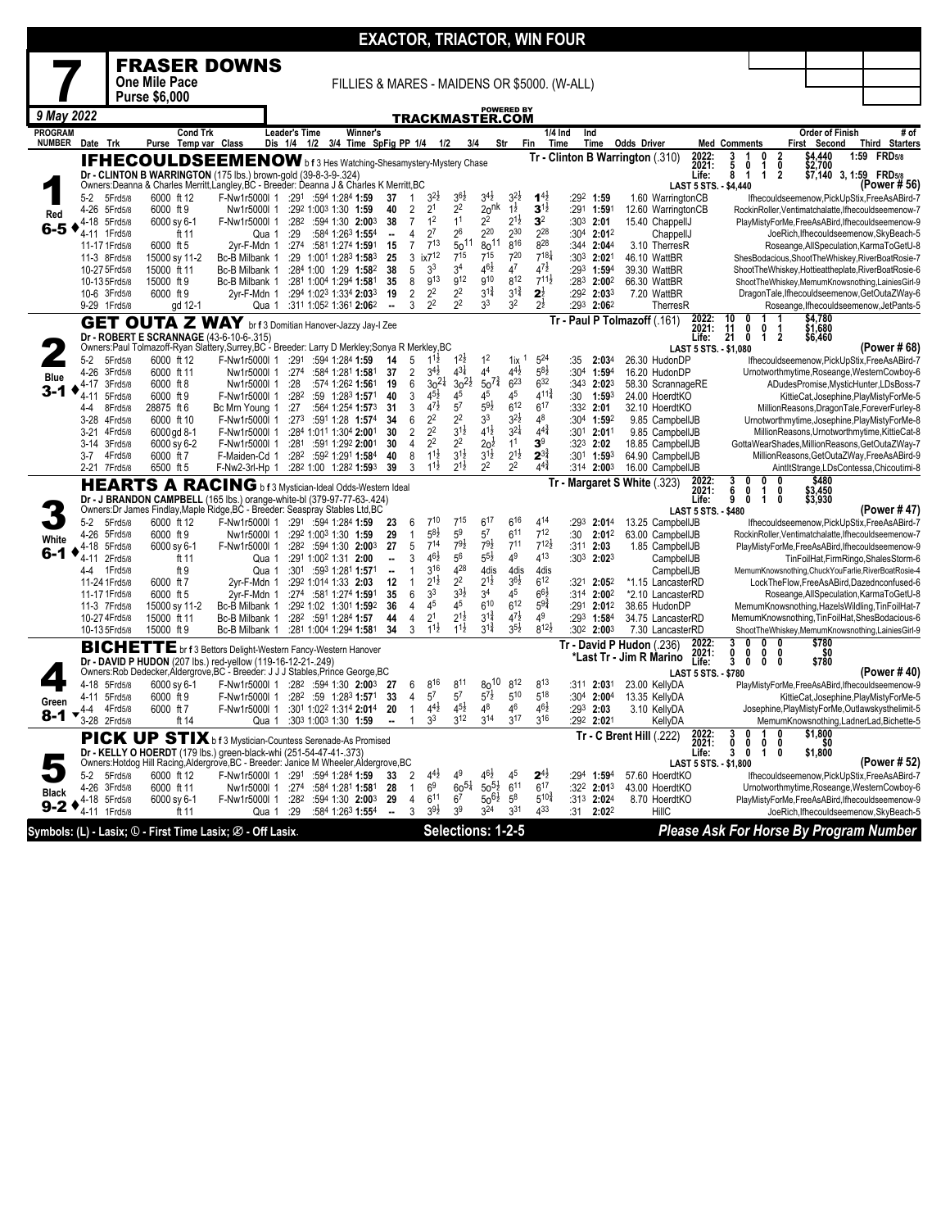|                                 |                                                                                                                                                                                                                                                                                                                                                                                                                                                                                                                                                                                                                                                                                                                                                                                                                                                                                                                                                                                                                                                                                                                                                                                                                                                                                                                                                                                                                                                                                                                                            |                    |                              |                                                                                                                                                         |                                 |     |                                                  |                          |                                  |                                      |                                          |                                          |                                          | <b>EXACTOR, TRIACTOR, WIN FOUR</b>     |                   |                                                  |                                               |                                     |                   |                                                                                                       |      |                                        |
|---------------------------------|--------------------------------------------------------------------------------------------------------------------------------------------------------------------------------------------------------------------------------------------------------------------------------------------------------------------------------------------------------------------------------------------------------------------------------------------------------------------------------------------------------------------------------------------------------------------------------------------------------------------------------------------------------------------------------------------------------------------------------------------------------------------------------------------------------------------------------------------------------------------------------------------------------------------------------------------------------------------------------------------------------------------------------------------------------------------------------------------------------------------------------------------------------------------------------------------------------------------------------------------------------------------------------------------------------------------------------------------------------------------------------------------------------------------------------------------------------------------------------------------------------------------------------------------|--------------------|------------------------------|---------------------------------------------------------------------------------------------------------------------------------------------------------|---------------------------------|-----|--------------------------------------------------|--------------------------|----------------------------------|--------------------------------------|------------------------------------------|------------------------------------------|------------------------------------------|----------------------------------------|-------------------|--------------------------------------------------|-----------------------------------------------|-------------------------------------|-------------------|-------------------------------------------------------------------------------------------------------|------|----------------------------------------|
|                                 |                                                                                                                                                                                                                                                                                                                                                                                                                                                                                                                                                                                                                                                                                                                                                                                                                                                                                                                                                                                                                                                                                                                                                                                                                                                                                                                                                                                                                                                                                                                                            |                    |                              | <b>FRASER DOWNS</b>                                                                                                                                     |                                 |     |                                                  |                          |                                  |                                      |                                          |                                          |                                          |                                        |                   |                                                  |                                               |                                     |                   |                                                                                                       |      |                                        |
|                                 |                                                                                                                                                                                                                                                                                                                                                                                                                                                                                                                                                                                                                                                                                                                                                                                                                                                                                                                                                                                                                                                                                                                                                                                                                                                                                                                                                                                                                                                                                                                                            |                    | <b>One Mile Pace</b>         |                                                                                                                                                         |                                 |     | FILLIES & MARES - MAIDENS OR \$5000. (W-ALL)     |                          |                                  |                                      |                                          |                                          |                                          |                                        |                   |                                                  |                                               |                                     |                   |                                                                                                       |      |                                        |
|                                 |                                                                                                                                                                                                                                                                                                                                                                                                                                                                                                                                                                                                                                                                                                                                                                                                                                                                                                                                                                                                                                                                                                                                                                                                                                                                                                                                                                                                                                                                                                                                            |                    | <b>Purse \$6,000</b>         |                                                                                                                                                         |                                 |     |                                                  |                          |                                  |                                      |                                          |                                          |                                          |                                        |                   |                                                  |                                               |                                     |                   |                                                                                                       |      |                                        |
| 9 May 2022                      |                                                                                                                                                                                                                                                                                                                                                                                                                                                                                                                                                                                                                                                                                                                                                                                                                                                                                                                                                                                                                                                                                                                                                                                                                                                                                                                                                                                                                                                                                                                                            |                    |                              |                                                                                                                                                         |                                 |     |                                                  |                          |                                  |                                      |                                          | TRACKMASTER.COM                          | <b>POWERED BY</b>                        |                                        |                   |                                                  |                                               |                                     |                   |                                                                                                       |      |                                        |
| <b>PROGRAM</b><br><b>NUMBER</b> | Date Trk                                                                                                                                                                                                                                                                                                                                                                                                                                                                                                                                                                                                                                                                                                                                                                                                                                                                                                                                                                                                                                                                                                                                                                                                                                                                                                                                                                                                                                                                                                                                   |                    | <b>Cond Trk</b><br>Purse     | Temp var Class                                                                                                                                          | <b>Leader's Time</b><br>Dis 1/4 | 1/2 | Winner's<br>3/4 Time SpFig PP 1/4                |                          |                                  | 1/2                                  |                                          | 3/4                                      | Str                                      | Fin                                    | $1/4$ Ind<br>Time | Ind<br>Time                                      | <b>Odds Driver</b>                            | <b>Med Comments</b>                 |                   | <b>Order of Finish</b><br>First<br>Second                                                             |      | # of<br>Third<br><b>Starters</b>       |
|                                 |                                                                                                                                                                                                                                                                                                                                                                                                                                                                                                                                                                                                                                                                                                                                                                                                                                                                                                                                                                                                                                                                                                                                                                                                                                                                                                                                                                                                                                                                                                                                            |                    |                              | IFHECOULDSEEMENOW b f 3 Hes Watching-Shesamystery-Mystery Chase                                                                                         |                                 |     |                                                  |                          |                                  |                                      |                                          |                                          |                                          |                                        |                   |                                                  | Tr - Clinton B Warrington (.310)              | 2022:<br>3<br>2021:<br>5            | 0<br>0<br>1       | \$4,440<br>\$2,700<br>2<br>0                                                                          | 1:59 | <b>FRD</b> 5/8                         |
|                                 |                                                                                                                                                                                                                                                                                                                                                                                                                                                                                                                                                                                                                                                                                                                                                                                                                                                                                                                                                                                                                                                                                                                                                                                                                                                                                                                                                                                                                                                                                                                                            |                    |                              | Dr - CLINTON B WARRINGTON (175 lbs.) brown-gold (39-8-3-9-.324)                                                                                         |                                 |     |                                                  |                          |                                  |                                      |                                          |                                          |                                          |                                        |                   |                                                  |                                               | Life:<br>8                          | 1<br>$\mathbf{1}$ | $\overline{2}$<br>\$7.140                                                                             |      | 3.1:59 FRD5/8<br>(Power #56)           |
|                                 | $5-2$                                                                                                                                                                                                                                                                                                                                                                                                                                                                                                                                                                                                                                                                                                                                                                                                                                                                                                                                                                                                                                                                                                                                                                                                                                                                                                                                                                                                                                                                                                                                      | 5Frd5/8            | 6000 ft 12                   | Owners: Deanna & Charles Merritt, Langley, BC - Breeder: Deanna J & Charles K Merritt, BC<br>F-Nw1r5000l 1                                              |                                 |     | :291:5941:2841:59                                | 37                       | $\mathbf{1}$                     | $3^{2}z$                             | $3^{6}\frac{1}{2}$                       | $3^{4}$ <sub>2</sub>                     | $3^{2}\frac{1}{2}$                       | $1^{4}$                                |                   | $:29^2$ 1:59                                     | 1.60 WarringtonCB                             | <b>LAST 5 STS. - \$4,440</b>        |                   | lfhecouldseemenow, PickUpStix, FreeAsABird-7                                                          |      |                                        |
| Red                             | $4 - 26$                                                                                                                                                                                                                                                                                                                                                                                                                                                                                                                                                                                                                                                                                                                                                                                                                                                                                                                                                                                                                                                                                                                                                                                                                                                                                                                                                                                                                                                                                                                                   | 5Frd5/8            | 6000 ft 9                    | Nw1r5000l 1                                                                                                                                             |                                 |     | :292 1:003 1:30 1:59                             | 40<br>38                 | $\overline{2}$<br>$\overline{7}$ | 2 <sup>1</sup><br>1 <sup>2</sup>     | 2 <sup>2</sup><br>1 <sup>1</sup>         | 20 <sup>nk</sup><br>2 <sup>2</sup>       | $1\frac{1}{2}$<br>$2^{1\frac{1}{2}}$     | $3^{1\frac{1}{2}}$<br>3 <sup>2</sup>   |                   | :291 1:591                                       | 12.60 WarringtonCB                            |                                     |                   | RockinRoller, Ventimatchalatte, Ifhecouldseemenow-7                                                   |      |                                        |
| 6-5                             | 4-18<br>4-11 1Frd5/8                                                                                                                                                                                                                                                                                                                                                                                                                                                                                                                                                                                                                                                                                                                                                                                                                                                                                                                                                                                                                                                                                                                                                                                                                                                                                                                                                                                                                                                                                                                       | 5Frd5/8            | 6000 sy 6-1<br>ft 11         | F-Nw1r5000l 1<br>Qua 1                                                                                                                                  | :29                             |     | :282 :594 1:30 2:003<br>:584 1:263 1:554         | $\ddot{\phantom{a}}$     | 4                                | $2^7$                                | $2^6$                                    | $2^{20}$                                 | $2^{30}$                                 | $2^{28}$                               |                   | $:303$ 2:01<br>:304 2:012                        | 15.40 ChappellJ<br>ChappellJ                  |                                     |                   | PlayMistyForMe,FreeAsABird,Ifhecouldseemenow-9<br>JoeRich, Ifhecouldseemenow, SkyBeach-5              |      |                                        |
|                                 | 11-17 1Frd5/8                                                                                                                                                                                                                                                                                                                                                                                                                                                                                                                                                                                                                                                                                                                                                                                                                                                                                                                                                                                                                                                                                                                                                                                                                                                                                                                                                                                                                                                                                                                              |                    | 6000 ft 5                    | 2vr-F-Mdn 1                                                                                                                                             | :274                            |     | :581 1:274 1:591                                 | 15                       | $\overline{7}$                   | $7^{13}$                             | $50^{11}$                                | $80^{11}$<br>715                         | $8^{16}$<br>720                          | 828<br>$7^{18\frac{1}{4}}$             | :344              | 2:04 <sup>4</sup>                                | 3.10 TherresR                                 |                                     |                   | Roseange, All Speculation, KarmaToGetU-8                                                              |      |                                        |
|                                 | 11-3 8Frd5/8<br>10-27 5Frd5/8                                                                                                                                                                                                                                                                                                                                                                                                                                                                                                                                                                                                                                                                                                                                                                                                                                                                                                                                                                                                                                                                                                                                                                                                                                                                                                                                                                                                                                                                                                              |                    | 15000 sy 11-2<br>15000 ft 11 | Bc-B Milbank 1<br>Bc-B Milbank 1                                                                                                                        |                                 |     | :29 1:001 1:283 1:583<br>:284 1:00 1:29 1:582    | 25<br>38                 | 3<br>5                           | ix7 <sup>12</sup><br>3 <sup>3</sup>  | $7^{15}$<br>34                           | $46\frac{1}{2}$                          | 47                                       | $4^{7}\frac{1}{2}$                     |                   | :30 <sup>3</sup> 2:02 <sup>1</sup><br>:293 1:594 | 46.10 WattBR<br>39.30 WattBR                  |                                     |                   | ShesBodacious, ShootTheWhiskey, RiverBoatRosie-7<br>ShootTheWhiskey,Hottieattheplate,RiverBoatRosie-6 |      |                                        |
|                                 | 10-13 5Frd5/8                                                                                                                                                                                                                                                                                                                                                                                                                                                                                                                                                                                                                                                                                                                                                                                                                                                                                                                                                                                                                                                                                                                                                                                                                                                                                                                                                                                                                                                                                                                              |                    | 15000 ft 9                   | Bc-B Milbank 1                                                                                                                                          |                                 |     | :281 1:004 1:294 1:581                           | 35                       | 8                                | 9 <sup>13</sup>                      | g12                                      | $9^{10}$                                 | 812                                      | $7^{11\frac{1}{2}}$                    | :283              | 2:002                                            | 66.30 WattBR                                  |                                     |                   | ShootTheWhiskey,MemumKnowsnothing,LainiesGirl-9                                                       |      |                                        |
|                                 | 10-6 3Frd5/8<br>9-29 1Frd5/8                                                                                                                                                                                                                                                                                                                                                                                                                                                                                                                                                                                                                                                                                                                                                                                                                                                                                                                                                                                                                                                                                                                                                                                                                                                                                                                                                                                                                                                                                                               |                    | 6000 ft 9<br>gd 12-1         | 2yr-F-Mdn 1<br>Qua 1                                                                                                                                    |                                 |     | :294 1:023 1:334 2:033<br>:311 1:052 1:361 2:062 | 19<br>÷.                 | 2<br>3                           | 2 <sup>2</sup><br>2 <sup>2</sup>     | 2 <sup>2</sup><br>2 <sup>2</sup>         | $3^{1\frac{3}{4}}$<br>3 <sup>3</sup>     | $3^{1\frac{3}{4}}$<br>3 <sup>2</sup>     | $2^{\frac{1}{2}}$<br>$2^{\frac{1}{2}}$ | :293              | :292 2:033<br>2:062                              | 7.20 WattBR<br>TherresR                       |                                     |                   | DragonTale, Ifhecouldseemenow, GetOutaZWay-6<br>Roseange, Ifhecouldseemenow, JetPants-5               |      |                                        |
|                                 |                                                                                                                                                                                                                                                                                                                                                                                                                                                                                                                                                                                                                                                                                                                                                                                                                                                                                                                                                                                                                                                                                                                                                                                                                                                                                                                                                                                                                                                                                                                                            |                    |                              | <b>GET OUTA Z WAY</b> br f 3 Domitian Hanover-Jazzy Jay-I Zee                                                                                           |                                 |     |                                                  |                          |                                  |                                      |                                          |                                          |                                          |                                        |                   |                                                  | Tr - Paul P Tolmazoff (.161)                  | 2022:<br>2021:<br>10                |                   | \$4,780<br>\$1,680                                                                                    |      |                                        |
|                                 |                                                                                                                                                                                                                                                                                                                                                                                                                                                                                                                                                                                                                                                                                                                                                                                                                                                                                                                                                                                                                                                                                                                                                                                                                                                                                                                                                                                                                                                                                                                                            |                    |                              | Dr - ROBERT E SCRANNAGE (43-6-10-6-.315)                                                                                                                |                                 |     |                                                  |                          |                                  |                                      |                                          |                                          |                                          |                                        |                   |                                                  |                                               | $\frac{11}{21}$<br>Life:            | 0<br>0<br>0<br>1  | 2<br>\$6,460                                                                                          |      |                                        |
|                                 |                                                                                                                                                                                                                                                                                                                                                                                                                                                                                                                                                                                                                                                                                                                                                                                                                                                                                                                                                                                                                                                                                                                                                                                                                                                                                                                                                                                                                                                                                                                                            |                    |                              | Owners:Paul Tolmazoff-Ryan Slattery,Surrey,BC - Breeder: Larry D Merkley;Sonya R Merkley,BC                                                             |                                 |     |                                                  |                          |                                  | $1^{11}$                             |                                          | 1 <sup>2</sup>                           |                                          | 524                                    |                   |                                                  |                                               | LAST 5 STS. - \$1,080               |                   |                                                                                                       |      | (Power # 68)                           |
|                                 | $5-2$                                                                                                                                                                                                                                                                                                                                                                                                                                                                                                                                                                                                                                                                                                                                                                                                                                                                                                                                                                                                                                                                                                                                                                                                                                                                                                                                                                                                                                                                                                                                      |                    | 6000 ft 12                   | F-Nw1r5000l 1                                                                                                                                           | :291                            |     |                                                  | 14                       | 5                                |                                      | $1^{2}$                                  |                                          | $11x$ <sup>1</sup>                       |                                        | :35               | 2:034                                            | 26.30 HudonDF                                 |                                     |                   |                                                                                                       |      |                                        |
|                                 | 4-17                                                                                                                                                                                                                                                                                                                                                                                                                                                                                                                                                                                                                                                                                                                                                                                                                                                                                                                                                                                                                                                                                                                                                                                                                                                                                                                                                                                                                                                                                                                                       |                    | 6000 ft 8                    |                                                                                                                                                         | :28                             |     |                                                  | 19                       | 6                                |                                      |                                          |                                          | $6^{23}$                                 |                                        |                   |                                                  |                                               |                                     |                   |                                                                                                       |      |                                        |
|                                 |                                                                                                                                                                                                                                                                                                                                                                                                                                                                                                                                                                                                                                                                                                                                                                                                                                                                                                                                                                                                                                                                                                                                                                                                                                                                                                                                                                                                                                                                                                                                            |                    |                              |                                                                                                                                                         |                                 |     |                                                  |                          |                                  |                                      |                                          |                                          |                                          |                                        |                   |                                                  |                                               |                                     |                   |                                                                                                       |      |                                        |
|                                 |                                                                                                                                                                                                                                                                                                                                                                                                                                                                                                                                                                                                                                                                                                                                                                                                                                                                                                                                                                                                                                                                                                                                                                                                                                                                                                                                                                                                                                                                                                                                            |                    | 6000 ft 10                   |                                                                                                                                                         |                                 |     |                                                  | 34                       | $6\phantom{1}$                   | 2 <sup>2</sup>                       | 2 <sup>2</sup>                           | 3 <sup>3</sup>                           | $3^{2}\frac{1}{2}$                       | 48                                     |                   |                                                  |                                               |                                     |                   |                                                                                                       |      |                                        |
|                                 | 5Frd5/8<br>:594 1:284 1:59<br>Ifhecouldseemenow, PickUpStix, FreeAsABird-7<br>$4^{31}$<br>$4^4\,$<br>$4^{4}$ <sub>2</sub><br>$5^{8}2$<br>$3^{4}$ <sub>2</sub><br>37<br>$\overline{2}$<br>:30 <sup>4</sup><br>4-26 3Frd5/8<br>6000 ft 11<br>:274<br>:584 1:281 1:581<br>$1:59^{4}$<br>16.20 HudonDP<br>Urnotworthmytime, Roseange, WesternCowboy-6<br>Nw1r5000l 1<br><b>Blue</b><br>$50^{7\frac{3}{4}}$<br>$6^{32}$<br>$30^{21}$<br>$30^{21}$<br>$:343$ 2:023<br>3Frd5/8<br>Nw1r5000l 1<br>:574 1:262 1:561<br>58.30 ScrannageRE<br>ADudesPromise, MysticHunter, LDsBoss-7<br>3-1<br>$4^{11\frac{3}{4}}$<br>$4^{5}\frac{1}{2}$<br>45<br>4 <sup>5</sup><br>45<br>5Frd5/8<br>6000 ft 9<br>F-Nw1r5000l 1<br>:282<br>:59 1:283 1:571<br>40<br>3<br>:30<br>24.00 HoerdtKO<br>KittieCat, Josephine, PlayMistyForMe-5<br>$4 - 11$<br>1:593<br>$4^{7}\frac{1}{2}$<br>5 <sup>7</sup><br>$59\frac{1}{2}$<br>6 <sup>12</sup><br>6 <sup>17</sup><br>:27<br>:564 1:254 1:573<br>8Frd5/8<br>28875 ft 6<br>Bc Mrn Young 1<br>31<br>3<br>:332<br>2:01<br>32.10 HoerdtKO<br>4-4<br>MillionReasons, DragonTale, ForeverFurley-8<br>:273<br>:304 1:592<br>9.85 CampbellJB<br>3-28 4Frd5/8<br>F-Nw1r5000l 1<br>:591 1:28 1:574<br>Urnotworthmytime, Josephine, PlayMistyForMe-8<br>$3^{21}$<br>$4^{1\frac{1}{2}}$<br>$4^{4}$<br>2 <sup>2</sup><br>$3^{1\frac{1}{2}}$<br>30<br>$\overline{2}$<br>:301 2:011<br>$3 - 21$<br>4Frd5/8<br>:284 1:011 1:304 2:001<br>9.85 CampbellJB<br>6000 gd 8-1<br>F-Nw1r5000l 1<br>MillionReasons, Urnotworthmytime, KittieCat-8 |                    |                              |                                                                                                                                                         |                                 |     |                                                  |                          |                                  |                                      |                                          |                                          |                                          |                                        |                   |                                                  |                                               |                                     |                   |                                                                                                       |      |                                        |
|                                 |                                                                                                                                                                                                                                                                                                                                                                                                                                                                                                                                                                                                                                                                                                                                                                                                                                                                                                                                                                                                                                                                                                                                                                                                                                                                                                                                                                                                                                                                                                                                            |                    |                              |                                                                                                                                                         |                                 |     |                                                  |                          |                                  |                                      |                                          |                                          |                                          |                                        |                   |                                                  |                                               |                                     |                   |                                                                                                       |      |                                        |
|                                 | $2 - 21$                                                                                                                                                                                                                                                                                                                                                                                                                                                                                                                                                                                                                                                                                                                                                                                                                                                                                                                                                                                                                                                                                                                                                                                                                                                                                                                                                                                                                                                                                                                                   |                    | 6500 ft 5                    |                                                                                                                                                         |                                 |     |                                                  | 39                       | 3                                | $1^{1\frac{1}{2}}$                   | $2^{1\frac{1}{2}}$                       | 2 <sup>2</sup>                           | 2 <sup>2</sup>                           | $4^{4^{3}_{4}}$                        |                   |                                                  |                                               |                                     |                   |                                                                                                       |      |                                        |
|                                 | 2 <sup>2</sup><br>2 <sup>2</sup><br>1 <sup>1</sup><br>3 <sup>9</sup><br>$20^{\frac{1}{2}}$<br>3-14 3Frd5/8<br>6000 sy 6-2<br>:281<br>:591 1:292 2:001<br>30<br>4<br>$:323$ 2:02<br>18.85 CampbellJB<br>GottaWearShades, MillionReasons, GetOutaZWay-7<br>F-Nw1r5000I 1<br>$2^{1\frac{1}{2}}$<br>$11\frac{1}{2}$<br>$3^{1\frac{1}{2}}$<br>$2^{3\frac{3}{4}}$<br>$3^{1}\frac{1}{2}$<br>6000 ft 7<br>F-Maiden-Cd 1<br>:282<br>:592 1:291 1:584<br>40<br>8<br>:301 1:593<br>64.90 CampbellJB<br>$3 - 7$<br>4Frd5/8<br>MillionReasons, GetOutaZWay, FreeAsABird-9<br>7Frd5/8<br>:282 1:00 1:282 1:593<br>$2:00^{3}$<br>16.00 CampbellJB<br>AintltStrange,LDsContessa,Chicoutimi-8<br>F-Nw2-3rl-Hp 1<br>:314<br>2022:<br>2021:<br>$$480$<br>$$3,450$<br>$$3,930$<br>Tr - Margaret S White (.323)<br><b>HEARTS A RACING</b> b f 3 Mystician-Ideal Odds-Western Ideal<br>6<br>0<br>1<br>0<br>Dr - J BRANDON CAMPBELL (165 lbs.) orange-white-bl (379-97-77-63-.424)<br>9<br>Life:<br>0<br>1<br>0                                                                                                                                                                                                                                                                                                                                                                                                                                                                                                                                                   |                    |                              |                                                                                                                                                         |                                 |     |                                                  |                          |                                  |                                      |                                          |                                          |                                          |                                        |                   |                                                  |                                               |                                     |                   |                                                                                                       |      |                                        |
|                                 |                                                                                                                                                                                                                                                                                                                                                                                                                                                                                                                                                                                                                                                                                                                                                                                                                                                                                                                                                                                                                                                                                                                                                                                                                                                                                                                                                                                                                                                                                                                                            |                    |                              | Owners: Dr James Findlay, Maple Ridge, BC - Breeder: Seaspray Stables Ltd, BC                                                                           |                                 |     |                                                  |                          |                                  |                                      |                                          |                                          |                                          |                                        |                   |                                                  |                                               | LAST 5 STS. - \$480                 |                   |                                                                                                       |      | (Power #47)                            |
|                                 | $5-2$                                                                                                                                                                                                                                                                                                                                                                                                                                                                                                                                                                                                                                                                                                                                                                                                                                                                                                                                                                                                                                                                                                                                                                                                                                                                                                                                                                                                                                                                                                                                      | 5Frd5/8            | 6000 ft 12                   | F-Nw1r5000l 1                                                                                                                                           |                                 |     | :291:5941:2841:59                                | 23                       | 6                                | $7^{10}$                             | $7^{15}$                                 | $6^{17}$                                 | $6^{16}$                                 | 414                                    | :293              | 2:01 <sup>4</sup>                                | 13.25 CampbellJB                              |                                     |                   | Ifhecouldseemenow, PickUpStix, FreeAsABird-7                                                          |      |                                        |
| White                           | $4 - 26$                                                                                                                                                                                                                                                                                                                                                                                                                                                                                                                                                                                                                                                                                                                                                                                                                                                                                                                                                                                                                                                                                                                                                                                                                                                                                                                                                                                                                                                                                                                                   | 5Frd5/8            | 6000 ft 9                    | Nw1r5000l 1                                                                                                                                             |                                 |     | :292 1:003 1:30 1:59                             | 29<br>27                 | $\mathbf{1}$<br>5                | $5^{8}2$<br>$7^{14}$                 | 5 <sup>9</sup><br>$79\frac{1}{2}$        | $5^7$<br>$79\frac{1}{2}$                 | $6^{11}$<br>7 <sup>11</sup>              | $7^{12}$<br>$7^{12}$                   | :30               | $2:01^2$<br>$:31^1$ 2:03                         | 63.00 CampbellJB                              |                                     |                   | RockinRoller, Ventimatchalatte, Ifhecouldseemenow-7                                                   |      |                                        |
| 6-1                             | 4-18<br>4-11 2Frd5/8                                                                                                                                                                                                                                                                                                                                                                                                                                                                                                                                                                                                                                                                                                                                                                                                                                                                                                                                                                                                                                                                                                                                                                                                                                                                                                                                                                                                                                                                                                                       | 5Frd5/8            | 6000 sy 6-1<br>ft 11         | F-Nw1r5000l 1<br>Qua 1                                                                                                                                  |                                 |     | :282 :594 1:30 2:003<br>:291 1:002 1:31 2:00     | --                       | 3                                | $4^{6}\frac{1}{2}$                   | 56                                       | $5^{5\frac{1}{2}}$                       | 4 <sup>9</sup>                           | 413                                    |                   | $:30^3$ 2:02 <sup>3</sup>                        | 1.85 CampbellJB<br>CampbellJB                 |                                     |                   | PlayMistyForMe.FreeAsABird.Ifhecouldseemenow-9                                                        |      | TinFoilHat,FirmRingo,ShalesStorm-6     |
|                                 | 4-4                                                                                                                                                                                                                                                                                                                                                                                                                                                                                                                                                                                                                                                                                                                                                                                                                                                                                                                                                                                                                                                                                                                                                                                                                                                                                                                                                                                                                                                                                                                                        | 1Frd5/8            | ft 9                         | Qua 1                                                                                                                                                   |                                 |     | :301 :593 1:281 1:571                            | $\ddot{\phantom{a}}$     | $\mathbf{1}$                     | 316                                  | 428                                      | 4dis                                     | 4dis                                     | 4dis                                   |                   |                                                  | CampbellJB                                    |                                     |                   | MemumKnowsnothing, ChuckYouFarlie, RiverBoatRosie-4                                                   |      |                                        |
|                                 | 11-24 1 Frd5/8<br>11-17 1 Frd5/8                                                                                                                                                                                                                                                                                                                                                                                                                                                                                                                                                                                                                                                                                                                                                                                                                                                                                                                                                                                                                                                                                                                                                                                                                                                                                                                                                                                                                                                                                                           |                    | 6000 ft 7<br>6000 ft 5       | 2yr-F-Mdn 1<br>2yr-F-Mdn 1                                                                                                                              |                                 |     | :292 1:014 1:33 2:03<br>:274 :581 1:274 1:591    | 12<br>35                 | $\mathbf{1}$<br>6                | $2^{1\frac{1}{2}}$<br>3 <sup>3</sup> | 2 <sup>2</sup><br>$3^{3}\frac{1}{2}$     | $2^{1\frac{1}{2}}$<br>3 <sup>4</sup>     | $3^{6}\frac{1}{2}$<br>45                 | $6^{12}$<br>$6^{6}$                    |                   | :321 2:052<br>:314 2:002                         | *1.15 LancasterRD<br>*2.10 LancasterRD        |                                     |                   | LockTheFlow,FreeAsABird,Dazednconfused-6<br>Roseange, All Speculation, KarmaToGetU-8                  |      |                                        |
|                                 | 11-3 7Frd5/8                                                                                                                                                                                                                                                                                                                                                                                                                                                                                                                                                                                                                                                                                                                                                                                                                                                                                                                                                                                                                                                                                                                                                                                                                                                                                                                                                                                                                                                                                                                               |                    | 15000 sy 11-2                | Bc-B Milbank 1                                                                                                                                          |                                 |     | :292 1:02 1:301 1:592                            | 36                       | 4                                | 45                                   | 45                                       | $6^{10}$                                 | $6^{12}$                                 | $5^{9\frac{3}{4}}$                     | :291              | $2:01^2$                                         | 38.65 HudonDP                                 |                                     |                   | MemumKnowsnothing, HazelsWildling, TinFoilHat-7                                                       |      |                                        |
|                                 | 10-27 4Frd5/8                                                                                                                                                                                                                                                                                                                                                                                                                                                                                                                                                                                                                                                                                                                                                                                                                                                                                                                                                                                                                                                                                                                                                                                                                                                                                                                                                                                                                                                                                                                              |                    | 15000 ft 11                  | Bc-B Milbank 1                                                                                                                                          | :282                            |     | :591 1:284 1:57                                  | 44                       | $\overline{4}$                   | 2 <sup>1</sup>                       | $2^{1\frac{1}{2}}$<br>$1^{1\frac{1}{2}}$ | $3^{1\frac{3}{4}}$<br>$3^{1\frac{3}{4}}$ | $4^{7\frac{1}{2}}$<br>$3^{5\frac{1}{2}}$ | 49<br>$8^{12}\frac{1}{2}$              | :293              | 1:584                                            | 34.75 LancasterRD                             |                                     |                   | MemumKnowsnothing, TinFoilHat, ShesBodacious-6                                                        |      |                                        |
|                                 | 10-13 5Frd5/8                                                                                                                                                                                                                                                                                                                                                                                                                                                                                                                                                                                                                                                                                                                                                                                                                                                                                                                                                                                                                                                                                                                                                                                                                                                                                                                                                                                                                                                                                                                              |                    | 15000 ft 9                   | Bc-B Milbank 1                                                                                                                                          |                                 |     | :281 1:004 1:294 1:581                           | 34                       | 3                                | $1^{1\frac{1}{2}}$                   |                                          |                                          |                                          |                                        | :30 <sup>2</sup>  | 2:00 <sup>3</sup>                                | 7.30 LancasterRD<br>Tr - David P Hudon (.236) | 2022<br>3                           | 0<br>n            | ShootTheWhiskey,MemumKnowsnothing,LainiesGirl-9<br>\$780<br>n                                         |      |                                        |
|                                 |                                                                                                                                                                                                                                                                                                                                                                                                                                                                                                                                                                                                                                                                                                                                                                                                                                                                                                                                                                                                                                                                                                                                                                                                                                                                                                                                                                                                                                                                                                                                            |                    |                              | <b>BICHETTE</b> br f 3 Bettors Delight-Western Fancy-Western Hanover<br>Dr - DAVID P HUDON (207 lbs.) red-yellow (119-16-12-21-.249)                    |                                 |     |                                                  |                          |                                  |                                      |                                          |                                          |                                          |                                        |                   |                                                  | *Last Tr - Jim R Marino                       | 2021:<br>0<br>3<br>Life:            | 0<br>0<br>0<br>0  | \$0<br>0<br>\$780<br>$\mathbf{0}$                                                                     |      |                                        |
|                                 |                                                                                                                                                                                                                                                                                                                                                                                                                                                                                                                                                                                                                                                                                                                                                                                                                                                                                                                                                                                                                                                                                                                                                                                                                                                                                                                                                                                                                                                                                                                                            |                    |                              | Owners:Rob Dedecker,Aldergrove,BC - Breeder: J J J Stables,Prince George,BC                                                                             |                                 |     |                                                  |                          |                                  |                                      |                                          |                                          |                                          |                                        |                   |                                                  |                                               | <b>LAST 5 STS. - \$780</b>          |                   |                                                                                                       |      | (Power # 40)                           |
|                                 | 4-18 5Frd5/8<br>4-11 5Frd5/8                                                                                                                                                                                                                                                                                                                                                                                                                                                                                                                                                                                                                                                                                                                                                                                                                                                                                                                                                                                                                                                                                                                                                                                                                                                                                                                                                                                                                                                                                                               |                    | 6000 sy 6-1<br>6000 ft 9     | F-Nw1r5000l 1 :28 <sup>2</sup> :594 1:30 2:00 <sup>3</sup><br>F-Nw1r5000l 1                                                                             |                                 |     | :282 :59 1:283 1:571                             | -27<br>33                | 6<br>$\overline{4}$              | 816<br>$5^7$                         | 811<br>$5^7\,$                           | 8010<br>$5^{7\frac{1}{2}}$               | 8 <sup>12</sup><br>$5^{10}$              | 8 <sup>13</sup><br>$5^{18}$            | :311              | 2:031<br>:304 2:004                              | 23.00 KellyDA<br>13.35 KellyDA                |                                     |                   | PlayMistyForMe,FreeAsABird,Ifhecouldseemenow-9                                                        |      | KittieCat, Josephine, PlayMistyForMe-5 |
| Green                           | 4-4                                                                                                                                                                                                                                                                                                                                                                                                                                                                                                                                                                                                                                                                                                                                                                                                                                                                                                                                                                                                                                                                                                                                                                                                                                                                                                                                                                                                                                                                                                                                        | 4Frd5/8            | 6000 ft 7                    | F-Nw1r5000l 1                                                                                                                                           |                                 |     | :301 1:022 1:314 2:014                           | 20                       | $\mathbf{1}$                     | $4^{4}$ <sub>2</sub>                 | $4^{5}\frac{1}{2}$                       | 48                                       | 46                                       | $4^{6}\frac{1}{2}$                     |                   | $:293$ 2:03                                      | 3.10 KellyDA                                  |                                     |                   | Josephine, PlayMistyForMe, Outlawskysthelimit-5                                                       |      |                                        |
| 8-1                             | ▼<br>3-28 2Frd5/8                                                                                                                                                                                                                                                                                                                                                                                                                                                                                                                                                                                                                                                                                                                                                                                                                                                                                                                                                                                                                                                                                                                                                                                                                                                                                                                                                                                                                                                                                                                          |                    | ft 14                        | Qua 1                                                                                                                                                   |                                 |     | :303 1:003 1:30 1:59                             | $\overline{\phantom{a}}$ | $\mathbf{1}$                     | 33                                   | 312                                      | 314                                      | 317                                      | 316                                    |                   | :292 2:021                                       | KellyDA                                       |                                     |                   | MemumKnowsnothing,LadnerLad,Bichette-5                                                                |      |                                        |
|                                 |                                                                                                                                                                                                                                                                                                                                                                                                                                                                                                                                                                                                                                                                                                                                                                                                                                                                                                                                                                                                                                                                                                                                                                                                                                                                                                                                                                                                                                                                                                                                            |                    |                              | PICK UP STIX b f 3 Mystician-Countess Serenade-As Promised                                                                                              |                                 |     |                                                  |                          |                                  |                                      |                                          |                                          |                                          |                                        |                   |                                                  | Tr - C Brent Hill (.222)                      | 2022:<br>2021:<br>3<br>0            | 0<br>1<br>0<br>0  | \$1,800<br>O<br>0<br>\$1,800                                                                          |      |                                        |
|                                 |                                                                                                                                                                                                                                                                                                                                                                                                                                                                                                                                                                                                                                                                                                                                                                                                                                                                                                                                                                                                                                                                                                                                                                                                                                                                                                                                                                                                                                                                                                                                            |                    |                              | Dr - KELLY O HOERDT (179 lbs.) areen-black-whi (251-54-47-41-.373)<br>Owners:Hotdog Hill Racing,Aldergrove,BC - Breeder: Janice M Wheeler,Aldergrove,BC |                                 |     |                                                  |                          |                                  |                                      |                                          |                                          |                                          |                                        |                   |                                                  |                                               | 3<br>Life:<br>LAST 5 STS. - \$1,800 | 0<br>1            | 0                                                                                                     |      | (Power # 52)                           |
|                                 | $5-2$                                                                                                                                                                                                                                                                                                                                                                                                                                                                                                                                                                                                                                                                                                                                                                                                                                                                                                                                                                                                                                                                                                                                                                                                                                                                                                                                                                                                                                                                                                                                      | 5Frd5/8            | 6000 ft 12                   | F-Nw1r5000l 1                                                                                                                                           | :291                            |     | :594 1:284 1:59                                  | 33                       | $\overline{2}$                   | $4^{4}$                              | $4^9\,$                                  | $4^{6}\frac{1}{2}$                       | 45                                       | $2^{4}$                                |                   | $:294$ 1:594                                     | 57.60 HoerdtKO                                |                                     |                   | Ifhecouldseemenow, PickUpStix, FreeAsABird-7                                                          |      |                                        |
| <b>Black</b>                    | $4 - 26$<br>4-18                                                                                                                                                                                                                                                                                                                                                                                                                                                                                                                                                                                                                                                                                                                                                                                                                                                                                                                                                                                                                                                                                                                                                                                                                                                                                                                                                                                                                                                                                                                           | 3Frd5/8<br>5Frd5/8 | 6000 ft 11<br>6000 sy 6-1    | Nw1r5000l 1<br>F-Nw1r5000l 1                                                                                                                            | :274<br>:282                    |     | :584 1:281 1:581<br>:594 1:30 2:003              | 28<br>29                 | $\mathbf{1}$<br>$\overline{4}$   | 6 <sup>9</sup><br>$6^{11}$           | $60^{51}$<br>6 <sup>7</sup>              | $50^{51}$<br>$50^{61}$                   | $6^{11}$<br>5 <sup>8</sup>               | 617<br>$5^{10\frac{3}{4}}$             | :322              | 2:013<br>:313 2:024                              | 43.00 HoerdtKO<br>8.70 HoerdtKO               |                                     |                   | Urnotworthmytime, Roseange, WesternCowboy-6<br>PlayMistyForMe,FreeAsABird,Ifhecouldseemenow-9         |      |                                        |
| $9 - 2$                         | $4 - 11$                                                                                                                                                                                                                                                                                                                                                                                                                                                                                                                                                                                                                                                                                                                                                                                                                                                                                                                                                                                                                                                                                                                                                                                                                                                                                                                                                                                                                                                                                                                                   | 1Frd5/8            | ft 11                        | Qua 1                                                                                                                                                   | :29                             |     | :584 1:263 1:554                                 | ٠.                       | 3                                | $3^{9}\frac{1}{2}$                   | 3 <sup>9</sup>                           | 324                                      | 3 <sup>31</sup>                          | $4^{33}$                               | :31               | $2:02^2$                                         | HillC                                         |                                     |                   | JoeRich, Ifhecouldseemenow, SkyBeach-5                                                                |      |                                        |
|                                 |                                                                                                                                                                                                                                                                                                                                                                                                                                                                                                                                                                                                                                                                                                                                                                                                                                                                                                                                                                                                                                                                                                                                                                                                                                                                                                                                                                                                                                                                                                                                            |                    |                              | Svmbols: (L) - Lasix: ① - First Time Lasix: ② - Off Lasix.                                                                                              |                                 |     |                                                  |                          |                                  |                                      |                                          | <b>Selections: 1-2-5</b>                 |                                          |                                        |                   |                                                  |                                               |                                     |                   | <b>Please Ask For Horse By Program Number</b>                                                         |      |                                        |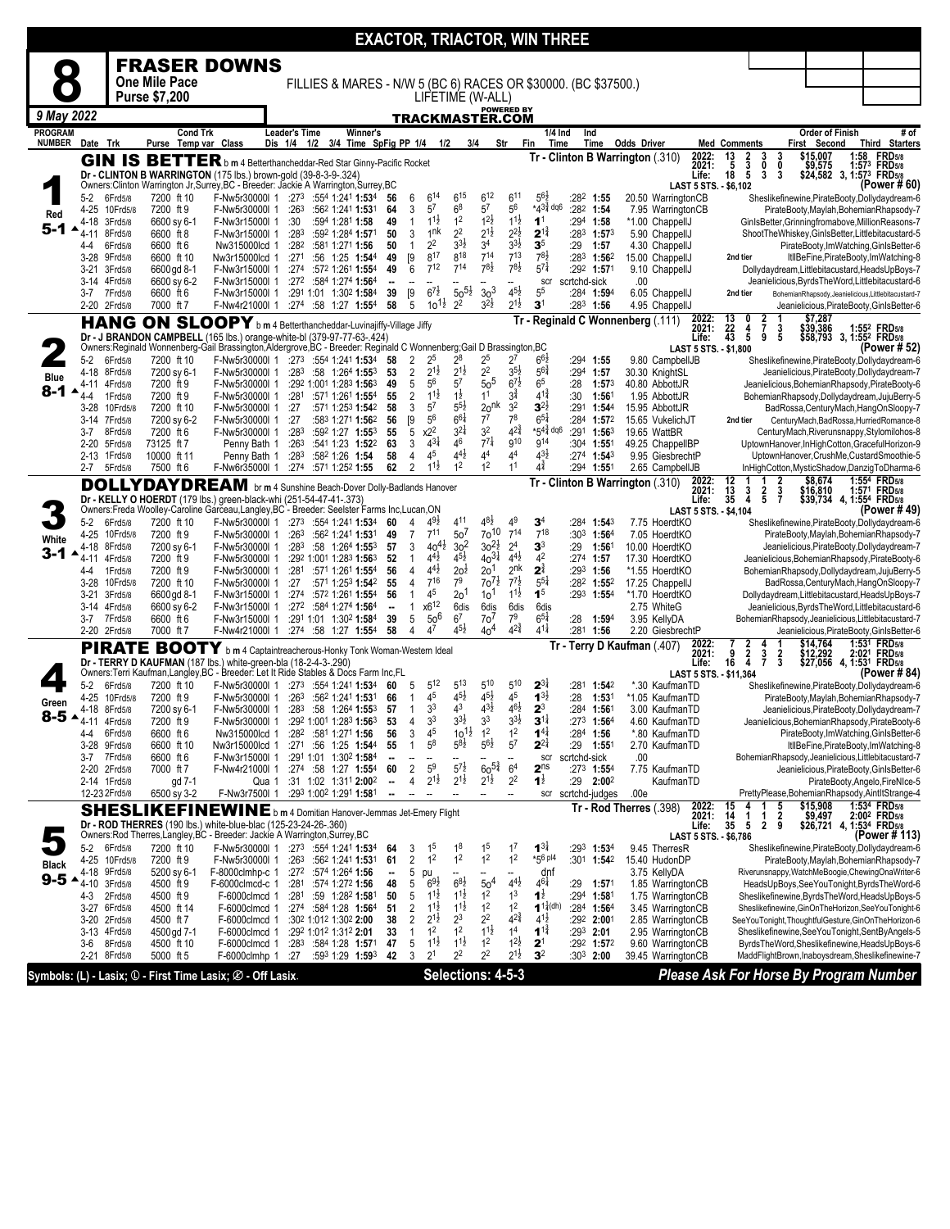|                  |                      |                         |                                                                                                                                                               |                                      |                          |                                                                |                                                                   |                            |                     |                                       |                                          |                                      |                                          | <b>EXACTOR, TRIACTOR, WIN THREE</b>     |                |                                             |                                                     |                                              |                                     |                          |                               |                                                                                                        |
|------------------|----------------------|-------------------------|---------------------------------------------------------------------------------------------------------------------------------------------------------------|--------------------------------------|--------------------------|----------------------------------------------------------------|-------------------------------------------------------------------|----------------------------|---------------------|---------------------------------------|------------------------------------------|--------------------------------------|------------------------------------------|-----------------------------------------|----------------|---------------------------------------------|-----------------------------------------------------|----------------------------------------------|-------------------------------------|--------------------------|-------------------------------|--------------------------------------------------------------------------------------------------------|
|                  |                      |                         | <b>FRASER DOWNS</b>                                                                                                                                           |                                      |                          |                                                                |                                                                   |                            |                     |                                       |                                          |                                      |                                          |                                         |                |                                             |                                                     |                                              |                                     |                          |                               |                                                                                                        |
|                  |                      |                         | One Mile Pace                                                                                                                                                 |                                      |                          | FILLIES & MARES - N/W 5 (BC 6) RACES OR \$30000. (BC \$37500.) |                                                                   |                            |                     |                                       |                                          |                                      |                                          |                                         |                |                                             |                                                     |                                              |                                     |                          |                               |                                                                                                        |
|                  |                      |                         | <b>Purse \$7,200</b>                                                                                                                                          |                                      |                          |                                                                |                                                                   |                            |                     |                                       |                                          | LIFETIME (W-ALL)                     |                                          |                                         |                |                                             |                                                     |                                              |                                     |                          |                               |                                                                                                        |
| 9 May 2022       |                      |                         |                                                                                                                                                               |                                      |                          |                                                                |                                                                   |                            |                     |                                       |                                          | TRACKMASTER.COM                      | <b>POWERED BY</b>                        |                                         |                |                                             |                                                     |                                              |                                     |                          |                               |                                                                                                        |
| <b>PROGRAM</b>   |                      |                         | <b>Cond Trk</b>                                                                                                                                               |                                      | <b>Leader's Time</b>     |                                                                | Winner's                                                          |                            |                     |                                       |                                          |                                      |                                          | 1/4 Ind                                 | Ind            |                                             |                                                     |                                              |                                     | Order of Finish          |                               | # of                                                                                                   |
| <b>NUMBER</b>    | Date Trk             |                         | Purse Temp var Class                                                                                                                                          |                                      | Dis 1/4                  | 1/2                                                            | 3/4 Time SpFig PP 1/4                                             |                            |                     | 1/2                                   | 3/4                                      | Str                                  | Fin                                      | Time                                    |                | Time                                        | <b>Odds Driver</b><br>2022:                         | <b>Med Comments</b><br>13                    | 3                                   | First Second<br>\$15,007 | 1:58                          | Third Starters<br><b>FRD</b> 5/8                                                                       |
|                  |                      |                         | <b>GIN IS BETTER</b> b m 4 Betterthancheddar-Red Star Ginny-Pacific Rocket<br>Dr - CLINTON B WARRINGTON (175 lbs.) brown-gold (39-8-3-9-.324)                 |                                      |                          |                                                                |                                                                   |                            |                     |                                       |                                          |                                      |                                          |                                         |                |                                             | Tr - Clinton B Warrington (.310)<br>2021:           | $\frac{2}{3}$<br>$\frac{5}{18}$              | 3<br>0<br>0<br>3<br>3               | \$9,575                  |                               | 1:573 FRD5/8<br>\$24,582 3, 1:573 FRD5/8                                                               |
|                  |                      |                         | Owners: Clinton Warrington Jr, Surrey, BC - Breeder: Jackie A Warrington, Surrey, BC                                                                          |                                      |                          |                                                                |                                                                   |                            |                     |                                       |                                          |                                      |                                          |                                         |                |                                             | Life:<br>LAST 5 STS. - \$6,102                      |                                              |                                     |                          |                               | (Power #60)                                                                                            |
|                  | 5-2                  | 6Frd5/8                 | 7200 ft 10<br>7200 ft 9                                                                                                                                       | F-Nw5r30000I 1                       | :273                     |                                                                | :554 1:241 1:534                                                  | 56                         | 6                   | $6^{14}$<br>5 <sup>7</sup>            | $6^{15}$<br>6 <sup>8</sup>               | $6^{12}$<br>5 <sup>7</sup>           | 6 <sup>11</sup><br>56                    | $5^{6}$<br>$*43\frac{3}{4}$ dq6         | :282 1:54      | 282 1:55                                    | 20.50 WarringtonCB<br>7.95 WarringtonCB             |                                              |                                     |                          |                               | Sheslikefinewine, PirateBooty, Dollydaydream-6                                                         |
| Red              | $4 - 25$<br>4-18     | 10Frd5/8<br>3Frd5/8     | 6600 sy 6-1                                                                                                                                                   | F-Nw5r30000I 1<br>F-Nw3r15000l 1     | :263<br>:30              |                                                                | :562 1:241 1:531<br>:594 1:281 1:58                               | 64<br>49                   | 3<br>1              | $1^{1\frac{1}{2}}$                    | 1 <sup>2</sup>                           | $1^{2}\frac{1}{2}$                   | $1^{1\frac{1}{2}}$                       | 1 <sup>1</sup>                          |                | :294 1:58                                   | *1.00 ChappellJ                                     |                                              |                                     |                          |                               | PirateBooty,Maylah,BohemianRhapsody-7<br>GinIsBetter, Grinningfromabove, MillionReasons-7              |
| 5-1              | 4-11                 | 8Frd5/8                 | 6600 ft 8                                                                                                                                                     | F-Nw3r15000l 1                       | :283                     |                                                                | :592 1:284 1:571                                                  | 50                         | 3                   | 1nk                                   | 2 <sup>2</sup>                           | $2^{1\frac{1}{2}}$                   | $2^{2\frac{1}{2}}$                       | $2^{1\frac{3}{4}}$                      |                | :283 1:573                                  | 5.90 ChappellJ                                      |                                              |                                     |                          |                               | ShootTheWhiskey,GinIsBetter,Littlebitacustard-5                                                        |
|                  | 4-4<br>3-28          | 6Frd5/8<br>9Frd5/8      | 6600 ft 6<br>6600 ft 10                                                                                                                                       | Nw315000lcd 1<br>Nw3r15000lcd 1      | :28 <sup>2</sup><br>:271 | :581 1:271 1:56                                                | :56 1:25 1:544                                                    | 50<br>49                   | [9]                 | $2^2$<br>817                          | $3^{3}\frac{1}{2}$<br>818                | 3 <sup>4</sup><br>714                | $3^{31}$<br>713                          | $\mathbf{3}^5$<br>$78\frac{1}{2}$       | :29            | 1:57<br>:283 1:562                          | 4.30 ChappellJ<br>15.00 ChappellJ                   | 2nd tier                                     |                                     |                          |                               | PirateBooty,ImWatching,GinIsBetter-6<br>ItllBeFine, PirateBooty, ImWatching-8                          |
|                  | $3 - 21$             | 3Frd5/8                 | 6600 gd 8-1                                                                                                                                                   | F-Nw3r15000l 1                       |                          | :274 :572 1:261 1:554                                          |                                                                   | 49                         | 6                   | $7^{12}$                              | $7^{14}$                                 | $7^{81}$                             | $78\frac{1}{2}$                          | $5^{7\frac{1}{4}}$                      |                | :292 1:571                                  | 9.10 ChappellJ                                      |                                              |                                     |                          |                               | Dollydaydream, Littlebitacustard, HeadsUpBoys-7                                                        |
|                  |                      | 3-14 4Frd5/8            | 6600 sy 6-2                                                                                                                                                   | F-Nw3r15000l 1                       |                          | :272 :584 1:274 1:564                                          |                                                                   | $\ddot{\phantom{a}}$       |                     | $6^{7\frac{1}{2}}$                    | $50^{51}$                                | 30 <sup>3</sup>                      | $4^{51}$                                 | scr<br>5 <sup>5</sup>                   | scrtchd-sick   |                                             | .00                                                 |                                              |                                     |                          |                               | Jeanielicious, Byrds The Word, Littlebitacustard-6                                                     |
|                  | 3-7                  | 7Frd5/8<br>2-20 2Frd5/8 | 6600 ft 6<br>7000 ft 7                                                                                                                                        | F-Nw3r15000l 1<br>F-Nw4r21000l 1     |                          | :291 1:01 1:302 1:584<br>:274 :58 1:27 1:554                   |                                                                   | 39<br>58                   | [9<br>5             | $10^{11}$                             | 2 <sup>2</sup>                           | $3^{2}\frac{1}{2}$                   | $2^{1\frac{1}{2}}$                       | $\mathbf{3}^1$                          |                | :284 1:594<br>$:28^3$ 1:56                  | 6.05 ChappellJ<br>4.95 ChappellJ                    | 2nd tier                                     |                                     |                          |                               | BohemianRhapsody,Jeanielicious,Littlebitacustard-7<br>Jeanielicious, PirateBooty, GinIsBetter-6        |
|                  |                      | <b>HANG</b>             | ON SLOOPY b m 4 Betterthancheddar-Luvinajiffy-Village Jiffy                                                                                                   |                                      |                          |                                                                |                                                                   |                            |                     |                                       |                                          |                                      |                                          |                                         |                |                                             | Tr - Reginald C Wonnenberg (.111)<br>2022:<br>2021: | $\frac{13}{22}$<br>0                         | $\frac{2}{7}$                       | \$7,287                  |                               |                                                                                                        |
|                  |                      |                         | Dr - J BRANDON CAMPBELL (165 lbs.) orange-white-bl (379-97-77-63-.424)                                                                                        |                                      |                          |                                                                |                                                                   |                            |                     |                                       |                                          |                                      |                                          |                                         |                |                                             | Life:                                               | 4<br>43<br>5                                 | 3<br>5<br>9                         | \$39,386                 |                               | 1:55 <sup>2</sup> FRD <sub>5/8</sub><br>\$58,793 3, 1:55 <sup>2</sup> FRD5/8                           |
|                  | $5-2$                | 6Frd5/8                 | Owners:Reginald Wonnenberg-Gail Brassington, Aldergrove, BC - Breeder: Reginald C Wonnenberg;Gail D Brassington, BC<br>7200 ft 10                             | F-Nw5r30000I 1                       |                          | $:27^3$ :554 1:241 1:534                                       |                                                                   | 58                         | 2                   | 25                                    | $2^8$                                    | $2^5$                                | $2^7$                                    | $6^{6}$                                 | $:294$ 1:55    |                                             | LAST 5 STS. - \$1,800<br>9.80 CampbellJB            |                                              |                                     |                          |                               | (Power # 52)<br>Sheslikefinewine, PirateBooty, Dollydaydream-6                                         |
| <b>Blue</b>      | 4-18                 | 8Frd5/8                 | 7200 sy 6-1                                                                                                                                                   | F-Nw5r30000l 1                       | :283                     |                                                                | :58 $1:264$ 1:553                                                 | 53                         | $\overline{c}$      | $2^{1\frac{1}{2}}$                    | $2^{1\frac{1}{2}}$                       | 2 <sup>2</sup>                       | $3^{5}\frac{1}{2}$                       | $5^{6}\frac{3}{4}$                      | :294           | 1:57                                        | 30.30 KnightSL                                      |                                              |                                     |                          |                               | Jeanielicious, PirateBooty, Dollydaydream-7                                                            |
| $8 - 1$          | 4-11                 | 4Frd5/8                 | 7200 ft 9                                                                                                                                                     | F-Nw5r30000I 1                       |                          | :292 1:001 1:283 1:563                                         |                                                                   | 49                         | 5                   | 5 <sup>6</sup><br>$11\frac{1}{2}$     | 5 <sup>7</sup>                           | $\frac{2}{5}$<br>11                  | $6^{7\frac{1}{2}}$<br>$3^{\frac{3}{4}}$  | 6 <sup>5</sup><br>$4^{1\frac{3}{4}}$    | :28            | $1:57^{3}$                                  | 40.80 AbbottJR                                      |                                              |                                     |                          |                               | Jeanielicious, BohemianRhapsody, PirateBooty-6                                                         |
|                  | $4 - 4$<br>$3-28$    | 1Frd5/8<br>10Frd5/8     | 7200 ft 9<br>7200 ft 10                                                                                                                                       | F-Nw5r30000I 1<br>F-Nw5r30000l 1     | :281<br>:27              |                                                                | :571 1:261 1:554<br>:571 1:253 1:542                              | 55<br>58                   | $\overline{2}$<br>3 | 5 <sup>7</sup>                        | $1\overline{2}$<br>$5^{5}\frac{1}{2}$    | 20 <sup>nk</sup>                     | 3 <sup>2</sup>                           | $3^{2\frac{1}{2}}$                      | :30            | 1:56<br>:291 1:544                          | 1.95 AbbottJR<br>15.95 AbbottJR                     |                                              |                                     |                          |                               | BohemianRhapsody,Dollydaydream,JujuBerry-5<br>BadRossa, CenturyMach, HangOnSloopy-7                    |
|                  | 3-14                 | 7Frd5/8                 | 7200 sy 6-2                                                                                                                                                   | F-Nw5r30000l 1                       | :27                      |                                                                | :583 1:271 1:562                                                  | 56                         | [9                  | 5 <sup>6</sup>                        | $6^{61}$                                 | $7^7$                                | 7 <sup>8</sup>                           | $6^{51}$                                |                | $: 284$ 1:572                               | 15.65 VukelichJT                                    | 2nd tier                                     |                                     |                          |                               | CenturyMach,BadRossa,HurriedRomance-8                                                                  |
|                  | 3-7<br>2-20          | 8Frd5/8<br>5Frd5/8      | 7200 ft 6<br>73125 ft 7                                                                                                                                       | F-Nw5r30000I 1<br>Penny Bath 1       | :283<br>:26 <sup>3</sup> |                                                                | :592 1:27 1:553<br>:54 <sup>1</sup> 1:23 <b>1:52</b> <sup>2</sup> | 55<br>63                   | 5<br>3              | x2 <sup>2</sup><br>$4^{3}\frac{1}{4}$ | $3^{21}$<br>46                           | 3 <sup>2</sup><br>$7^{7}$            | $4^{2^{3}_{4}}$<br>g10                   | $*54\frac{3}{4}$ dq6<br>g <sub>14</sub> |                | :291 1:563<br>$:30^4$ 1:551                 | 19.65 WattBR<br>49.25 ChappelIBP                    |                                              |                                     |                          |                               | CenturyMach, Riverunsnappy, Stylomilohos-8<br>UptownHanover,InHighCotton,GracefulHorizon-9             |
|                  | 2-13                 | 1Frd5/8                 | 10000 ft 11                                                                                                                                                   | Penny Bath 1                         | :283                     | :582 1:26 1:54                                                 |                                                                   | 58                         | 4                   | 45                                    | $4^{4}$                                  | 44                                   | 44                                       | $43\frac{1}{2}$                         |                | :274 1:543                                  | 9.95 GiesbrechtP                                    |                                              |                                     |                          |                               | UptownHanover,CrushMe,CustardSmoothie-5                                                                |
|                  | 2-7                  | 5Frd5/8                 | 7500 ft 6                                                                                                                                                     | F-Nw6r35000l 1                       |                          | :274 :571 1:252 1:55                                           |                                                                   | 62                         | 2                   | $1^{1\frac{1}{2}}$                    | 1 <sup>2</sup>                           | 1 <sup>2</sup>                       | 1 <sup>1</sup>                           | $4^{\frac{3}{4}}$                       | :294           | 1:55 <sup>1</sup>                           | 2.65 CampbellJB                                     |                                              |                                     |                          |                               | InHighCotton, MysticShadow, DanzigToDharma-6                                                           |
|                  |                      |                         | <b>DOLLYDAYDREAM</b> br m 4 Sunshine Beach-Dover Dolly-Badlands Hanover                                                                                       |                                      |                          |                                                                |                                                                   |                            |                     |                                       |                                          |                                      |                                          |                                         |                |                                             | Tr - Clinton B Warrington (.310)<br>2022:<br>2021:  | $\begin{array}{c} 12 \\ 13 \end{array}$<br>3 | $\frac{2}{3}$<br>$\frac{2}{5}$      | \$8,674<br>\$16,810      |                               | 1:554 FRD5/8<br>1:571 FRD <sub>5/8</sub>                                                               |
|                  |                      |                         | Dr - KELLY O HOERDT (179 lbs.) green-black-whi (251-54-47-41-.373)<br>Owners:Freda Woolley-Caroline Garceau,Langley,BC - Breeder: Seelster Farms Inc,Lucan,ON |                                      |                          |                                                                |                                                                   |                            |                     |                                       |                                          |                                      |                                          |                                         |                |                                             | Life:<br>LAST 5 STS. - \$4,104                      | 35<br>4                                      | $\overline{7}$                      |                          |                               | \$39,734 4, 1:55 <sup>4</sup> FRD <sub>5/8</sub><br>(Power # 49)                                       |
|                  | $5-2$                | 6Frd5/8                 | 7200 ft 10                                                                                                                                                    | F-Nw5r30000I 1                       |                          | $:27^3$ $:55^4$ 1:24 <sup>1</sup> 1:53 <sup>4</sup>            |                                                                   | 60                         | 4                   | $4^{9}\frac{1}{2}$                    | 411                                      | 48}                                  | 4 <sup>9</sup>                           | $\mathbf{3}^4$                          |                | :28 <sup>4</sup> 1: <b>54</b> <sup>3</sup>  | 7.75 HoerdtKO                                       |                                              |                                     |                          |                               | Sheslikefinewine, PirateBooty, Dollydaydream-6                                                         |
| White            | 4-25<br>4-18         | 10Frd5/8<br>8Frd5/8     | 7200 ft 9<br>7200 sy 6-1                                                                                                                                      | F-Nw5r30000l 1<br>F-Nw5r30000I 1     | :26 <sup>3</sup><br>:283 |                                                                | :562 1:241 1:531<br>:58 1:264 1:553                               | 49<br>57                   | 7<br>3              | $7^{11}$<br>$40^{41}$                 | 50 <sup>7</sup><br>3 <sup>2</sup>        | 70 <sup>10</sup>                     | $7^{14}$<br>2 <sup>4</sup>               | $7^{18}$<br>3 <sup>3</sup>              | :29            | :30 <sup>3</sup> 1:56 <sup>4</sup><br>1:561 | 7.05 HoerdtKO<br>10.00 HoerdtKO                     |                                              |                                     |                          |                               | PirateBooty,Maylah,BohemianRhapsody-7<br>Jeanielicious, PirateBooty, Dollydaydream-7                   |
| $3 - 1$          | 4-11                 | 4Frd5/8                 | 7200 ft 9                                                                                                                                                     | F-Nw5r30000l 1                       |                          | :292 1:001 1:283 1:563                                         |                                                                   | 52                         | $\mathbf{1}$        | $4^{4}$                               | $4^{5}\frac{1}{2}$                       | $30^{21}_{30}$<br>$40^{31}_{40}$     | $4^{4}$ <sub>2</sub>                     | 4 <sup>2</sup>                          | $:274$ 1:57    |                                             | 17.30 HoerdtKO                                      |                                              |                                     |                          |                               | Jeanielicious, BohemianRhapsody, PirateBooty-6                                                         |
|                  | 4-4                  | 1Frd5/8                 | 7200 ft 9                                                                                                                                                     | F-Nw5r30000l 1                       | :281                     |                                                                | :571 1:261 1:554                                                  | 56                         | 4                   | $4^{4}$ <sub>2</sub><br>716           | 20 <sup>1</sup><br>7 <sup>9</sup>        | 20 <sup>1</sup><br>$70^{71}$         | 2 <sup>nk</sup><br>$\frac{2}{7}$         | $2^{\frac{3}{4}}$<br>$5^{51}$           | $:29^3$ 1:56   |                                             | *1.55 HoerdtKO                                      |                                              |                                     |                          |                               | BohemianRhapsody,Dollydaydream,JujuBerry-5                                                             |
|                  | $3 - 28$<br>$3 - 21$ | 10Frd5/8<br>3Frd5/8     | 7200 ft 10<br>6600 gd 8-1                                                                                                                                     | F-Nw5r30000I 1<br>F-Nw3r15000l 1     | :27                      | :274 :572 1:261 1:554                                          | :571 1:253 1:542                                                  | 55<br>56                   | 4                   | 45                                    | $20^1$                                   | 10 <sup>1</sup>                      | $1^{1\frac{1}{2}}$                       | 1 <sup>5</sup>                          |                | :282 1:552<br>:293 1:554                    | 17.25 ChappellJ<br>*1.70 HoerdtKO                   |                                              |                                     |                          |                               | BadRossa, Century Mach, HangOnSloopy-7<br>Dollydaydream, Littlebitacustard, HeadsUpBoys-7              |
|                  | 3-14                 | 4Frd5/8                 | 6600 sy 6-2                                                                                                                                                   | F-Nw3r15000l 1                       |                          | $:27^2$ :584 1:274 1:564                                       |                                                                   | --                         | 1                   | $x6^{12}$                             | 6dis                                     | 6dis                                 | 6dis                                     | 6dis                                    |                |                                             | 2.75 WhiteG                                         |                                              |                                     |                          |                               | Jeanielicious, Byrds The Word, Littlebitacustard-6                                                     |
|                  | 3-7                  | 7Frd5/8<br>2-20 2Frd5/8 | 6600 ft 6<br>7000 ft 7                                                                                                                                        | F-Nw3r15000l 1<br>F-Nw4r21000l 1     |                          | :291 1:01 1:302 1:584<br>$:274$ :58 1:27 1:554                 |                                                                   | 39<br>58                   | 5<br>4              | 50 <sup>6</sup><br>4 <sup>7</sup>     | 6 <sup>7</sup><br>$4^{5}\frac{1}{2}$     | 7o <sup>7</sup><br>40 <sup>4</sup>   | 79<br>$4^{2^{3}_{4}}$                    | $6^{51}$<br>$4^{1\frac{1}{4}}$          | :28<br>:281    | 1:594<br>1:56                               | 3.95 KellyDA<br>2.20 GiesbrechtP                    |                                              |                                     |                          |                               | BohemianRhapsody,Jeanielicious,Littlebitacustard-7<br>Jeanielicious, PirateBooty, GinIsBetter-6        |
|                  |                      |                         | PIRATE BOOTY b m 4 Captaintreacherous-Honky Tonk Woman-Western Ideal                                                                                          |                                      |                          |                                                                |                                                                   |                            |                     |                                       |                                          |                                      |                                          |                                         |                |                                             | 2022:<br>Tr - Terry D Kaufman (.407)                | 2                                            | 4                                   | \$14,764                 |                               | 1:531 FRD5/8                                                                                           |
|                  |                      |                         | Dr - TERRY D KAUFMAN (187 lbs.) white-green-bla (18-2-4-3-.290)                                                                                               |                                      |                          |                                                                |                                                                   |                            |                     |                                       |                                          |                                      |                                          |                                         |                |                                             | 2021:<br>Life:                                      | $\frac{2}{4}$<br>9<br>16                     | $\frac{3}{7}$<br>$\frac{2}{3}$      | \$12,292<br>\$27,056     | 2:02 <sup>1</sup><br>4, 1:531 | <b>FRD</b> 5/8<br><b>FRD5/8</b>                                                                        |
|                  | $5-2$                | 6Frd5/8                 | Owners: Terri Kaufman, Langley, BC - Breeder: Let It Ride Stables & Docs Farm Inc, FL<br>7200 ft 10                                                           | F-Nw5r30000I 1                       |                          | :273 :554 1:241 1:534                                          |                                                                   | 60                         | 5                   | $5^{12}$                              | 513                                      | 510                                  | 510                                      | $2^{3\frac{1}{4}}$                      |                | :281 1:542                                  | LAST 5 STS. - \$11.364<br>*.30 KaufmanTD            |                                              |                                     |                          |                               | (Power # 84)<br>Sheslikefinewine, PirateBooty, Dollydaydream-6                                         |
| Green            | 4-25                 | 10Frd5/8                | 7200 ft 9                                                                                                                                                     | F-Nw5r30000l 1                       | :26 <sup>3</sup>         |                                                                | :562 1:241 1:531                                                  | 66                         |                     | 45                                    | $4^{5}\frac{1}{2}$                       | $4^{5}\frac{1}{2}$                   | 45                                       | $1^{3}\frac{1}{2}$                      | :28            | 1:531                                       | *1.05 KaufmanTD                                     |                                              |                                     |                          |                               | PirateBooty,Maylah,BohemianRhapsody-7                                                                  |
| $8 - 5 - 4 - 11$ | 4-18                 | 8Frd5/8                 | 7200 sy 6-1                                                                                                                                                   | F-Nw5r30000I 1<br>F-Nw5r30000I 1     |                          | $:283$ :58 1:264 1:553                                         |                                                                   | 57                         | $\mathbf{1}$        | 3 <sup>3</sup><br>3 <sup>3</sup>      | 4 <sup>3</sup><br>$3^{3}\frac{1}{2}$     | $4^{3}\frac{1}{2}$<br>3 <sup>3</sup> | $46\frac{1}{2}$<br>$3^{3}\frac{1}{2}$    | $2^3$<br>$3^{11}$                       |                | :284 1:561                                  | 3.00 KaufmanTD                                      |                                              |                                     |                          |                               | Jeanielicious, PirateBooty, Dollydaydream-7                                                            |
|                  | 4-4                  | 4Frd5/8<br>6Frd5/8      | 7200 ft 9<br>6600 ft 6                                                                                                                                        | Nw315000lcd 1                        | :282                     | :292 1:001 1:283 1:563<br>:581 1:271 1:56                      |                                                                   | 53<br>56                   | 4<br>3              | 45                                    | $10^{11}$                                | 1 <sup>2</sup>                       | 1 <sup>2</sup>                           | $1^{4}$                                 |                | $:27^3$ 1:564<br>:284 1:56                  | 4.60 KaufmanTD<br>*.80 KaufmanTD                    |                                              |                                     |                          |                               | Jeanielicious, BohemianRhapsody, PirateBooty-6<br>PirateBooty,ImWatching,GinIsBetter-6                 |
|                  |                      | 3-28 9Frd5/8            | 6600 ft 10                                                                                                                                                    | Nw3r15000lcd 1                       |                          | :271 :56 1:25 1:544                                            |                                                                   | 55                         | $\mathbf{1}$        | $5^8$                                 | $5^{8}$                                  | $5^{6}$ <sub>2</sub>                 | $5^7$                                    | $2^{2\frac{1}{4}}$                      | :29            | $1:55^{\circ}$                              | 2.70 KaufmanTD                                      |                                              |                                     |                          |                               | ItllBeFine, PirateBooty, ImWatching-8                                                                  |
|                  | 3-7<br>2-20          | 7Frd5/8<br>2Frd5/8      | 6600 ft 6<br>7000 ft 7                                                                                                                                        | F-Nw3r15000l 1<br>F-Nw4r21000l 1     |                          | :291 1:01 1:302 1:584<br>:274 :58 1:27 1:554                   |                                                                   | 60                         | 2                   | 5 <sup>9</sup>                        | $5^{7\frac{1}{2}}$                       | $60^{5\frac{3}{4}}$                  | --<br>6 <sup>4</sup>                     | scr<br>2 <sup>ns</sup>                  | scrtchd-sick   | :27 <sup>3</sup> 1:55 <sup>4</sup>          | .00<br>7.75 KaufmanTD                               |                                              |                                     |                          |                               | BohemianRhapsody,Jeanielicious,Littlebitacustard-7<br>Jeanielicious, PirateBooty, GinIsBetter-6        |
|                  |                      | 2-14 1Frd5/8            | gd 7-1                                                                                                                                                        | Qua 1                                |                          | :31 1:02 1:311 2:002                                           |                                                                   | $\overline{\phantom{a}}$   | 4                   | $2^{1\frac{1}{2}}$                    | $2^{1\frac{1}{2}}$                       | $2^{1\frac{1}{2}}$                   | 2 <sup>2</sup>                           | $1^{\frac{1}{2}}$                       |                | $:29$ 2:00 <sup>2</sup>                     | KaufmanTD                                           |                                              |                                     |                          |                               | PirateBooty,Angelo,FireNlce-5                                                                          |
|                  |                      | 12-23 2Frd5/8           | 6500 sy 3-2                                                                                                                                                   | F-Nw3r7500l 1                        |                          | :293 1:002 1:291 1:581                                         |                                                                   | ä,                         |                     |                                       | --                                       |                                      | --                                       | scr                                     | scrtchd-judges |                                             | .00e                                                |                                              |                                     |                          |                               | PrettyPlease,BohemianRhapsody,AintItStrange-4<br>1:534 FRD <sub>5/8</sub>                              |
|                  |                      |                         | SHESLIKEFINEWINE b m 4 Domitian Hanover-Jemmas Jet-Emery Flight                                                                                               |                                      |                          |                                                                |                                                                   |                            |                     |                                       |                                          |                                      |                                          |                                         |                |                                             | 2022:<br>2021:<br>Tr - Rod Therres (.398)           | 15<br>4<br>$\frac{14}{35}$<br>$\frac{1}{5}$  | 5<br>$\frac{2}{9}$<br>$\frac{1}{2}$ | \$15,908                 |                               | \$9,497 2:002 FRD5/8<br>\$26,721 4, 1:534 FRD5/8                                                       |
|                  |                      |                         | Dr - ROD THERRES (190 lbs.) white-blue-blac (125-23-24-26-.360)<br>Owners:Rod Therres,Langley,BC - Breeder: Jackie A Warrington,Surrey,BC                     |                                      |                          |                                                                |                                                                   |                            |                     |                                       |                                          |                                      |                                          |                                         |                |                                             | Life:<br>LAST 5 STS. - \$6,786                      |                                              |                                     |                          |                               | (Power # 113)                                                                                          |
|                  | $5-2$                | 6Frd5/8                 | 7200 ft 10                                                                                                                                                    | F-Nw5r30000l 1 :273 :554 1:241 1:534 |                          |                                                                |                                                                   | 64                         | 3                   | 1 <sup>5</sup>                        | 1 <sup>8</sup>                           | 1 <sup>5</sup><br>1 <sup>2</sup>     | 1 <sup>7</sup>                           | $1^{31}$                                |                | :293 1:534                                  | 9.45 TherresR                                       |                                              |                                     |                          |                               | Sheslikefinewine, PirateBooty, Dollydaydream-6                                                         |
| <b>Black</b>     | 4-25<br>4-18         | 10Frd5/8<br>9Frd5/8     | 7200 ft 9<br>5200 sy 6-1                                                                                                                                      | F-Nw5r30000I 1<br>F-8000clmhp-c 1    |                          | $:263$ $:562$ 1:241 1:531<br>:272 :574 1:264 1:56              |                                                                   | 61<br>$\ddot{\phantom{a}}$ | $\overline{2}$<br>5 | 1 <sup>2</sup><br>pu                  | 1 <sup>2</sup>                           |                                      | 1 <sup>2</sup>                           | $*56$ pl4<br>dnf                        |                | :301 1:542                                  | 15.40 HudonDP<br>3.75 KellyDA                       |                                              |                                     |                          |                               | PirateBooty,Maylah,BohemianRhapsody-7<br>Riverunsnappy, WatchMeBoogie, ChewingOnaWriter-6              |
| $9 - 5$          | 4-10                 | 3Frd5/8                 | 4500 ft 9                                                                                                                                                     | F-6000clmcd-c 1                      |                          | :281:5741:2721:56                                              |                                                                   | 48                         | 5                   | $6^{9}\frac{1}{2}$                    | $6^{8}\frac{1}{2}$                       | $\frac{50^4}{1^2}$                   | $4^{4}$ <sub>2</sub>                     | $4^{6\frac{1}{4}}$                      | :29            | 1:57 <sup>1</sup>                           | 1.85 WarringtonCB                                   |                                              |                                     |                          |                               | HeadsUpBoys, See YouTonight, Byrds The Word-6                                                          |
|                  | 4-3<br>$3-27$        | 2Frd5/8<br>6Frd5/8      | 4500 ft 9<br>4500 ft 14                                                                                                                                       | F-6000clmcd 1<br>F-6000clmcd 1       | :281                     | :274 :584 1:28 1:564                                           | :59 1:28 <sup>2</sup> 1:581                                       | 50<br>51                   | 5<br>2              | $1^{1\frac{1}{2}}$<br>$11\frac{1}{2}$ | $1^{1\frac{1}{2}}$<br>$1^{1\frac{1}{2}}$ | 1 <sup>2</sup>                       | 1 <sup>3</sup><br>1 <sup>2</sup>         | $1^{\frac{1}{2}}$<br>$1^{1}(dh)$        |                | :294 1:581<br>:284 1:564                    | 1.75 WarringtonCB<br>3.45 WarringtonCB              |                                              |                                     |                          |                               | Sheslikefinewine, Byrds The Word, Heads UpBoys-5<br>Sheslikefinewine, GinOnTheHorizon, SeeYouTonight-6 |
|                  | $3 - 20$             | 2Frd5/8                 | 4500 ft 7                                                                                                                                                     | F-6000clmcd 1                        |                          | :302 1:012 1:302 2:00                                          |                                                                   | 38                         | 2                   | $2^{1\frac{1}{2}}$                    | $2^3$                                    | $2^2$                                | $4^{2^{3}_{4}}$                          | $4^{1\frac{1}{2}}$                      |                | :292 2:001                                  | 2.85 WarringtonCB                                   |                                              |                                     |                          |                               | SeeYouTonight,ThoughtfulGesture,GinOnTheHorizon-6                                                      |
|                  | 3-13                 | 4Frd5/8                 | 4500 gd 7-1                                                                                                                                                   | F-6000clmcd 1                        |                          | :292 1:012 1:312 2:01                                          |                                                                   | 33                         | $\mathbf{1}$        | 1 <sup>2</sup>                        | 1 <sup>2</sup>                           | $11\frac{1}{2}$                      | 1 <sup>4</sup>                           | $1^{1\frac{3}{4}}$                      | :293 2:01      |                                             | 2.95 WarringtonCB                                   |                                              |                                     |                          |                               | Sheslikefinewine, See YouTonight, SentBy Angels-5                                                      |
|                  | 3-6                  | 8Frd5/8<br>2-21 8Frd5/8 | 4500 ft 10<br>5000 ft 5                                                                                                                                       | F-6000clmcd 1<br>F-6000clmhp 1       | :27                      | $:28^3$ :584 1:28 1:571                                        | :593 1:29 1:593                                                   | 47<br>42                   | 5<br>3              | $1^{1\frac{1}{2}}$<br>2 <sup>1</sup>  | $1^{1\frac{1}{2}}$<br>2 <sup>2</sup>     | 1 <sup>2</sup><br>2 <sup>2</sup>     | $1^{2\frac{1}{2}}$<br>$2^{1\frac{1}{2}}$ | 2 <sup>1</sup><br>3 <sup>2</sup>        |                | :292 1:572<br>$:303$ 2:00                   | 9.60 WarringtonCB<br>39.45 WarringtonCB             |                                              |                                     |                          |                               | ByrdsTheWord,Sheslikefinewine,HeadsUpBoys-6<br>MaddFlightBrown, Inaboysdream, Sheslikefinewine-7       |
|                  |                      |                         | Symbols: (L) - Lasix; 10 - First Time Lasix; 20 - Off Lasix.                                                                                                  |                                      |                          |                                                                |                                                                   |                            |                     |                                       |                                          | Selections: 4-5-3                    |                                          |                                         |                |                                             | <b>Please Ask For Horse By Program Number</b>       |                                              |                                     |                          |                               |                                                                                                        |
|                  |                      |                         |                                                                                                                                                               |                                      |                          |                                                                |                                                                   |                            |                     |                                       |                                          |                                      |                                          |                                         |                |                                             |                                                     |                                              |                                     |                          |                               |                                                                                                        |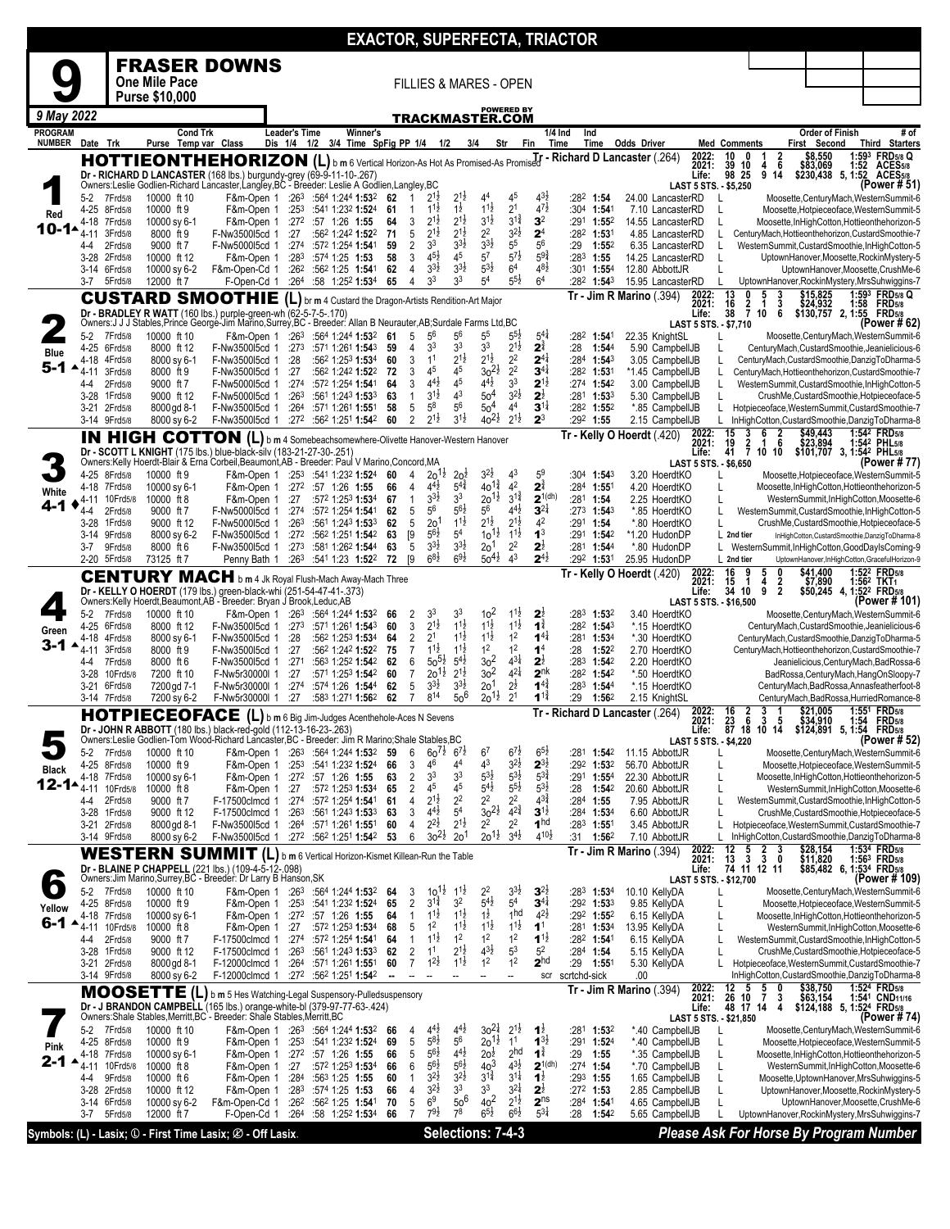|                |                              |                          |                                                                                                                                                                                   |                                                        |                                       |                                                                                          |                                                             |            |                        |                                            |                                          |                                          |                                            |                                                 | <b>EXACTOR, SUPERFECTA, TRIACTOR</b>       |                                  |                                            |                                                   |                                                                                         |                           |                                                                                                      |
|----------------|------------------------------|--------------------------|-----------------------------------------------------------------------------------------------------------------------------------------------------------------------------------|--------------------------------------------------------|---------------------------------------|------------------------------------------------------------------------------------------|-------------------------------------------------------------|------------|------------------------|--------------------------------------------|------------------------------------------|------------------------------------------|--------------------------------------------|-------------------------------------------------|--------------------------------------------|----------------------------------|--------------------------------------------|---------------------------------------------------|-----------------------------------------------------------------------------------------|---------------------------|------------------------------------------------------------------------------------------------------|
|                |                              |                          | <b>FRASER DOWNS</b>                                                                                                                                                               |                                                        |                                       |                                                                                          |                                                             |            |                        |                                            |                                          |                                          |                                            |                                                 |                                            |                                  |                                            |                                                   |                                                                                         |                           |                                                                                                      |
|                |                              |                          | One Mile Pace                                                                                                                                                                     |                                                        |                                       |                                                                                          |                                                             |            |                        | <b>FILLIES &amp; MARES - OPEN</b>          |                                          |                                          |                                            |                                                 |                                            |                                  |                                            |                                                   |                                                                                         |                           |                                                                                                      |
| 9 May 2022     |                              |                          | <b>Purse \$10,000</b>                                                                                                                                                             |                                                        |                                       |                                                                                          |                                                             |            |                        |                                            |                                          |                                          | <b>POWERED BY</b>                          |                                                 |                                            |                                  |                                            |                                                   |                                                                                         |                           |                                                                                                      |
| <b>PROGRAM</b> |                              |                          | <b>Cond Trk</b>                                                                                                                                                                   |                                                        | Leader's Time                         |                                                                                          | Winner's                                                    |            |                        | TRACKMASTER.COM                            |                                          |                                          |                                            | 1/4 Ind                                         | Ind                                        |                                  |                                            |                                                   |                                                                                         | <b>Order of Finish</b>    | # of                                                                                                 |
| <b>NUMBER</b>  | Date Trk                     |                          | Purse Temp var Class                                                                                                                                                              |                                                        | Dis 1/4 1/2 3/4 Time SpFig PP 1/4 1/2 |                                                                                          |                                                             |            |                        |                                            | 3/4                                      | Str                                      |                                            | Time<br>Fin                                     | Time                                       | Odds Driver                      |                                            | <b>Med Comments</b><br>10<br>0                    |                                                                                         | First Second<br>\$8,550   | Third Starters<br>1:593 FRD5/8 Q                                                                     |
|                |                              |                          | HOTTIEONTHEHORIZON (L) b m 6 Vertical Horizon-As Hot As Promised-As Promised T - Richard D Lancaster (.264)<br>Dr - RICHARD D LANCASTER (168 lbs.) burgundy-grey (69-9-11-10-267) |                                                        |                                       |                                                                                          |                                                             |            |                        |                                            |                                          |                                          |                                            |                                                 |                                            |                                  | 2022:<br>2021:<br>Life:                    | 39<br>10<br>98 25                                 | $\frac{2}{6}$<br>4<br>9 14                                                              | \$83,069                  | 1:52 ACES <sub>5/8</sub><br>\$230,438 5, 1:52 ACES5/8                                                |
|                | $5-2$                        | 7Frd5/8                  | Owners:Leslie Godlien-Richard Lancaster, Langley, BC - Breeder: Leslie A Godlien, Langley, BC<br>10000 ft 10                                                                      | F&m-Open 1 :26 <sup>3</sup> :564 1:244 1:532           |                                       |                                                                                          |                                                             | 62         | -1                     | $2^{1\frac{1}{2}}$                         | $2^{1\frac{1}{2}}$                       | 4 <sup>4</sup>                           | 4 <sup>5</sup>                             | $4^{3}\frac{1}{2}$                              | :282 1:54                                  |                                  | LAST 5 STS. - \$5,250<br>24.00 LancasterRD | L                                                 |                                                                                         |                           | (Power # 51)<br>Moosette, Century Mach, Western Summit-6                                             |
| Red            | 4-25                         | 8Frd5/8                  | 10000 ft 9                                                                                                                                                                        | F&m-Open 1                                             |                                       | $:253$ $:541$ 1:232 1:524                                                                |                                                             | 61         | 1                      | $1^{1\frac{1}{2}}$                         | $1\frac{1}{2}$                           | $11\frac{1}{2}$                          | 2 <sup>1</sup>                             | $47\frac{1}{2}$                                 | :304 1:541                                 |                                  | 7.10 LancasterRD                           | L                                                 |                                                                                         |                           | Moosette, Hotpieceoface, Western Summit-5                                                            |
| 10-1∗          | 4-18<br>$4 - 11$             | 7Frd5/8<br>3Frd5/8       | 10000 sy 6-1<br>8000 ft 9                                                                                                                                                         | F&m-Open 1<br>F-Nw350015cd 1                           | :27                                   | $:27^2$ :57 1:26 1:55                                                                    | :562 1:242 1:522                                            | 64<br>71   | 3<br>5                 | $2^{1\frac{1}{2}}$<br>$2^{1\frac{1}{2}}$   | $2^{1\frac{1}{2}}$<br>$2^{1\frac{1}{2}}$ | $3^{1\frac{1}{2}}$<br>2 <sup>2</sup>     | $3^{1\frac{3}{4}}$<br>$3^{21}$             | 3 <sup>2</sup><br>2 <sup>4</sup>                | $:291$ 1:552<br>:282 1:531                 |                                  | 14.55 LancasterRD<br>4.85 LancasterRD      | L<br>L                                            |                                                                                         |                           | Moosette, InHighCotton, Hottieonthehorizon-5<br>CenturyMach, Hottieonthehorizon, CustardSmoothie-7   |
|                | 4-4<br>3-28                  | 2Frd5/8<br>2Frd5/8       | 9000 ft 7<br>10000 ft 12                                                                                                                                                          | F-Nw500015cd 1<br>F&m-Open 1                           | :283                                  | <b>1:541</b> 572 1:254:<br>:574 1:25 1:53                                                |                                                             | 59<br>58   | $\overline{2}$<br>3    | 3 <sup>3</sup><br>$4^{5}\frac{1}{2}$       | $3^{3}\frac{1}{2}$<br>45                 | $3^{3}\frac{1}{2}$<br>$5^7$              | $5^5\,$<br>$5^{7\frac{1}{2}}$              | 5 <sup>6</sup><br>$59\frac{3}{4}$               | $:29$ 1:55 <sup>2</sup><br>$:283$ 1:55     |                                  | 6.35 LancasterRD<br>14.25 LancasterRD      | L<br>L                                            |                                                                                         |                           | WesternSummit,CustardSmoothie,InHighCotton-5<br>UptownHanover,Moosette,RockinMystery-5               |
|                | 3-14 6Frd5/8<br>3-7          | 5Frd5/8                  | 10000 sy 6-2<br>12000 ft 7                                                                                                                                                        | F&m-Open-Cd 1<br>F-Open-Cd 1                           |                                       | $:26^2$ $:56^2$ 1:25 1:541<br>:264 :58 1:252 1:534                                       |                                                             | 62<br>65   | $\overline{4}$<br>4    | $3^{3}\frac{1}{2}$<br>3 <sup>3</sup>       | $3^{3}\frac{1}{2}$<br>3 <sup>3</sup>     | $5^{3}\frac{1}{2}$<br>5 <sup>4</sup>     | 6 <sup>4</sup><br>$5^{5}\frac{1}{2}$       | $4^{8}\frac{1}{2}$<br>6 <sup>4</sup>            | $:30^1$ 1:554<br>:282 1:543                | 12.80 AbbottJR                   | 15.95 LancasterRD                          |                                                   |                                                                                         |                           | UptownHanover, Moosette, CrushMe-6<br>UptownHanover, RockinMystery, MrsSuhwiggins-7                  |
|                |                              |                          | <b>CUSTARD SMOOTHIE</b> (L) br m 4 Custard the Dragon-Artists Rendition-Art Major                                                                                                 |                                                        |                                       |                                                                                          |                                                             |            |                        |                                            |                                          |                                          |                                            |                                                 |                                            | <b>Tr - Jim R Marino</b> (.394)  | 2022:<br>2021:                             | L<br>13<br>16                                     |                                                                                         |                           | 1:593 FRD5/8 Q                                                                                       |
|                |                              |                          | Dr - BRADLEY R WATT (160 lbs.) purple-green-wh (62-5-7-5-.170)                                                                                                                    |                                                        |                                       |                                                                                          |                                                             |            |                        |                                            |                                          |                                          |                                            |                                                 |                                            |                                  | Life:                                      | $\frac{2}{7}$<br>38                               | $\frac{3}{6}$<br>1<br>10                                                                |                           | \$15,825 1:59 <sup>3</sup> FRD5/8<br>\$24,932 1:58 FRD5/8<br>\$130,757 2, 1:55 FRD5/8                |
|                | $5-2$                        | 7Frd5/8                  | Owners: J J J Stables, Prince George-Jim Marino, Surrey, BC - Breeder: Allan B Neurauter, AB; Surdale Farms Ltd, BC<br>10000 ft 10                                                | F&m-Open 1 :263                                        |                                       |                                                                                          | :564 1:244 1:532                                            | 61         | 5                      | $5^6$                                      | $5^6$                                    | 5 <sup>5</sup>                           | $5^{51}$                                   | $5^{4}$                                         | :28 <sup>2</sup> 1:541                     | 22.35 KnightSL                   | <b>LAST 5 STS. - \$7,710</b>               |                                                   |                                                                                         |                           | (Power # 62)<br>Moosette, Century Mach, Western Summit-6                                             |
| Blue           | 4-25<br>4-18                 | 6Frd5/8<br>4Frd5/8       | 8000 ft 12<br>8000 sy 6-1                                                                                                                                                         | F-Nw350015cd 1<br>F-Nw350015cd 1                       | :28                                   | :273 :571 1:261 1:543                                                                    | :562 1:253 1:534                                            | 59<br>60   | 4<br>3                 | 3 <sup>3</sup><br>1 <sup>1</sup>           | 33<br>$2^{1\frac{1}{2}}$                 | 3 <sup>3</sup><br>$2^{1\frac{1}{2}}$     | $2^{1\frac{1}{2}}$<br>2 <sup>2</sup>       | $2^{\frac{3}{4}}$<br>$2^{4}$                    | :28<br>1:544<br>:284 1:543                 |                                  | 5.90 CampbellJB<br>3.05 CampbellJB         | L                                                 |                                                                                         |                           | CenturyMach, CustardSmoothie, Jeanielicious-6<br>CenturyMach, CustardSmoothie, DanzigToDharma-5      |
| 5-1            | 4-11                         | 3Frd5/8                  | 8000 ft 9<br>9000 ft 7                                                                                                                                                            | F-Nw350015cd 1<br>F-Nw500015cd 1                       | :27                                   |                                                                                          | :562 1:242 1:522                                            | -72        | 3<br>3                 | 4 <sup>5</sup><br>$4^{4}$ <sub>2</sub>     | 45<br>45                                 | $30^{21}$<br>$4^{4}$ <sub>2</sub>        | 2 <sup>2</sup><br>3 <sup>3</sup>           | $3^{4}$<br>$2^{1\frac{1}{2}}$                   | :282 1:531<br>:274 $1:54^2$                |                                  | *1.45 CampbellJB                           | L                                                 |                                                                                         |                           | CenturyMach, Hottieonthehorizon, CustardSmoothie-7                                                   |
|                | 4-4<br>$3 - 28$              | 2Frd5/8<br>1 Frd 5/8     | 9000 ft 12                                                                                                                                                                        | F-Nw500015cd 1                                         | :274<br>:263                          |                                                                                          | :572 1:254 1:541<br>:561 1:243 <b>1:53</b> 3                | 64<br>63   | $\mathbf{1}$           | $3^{11}$                                   | 4 <sup>3</sup>                           | 50 <sup>4</sup>                          | $3^{2}\frac{1}{2}$                         | $2^{\frac{1}{2}}$                               | :281 1:533                                 |                                  | 3.00 CampbellJB<br>5.30 CampbellJB         | L                                                 |                                                                                         |                           | WesternSummit,CustardSmoothie,InHighCotton-5<br>CrushMe,CustardSmoothie,Hotpieceoface-5              |
|                | 3-21 2Frd5/8<br>3-14 9Frd5/8 |                          | 8000 gd 8-1<br>8000 sy 6-2                                                                                                                                                        | F-Nw350015cd 1<br>F-Nw350015cd 1                       |                                       | $:264$ $:571$ 1:261 <b>1:55</b> 1<br>$:27^2$ $:56^2$ 1:25 <sup>1</sup> 1:54 <sup>2</sup> |                                                             | 58<br>60   | 5<br>$\overline{2}$    | $5^8$<br>$2^{1\frac{1}{2}}$                | 56<br>$3^{1\frac{1}{2}}$                 | 50 <sup>4</sup><br>$40^{21}$             | 4 <sup>4</sup><br>$2^{1\frac{1}{2}}$       | $3^{11}$<br>$2^3$                               | $:28^2$ 1:55 <sup>2</sup><br>$:29^2$ 1:55  |                                  | *.85 CampbellJB<br>2.15 CampbellJB         | L<br>L                                            |                                                                                         |                           | Hotpieceoface, WesternSummit, CustardSmoothie-7<br>InHighCotton, CustardSmoothie, DanzigToDharma-8   |
|                |                              |                          | IN HIGH COTTON (L) b m 4 Somebeachsomewhere-Olivette Hanover-Western Hanover                                                                                                      |                                                        |                                       |                                                                                          |                                                             |            |                        |                                            |                                          |                                          |                                            |                                                 | Tr - Kelly O Hoerdt (.420)                 |                                  | 2022:<br>2021:                             | $\frac{15}{19}$<br>3<br>$\bar{2}$                 | $\frac{2}{6}$<br>6<br>1                                                                 | \$49,443<br>\$23,894      | 1:542 FRD5/8<br>1:542 PHL5/8                                                                         |
|                |                              |                          | Dr - SCOTT L KNIGHT (175 lbs.) blue-black-silv (183-21-27-30-.251)<br>Owners:Kelly Hoerdt-Blair & Erna Corbeil, Beaumont, AB - Breeder: Paul V Marino, Concord, MA                |                                                        |                                       |                                                                                          |                                                             |            |                        |                                            |                                          |                                          |                                            |                                                 |                                            |                                  | Life:<br><b>LAST 5 STS. - \$6,650</b>      |                                                   | 41 7 10 10                                                                              | \$101,707 3, 1:542 PHL5/8 | (Power # 77)                                                                                         |
|                | 4-25 8Frd5/8                 |                          | 10000 ft 9                                                                                                                                                                        | F&m-Open 1 :253 :541 1:232 1:524                       |                                       |                                                                                          |                                                             | 60         | 4                      | $20^{12}$                                  | 20 <sup>2</sup>                          | $3^{2}\frac{1}{2}$                       | $4^3$                                      | 5 <sup>9</sup>                                  | :304 1:543                                 | 3.20 HoerdtKO                    |                                            |                                                   |                                                                                         |                           | Moosette, Hotpieceoface, Western Summit-5                                                            |
| White          | 4-18 7Frd5/8<br>$4 - 11$     | 10Frd5/8                 | 10000 sy 6-1<br>10000 ft 8                                                                                                                                                        | F&m-Open 1<br>F&m-Open 1                               | :27                                   | $:27^2$ :57 1:26 1:55                                                                    | :572 1:253 1:534                                            | 66<br>67   | 4<br>1                 | $4^{4}$ <sub>2</sub><br>$3^{3}\frac{1}{2}$ | $5^{4}$<br>3 <sup>3</sup>                | $40^{1\frac{3}{4}}$<br>$20^{11}$         | 4 <sup>2</sup><br>$3^{1\frac{3}{4}}$       | $2^{\frac{3}{4}}$<br>$2^{1(dh)}$                | :28 <sup>4</sup> 1:551<br>$:28^1$ 1:54     | 4.20 HoerdtKO<br>2.25 HoerdtKO   |                                            | L                                                 |                                                                                         |                           | Moosette, InHighCotton, Hottieonthehorizon-5<br>WesternSummit,InHighCotton,Moosette-6                |
| $4 - 1$        | 4-4                          | 2Frd5/8                  | 9000 ft 7                                                                                                                                                                         | F-Nw500015cd 1                                         |                                       | :274 :572 1:254 1:541                                                                    |                                                             | 62         | 5<br>5                 | 56                                         | $56\frac{1}{2}$<br>$1^{1\frac{1}{2}}$    | 56<br>$2^{1\frac{1}{2}}$                 | $4^{4}$ <sub>2</sub><br>$2^{1\frac{1}{2}}$ | $3^{21}$<br>4 <sup>2</sup>                      | :273 1:543                                 |                                  | *.85 HoerdtKO                              | L<br>L                                            |                                                                                         |                           | WesternSummit,CustardSmoothie,InHighCotton-5                                                         |
|                | $3 - 28$<br>$3-14$           | 1 Frd 5/8<br>9Frd5/8     | 9000 ft 12<br>8000 sy 6-2                                                                                                                                                         | F-Nw500015cd 1<br>F-Nw350015cd 1                       | :263                                  | :272 :562 1:251 1:542                                                                    | :561 1:243 <b>1:53</b> 3                                    | 62<br>63   | [9                     | 20 <sup>1</sup><br>$56\frac{1}{2}$         | 5 <sup>4</sup>                           | $10^{11}$                                | $1^{1\frac{1}{2}}$                         | 1 <sup>3</sup>                                  | :291 1:54<br>:291 1:542                    | *1.20 HudonDP                    | *.80 HoerdtKO                              | L 2nd tier                                        |                                                                                         |                           | CrushMe,CustardSmoothie,Hotpieceoface-5<br>InHighCotton, CustardSmoothie, DanzigToDharma-8           |
|                | 3-7<br>2-20 5Frd5/8          | 9Frd5/8                  | 8000 ft 6<br>73125 ft 7                                                                                                                                                           | F-Nw3500l5cd 1<br>Penny Bath 1                         |                                       | $:27^3$ :58 <sup>1</sup> 1:26 <sup>2</sup> 1:54 <sup>4</sup><br>$:26^3$ :541 1:23 1:522  |                                                             | 63<br>72   | 5<br>$\lceil 9 \rceil$ | $3^{3}\frac{1}{2}$<br>$6^{8}\frac{1}{2}$   | $3^{3}\frac{1}{2}$<br>$6^{9}\frac{1}{2}$ | 2 <sup>0</sup><br>$50^{41}$              | 2 <sup>2</sup><br>$4^3$                    | $2^{\frac{1}{2}}$<br>$2^{4\frac{1}{2}}$         | :281 1:544<br>:292 1:531                   | *.80 HudonDP<br>25.95 HudonDP    |                                            | L.<br>L 2nd tier                                  |                                                                                         |                           | WesternSummit,InHighCotton,GoodDayIsComing-9<br>UptownHanover,InHighCotton,GracefulHorizon-9         |
|                |                              |                          | <b>CENTURY MACH</b> b m 4 Jk Royal Flush-Mach Away-Mach Three                                                                                                                     |                                                        |                                       |                                                                                          |                                                             |            |                        |                                            |                                          |                                          |                                            |                                                 | Tr - Kelly O Hoerdt (.420)                 |                                  | 2022:<br>2021:                             | 16<br>9<br>15<br>$\mathbf{1}$                     | 5<br>0<br>4                                                                             | \$41,400<br>\$7,890       | 1:52 <sup>2</sup> FRD <sub>5/8</sub><br>1:56 <sup>2</sup> TKT <sub>1</sub>                           |
|                |                              |                          | Dr - KELLY O HOERDT (179 lbs.) green-black-whi (251-54-47-41-.373)<br>Owners:Kelly Hoerdt, Beaumont, AB - Breeder: Bryan J Brook, Leduc, AB                                       |                                                        |                                       |                                                                                          |                                                             |            |                        |                                            |                                          |                                          |                                            |                                                 |                                            |                                  | Life:<br>LAST 5 STS. - \$16,500            | 34 10                                             | $\frac{2}{2}$<br>9                                                                      |                           | \$50,245 4, 1:52 <sup>2</sup> FRD <sub>5/8</sub><br>(Power # 101)                                    |
|                | $5-2$                        | 7Frd5/8                  | 10000 ft 10                                                                                                                                                                       | F&m-Open 1 :263 :564 1:244 1:532                       |                                       |                                                                                          |                                                             | 66         | 2                      | 3 <sup>3</sup>                             | 33                                       | 10 <sup>2</sup>                          | $11\frac{1}{2}$                            | 2 <sub>i</sub>                                  | :283 1:532                                 | 3.40 HoerdtKO                    |                                            |                                                   |                                                                                         |                           | Moosette, Century Mach, Western Summit-6                                                             |
| Green          | 4-25 6Frd5/8<br>4-18         | 4Frd5/8                  | 8000 ft 12<br>8000 sy 6-1                                                                                                                                                         | F-Nw350015cd 1<br>F-Nw350015cd 1                       | :273<br>:28                           |                                                                                          | :571 1:261 <b>1:54</b> 3<br>:562 1:253 1:534                | 60<br>64   | 3<br>$\overline{2}$    | $2^{1\frac{1}{2}}$<br>2 <sup>1</sup>       | $1^{1\frac{1}{2}}$<br>$11\frac{1}{2}$    | $1^{1\frac{1}{2}}$<br>$1^{1\frac{1}{2}}$ | $1^{1\frac{1}{2}}$<br>1 <sup>2</sup>       | $1^{\frac{3}{4}}$<br>$1^{41}$                   | $:28^2$ 1:54 <sup>3</sup><br>:281 1:534    | *.15 HoerdtKO<br>*.30 HoerdtKO   |                                            |                                                   |                                                                                         |                           | CenturyMach, CustardSmoothie, Jeanielicious-6<br>CenturyMach,CustardSmoothie,DanzigToDharma-5        |
| $3 - 1$        | 4-11                         | 3Frd5/8                  | 8000 ft 9<br>8000 ft 6                                                                                                                                                            | F-Nw350015cd 1                                         | :27<br>:271                           |                                                                                          | :56 <sup>2</sup> 1:24 <sup>2</sup> 1:52 <sup>2</sup>        | 75         | $\overline{7}$<br>6    | $1^{1\frac{1}{2}}$<br>$50^{51}$            | $1^{1\frac{1}{2}}$<br>$5^{4}$            | 1 <sup>2</sup><br>3 <sup>2</sup>         | 1 <sup>2</sup><br>$4^{3\frac{1}{4}}$       | 1 <sup>4</sup><br>$2^{\frac{1}{2}}$             | :28<br>$1:52^2$<br>:283 1:542              | 2.70 HoerdtKO                    |                                            |                                                   |                                                                                         |                           | CenturyMach, Hottieonthehorizon, CustardSmoothie-7<br>Jeanielicious, CenturyMach, BadRossa-6         |
|                | 4-4<br>$3-28$                | 7Frd5/8<br>10Frd5/8      | 7200 ft 10                                                                                                                                                                        | F-Nw350015cd 1<br>F-Nw5r30000l 1                       | :27                                   |                                                                                          | :563 1:252 <b>1:54</b> 2<br>:571 1:253 1:542                | 62<br>60   | 7                      | $20^{12}$                                  | $2^{1\frac{1}{2}}$                       | 3 <sup>2</sup>                           | $4^{21}$                                   | 2 <sup>nk</sup>                                 | $:28^2$ 1:54 <sup>2</sup>                  | 2.20 HoerdtKO                    | *.50 HoerdtKO                              |                                                   |                                                                                         |                           | BadRossa, Century Mach, HangOnSloopy-7                                                               |
|                | $3 - 21$<br>3-14 7Frd5/8     | 6Frd5/8                  | 7200 gd 7-1<br>7200 sy 6-2                                                                                                                                                        | F-Nw5r30000I 1<br>F-Nw5r30000l 1                       | :274<br>:27                           |                                                                                          | :574 1:26 1:544<br>:583 1:271 1:562                         | 62<br>62   | 5<br>$\overline{7}$    | $3^{3}\frac{1}{2}$<br>814                  | $3^{31}$<br>$50^{6}$                     | 20 <sup>1</sup><br>$20^{1\frac{1}{2}}$   | $2^{\frac{1}{2}}$<br>2 <sup>1</sup>        | $1^{4^3}$<br>$1^{1\frac{3}{4}}$                 | :283<br>$1:54^{4}$<br>:29<br>1:562         | 2.15 KnightSL                    | *.15 HoerdtKO                              |                                                   |                                                                                         |                           | CenturyMach, BadRossa, Annasfeatherfoot-8<br>CenturyMach,BadRossa,HurriedRomance-8                   |
|                |                              |                          | HOTPIECEOFACE (L) b m 6 Big Jim-Judges Acenthehole-Aces N Sevens                                                                                                                  |                                                        |                                       |                                                                                          |                                                             |            |                        |                                            |                                          |                                          |                                            |                                                 | Tr - Richard D Lancaster (.264)            |                                  | 2022:<br>2021:                             |                                                   | $\begin{array}{cccc} 16 & 2 & 3 & 1 \\ 23 & 6 & 3 & 5 \\ 87 & 18 & 10 & 14 \end{array}$ | \$21,005                  | 1:551 FRD5/8                                                                                         |
|                |                              |                          | Dr - JOHN R ABBOTT (180 lbs.) black-red-gold (112-13-16-23-.263)<br>Owners:Leslie Godlien-Tom Wood-Richard Lancaster, BC - Breeder: Jim R Marino; Shale Stables, BC               |                                                        |                                       |                                                                                          |                                                             |            |                        |                                            |                                          |                                          |                                            |                                                 |                                            |                                  | <b>Life:</b><br>LAST 5 STS. - \$4,220      |                                                   |                                                                                         |                           | (Power # 52)                                                                                         |
|                | 5-2 7Frd5/8                  |                          | 10000 ft 10                                                                                                                                                                       | F&m-Open 1 :263 :564 1:244 1:532 59                    |                                       |                                                                                          |                                                             |            | 6                      | $60^{7\frac{1}{2}}$ $6^{7\frac{1}{2}}$     |                                          | 6 <sup>7</sup>                           | $6^{7}$ <sub>2</sub>                       | $6^{5}$                                         | :281 1:542                                 | 11.15 AbbottJR                   |                                            | L                                                 |                                                                                         |                           | Moosette, Century Mach, Western Summit-6                                                             |
| Black          | 4-25 8Frd5/8<br>4-18 7Frd5/8 |                          | 10000 ft 9<br>10000 sy 6-1                                                                                                                                                        | F&m-Open 1<br>F&m-Open 1                               |                                       | $:25^3$ :541 1:232 1:524<br>$:27^2$ :57 1:26 1:55                                        |                                                             | 66<br>63   | 3<br>2                 | 46<br>3 <sup>3</sup>                       | 4 <sup>4</sup><br>3 <sup>3</sup>         | 4 <sup>3</sup><br>$5^{3\frac{1}{2}}$     | $3^{2}\frac{1}{2}$<br>$5^{3\frac{1}{2}}$   | $2^{3\frac{1}{2}}$<br>$\frac{1}{5}3\frac{3}{4}$ | :292<br>1:53 <sup>2</sup><br>$:29^1$ 1:554 | 56.70 AbbottJR<br>22.30 AbbottJR |                                            | L<br>L                                            |                                                                                         |                           | Moosette, Hotpieceoface, Western Summit-5<br>Moosette, InHighCotton, Hottieonthehorizon-5            |
| 12-1▲          | 4-11<br>4-4                  | 10Frd5/8<br>2Frd5/8      | 10000 ft 8<br>9000 ft 7                                                                                                                                                           | F&m-Open 1<br>F-17500clmcd 1                           | :27                                   | $:274$ $:572$ 1:254 1:541                                                                | :572 1:253 1:534                                            | 65<br>61   | $\overline{2}$<br>4    | 4 <sup>5</sup><br>$2^{1\frac{1}{2}}$       | 45<br>2 <sup>2</sup>                     | $5^{4}$<br>$2^2$                         | $5^{51}$<br>2 <sup>2</sup>                 | $5^{3}\frac{1}{2}$<br>$4^{3\frac{3}{4}}$        | :28<br>$1:54^2$<br>$:284$ 1:55             | 20.60 AbbottJR<br>7.95 AbbottJR  |                                            | L<br>L                                            |                                                                                         |                           | WesternSummit,InHighCotton,Moosette-6<br>WesternSummit,CustardSmoothie,InHighCotton-5                |
|                | 3-28 1Frd5/8                 |                          | 9000 ft 12                                                                                                                                                                        | F-17500clmcd 1                                         |                                       | $:26^3$ :56 <sup>1</sup> 1:24 <sup>3</sup> 1:53 <sup>3</sup>                             |                                                             | 63         | 3                      | $4^{4}$ <sub>2</sub>                       | 5 <sup>4</sup>                           | $30^{21}$                                | $4^{2^{3}_{4}}$                            | $3^{1\frac{1}{2}}$                              | $:284$ 1:534                               | 6.60 AbbottJR                    |                                            | L                                                 |                                                                                         |                           | CrushMe, CustardSmoothie, Hotpieceoface-5                                                            |
|                | 3-21 2Frd5/8<br>3-14 9Frd5/8 |                          | 8000 gd 8-1<br>8000 sy 6-2                                                                                                                                                        | F-Nw350015cd 1<br>F-Nw350015cd 1 :272 :562 1:251 1:542 |                                       | $:264$ $:571$ 1:261 1:551                                                                |                                                             | 60<br>- 53 | 4<br>6                 | $2^{2}$<br>$30^{21}$                       | $2^{1\frac{1}{2}}$<br>20 <sup>1</sup>    | 2 <sup>2</sup><br>$20^{11}$              | 2 <sup>2</sup><br>$3^{4}$ <sub>2</sub>     | 1 <sup>hd</sup><br>$4^{10\frac{1}{2}}$          | :283 1:551<br>$:31$ 1:56 <sup>2</sup>      | 3.45 AbbottJR<br>7.10 AbbottJR   |                                            | L                                                 |                                                                                         |                           | Hotpieceoface, WesternSummit, CustardSmoothie-7<br>L InHighCotton, CustardSmoothie, DanzigToDharma-8 |
|                |                              |                          | WESTERN SUMMIT (L) b m 6 Vertical Horizon-Kismet Killean-Run the Table                                                                                                            |                                                        |                                       |                                                                                          |                                                             |            |                        |                                            |                                          |                                          |                                            |                                                 |                                            | $Tr - Jim R$ Marino $(.394)$     | 2022:<br>2021:                             | $\frac{12}{13}$<br>$\frac{5}{3}$                  | $\frac{2}{3}$<br>3<br>Ō                                                                 | \$28,154<br>\$11,820      | 1:534 FRD5/8                                                                                         |
|                |                              |                          | Dr - BLAINE P CHAPPELL (221 lbs.) (109-4-5-12-.098)<br>Owners: Jim Marino, Surrey, BC - Breeder: Dr Larry B Hanson, SK                                                            |                                                        |                                       |                                                                                          |                                                             |            |                        |                                            |                                          |                                          |                                            |                                                 |                                            |                                  | Life:<br>LAST 5 STS. - \$12,700            |                                                   | 74 11 12 11                                                                             |                           | \$11,820 1:563 FRD58<br>\$85,482 6, 1:534 FRD58<br>(Power # 109)                                     |
|                | 5-2 7Frd5/8                  |                          | 10000 ft 10                                                                                                                                                                       | F&m-Open 1 :263 :564 1:244 1:532 64                    |                                       |                                                                                          |                                                             |            | 3                      | $10^{11}$<br>$3^{1\frac{3}{4}}$            | $1^{1}\frac{1}{2}$<br>3 <sup>2</sup>     | $2^2$<br>$5^{4}{}_{2}^{1}$               | $3^{3}\frac{1}{2}$<br>5 <sup>4</sup>       | $3^{2}$<br>$3^{4}$                              | :283 1:534                                 | 10.10 KellyDA                    |                                            |                                                   |                                                                                         |                           | Moosette, Century Mach, Western Summit-6                                                             |
| Yellow         | 4-25 8Frd5/8<br>4-18 7Frd5/8 |                          | 10000 ft 9<br>10000 sy 6-1                                                                                                                                                        | F&m-Open 1<br>F&m-Open 1 :272 :57 1:26 1:55            |                                       | :253 :541 1:232 1:524                                                                    |                                                             | 65<br>64   | 2<br>-1                | $11\frac{1}{2}$                            | $1^{1\frac{1}{2}}$                       | $1\frac{1}{2}$                           | 1hd                                        | $4^{2}\frac{1}{2}$                              | $:29^2$ 1:53 <sup>3</sup><br>:292 1:552    | 9.85 KellyDA<br>6.15 KellyDA     |                                            | L<br>L                                            |                                                                                         |                           | Moosette, Hotpieceoface, Western Summit-5<br>Moosette, InHighCotton, Hottieonthehorizon-5            |
| 6-1 ▲          | 4-4                          | 4-11 10Frd5/8<br>2Frd5/8 | 10000 ft 8<br>9000 ft 7                                                                                                                                                           | F&m-Open 1<br>F-17500clmcd 1                           | :27                                   | :274 :572 1:254 1:541                                                                    | :57 <sup>2</sup> 1:25 <sup>3</sup> <b>1:53</b> <sup>4</sup> | 68<br>64   | 5<br>$\mathbf{1}$      | $1^2$<br>$1^{1\frac{1}{2}}$                | $1^{1\frac{1}{2}}$<br>1 <sup>2</sup>     | $1^{1\frac{1}{2}}$<br>1 <sup>2</sup>     | $1^{1\frac{1}{2}}$<br>1 <sup>2</sup>       | 1 <sup>1</sup><br>$1^{1\frac{1}{2}}$            | :281 1:534<br>:282 1:541                   | 13.95 KellyDA<br>6.15 KellyDA    |                                            | L<br>L                                            |                                                                                         |                           | WesternSummit,InHighCotton,Moosette-6<br>WesternSummit,CustardSmoothie,InHighCotton-5                |
|                | 3-28 1Frd5/8                 |                          | 9000 ft 12                                                                                                                                                                        | F-17500clmcd 1                                         | :263                                  |                                                                                          | :561 1:243 <b>1:53</b> 3                                    | 62         | 2                      | 1 <sup>1</sup>                             | $2^{1\frac{1}{2}}$                       | $4^{3}\frac{1}{2}$                       | 5 <sup>3</sup>                             | 5 <sup>2</sup>                                  | :284 1:54                                  | 5.15 KellyDA                     |                                            | L                                                 |                                                                                         |                           | CrushMe,CustardSmoothie,Hotpieceoface-5                                                              |
|                | 3-21 2Frd5/8<br>3-14 9Frd5/8 |                          | 8000 gd 8-1<br>8000 sy 6-2                                                                                                                                                        | F-12000clmcd 1<br>F-12000clmcd 1                       |                                       | :264 :571 1:261 1:551<br>:272 :562 1:251 1:542                                           |                                                             | 60         | 7                      | $12$ <sub>2</sub>                          | $1^{11}$                                 | 1 <sup>2</sup>                           | 1 <sup>2</sup><br>--                       | 2 <sup>hd</sup><br>scr                          | :29 1:551<br>scrtchd-sick                  | 5.30 KellyDA<br>.00              |                                            | L.                                                |                                                                                         |                           | Hotpieceoface, WesternSummit, CustardSmoothie-7<br>InHighCotton, CustardSmoothie, DanzigToDharma-8   |
|                |                              |                          | MOOSETTE (L) b m 5 Hes Watching-Legal Suspensory-Pulledsuspensory                                                                                                                 |                                                        |                                       |                                                                                          |                                                             |            |                        |                                            |                                          |                                          |                                            |                                                 |                                            | $Tr - Jim R$ Marino $(.394)$     | 2022:<br>2021:                             | $\begin{array}{cc} 12 & 5 \\ 26 & 10 \end{array}$ | 5<br>0<br>7<br>3                                                                        | \$38,750<br>\$63,154      | 1:524 FRD5/8<br>1:541 CND <sub>11/16</sub>                                                           |
|                |                              |                          | Dr - J BRANDON CAMPBELL (165 lbs.) orange-white-bl (379-97-77-63-.424)<br>Owners: Shale Stables, Merritt, BC - Breeder: Shale Stables, Merritt, BC                                |                                                        |                                       |                                                                                          |                                                             |            |                        |                                            |                                          |                                          |                                            |                                                 |                                            |                                  | Life:<br>LAST 5 STS. - \$21,850            | 48 17 14                                          | $\overline{4}$                                                                          |                           | \$124,188 5, 1:524 FRD5/8<br>(Power #74)                                                             |
|                | 5-2 7Frd5/8                  |                          | 10000 ft 10                                                                                                                                                                       | F&m-Open 1 :263 :564 1:244 1:532 66                    |                                       |                                                                                          |                                                             |            | 4                      | $4^{4}$ <sub>2</sub><br>$5^{8}2$           | $4^{4}$ <sub>2</sub><br>$5^6$            | $30^{21}$<br>$20^{11}$                   | $2^{1\frac{1}{2}}$<br>1 <sup>1</sup>       | $1^{\frac{1}{2}}$<br>$1^{3}\frac{1}{2}$         | $:28^1$ 1:53 <sup>2</sup><br>:291 1:524    |                                  | *.40 CampbellJB                            | L                                                 |                                                                                         |                           | Moosette, Century Mach, Western Summit-6                                                             |
| Pink           | 4-25 8Frd5/8<br>4-18         | 7Frd5/8                  | 10000 ft 9<br>10000 sy 6-1                                                                                                                                                        | F&m-Open 1<br>F&m-Open 1                               |                                       | $:25^3$ $:54^1$ 1:23 <sup>2</sup> 1:52 <sup>4</sup><br>:272 :57 1:26 1:55                |                                                             | 69<br>66   | 5<br>5                 | $56\frac{1}{2}$                            | $4^{4}$                                  | $20\frac{1}{2}$                          | 2 <sup>hd</sup>                            | $1^{\frac{3}{4}}$                               | :29<br>1:55                                |                                  | *.40 CampbellJB<br>*.35 CampbellJB         | L                                                 |                                                                                         |                           | Moosette, Hotpieceoface, Western Summit-5<br>Moosette, InHighCotton, Hottieonthehorizon-5            |
| $2 - 1$        | $4 - 11$<br>4-4              | 10Frd5/8<br>9Frd5/8      | 10000 ft 8<br>10000 ft 6                                                                                                                                                          | F&m-Open 1<br>F&m-Open 1                               | :27                                   | $:284$ $:563$ 1:25 1:55                                                                  | :572 1:253 1:534                                            | 66<br>60   | 6<br>$\mathbf{1}$      | $5^{6}$ <sub>2</sub><br>$3^{2}\frac{1}{2}$ | $5^{6}$<br>$3^{2}\frac{1}{2}$            | $40^{3}$<br>$3^{1\frac{3}{4}}$           | $4^{31}$<br>$3^{11}$                       | $2^{1(dh)}$<br>$1^{\frac{1}{2}}$                | :274 1:54<br>$:29^3$ 1:55                  |                                  | *.70 CampbellJB<br>1.65 CampbellJB         | L<br>L                                            |                                                                                         |                           | WesternSummit,InHighCotton,Moosette-6<br>Moosette, UptownHanover, MrsSuhwiggins-5                    |
|                | 3-28 2Frd5/8                 |                          | 10000 ft 12                                                                                                                                                                       | F&m-Open 1                                             |                                       | $:283$ $:574$ 1:25 1:53                                                                  |                                                             | 66         | 4                      | $3^{2}\frac{1}{2}$                         | 3 <sup>3</sup>                           | 33                                       | $3^{21}$                                   | $2\frac{1}{2}$                                  | $:272$ 1:53                                |                                  | 2.85 CampbellJB                            | L                                                 |                                                                                         |                           | UptownHanover,Moosette,RockinMystery-5                                                               |
|                | 3-14 6Frd5/8<br>3-7 5Frd5/8  |                          | 10000 sy 6-2<br>12000 ft 7                                                                                                                                                        | F&m-Open-Cd 1<br>F-Open-Cd 1 :264 :58 1:252 1:534 66   |                                       | $:26^2$ $:56^2$ 1:25 1:541                                                               |                                                             | 70         | 5<br>$\overline{7}$    | 6 <sup>9</sup><br>$79\frac{1}{2}$          | 50 <sup>6</sup><br>7 <sup>8</sup>        | 40 <sup>2</sup><br>$6^{51}$              | $2^{1\frac{1}{2}}$<br>$6^{6}\frac{1}{2}$   | 2 <sup>ns</sup><br>$5^{31}$                     | :284 1:541<br>:28 1:542                    |                                  | 4.65 CampbellJB<br>5.65 CampbellJB         | L<br>L                                            |                                                                                         |                           | UptownHanover, Moosette, CrushMe-6<br>UptownHanover, RockinMystery, MrsSuhwiggins-7                  |

**Symbols: (L) - Lasix; v - First Time Lasix; x - Off Lasix <sup>a</sup> Selections: 7-4-3** *Please Ask For Horse By Program Number*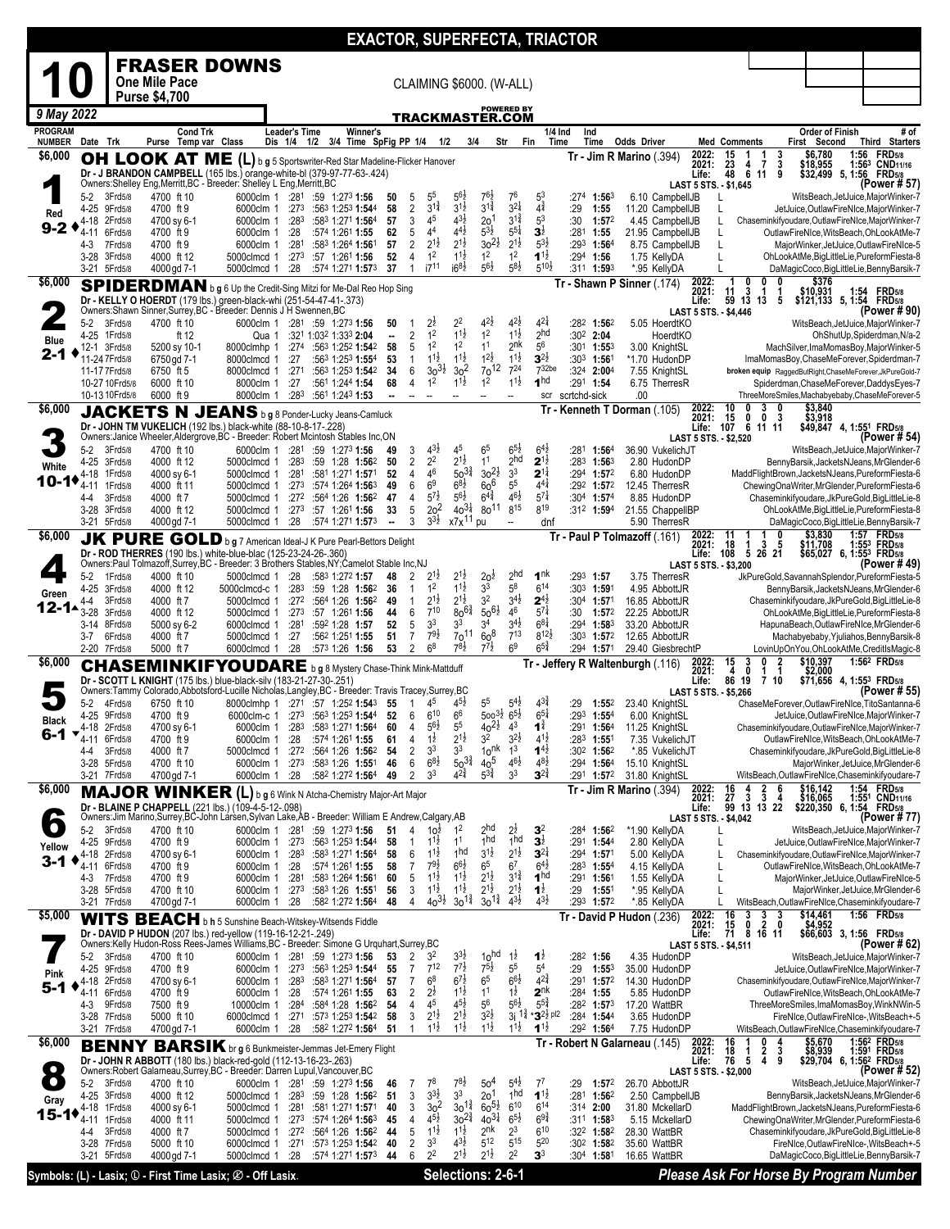|                          |                                         |                                    |                                       |                                                                                                                                         |                      |                                                                                                              | <b>EXACTOR, SUPERFECTA, TRIACTOR</b> |                                  |                                      |                                           |                                                  |                                          |                                                                    |              |                                                  |                                                  |                             |                              |                                       |                         |                        |                                                                                                          |
|--------------------------|-----------------------------------------|------------------------------------|---------------------------------------|-----------------------------------------------------------------------------------------------------------------------------------------|----------------------|--------------------------------------------------------------------------------------------------------------|--------------------------------------|----------------------------------|--------------------------------------|-------------------------------------------|--------------------------------------------------|------------------------------------------|--------------------------------------------------------------------|--------------|--------------------------------------------------|--------------------------------------------------|-----------------------------|------------------------------|---------------------------------------|-------------------------|------------------------|----------------------------------------------------------------------------------------------------------|
|                          |                                         |                                    |                                       | <b>FRASER DOWNS</b>                                                                                                                     |                      |                                                                                                              |                                      |                                  |                                      |                                           |                                                  |                                          |                                                                    |              |                                                  |                                                  |                             |                              |                                       |                         |                        |                                                                                                          |
|                          |                                         |                                    | One Mile Pace<br><b>Purse \$4,700</b> |                                                                                                                                         |                      |                                                                                                              |                                      |                                  |                                      |                                           | <b>CLAIMING \$6000. (W-ALL)</b>                  |                                          |                                                                    |              |                                                  |                                                  |                             |                              |                                       |                         |                        |                                                                                                          |
|                          | 9 May 2022                              |                                    |                                       |                                                                                                                                         |                      |                                                                                                              |                                      |                                  |                                      |                                           | <u>TRACKMASTER.COM</u>                           | <b>POWERED BY</b>                        |                                                                    |              |                                                  |                                                  |                             |                              |                                       |                         |                        |                                                                                                          |
| <b>PROGRAM</b>           |                                         |                                    |                                       | <b>Cond Trk</b>                                                                                                                         | <b>Leader's Time</b> |                                                                                                              | Winner's                             |                                  |                                      |                                           |                                                  |                                          |                                                                    | 1/4 Ind      | Ind                                              |                                                  |                             |                              |                                       |                         | <b>Order of Finish</b> | # of                                                                                                     |
| <b>NUMBER</b><br>\$6,000 | Date Trk                                |                                    |                                       | Purse Temp var Class<br>OH LOOK AT ME (L) b g 5 Sportswriter-Red Star Madeline-Flicker Hanover                                          |                      | Dis 1/4 1/2 3/4 Time SpFig PP 1/4 1/2                                                                        |                                      |                                  |                                      |                                           | 3/4                                              | Str<br>Fin                               |                                                                    | Time         | Time                                             | <b>Odds Driver</b><br>$Tr - Jim R$ Marino (.394) | 2022:                       | <b>Med Comments</b><br>15    | $\frac{3}{3}$<br>$\frac{1}{7}$        | First Second<br>\$6,780 |                        | Third Starters<br>1:56<br><b>FRD</b> 5/8                                                                 |
|                          |                                         |                                    |                                       | Dr - J BRANDON CAMPBELL (165 lbs.) orange-white-bl (379-97-77-63-.424)                                                                  |                      |                                                                                                              |                                      |                                  |                                      |                                           |                                                  |                                          |                                                                    |              |                                                  |                                                  | 2021:<br>Life:              | 23<br>48                     | 4<br>9<br>6 11                        | \$18,955                | $$32,499$ 5, 1:56      | 1:563 CND <sub>11/16</sub><br><b>FRD</b> 5/8                                                             |
|                          | 5-2                                     | 3Frd5/8                            | 4700 ft 10                            | Owners:Shelley Eng, Merritt, BC - Breeder: Shelley L Eng, Merritt, BC                                                                   |                      | 6000clm 1 :281 :59 1:273 1:56                                                                                | 50                                   | 5                                | $5^5$                                | $5^{6}$                                   | $76\frac{1}{2}$                                  | 76                                       | 53                                                                 |              | $:27^4$ 1:56 $^3$                                | 6.10 CampbellJB                                  | LAST 5 STS. - \$1,645       |                              |                                       |                         |                        | (Power # 57)<br>WitsBeach, JetJuice, MajorWinker-7                                                       |
| Red                      | 4-18                                    | 4-25 9Frd5/8<br>2Frd5/8            | 4700 ft 9<br>4700 sy 6-1              | 6000clm 1 :273<br>6000clm 1                                                                                                             | :283                 | :563 1:253 1:544<br>:583 1:271 1:564                                                                         | 58<br>57                             | $\overline{2}$<br>3              | $3^{1\frac{3}{4}}$<br>4 <sup>5</sup> | $3^{1\frac{1}{2}}$<br>$4^{3}\frac{1}{2}$  | $3^{1\frac{3}{4}}$<br>2 <sup>0</sup>             | $3^{21}$<br>$3^{1\frac{3}{4}}$           | $4^{\frac{3}{4}}$<br>5 <sup>3</sup>                                | :29<br>:30   | 1:55<br>1:572                                    | 11.20 CampbellJB<br>4.45 CampbellJB              |                             | L                            |                                       |                         |                        | JetJuice,OutlawFireNIce,MajorWinker-7<br>Chaseminkifyoudare, OutlawFireNIce, MajorWinker-7               |
| $9 - 2$                  | 4-11                                    | 6Frd5/8                            | 4700 ft 9                             | 6000clm 1                                                                                                                               | :28                  | :574 1:261 1:55                                                                                              | 62<br>57                             | 5<br>$\overline{2}$              | 4 <sup>4</sup><br>$2^{1\frac{1}{2}}$ | $4^{41}$<br>$2^{1\frac{1}{2}}$            | $5^{3}\frac{1}{2}$<br>$30^{21}$                  | $5^{5\frac{1}{4}}$<br>$2^{1\frac{1}{2}}$ | $3^{\frac{1}{2}}$<br>$5^{3}\frac{1}{2}$                            |              | :281 1:55<br>:293 1:564                          | 21.95 CampbellJB                                 |                             | L<br>L                       |                                       |                         |                        | OutlawFireNIce, WitsBeach, OhLookAtMe-7                                                                  |
|                          | 4-3                                     | 7Frd5/8<br>3-28 3Frd5/8            | 4700 ft 9<br>4000 ft 12               | 6000clm 1<br>5000clmcd 1                                                                                                                | :281                 | :583 1:264 1:561<br>$:27^3$ $:57$ 1:26 <sup>1</sup> 1:56                                                     | 52                                   | $\overline{4}$                   | 1 <sup>2</sup>                       | $1^{1\frac{1}{2}}$                        | 1 <sup>2</sup>                                   | 1 <sup>2</sup>                           | $1^{1\frac{1}{2}}$                                                 |              | :294 1:56                                        | 8.75 CampbellJB<br>1.75 KellyDA                  |                             | L                            |                                       |                         |                        | MajorWinker, JetJuice, OutlawFireNIce-5<br>OhLookAtMe,BigLittleLie,PureformFiesta-8                      |
| \$6,000                  |                                         | 3-21 5Frd5/8                       | 4000 gd 7-1                           | 5000clmcd 1                                                                                                                             | :28                  | :574 1:271 1:573                                                                                             | 37                                   | 1                                | i7 <sup>11</sup>                     | $16^{8}\frac{1}{2}$                       | $5^{6}\frac{1}{2}$                               | $5^{8}2$                                 | $5^{10}$                                                           |              | :311 1:593                                       | *.95 KellyDA<br>Tr - Shawn P Sinner (174)        | 2022:                       | 0                            | 0<br>0                                |                         | \$376                  | DaMagicCoco, BigLittleLie, Benny Barsik-7                                                                |
|                          |                                         |                                    |                                       | SPIDERDMAN b g 6 Up the Credit-Sing Mitzi for Me-Dal Reo Hop Sing<br>Dr - KELLY O HOERDT (179 lbs.) green-black-whi (251-54-47-41-.373) |                      |                                                                                                              |                                      |                                  |                                      |                                           |                                                  |                                          |                                                                    |              |                                                  |                                                  | 2021:<br>Life:              | 11<br>3<br>59 13 13          | 1<br>1<br>5                           | \$10,931                |                        | 1:54 FRD <sub>5/8</sub><br>\$121,133 5, 1:54 FRD5/8                                                      |
|                          | $5 - 2$                                 | 3Frd5/8                            | 4700 ft 10                            | Owners: Shawn Sinner, Surrey, BC - Breeder: Dennis J H Swennen, BC                                                                      |                      | 6000clm 1 :281 :59 1:273 1:56                                                                                | 50                                   |                                  | $2\frac{1}{2}$                       | $2^2$                                     | $4^{2}\frac{1}{2}$                               | $4^{2}\frac{1}{2}$                       | $4^{2}$                                                            |              | :282 1:562                                       | 5.05 HoerdtKO                                    | LAST 5 STS. - \$4,446       |                              |                                       |                         |                        | (Power # 90)<br>WitsBeach, JetJuice, MajorWinker-7                                                       |
| Blue                     | 4-25                                    | 1Frd5/8<br>12-1 3Frd5/8            | ft 12<br>5200 sy 10-1                 | Qua 1<br>8000clmhp 1                                                                                                                    |                      | :321 1:032 1:333 <b>2:04</b><br>$:274$ $:563$ 1:252 1:542                                                    | $\overline{\phantom{a}}$<br>58       | $\overline{2}$<br>5              | 1 <sup>2</sup><br>1 <sup>2</sup>     | $11\frac{1}{2}$<br>1 <sup>2</sup>         | 1 <sup>2</sup><br>1 <sup>1</sup>                 | $11\frac{1}{2}$<br>2 <sup>nk</sup>       | 2 <sub>hd</sub><br>$5^6$                                           |              | :302 2:04<br>$:30^1$ 1:55 <sup>3</sup>           | HoerdtKO<br>3.00 KnightSL                        |                             |                              |                                       |                         |                        | OhShutUp,Spiderdman,N/a-2<br>MachSilver, ImaMomasBoy, MajorWinker-5                                      |
| 2-1                      |                                         | 11-24 7 Frd5/8                     | 6750gd 7-1                            | 8000clmcd 1                                                                                                                             | :27                  | :563 1:253 1:554                                                                                             | 53                                   | $\mathbf{1}$                     | $1^{11}$<br>$30^{31}$                | $1^{1\frac{1}{2}}$<br>3 <sup>2</sup>      | $1^{2}\frac{1}{2}$<br>70 <sup>12</sup>           | $11\frac{1}{2}$<br>$7^{24}$              | $3^{21}$<br>7 <sup>32be</sup>                                      |              | :303 1:561                                       | *1.70 HudonDP                                    |                             |                              |                                       |                         |                        | ImaMomasBoy, ChaseMeForever, Spiderdman-7                                                                |
|                          |                                         | 11-17 7 Frd 5/8<br>10-27 10 Frd5/8 | 6750 ft 5<br>6000 ft 10               | 8000clmcd 1<br>8000clm 1 :27                                                                                                            | :271                 | :563 1:253 1:542<br>:561 1:244 1:54                                                                          | -34<br>68                            | 6<br>$\overline{4}$              | 1 <sup>2</sup>                       | $1^{1}\frac{1}{2}$                        | 1 <sup>2</sup>                                   | $1^{1\frac{1}{2}}$                       | 1 <sub>hd</sub>                                                    |              | :324 2:004<br>:291 1:54                          | 7.55 KnightSL<br>6.75 TherresR                   |                             |                              |                                       |                         |                        | broken equip RaggedButRight, ChaseMeForever, JkPureGold-7<br>Spiderdman, ChaseMeForever, DaddysEyes-7    |
| \$6,000                  |                                         | 10-13 10 Frd5/8                    | 6000 ft 9                             |                                                                                                                                         |                      | 8000clm 1 :283 :561 1:243 1:53                                                                               |                                      | $\overline{\phantom{a}}$         |                                      | --                                        |                                                  | --                                       | scr                                                                | scrtchd-sick |                                                  | .00<br>Tr - Kenneth T Dorman (.105)              | 2022:                       | 10<br>0                      | 3<br>0                                |                         |                        | ThreeMoreSmiles,Machabyebaby,ChaseMeForever-5                                                            |
|                          |                                         |                                    |                                       | JACKETS N JEANS b g 8 Ponder-Lucky Jeans-Camluck<br>Dr - JOHN TM VUKELICH (192 lbs.) black-white (88-10-8-17-.228)                      |                      |                                                                                                              |                                      |                                  |                                      |                                           |                                                  |                                          |                                                                    |              |                                                  |                                                  | 2021:                       | 15<br>0                      | $\mathbf 0$<br>3<br>Life: 107 6 11 11 | $$3,840$<br>$$3,918$    |                        | \$49,847 4, 1:551 FRD5/8                                                                                 |
|                          | 5-2                                     | 3Frd5/8                            | 4700 ft 10                            | Owners: Janice Wheeler, Aldergrove, BC - Breeder: Robert Mcintosh Stables Inc, ON                                                       |                      | 6000clm 1 :281 :59 1:273 1:56                                                                                | 49                                   | 3                                | $4^{3}\frac{1}{2}$                   | 45                                        | 6 <sup>5</sup>                                   | $6^{5}\frac{1}{2}$                       | $6^{4}\frac{1}{2}$                                                 |              | :281 1:564                                       | 36.90 VukelichJT                                 | LAST 5 STS. - \$2,520       |                              |                                       |                         |                        | (Power # 54)<br>WitsBeach, JetJuice, MajorWinker-7                                                       |
| White                    | $4 - 25$<br>4-18                        | 3Frd5/8<br>1Frd5/8                 | 4000 ft 12<br>4000 sy 6-1             | 5000clmcd 1<br>5000clmcd 1                                                                                                              | :283<br>:281         | :59 1:28 1:562<br>:581 1:271 <b>1:57</b> 1                                                                   | 50<br>-52                            | $\overline{2}$<br>$\overline{4}$ | 2 <sup>2</sup><br>46                 | $2^{1\frac{1}{2}}$<br>$50^{3\frac{3}{4}}$ | 1 <sup>1</sup><br>$30^{21}$                      | 2 <sub>hd</sub><br>3 <sup>3</sup>        | $2^{1\frac{1}{2}}$<br>$2^{1\frac{1}{4}}$                           | :283         | 1:563<br>$:294$ 1:572                            | 2.80 HudonDP<br>6.80 HudonDP                     |                             |                              |                                       |                         |                        | BennyBarsik, JacketsNJeans, MrGlender-6<br>MaddFlightBrown, JacketsNJeans, PureformFiesta-6              |
|                          | $10 - 1 + 4 + 11$                       | 1Frd5/8                            | 4000 ft 11                            |                                                                                                                                         |                      | 5000clmcd 1 :273 :574 1:264 1:563                                                                            | 49                                   | 6                                | 6 <sup>9</sup>                       | $6^{8}\frac{1}{2}$                        | $60^6$                                           | 5 <sup>5</sup>                           | $4^{41}$                                                           |              | :292 1:572                                       | 12.45 TherresR                                   |                             |                              |                                       |                         |                        | ChewingOnaWriter, MrGlender, PureformFiesta-6                                                            |
|                          | 4-4                                     | 3Frd5/8<br>3-28 3Frd5/8            | 4000 ft 7<br>4000 ft 12               | 5000clmcd 1                                                                                                                             |                      | 5000clmcd 1 :272 :564 1:26 1:562<br>:273 :57 1:261 1:56                                                      | 47<br>33                             | $\overline{4}$<br>5              | $5^{7}$<br>$20$ <sup>2</sup>         | $5^{6}\frac{1}{2}$<br>$40^{3\frac{1}{4}}$ | $6^{4}\frac{3}{4}$<br>$80^{11}$                  | $46\frac{1}{2}$<br>815                   | $5^{7}$<br>$8^{19}$                                                |              | :304 1:574<br>:312 1:594                         | 8.85 HudonDP<br>21.55 ChappelIBP                 |                             |                              |                                       |                         |                        | Chaseminkifyoudare, JkPureGold, BigLittleLie-8<br>OhLookAtMe,BigLittleLie,PureformFiesta-8               |
| \$6,000                  |                                         | 3-21 5Frd5/8                       | 4000 gd 7-1                           |                                                                                                                                         |                      | 5000clmcd 1 :28 :574 1:271 1:573                                                                             | $\overline{\phantom{a}}$             | 3                                | $3^{3}\frac{1}{2}$                   | x7x <sup>11</sup>                         | pu                                               | ÷.                                       | dnf                                                                |              |                                                  | 5.90 TherresR<br>Tr - Paul P Tolmazoff (.161)    |                             | 11                           | 0                                     | \$3,830                 |                        | DaMagicCoco, BigLittleLie, Benny Barsik-7<br><b>FRD</b> 5/8<br>1:57                                      |
|                          |                                         |                                    |                                       | JK PURE GOLD b g 7 American Ideal-J K Pure Pearl-Bettors Delight<br>Dr - ROD THERRES (190 lbs.) white-blue-blac (125-23-24-26-.360)     |                      |                                                                                                              |                                      |                                  |                                      |                                           |                                                  |                                          |                                                                    |              |                                                  |                                                  | 2022:<br>2021:<br>Life: 108 | 18<br>1                      | 5<br>3<br>5 26 21                     | \$11,708                |                        | 1:553 FRD5/8<br>\$65,027 6, 1:55 <sup>3</sup> FRD5/8                                                     |
|                          | $5-2$                                   | 1Frd5/8                            | 4000 ft 10                            | Owners:Paul Tolmazoff,Surrey,BC - Breeder: 3 Brothers Stables,NY;Camelot Stable Inc,NJ<br>5000clmcd 1 :28                               |                      | :583 1:272 <b>1:57</b>                                                                                       | 48                                   | 2                                | $2^{1}z$                             | $2^{1}$ ż                                 | 20 <sup>2</sup>                                  | 2 <sup>hd</sup>                          | 1 <sup>nk</sup>                                                    |              | :293 1:57                                        | 3.75 TherresR                                    | LAST 5 STS. - \$3,200       |                              |                                       |                         |                        | (Power # 49)<br>JkPureGold,SavannahSplendor,PureformFiesta-5                                             |
| Green                    | 4-25                                    | 3Frd5/8                            | 4000 ft 12                            | 5000clmcd-c 1                                                                                                                           | :283                 | :59 1:28 1:56 <sup>2</sup>                                                                                   | 36                                   | 1                                | 1 <sup>2</sup>                       | $1^{1\frac{1}{2}}$<br>$2^{1\frac{1}{2}}$  | 3 <sup>3</sup><br>3 <sup>2</sup>                 | $5^8$                                    | $6^{14}$                                                           |              | :303 1:591                                       | 4.95 AbbottJR                                    |                             |                              |                                       |                         |                        | BennyBarsik,JacketsNJeans,MrGlender-6                                                                    |
|                          | 4-4<br>12-1 $\triangle$ <sub>3-28</sub> | 3Frd5/8<br>3Frd5/8                 | 4000 ft 7<br>4000 ft 12               | 5000clmcd 1                                                                                                                             |                      | 5000clmcd 1 :272 :564 1:26 1:562<br>$:27^3$ $:57$ 1:26 <sup>1</sup> 1:56                                     | 49<br>44                             | $\mathbf{1}$<br>6                | $2^{1\frac{1}{2}}$<br>$7^{10}$       | $80^{6}\frac{3}{4}$                       | $50^{61}$                                        | $3^{4}$ <sub>2</sub><br>46               | $2^{4}$<br>$5^{7\frac{1}{4}}$                                      |              | :304 1:571<br>:30 1:572                          | 16.85 AbbottJR<br>22.25 AbbottJR                 |                             |                              |                                       |                         |                        | Chaseminkifyoudare, JkPureGold, BigLittleLie-8<br>OhLookAtMe,BigLittleLie,PureformFiesta-8               |
|                          |                                         | 3-14 8Frd5/8<br>3-7 6Frd5/8        | 5000 sy 6-2<br>4000 ft 7              | 6000clmcd 1 :281<br>5000clmcd 1 :27                                                                                                     |                      | :592 1:28 1:57<br>:562 1:251 1:55                                                                            | 52<br>51                             | 5<br>$\overline{7}$              | 3 <sup>3</sup><br>$7^{9}\frac{1}{2}$ | 3 <sup>3</sup><br>$70^{11}$               | 3 <sup>4</sup><br>60 <sup>8</sup>                | $3^{4}{}_{2}^{1}$<br>$7^{13}$            | $6^{8}$<br>$8^{12}\frac{1}{2}$                                     |              | :294 1:583<br>:303 $1:57^2$                      | 33.20 AbbottJR<br>12.65 AbbottJR                 |                             |                              |                                       |                         |                        | HapunaBeach, OutlawFireNIce, MrGlender-6<br>Machabyebaby, Yjuliahos, Benny Barsik-8                      |
| \$6,000                  |                                         | 2-20 7Frd5/8                       | 5000 ft 7                             | 6000clmcd 1                                                                                                                             | :28                  | :573 1:26 1:56                                                                                               | 53                                   | $\overline{2}$                   | 6 <sup>8</sup>                       | $7^{8}$                                   | $7^{7}$ <sub>2</sub>                             | 6 <sup>9</sup>                           | $6^{5\frac{3}{4}}$                                                 |              | :294 1:571                                       | 29.40 GiesbrechtP                                | 2022:                       | 3                            | 0                                     | \$10,397                |                        | LovinUpOnYou,OhLookAtMe,CreditIsMagic-8<br>1:56 <sup>2</sup> FRD <sub>5/8</sub>                          |
|                          |                                         |                                    |                                       | <b>CHASEMINKIFYOUDARE</b> bg 8 Mystery Chase-Think Mink-Mattduff<br>Dr - SCOTT L KNIGHT (175 lbs.) blue-black-silv (183-21-27-30-.251)  |                      |                                                                                                              |                                      |                                  |                                      |                                           |                                                  |                                          |                                                                    |              |                                                  | Tr Jeffery R Waltenburgh (.116)                  | 2021:<br>Life:              | $\frac{15}{4}$<br>0<br>86 19 | 1<br>1<br>7 <sub>10</sub>             | \$2,000                 |                        | \$71,656 4, 1:553 FRD5/8                                                                                 |
|                          | $5-2$                                   | 4Frd5/8                            | 6750 ft 10                            | Owners:Tammy Colorado,Abbotsford-Lucille Nicholas,Langley,BC - Breeder: Travis Tracey,Surrey,BC                                         |                      | 8000clmhp 1 :271 :57 1:252 1:543                                                                             | -55                                  | -1                               | 4 <sup>5</sup>                       | $4^{5}\frac{1}{2}$                        | 5 <sup>5</sup>                                   | $5^{4}$ <sub>2</sub>                     | $4^{3*}$                                                           | :29          | $1:55^{2}$                                       | 23.40 KnightSL                                   | LAST 5 STS. - \$5,266       |                              |                                       |                         |                        | (Power # 55)<br>ChaseMeForever,OutlawFireNIce,TitoSantanna-6                                             |
| <b>Black</b>             |                                         | 4-25 9Frd5/8                       | 4700 ft 9                             |                                                                                                                                         |                      | 6000clm-c 1 :273 :563 1:253 1:544 52                                                                         |                                      | 6                                | $6^{10}$                             | 6 <sup>6</sup>                            | $500^{3}\frac{1}{2}65\frac{1}{2}$                |                                          | $6^{51}$                                                           |              | :293 1:554                                       | 6.00 KnightSL                                    |                             |                              |                                       |                         |                        | JetJuice, OutlawFireNIce, MajorWinker-7                                                                  |
| 6-1                      | 4-18<br>▼<br>4-11                       | 2Frd5/8<br>6Frd5/8                 | 4700 sy 6-1<br>4700 ft 9              | 6000clm 1<br>6000clm 1                                                                                                                  | :283<br>:28          | :583 1:271 1:564<br>:574 1:261 1:55                                                                          | 60<br>61                             | 4<br>4                           | $5^{6}$<br>$1\overline{2}$           | 55<br>$2^{1\frac{1}{2}}$                  | $40^{21}$<br>3 <sup>2</sup>                      | $4^3$<br>$3^{2}\frac{1}{2}$              | 1ĭ<br>$4^{1}$                                                      | :291         | 1:564<br>$:28^3$ 1:551                           | 11.25 KnightSL<br>7.35 VukelichJT                |                             |                              |                                       |                         |                        | Chaseminkifyoudare, OutlawFireNIce, MajorWinker-7<br>OutlawFireNIce, WitsBeach, OhLookAtMe-7             |
|                          | 4-4                                     | 3Frd5/8<br>3-28 5Frd5/8            | 4000 ft 7<br>4700 ft 10               | 5000clmcd 1                                                                                                                             | :27 <sup>2</sup>     | :564 1:26 1:562<br>6000clm 1 :273 :583 1:26 1:551                                                            | -54<br>46                            | 2<br>6                           | 3 <sup>3</sup><br>$6^{8}\frac{1}{2}$ | 3 <sup>3</sup><br>$50^{3\frac{3}{4}}$     | 10 <sup>nk</sup><br>40 <sup>5</sup>              | 1 <sup>3</sup><br>$4^{6}\frac{1}{2}$     | $1^{4}$<br>$4^{8}$ <sub>2</sub>                                    |              | :30 <sup>2</sup> 1:56 <sup>2</sup><br>:294 1:564 | *.85 VukelichJT<br>15.10 KnightSL                |                             |                              |                                       |                         |                        | Chaseminkifyoudare, JkPureGold, BigLittleLie-8<br>MajorWinker, JetJuice, MrGlender-6                     |
|                          |                                         | 3-21 7Frd5/8                       | 4700 gd 7-1                           | 6000clm 1 :28                                                                                                                           |                      | :582 1:272 <b>1:56</b> 4                                                                                     | -49                                  | 2                                | 3 <sup>3</sup>                       | $4^{24}$                                  | $5^{3\frac{3}{4}}$                               | 3 <sup>3</sup>                           | $3^{24}$                                                           |              | :291 1:572                                       | 31.80 KnightSL                                   |                             |                              | 6                                     |                         |                        | WitsBeach, OutlawFireNIce, Chaseminkifyoudare-7                                                          |
| \$6,000                  |                                         |                                    | <b>MAJOR WINKER</b>                   | Dr - BLAINE P CHAPPELL (221 lbs.) (109-4-5-12-.098)                                                                                     |                      | (L) b g 6 Wink N Atcha-Chemistry Major-Art Major                                                             |                                      |                                  |                                      |                                           |                                                  |                                          |                                                                    |              |                                                  | Tr - Jim R Marino (.394)                         | 2022:<br>2021:<br>Life:     | $\frac{16}{27}$<br>3         | $\frac{2}{3}$<br>4<br>99 13 13 22     |                         |                        | \$16,142 1:54 FRD5/8<br>\$16,065 1:55 <sup>1</sup> CND11/16<br>\$220,350 6, 1:54 FRD5/8                  |
|                          | 5-2                                     | 3Frd5/8                            | 4700 ft 10                            | Owners:Jim Marino,Surrey,BC-John Larsen,Sylvan Lake,AB - Breeder: William E Andrew,Calgary,AB                                           |                      | 6000clm 1 :281 :59 1:273 1:56                                                                                | 51                                   | 4                                | 10 <sup>1</sup>                      | 1 <sup>2</sup>                            | 2 <sup>hd</sup>                                  | $2\frac{1}{2}$                           | $\mathbf{3}^2$                                                     | :284         | 1:562                                            | *1.90 KellvDA                                    | LAST 5 STS. - \$4,042       |                              |                                       |                         |                        | (Power # 77)<br>WitsBeach, JetJuice, MajorWinker-7                                                       |
| Yellow                   |                                         | 4-25 9Frd5/8                       | 4700 ft 9                             |                                                                                                                                         |                      | 6000clm 1 :273 :563 1:253 1:544                                                                              | 58                                   | -1                               | $11\frac{1}{2}$                      | 1 <sup>1</sup>                            | 1hd                                              | 1hd                                      | $3\overline{2}$                                                    |              | :291 1:544                                       | 2.80 KellyDA                                     |                             | L                            |                                       |                         |                        | JetJuice,OutlawFireNIce,MajorWinker-7                                                                    |
| $3 - 1$                  | 4-11                                    | 4-18 2Frd5/8<br>6Frd5/8            | 4700 sy 6-1<br>4700 ft 9              | 6000clm 1<br>6000clm 1 :28                                                                                                              | :283                 | :583 1:271 1:564<br>:574 1:261 1:55                                                                          | 58<br>58                             | 6<br>7                           | $1^{11}$<br>$79\frac{1}{2}$          | 1 <sup>hd</sup><br>$66\frac{1}{2}$        | $3^{1\frac{1}{2}}$<br>65                         | $2^{1\frac{1}{2}}$<br>67                 | $3^{2\frac{1}{4}}$<br>$6^{4}\frac{1}{2}$                           |              | :29 <sup>4</sup> 1:571<br>:283 1:554             | 5.00 KellyDA<br>4.15 KellyDA                     |                             | L<br>L                       |                                       |                         |                        | Chaseminkifyoudare, OutlawFireNIce, MajorWinker-7<br>OutlawFireNIce, WitsBeach, OhLookAtMe-7             |
|                          | 4-3                                     | 7Frd5/8<br>3-28 5Frd5/8            | 4700 ft 9<br>4700 ft 10               | 6000clm 1 :281                                                                                                                          |                      | :583 1:264 1:561<br>6000clm 1 :273 :583 1:26 1:551                                                           | 60<br>56                             | 5<br>3                           | $1^{1\frac{1}{2}}$<br>$1^{11}$       | $1^{1\frac{1}{2}}$<br>$1^{1\frac{1}{2}}$  | $2^{1\frac{1}{2}}$<br>$2^{1\frac{1}{2}}$         | $3^{1\frac{3}{4}}$<br>$2^{1\frac{1}{2}}$ | 1 <sup>hd</sup><br>$1\overline{2}$                                 | :29          | :291 1: <b>56</b> 1<br>1:551                     | 1.55 KellyDA<br>*.95 KellyDA                     |                             | L<br>L                       |                                       |                         |                        | MajorWinker, JetJuice, OutlawFireNIce-5<br>MajorWinker, JetJuice, MrGlender-6                            |
|                          |                                         | 3-21 7Frd5/8                       | 4700gd 7-1                            | 6000clm 1                                                                                                                               | :28                  | :582 1:272 <b>1:56</b> 4                                                                                     | 48                                   | 4                                | $40^{31}$                            | $30^{1\frac{3}{4}}$                       | $30^{1\frac{3}{4}}$                              | $4^{3}\frac{1}{2}$                       | $4^{3}\frac{1}{2}$                                                 |              | :293 1:572                                       | *.85 KellyDA                                     |                             | L                            |                                       |                         |                        | WitsBeach, OutlawFireNIce, Chaseminkifyoudare-7<br>1:56 FRD <sub>5/8</sub>                               |
| \$5,000                  |                                         |                                    |                                       | WITS BEACH b h 5 Sunshine Beach-Witskey-Witsends Fiddle<br>Dr - DAVID P HUDON (207 lbs.) red-yellow (119-16-12-21-.249)                 |                      |                                                                                                              |                                      |                                  |                                      |                                           |                                                  |                                          |                                                                    |              |                                                  | Tr - David P Hudon (.236)                        | 2022:<br>2021:<br>Life:     | 16<br>3<br>15<br>0<br>71     | 3<br>3<br>2<br>0<br>8 16 11           | \$14,461<br>\$4,952     |                        | \$66,603 3, 1:56 FRD5/8                                                                                  |
|                          | 5-2                                     | 3Frd5/8                            | 4700 ft 10                            | Owners:Kelly Hudon-Ross Rees-James Williams,BC - Breeder: Simone G Urquhart,Surrey,BC                                                   |                      |                                                                                                              | 53                                   | 2                                | 3 <sup>2</sup>                       | $3^{3}\frac{1}{2}$                        | 10 <sup>hd</sup>                                 | $1\overline{2}$                          | $1\overline{2}$                                                    |              | :282 1:56                                        | 4.35 HudonDP                                     | LAST 5 STS. - \$4,511       |                              |                                       |                         |                        | (Power # 62)                                                                                             |
| Pink                     | 4-25                                    | 9Frd5/8                            | 4700 ft 9                             |                                                                                                                                         |                      | 6000clm 1 :281 :59 1:273 1:56<br>6000clm 1 :273 :563 1:253 1:544                                             | 55                                   | 7                                | $7^{12}$                             | $7^{7\frac{1}{2}}$                        | $7^{5}\frac{1}{2}$                               | 5 <sup>5</sup>                           | 5 <sup>4</sup>                                                     | :29          | $1:55^{3}$                                       | 35.00 HudonDP                                    |                             |                              |                                       |                         |                        | WitsBeach, JetJuice, MajorWinker-7<br>JetJuice,OutlawFireNIce,MajorWinker-7                              |
| 5-1                      | 4-11                                    | 4-18 2Frd5/8<br>6Frd5/8            | 4700 sy 6-1<br>4700 ft 9              | 6000clm 1                                                                                                                               | :28                  | 6000clm 1 :283 :583 1:271 1:564<br>:574 1:261 1:55                                                           | 57<br>63                             | 7<br>2                           | 6 <sup>8</sup><br>$2\overline{2}$    | $6^{7}\frac{1}{2}$<br>$1^{1}\frac{1}{2}$  | $6^5\,$<br>1 <sup>1</sup>                        | $6^{6}\frac{1}{2}$<br>$1\overline{2}$    | $4^{2^{3}_{4}}$<br>2 <sup>nk</sup>                                 |              | :291 1:572<br>:284 1:55                          | 14.30 HudonDP<br>5.85 HudonDP                    |                             |                              |                                       |                         |                        | Chaseminkifyoudare, OutlawFireNIce, MajorWinker-7<br>OutlawFireNIce, WitsBeach, OhLookAtMe-7             |
|                          | 4-3                                     | 9Frd5/8<br>3-28 7Frd5/8            | 7500 ft 9<br>5000 ft 10               | 10000clm 1                                                                                                                              | :284                 | :584 1:28 1:562<br>6000clmcd 1 :271 :573 1:253 1:542                                                         | -54<br>58                            | 4<br>3                           | 45<br>$2^{1\frac{1}{2}}$             | $4^{51}$<br>$2^{1\frac{1}{2}}$            | 56<br>$3^{2}\frac{1}{2}$                         | $5^{6}\frac{1}{2}$                       | $5^{5\frac{3}{4}}$<br>$3i$ $1\frac{3}{4} \times 32\frac{1}{2}$ pl2 |              | :282 1:573<br>:284 1:544                         | 17.20 WattBR<br>3.65 HudonDP                     |                             |                              |                                       |                         |                        | ThreeMoreSmiles,ImaMomasBoy,WinkNWin-5<br>FireNIce,OutlawFireNIce-,WitsBeach+-5                          |
|                          |                                         | 3-21 7Frd5/8                       | 4700gd 7-1                            | 6000clm 1                                                                                                                               | :28                  | :582 1:272 1:564                                                                                             | -51                                  | 1                                | $1^{1\frac{1}{2}}$                   | $1^{1\frac{1}{2}}$                        | $1^{1\frac{1}{2}}$                               | $1^{1\frac{1}{2}}$                       | $1^{1\frac{1}{2}}$                                                 |              | :292 1:564                                       | 7.75 HudonDP                                     |                             |                              |                                       |                         |                        | WitsBeach, OutlawFireNIce, Chaseminkifyoudare-7                                                          |
| \$6,000                  |                                         |                                    |                                       | <b>BENNY BARSIK</b> br g 6 Bunkmeister-Jemmas Jet-Emery Flight<br>Dr - JOHN R ABBOTT (180 lbs.) black-red-gold (112-13-16-23-.263)      |                      |                                                                                                              |                                      |                                  |                                      |                                           |                                                  |                                          |                                                                    |              |                                                  | Tr - Robert N Galarneau (145)                    | 2022:<br>2021:<br>Life:     | 16<br>18<br>1<br>76 5        | 0<br>4<br>3<br>2<br>9<br>4            | \$5,670<br>\$8,939      |                        | 1:56 <sup>2</sup> FRD <sub>5/8</sub><br>1:591 FRD5/8<br>\$29,704 6, 1:56 <sup>2</sup> FRD <sub>5/8</sub> |
| $\bullet$<br>$\bullet$   |                                         | 3Frd5/8                            |                                       | Owners:Robert Galarneau,Surrey,BC - Breeder: Darren Lupul,Vancouver,BC                                                                  |                      |                                                                                                              |                                      |                                  | $7^8$                                | $7^{8}\frac{1}{2}$                        | 50 <sup>4</sup>                                  | $5^{4}$ <sub>2</sub>                     | $7^7$                                                              |              |                                                  |                                                  | LAST 5 STS. - \$2,000       |                              |                                       |                         |                        | (Power # 52)                                                                                             |
| Gray                     | 5-2<br>4-25                             | 3Frd5/8                            | 4700 ft 10<br>4000 ft 12              |                                                                                                                                         |                      | 6000clm 1 :281 :59 1:273 1:56<br>5000clmcd 1 :28 <sup>3</sup> :59 1:28 1:56 <sup>2</sup>                     | 46<br>51                             | 7<br>3                           | $3^{3}\frac{1}{2}$                   | 3 <sup>3</sup>                            | 20 <sup>1</sup>                                  | 1 <sub>h</sub>                           | $1^{1\frac{1}{2}}$                                                 | :29<br>:281  | 1:57 <sup>2</sup><br>1:562                       | 26.70 AbbottJR<br>2.50 CampbellJB                |                             |                              |                                       |                         |                        | WitsBeach, JetJuice, MajorWinker-7<br>BennyBarsik, JacketsNJeans, MrGlender-6                            |
| $15 - 1*$                | 4-18<br>4-11                            | 1Frd5/8<br>1Frd5/8                 | 4000 sy 6-1<br>4000 ft 11             |                                                                                                                                         |                      | 5000clmcd 1 :281 :581 1:271 1:571<br>5000clmcd 1 :273 :574 1:264 1:563                                       | - 40<br>-45                          | 3<br>4                           | 3 <sup>2</sup><br>$4^{5}\frac{1}{2}$ | $30^{1\frac{3}{4}}$<br>$30^{24}$          | $60^{5\frac{1}{2}}$ 6 <sup>10</sup><br>$40^{31}$ | $6^{5}\frac{1}{2}$                       | 614<br>$6^{9\frac{3}{4}}$                                          |              | :314 2:00<br>$:31^1$ 1:58 <sup>3</sup>           | 31.80 MckellarD<br>5.15 MckellarD                |                             |                              |                                       |                         |                        | MaddFlightBrown, JacketsNJeans, PureformFiesta-6<br>ChewingOnaWriter, MrGlender, PureformFiesta-6        |
|                          | 4-4                                     | 3Frd5/8<br>3-28 7Frd5/8            | 4000 ft 7<br>5000 ft 10               | 6000clmcd 1                                                                                                                             |                      | 5000clmcd 1 :27 <sup>2</sup> :56 <sup>4</sup> 1:26 <b>1:56</b> <sup>2</sup><br>:271 :573 1:253 <b>1:54</b> 2 | 44<br>40                             | 5<br>$\overline{2}$              | $1^{1\frac{1}{2}}$<br>3 <sup>3</sup> | $1^{1\frac{1}{2}}$<br>$4^{3}\frac{1}{2}$  | 2 <sup>nk</sup><br>$5^{12}$                      | 2 <sup>3</sup><br>$5^{15}$               | $6^{10}$<br>$5^{20}$                                               |              | :322 1:582<br>:302 1:582                         | 28.30 WattBR<br>35.60 WattBR                     |                             |                              |                                       |                         |                        | Chaseminkifyoudare, JkPureGold, BigLittleLie-8<br>FireNIce, OutlawFireNIce-, WitsBeach+-5                |
|                          |                                         | 3-21 5Frd5/8                       | 4000 gd 7-1                           | 5000clmcd 1 :28                                                                                                                         |                      | :574 1:271 <b>1:57</b> 3                                                                                     | 44                                   | 6                                | 2 <sup>2</sup>                       | $2^{1\frac{1}{2}}$                        | $2^{1\frac{1}{2}}$                               | 2 <sup>2</sup>                           | 3 <sup>3</sup>                                                     |              | :304 1:581                                       | 16.65 WattBR                                     |                             |                              |                                       |                         |                        | DaMagicCoco, BigLittleLie, Benny Barsik-7                                                                |
|                          |                                         |                                    |                                       | Symbols: (L) - Lasix; ① - First Time Lasix; Ø - Off Lasix.                                                                              |                      |                                                                                                              |                                      |                                  |                                      |                                           | Selections: 2-6-1                                |                                          |                                                                    |              |                                                  |                                                  |                             |                              |                                       |                         |                        | Please Ask For Horse By Program Number                                                                   |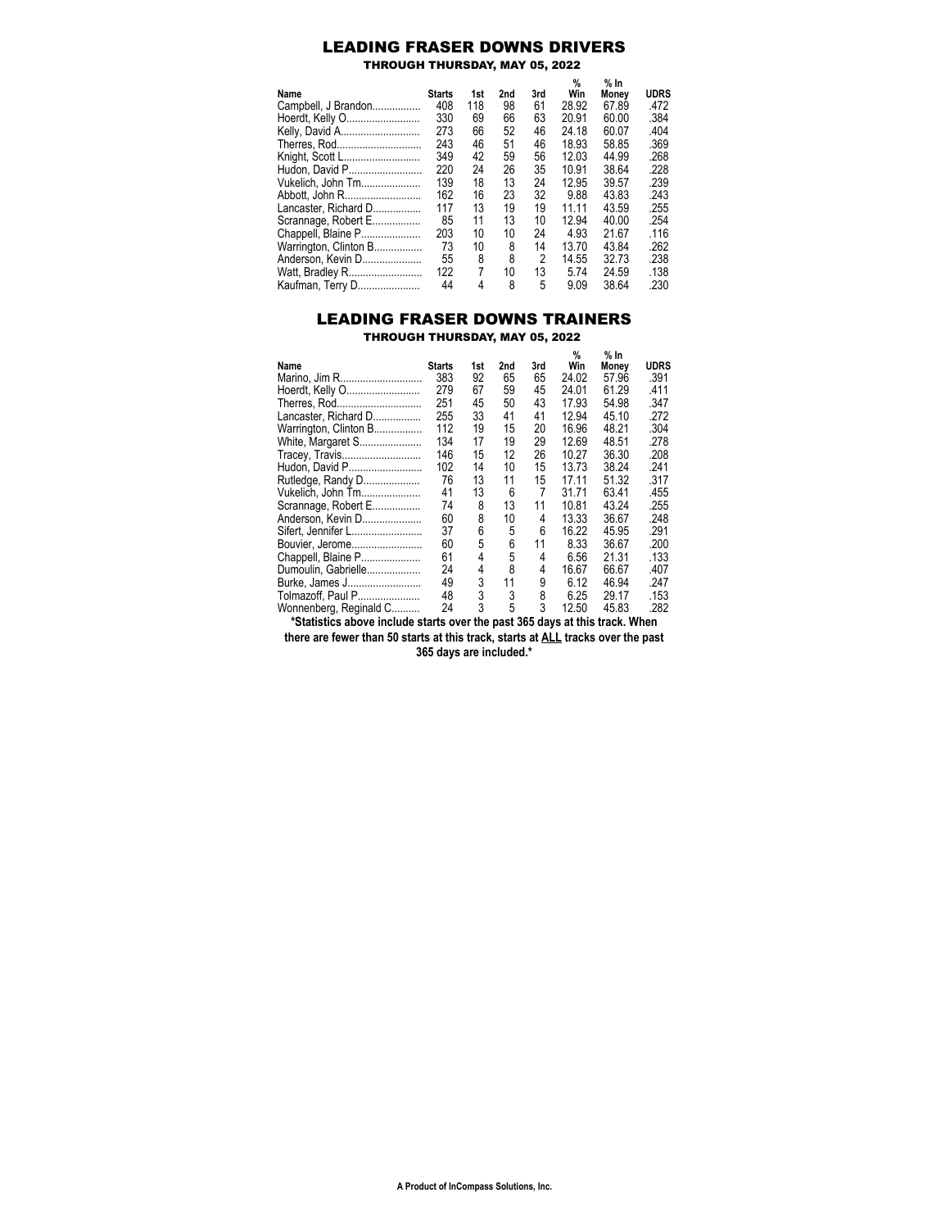## LEADING FRASER DOWNS DRIVERS

THROUGH THURSDAY, MAY 05, 2022

|                       | <b>Starts</b> | 1st |     | 3rd | %<br>Win | $%$ In | <b>UDRS</b> |
|-----------------------|---------------|-----|-----|-----|----------|--------|-------------|
| Name                  |               |     | 2nd |     |          | Monev  |             |
| Campbell, J Brandon   | 408           | 118 | 98  | 61  | 28.92    | 67.89  | .472        |
| Hoerdt, Kelly O       | 330           | 69  | 66  | 63  | 20.91    | 60.00  | .384        |
| Kelly, David A        | 273           | 66  | 52  | 46  | 24.18    | 60.07  | .404        |
| Therres, Rod          | 243           | 46  | 51  | 46  | 18.93    | 58.85  | .369        |
| Knight, Scott L       | 349           | 42  | 59  | 56  | 12.03    | 44.99  | .268        |
| Hudon, David P        | 220           | 24  | 26  | 35  | 10.91    | 38.64  | .228        |
| Vukelich, John Tm     | 139           | 18  | 13  | 24  | 12.95    | 39.57  | .239        |
| Abbott, John R        | 162           | 16  | 23  | 32  | 9.88     | 43.83  | .243        |
| Lancaster, Richard D  | 117           | 13  | 19  | 19  | 11.11    | 43.59  | .255        |
| Scrannage, Robert E   | 85            | 11  | 13  | 10  | 12 94    | 40.00  | .254        |
| Chappell, Blaine P    | 203           | 10  | 10  | 24  | 4 9 3    | 21.67  | .116        |
| Warrington, Clinton B | 73            | 10  | 8   | 14  | 13.70    | 43.84  | .262        |
| Anderson. Kevin D     | 55            | 8   | 8   | 2   | 14.55    | 32.73  | .238        |
| Watt, Bradley R       | 122           | 7   | 10  | 13  | 574      | 24 59  | .138        |
| Kaufman, Terry D      | 44            | 4   | 8   | 5   | 9.09     | 38.64  | .230        |

## LEADING FRASER DOWNS TRAINERS THROUGH THURSDAY, MAY 05, 2022

|                        |               |     |     |     | %     | % In  |             |
|------------------------|---------------|-----|-----|-----|-------|-------|-------------|
| Name                   | <b>Starts</b> | 1st | 2nd | 3rd | Win   | Money | <b>UDRS</b> |
| Marino, Jim R          | 383           | 92  | 65  | 65  | 24.02 | 57.96 | .391        |
| Hoerdt, Kelly O        | 279           | 67  | 59  | 45  | 24.01 | 61.29 | .411        |
| Therres, Rod           | 251           | 45  | 50  | 43  | 17.93 | 54.98 | .347        |
| Lancaster, Richard D   | 255           | 33  | 41  | 41  | 12.94 | 45.10 | .272        |
| Warrington, Clinton B  | 112           | 19  | 15  | 20  | 16.96 | 48.21 | .304        |
| White, Margaret S      | 134           | 17  | 19  | 29  | 12.69 | 48.51 | .278        |
| Tracey, Travis         | 146           | 15  | 12  | 26  | 10.27 | 36.30 | .208        |
| Hudon, David P         | 102           | 14  | 10  | 15  | 13.73 | 38.24 | .241        |
| Rutledge, Randy D      | 76            | 13  | 11  | 15  | 17.11 | 51.32 | .317        |
| Vukelich, John Tm      | 41            | 13  | 6   | 7   | 31.71 | 63.41 | .455        |
| Scrannage, Robert E    | 74            | 8   | 13  | 11  | 10.81 | 43.24 | .255        |
| Anderson, Kevin D      | 60            | 8   | 10  | 4   | 13.33 | 36.67 | .248        |
| Sifert, Jennifer L     | 37            | 6   | 5   | 6   | 16.22 | 45.95 | .291        |
| Bouvier, Jerome        | 60            | 5   | 6   | 11  | 8.33  | 36.67 | .200        |
| Chappell, Blaine P     | 61            | 4   | 5   | 4   | 6.56  | 21.31 | .133        |
| Dumoulin, Gabrielle    | 24            | 4   | 8   | 4   | 16.67 | 66.67 | .407        |
| Burke, James J         | 49            | 3   | 11  | 9   | 6.12  | 46.94 | .247        |
| Tolmazoff, Paul P      | 48            | 3   | 3   | 8   | 6.25  | 29.17 | .153        |
| Wonnenberg, Reginald C | 24            | 3   | 5   | 3   | 12.50 | 45.83 | .282        |

**\*Statistics above include starts over the past 365 days at this track. When there are fewer than 50 starts at this track, starts at ALL tracks over the past**

**365 days are included.\***